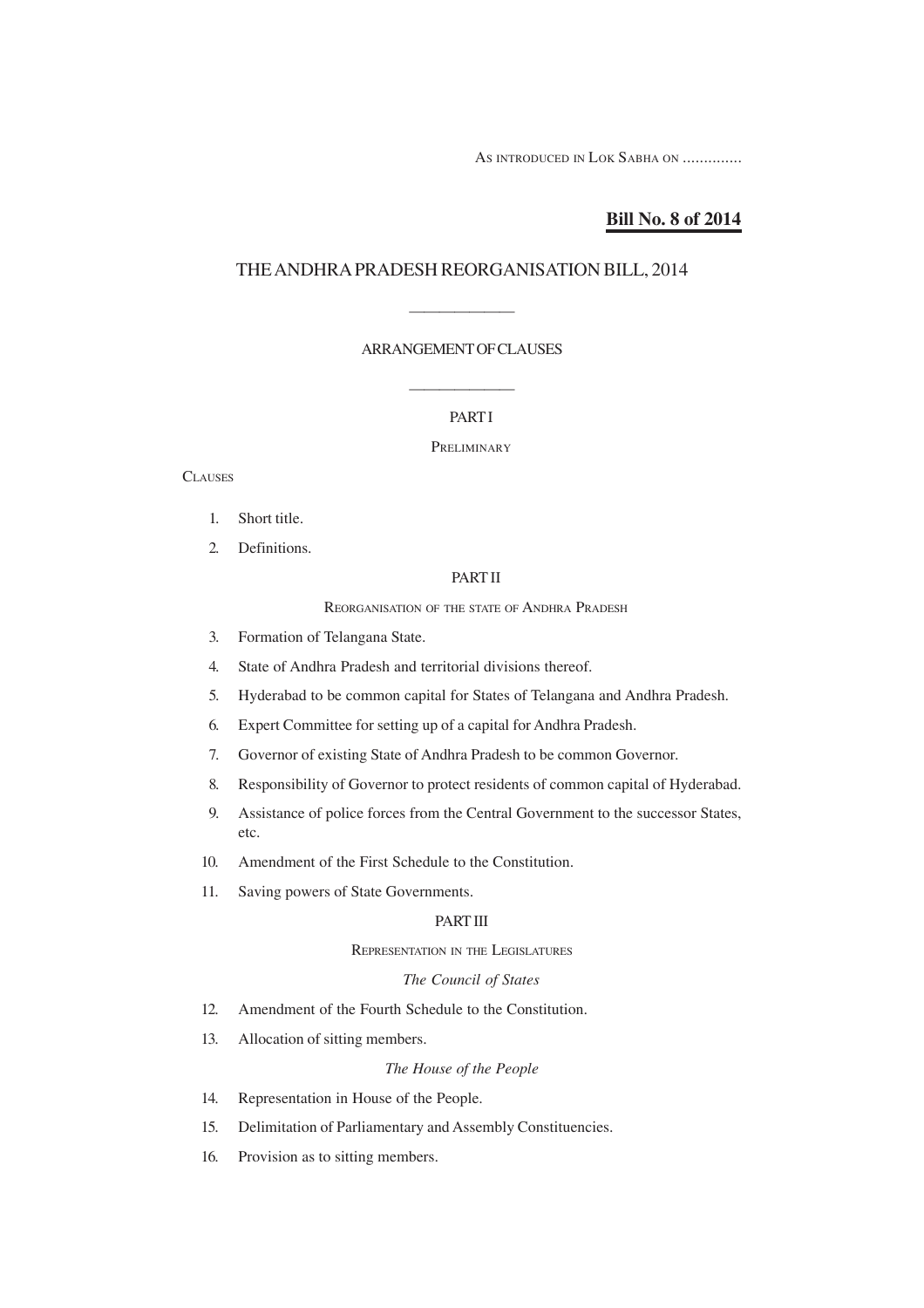AS INTRODUCED IN LOK SABHA ON ..............

## **Bill No. 8 of 2014**

## THE ANDHRA PRADESH REORGANISATION BILL, 2014

## ARRANGEMENT OF CLAUSES

———————

———————

## **PARTI**

#### **PRELIMINARY**

## **CLAUSES**

- 1. Short title.
- 2. Definitions.

## PART II

REORGANISATION OF THE STATE OF ANDHRA PRADESH

- 3. Formation of Telangana State.
- 4. State of Andhra Pradesh and territorial divisions thereof.
- 5. Hyderabad to be common capital for States of Telangana and Andhra Pradesh.
- 6. Expert Committee for setting up of a capital for Andhra Pradesh.
- 7. Governor of existing State of Andhra Pradesh to be common Governor.
- 8. Responsibility of Governor to protect residents of common capital of Hyderabad.
- 9. Assistance of police forces from the Central Government to the successor States, etc.
- 10. Amendment of the First Schedule to the Constitution.
- 11. Saving powers of State Governments.

## PART III

## REPRESENTATION IN THE LEGISLATURES

## *The Council of States*

- 12. Amendment of the Fourth Schedule to the Constitution.
- 13. Allocation of sitting members.

## *The House of the People*

- 14. Representation in House of the People.
- 15. Delimitation of Parliamentary and Assembly Constituencies.
- 16. Provision as to sitting members.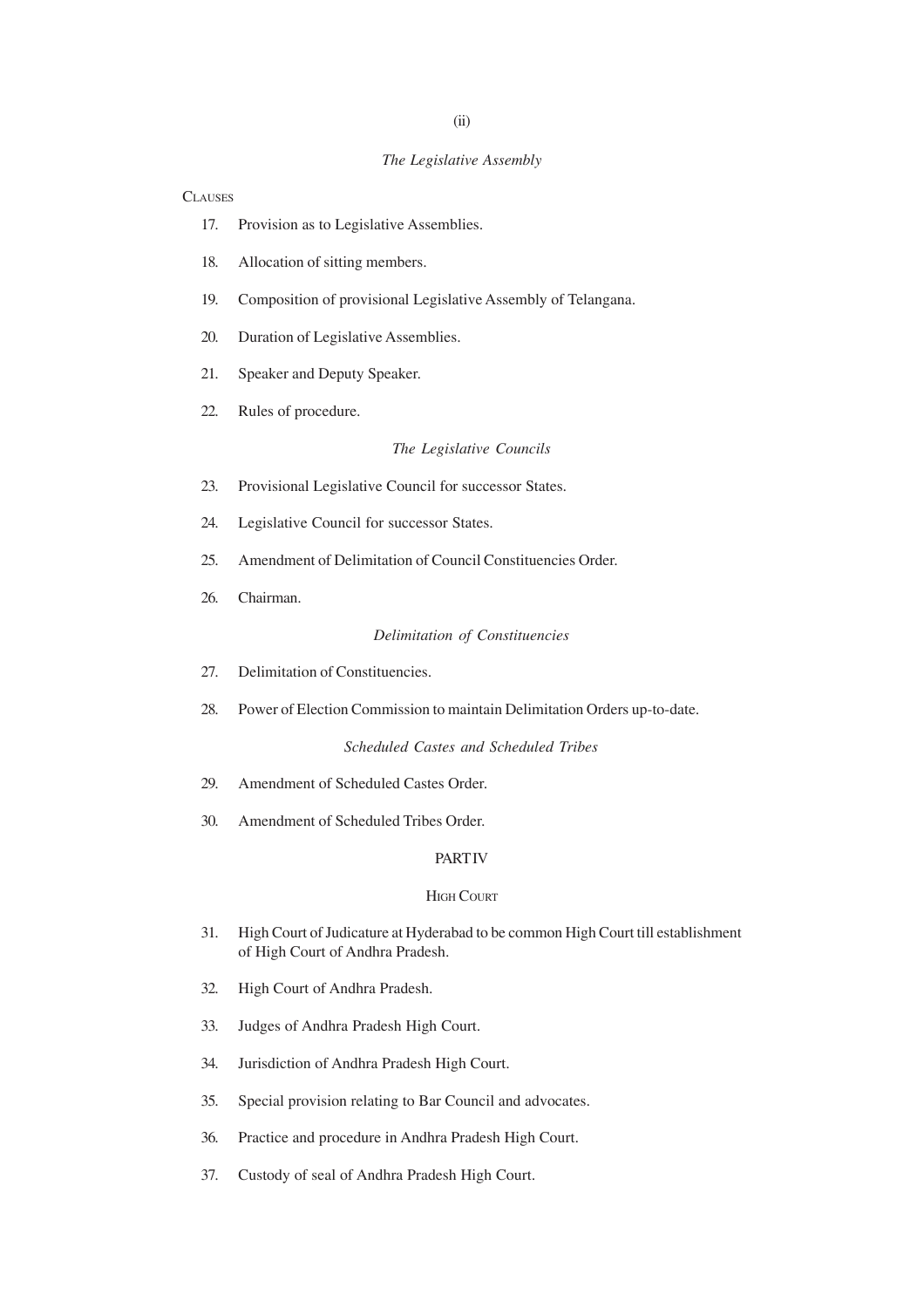## *The Legislative Assembly*

**CLAUSES** 

- 17. Provision as to Legislative Assemblies.
- 18. Allocation of sitting members.
- 19. Composition of provisional Legislative Assembly of Telangana.
- 20. Duration of Legislative Assemblies.
- 21. Speaker and Deputy Speaker.
- 22. Rules of procedure.

## *The Legislative Councils*

- 23. Provisional Legislative Council for successor States.
- 24. Legislative Council for successor States.
- 25. Amendment of Delimitation of Council Constituencies Order.
- 26. Chairman.

## *Delimitation of Constituencies*

- 27. Delimitation of Constituencies.
- 28. Power of Election Commission to maintain Delimitation Orders up-to-date.

## *Scheduled Castes and Scheduled Tribes*

- 29. Amendment of Scheduled Castes Order.
- 30. Amendment of Scheduled Tribes Order.

## **PART IV**

## HIGH COURT

- 31. High Court of Judicature at Hyderabad to be common High Court till establishment of High Court of Andhra Pradesh.
- 32. High Court of Andhra Pradesh.
- 33. Judges of Andhra Pradesh High Court.
- 34. Jurisdiction of Andhra Pradesh High Court.
- 35. Special provision relating to Bar Council and advocates.
- 36. Practice and procedure in Andhra Pradesh High Court.
- 37. Custody of seal of Andhra Pradesh High Court.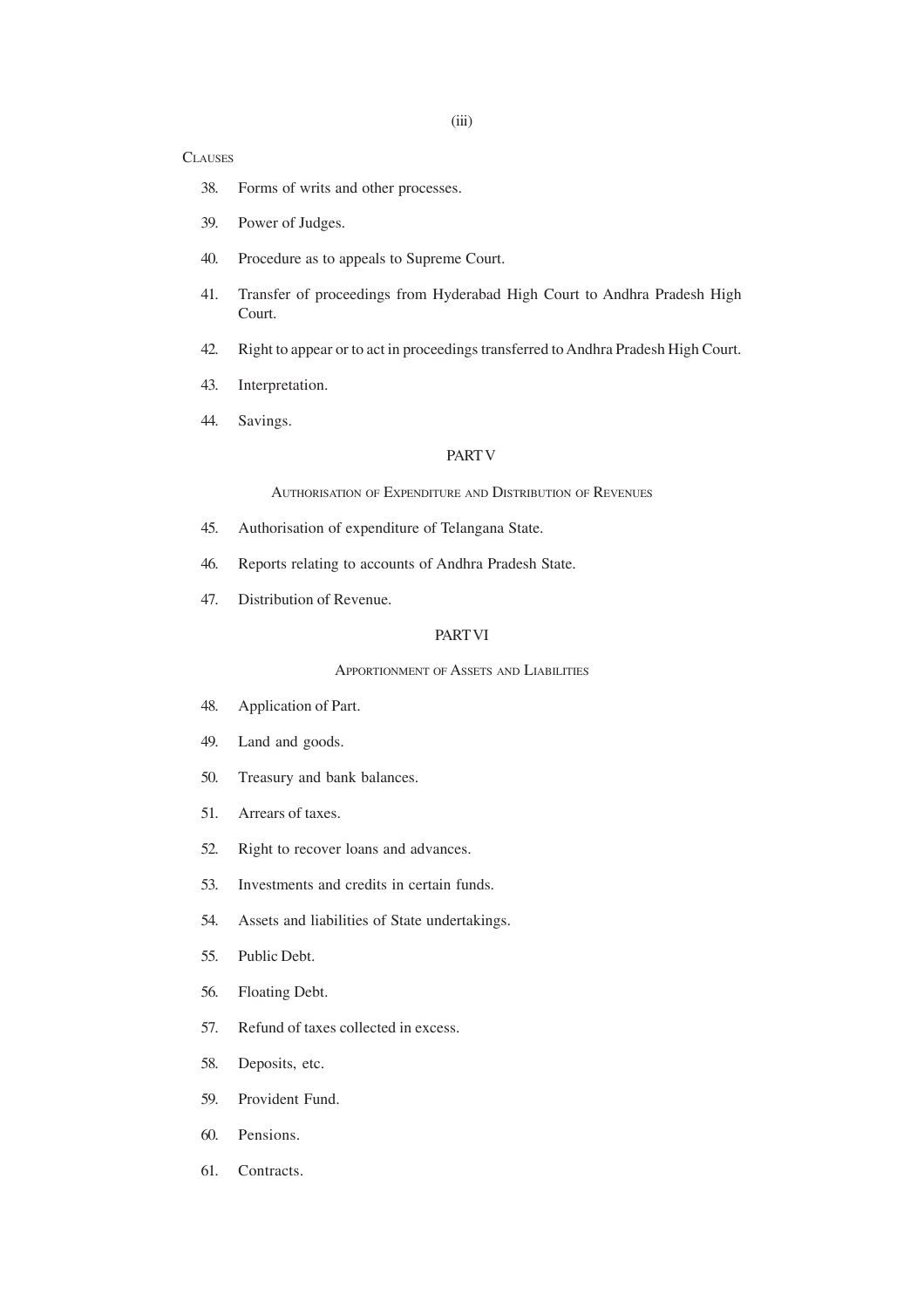(iii)

## **CLAUSES**

- 38. Forms of writs and other processes.
- 39. Power of Judges.
- 40. Procedure as to appeals to Supreme Court.
- 41. Transfer of proceedings from Hyderabad High Court to Andhra Pradesh High Court.
- 42. Right to appear or to act in proceedings transferred to Andhra Pradesh High Court.
- 43. Interpretation.
- 44. Savings.

## **PART V**

AUTHORISATION OF EXPENDITURE AND DISTRIBUTION OF REVENUES

- 45. Authorisation of expenditure of Telangana State.
- 46. Reports relating to accounts of Andhra Pradesh State.
- 47. Distribution of Revenue.

### PART VI

APPORTIONMENT OF ASSETS AND LIABILITIES

- 48. Application of Part.
- 49. Land and goods.
- 50. Treasury and bank balances.
- 51. Arrears of taxes.
- 52. Right to recover loans and advances.
- 53. Investments and credits in certain funds.
- 54. Assets and liabilities of State undertakings.
- 55. Public Debt.
- 56. Floating Debt.
- 57. Refund of taxes collected in excess.
- 58. Deposits, etc.
- 59. Provident Fund.
- 60. Pensions.
- 61. Contracts.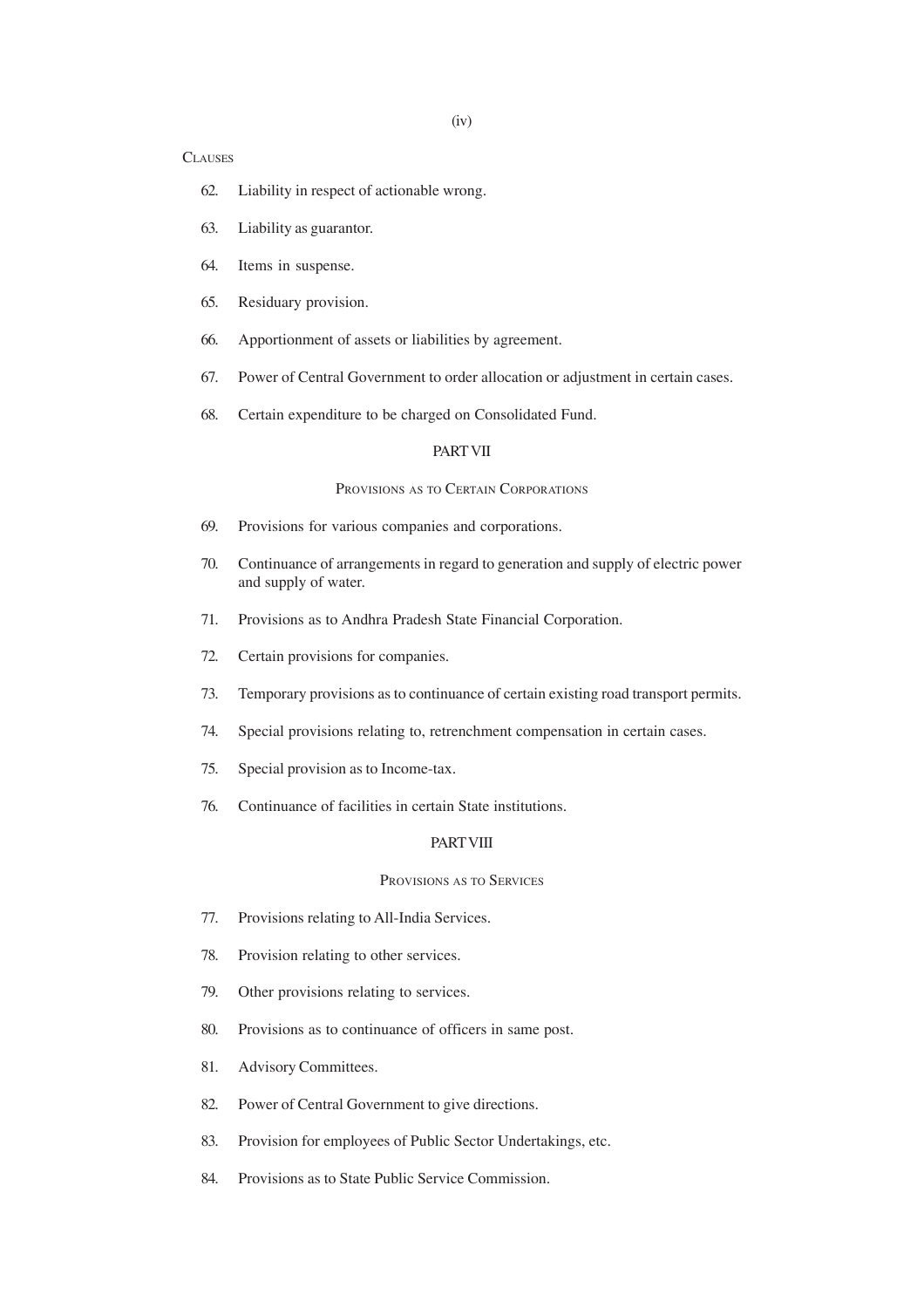## **CLAUSES**

- 62. Liability in respect of actionable wrong.
- 63. Liability as guarantor.
- 64. Items in suspense.
- 65. Residuary provision.
- 66. Apportionment of assets or liabilities by agreement.
- 67. Power of Central Government to order allocation or adjustment in certain cases.
- 68. Certain expenditure to be charged on Consolidated Fund.

## PART VII

## PROVISIONS AS TO CERTAIN CORPORATIONS

- 69. Provisions for various companies and corporations.
- 70. Continuance of arrangements in regard to generation and supply of electric power and supply of water.
- 71. Provisions as to Andhra Pradesh State Financial Corporation.
- 72. Certain provisions for companies.
- 73. Temporary provisions as to continuance of certain existing road transport permits.
- 74. Special provisions relating to, retrenchment compensation in certain cases.
- 75. Special provision as to Income-tax.
- 76. Continuance of facilities in certain State institutions.

## **PART VIII**

## PROVISIONS AS TO SERVICES

- 77. Provisions relating to All-India Services.
- 78. Provision relating to other services.
- 79. Other provisions relating to services.
- 80. Provisions as to continuance of officers in same post.
- 81. Advisory Committees.
- 82. Power of Central Government to give directions.
- 83. Provision for employees of Public Sector Undertakings, etc.
- 84. Provisions as to State Public Service Commission.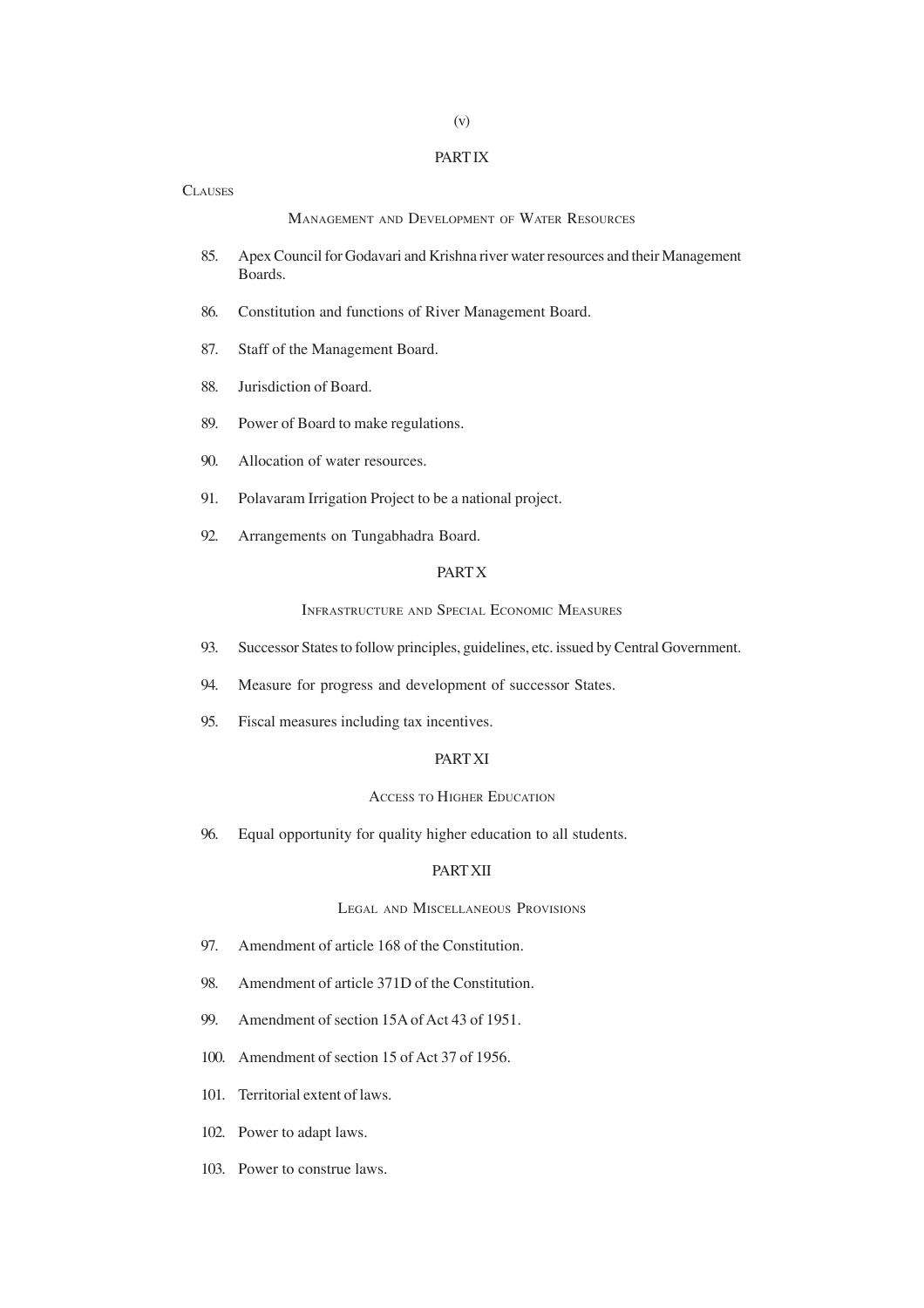### PART IX

**CLAUSES** 

MANAGEMENT AND DEVELOPMENT OF WATER RESOURCES

- 85. Apex Council for Godavari and Krishna river water resources and their Management Boards.
- 86. Constitution and functions of River Management Board.
- 87. Staff of the Management Board.
- 88. Jurisdiction of Board.
- 89. Power of Board to make regulations.
- 90. Allocation of water resources.
- 91. Polavaram Irrigation Project to be a national project.
- 92. Arrangements on Tungabhadra Board.

## PART X

INFRASTRUCTURE AND SPECIAL ECONOMIC MEASURES

- 93. Successor States to follow principles, guidelines, etc. issued by Central Government.
- 94. Measure for progress and development of successor States.
- 95. Fiscal measures including tax incentives.

## PART XI

## ACCESS TO HIGHER EDUCATION

96. Equal opportunity for quality higher education to all students.

### **PART XII**

## LEGAL AND MISCELLANEOUS PROVISIONS

- 97. Amendment of article 168 of the Constitution.
- 98. Amendment of article 371D of the Constitution.
- 99. Amendment of section 15A of Act 43 of 1951.
- 100. Amendment of section 15 of Act 37 of 1956.
- 101. Territorial extent of laws.
- 102. Power to adapt laws.
- 103. Power to construe laws.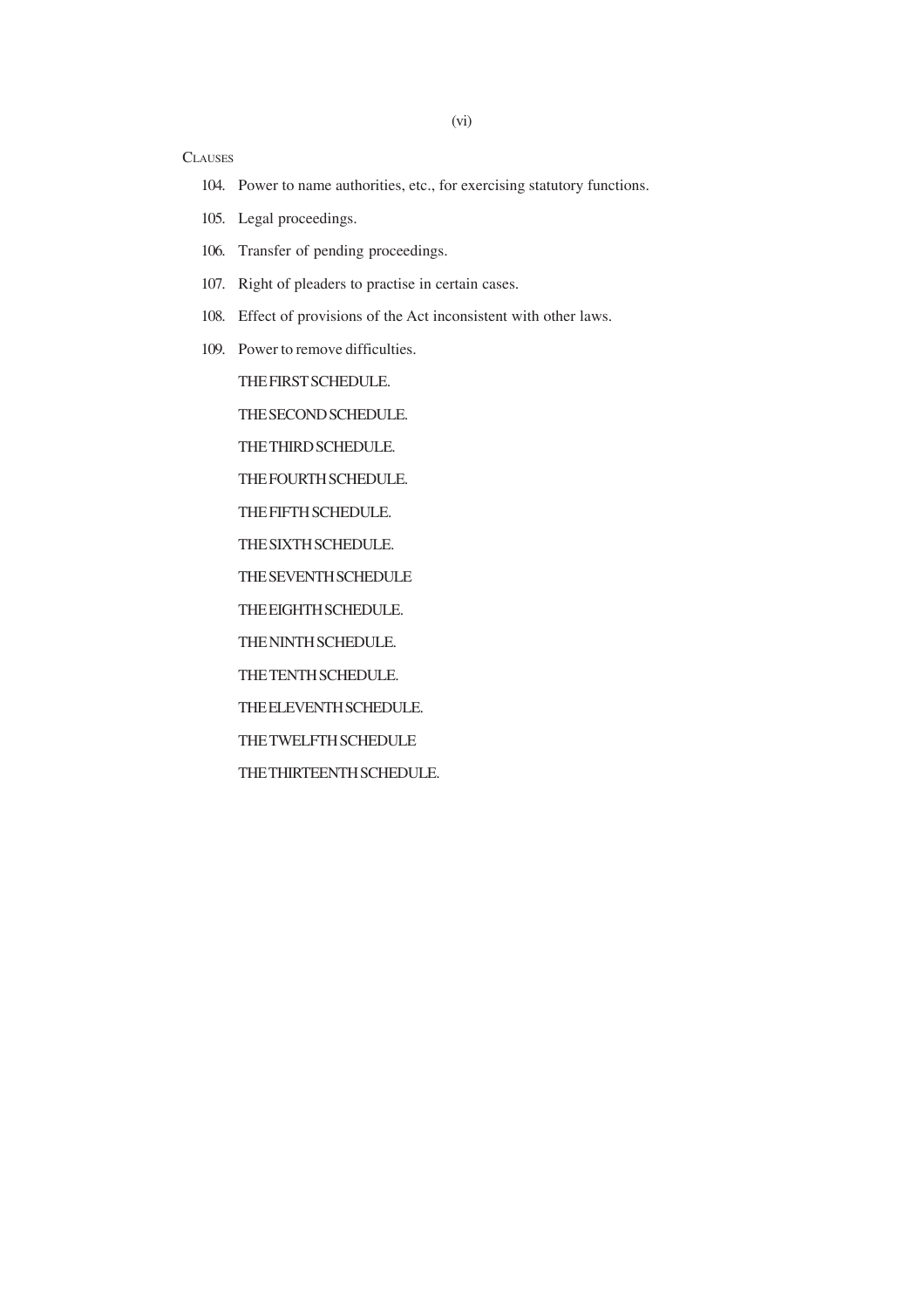## **CLAUSES**

- 104. Power to name authorities, etc., for exercising statutory functions.
- 105. Legal proceedings.
- 106. Transfer of pending proceedings.
- 107. Right of pleaders to practise in certain cases.
- 108. Effect of provisions of the Act inconsistent with other laws.
- 109. Power to remove difficulties.

THE FIRST SCHEDULE.

THE SECOND SCHEDULE.

THE THIRD SCHEDULE.

THE FOURTH SCHEDULE.

THE FIFTH SCHEDULE.

THE SIXTH SCHEDULE.

THE SEVENTH SCHEDULE

THE EIGHTH SCHEDULE.

- THE NINTH SCHEDULE.
- THE TENTH SCHEDULE.

THE ELEVENTH SCHEDULE.

- THE TWELFTH SCHEDULE
- THE THIRTEENTH SCHEDULE.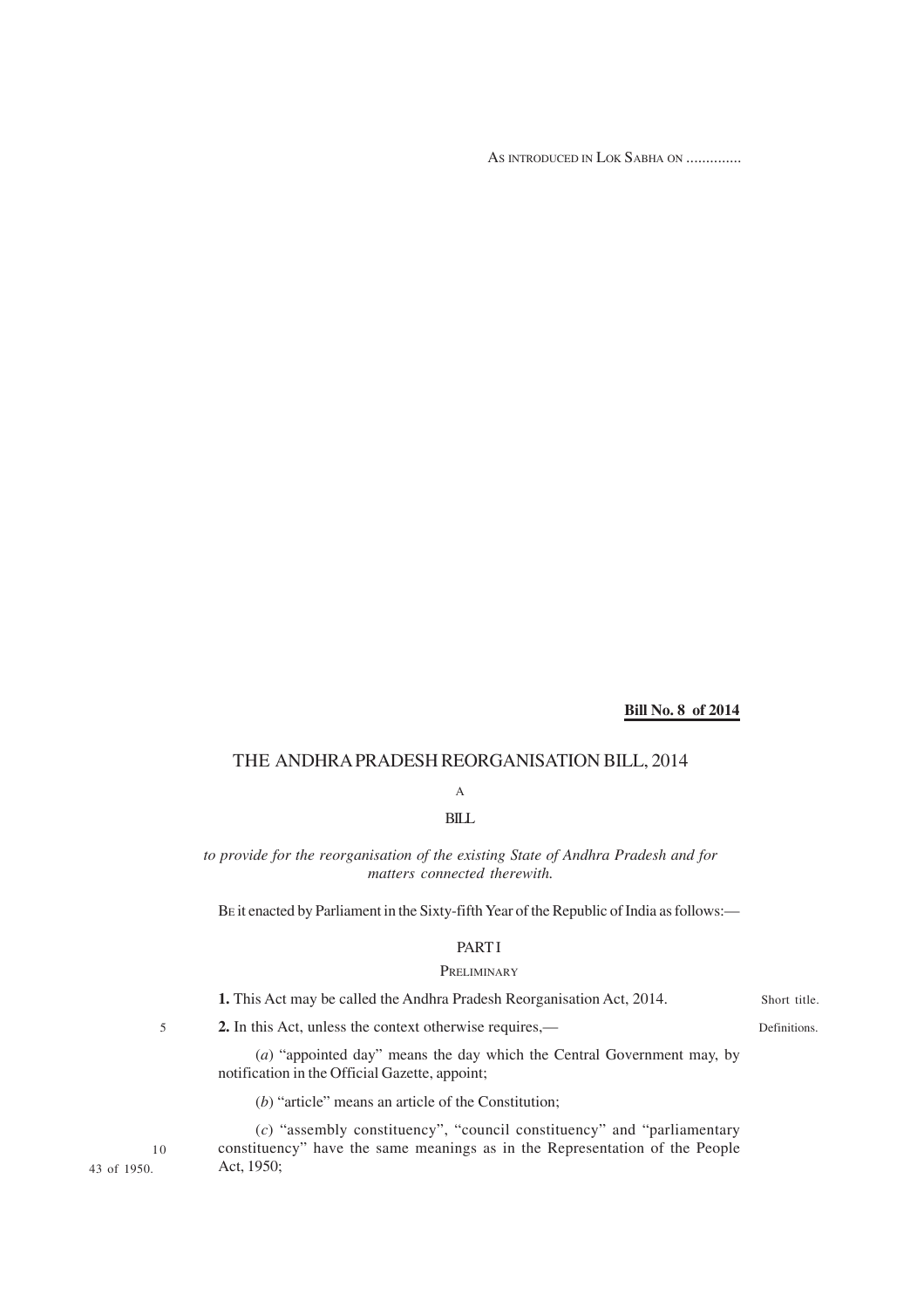AS INTRODUCED IN LOK SABHA ON ..............

## **Bill No. 8 of 2014**

## THE ANDHRA PRADESH REORGANISATION BILL, 2014

# A

## BILL

*to provide for the reorganisation of the existing State of Andhra Pradesh and for matters connected therewith.*

BE it enacted by Parliament in the Sixty-fifth Year of the Republic of India as follows:—

## **PART I**

## **PRELIMINARY**

| 1. This Act may be called the Andhra Pradesh Reorganisation Act, 2014. |  |
|------------------------------------------------------------------------|--|
|------------------------------------------------------------------------|--|

Short title.

5

10

**2.** In this Act, unless the context otherwise requires,—

Definitions.

(*a*) "appointed day" means the day which the Central Government may, by notification in the Official Gazette, appoint;

(*b*) "article" means an article of the Constitution;

(*c*) "assembly constituency", "council constituency" and "parliamentary constituency" have the same meanings as in the Representation of the People Act, 1950;

43 of 1950.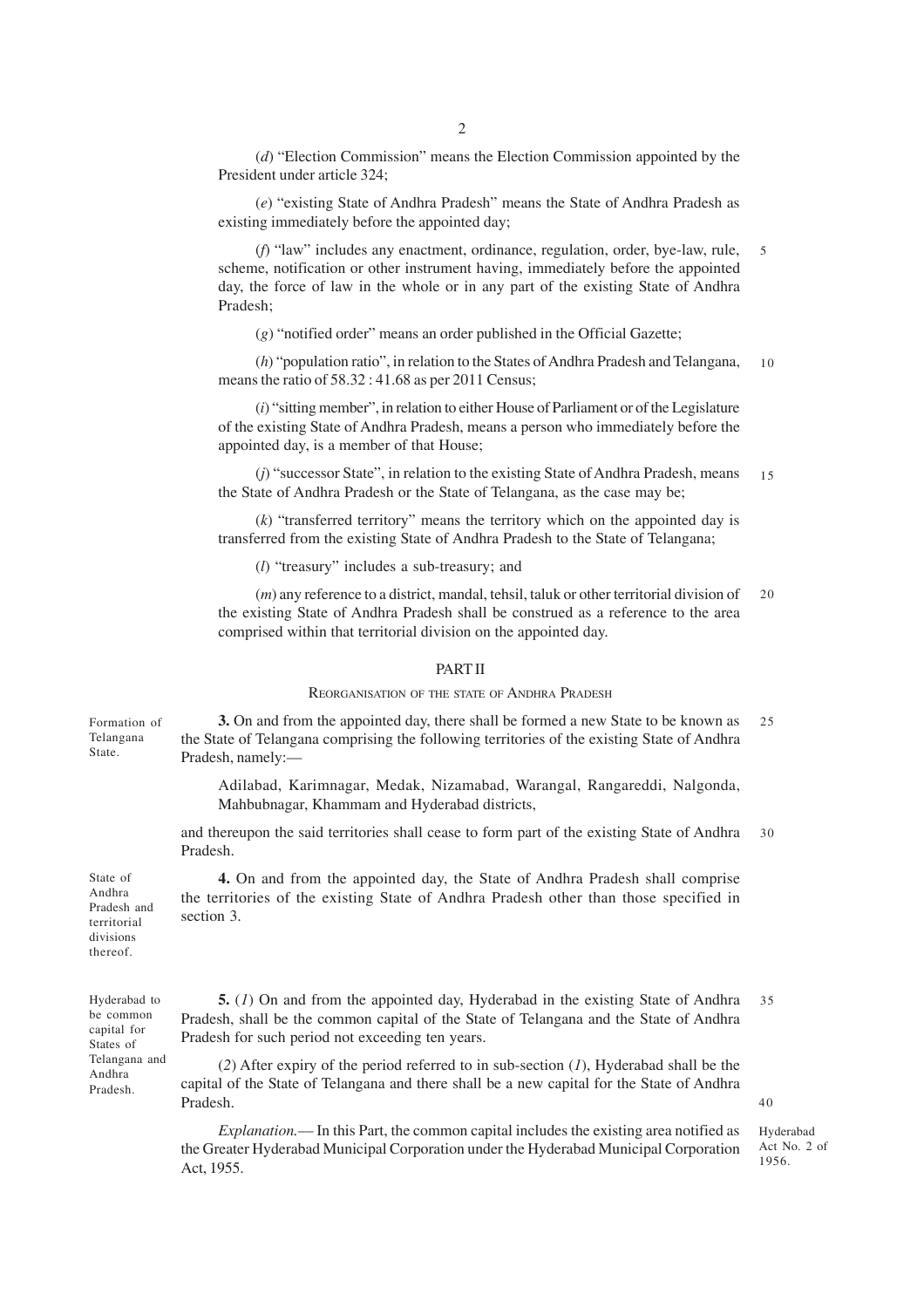(*d*) "Election Commission" means the Election Commission appointed by the President under article 324;

(*e*) "existing State of Andhra Pradesh" means the State of Andhra Pradesh as existing immediately before the appointed day;

(*f*) "law" includes any enactment, ordinance, regulation, order, bye-law, rule, scheme, notification or other instrument having, immediately before the appointed day, the force of law in the whole or in any part of the existing State of Andhra Pradesh; 5

(*g*) "notified order" means an order published in the Official Gazette;

(*h*) "population ratio", in relation to the States of Andhra Pradesh and Telangana, means the ratio of 58.32 : 41.68 as per 2011 Census; 10

(*i*) "sitting member", in relation to either House of Parliament or of the Legislature of the existing State of Andhra Pradesh, means a person who immediately before the appointed day, is a member of that House;

(*j*) "successor State", in relation to the existing State of Andhra Pradesh, means the State of Andhra Pradesh or the State of Telangana, as the case may be; 15

(*k*) "transferred territory" means the territory which on the appointed day is transferred from the existing State of Andhra Pradesh to the State of Telangana;

(*l*) "treasury" includes a sub-treasury; and

(*m*) any reference to a district, mandal, tehsil, taluk or other territorial division of the existing State of Andhra Pradesh shall be construed as a reference to the area comprised within that territorial division on the appointed day.  $20$ 

## PART II

#### REORGANISATION OF THE STATE OF ANDHRA PRADESH

**3.** On and from the appointed day, there shall be formed a new State to be known as the State of Telangana comprising the following territories of the existing State of Andhra Pradesh, namely:— Formation of Telangana State. 25

> Adilabad, Karimnagar, Medak, Nizamabad, Warangal, Rangareddi, Nalgonda, Mahbubnagar, Khammam and Hyderabad districts,

and thereupon the said territories shall cease to form part of the existing State of Andhra Pradesh. 30

**4.** On and from the appointed day, the State of Andhra Pradesh shall comprise the territories of the existing State of Andhra Pradesh other than those specified in section 3.

Andhra Pradesh and divisions thereof.

State of

**5.** (*1*) On and from the appointed day, Hyderabad in the existing State of Andhra Pradesh, shall be the common capital of the State of Telangana and the State of Andhra Pradesh for such period not exceeding ten years. 35

(*2*) After expiry of the period referred to in sub-section (*1*), Hyderabad shall be the capital of the State of Telangana and there shall be a new capital for the State of Andhra Pradesh.

*Explanation.*–– In this Part, the common capital includes the existing area notified as the Greater Hyderabad Municipal Corporation under the Hyderabad Municipal Corporation Act, 1955.

Hyderabad Act No. 2 of 1956.

40

territorial

Hyderabad to be common capital for States of Telangana and Andhra Pradesh.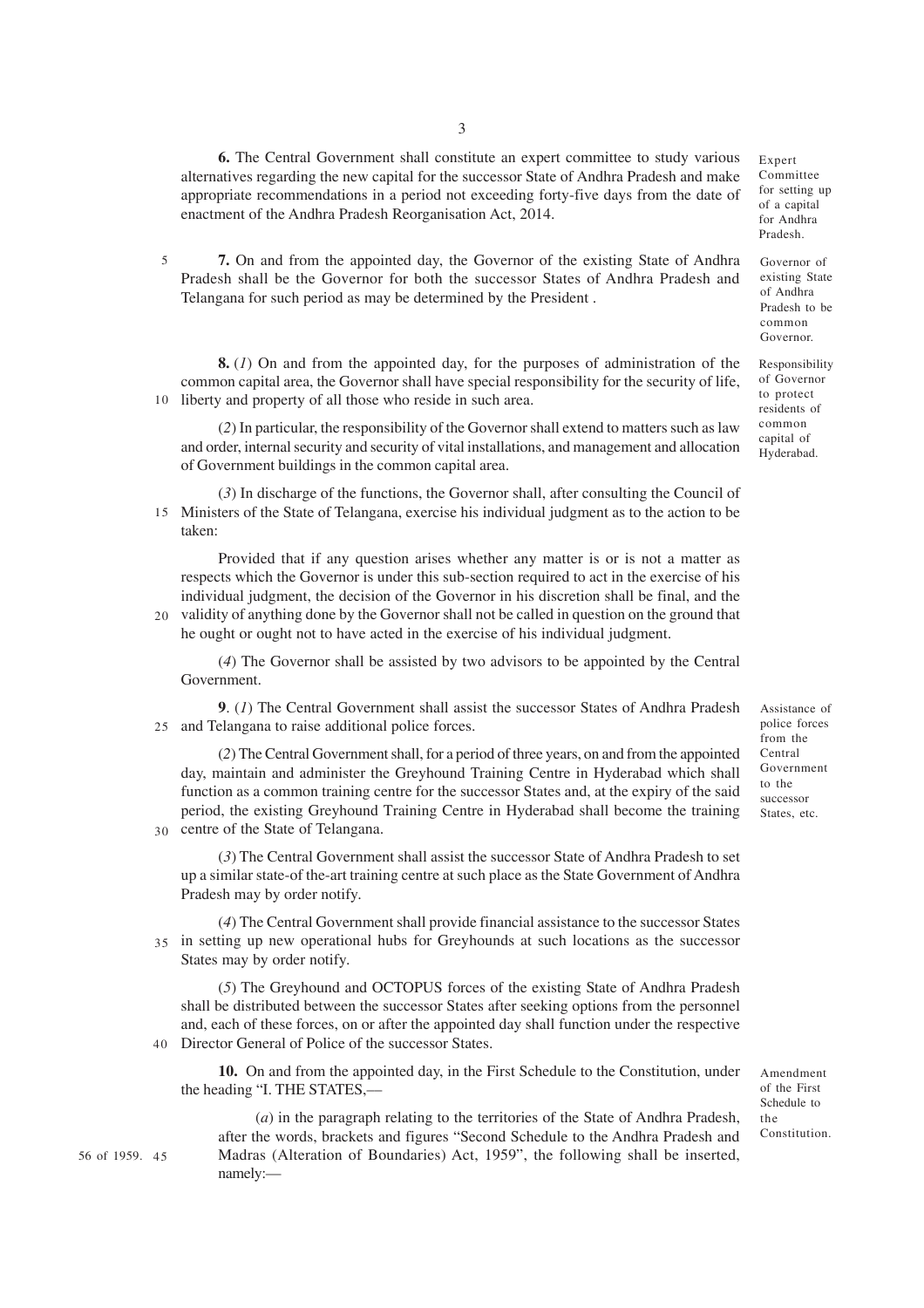**6.** The Central Government shall constitute an expert committee to study various alternatives regarding the new capital for the successor State of Andhra Pradesh and make appropriate recommendations in a period not exceeding forty-five days from the date of enactment of the Andhra Pradesh Reorganisation Act, 2014.

**7.** On and from the appointed day, the Governor of the existing State of Andhra Pradesh shall be the Governor for both the successor States of Andhra Pradesh and Telangana for such period as may be determined by the President . 5

**8.** (*1*) On and from the appointed day, for the purposes of administration of the common capital area, the Governor shall have special responsibility for the security of life, 10 liberty and property of all those who reside in such area.

(*2*) In particular, the responsibility of the Governor shall extend to matters such as law and order, internal security and security of vital installations, and management and allocation of Government buildings in the common capital area.

(*3*) In discharge of the functions, the Governor shall, after consulting the Council of Ministers of the State of Telangana, exercise his individual judgment as to the action to be 15 taken:

Provided that if any question arises whether any matter is or is not a matter as respects which the Governor is under this sub-section required to act in the exercise of his individual judgment, the decision of the Governor in his discretion shall be final, and the 20 validity of anything done by the Governor shall not be called in question on the ground that

he ought or ought not to have acted in the exercise of his individual judgment.

(*4*) The Governor shall be assisted by two advisors to be appointed by the Central Government.

**9**. (*1*) The Central Government shall assist the successor States of Andhra Pradesh 25 and Telangana to raise additional police forces.

(*2*) The Central Government shall, for a period of three years, on and from the appointed day, maintain and administer the Greyhound Training Centre in Hyderabad which shall function as a common training centre for the successor States and, at the expiry of the said period, the existing Greyhound Training Centre in Hyderabad shall become the training 30 centre of the State of Telangana.

(*3*) The Central Government shall assist the successor State of Andhra Pradesh to set up a similar state-of the-art training centre at such place as the State Government of Andhra Pradesh may by order notify.

(*4*) The Central Government shall provide financial assistance to the successor States in setting up new operational hubs for Greyhounds at such locations as the successor States may by order notify. 35

(*5*) The Greyhound and OCTOPUS forces of the existing State of Andhra Pradesh shall be distributed between the successor States after seeking options from the personnel and, each of these forces, on or after the appointed day shall function under the respective Director General of Police of the successor States. 40

**10.** On and from the appointed day, in the First Schedule to the Constitution, under the heading "I. THE STATES,––

(*a*) in the paragraph relating to the territories of the State of Andhra Pradesh, after the words, brackets and figures "Second Schedule to the Andhra Pradesh and Madras (Alteration of Boundaries) Act, 1959", the following shall be inserted, namely:—

from the Central Government to the successor States, etc.

Amendment of the First Schedule to the Constitution.

Assistance of police forces

Committee for setting up of a capital for Andhra Pradesh.

Expert

Governor of existing State of Andhra Pradesh to be common Governor.

Responsibility of Governor to protect residents of common capital of Hyderabad.

56 of 1959. 45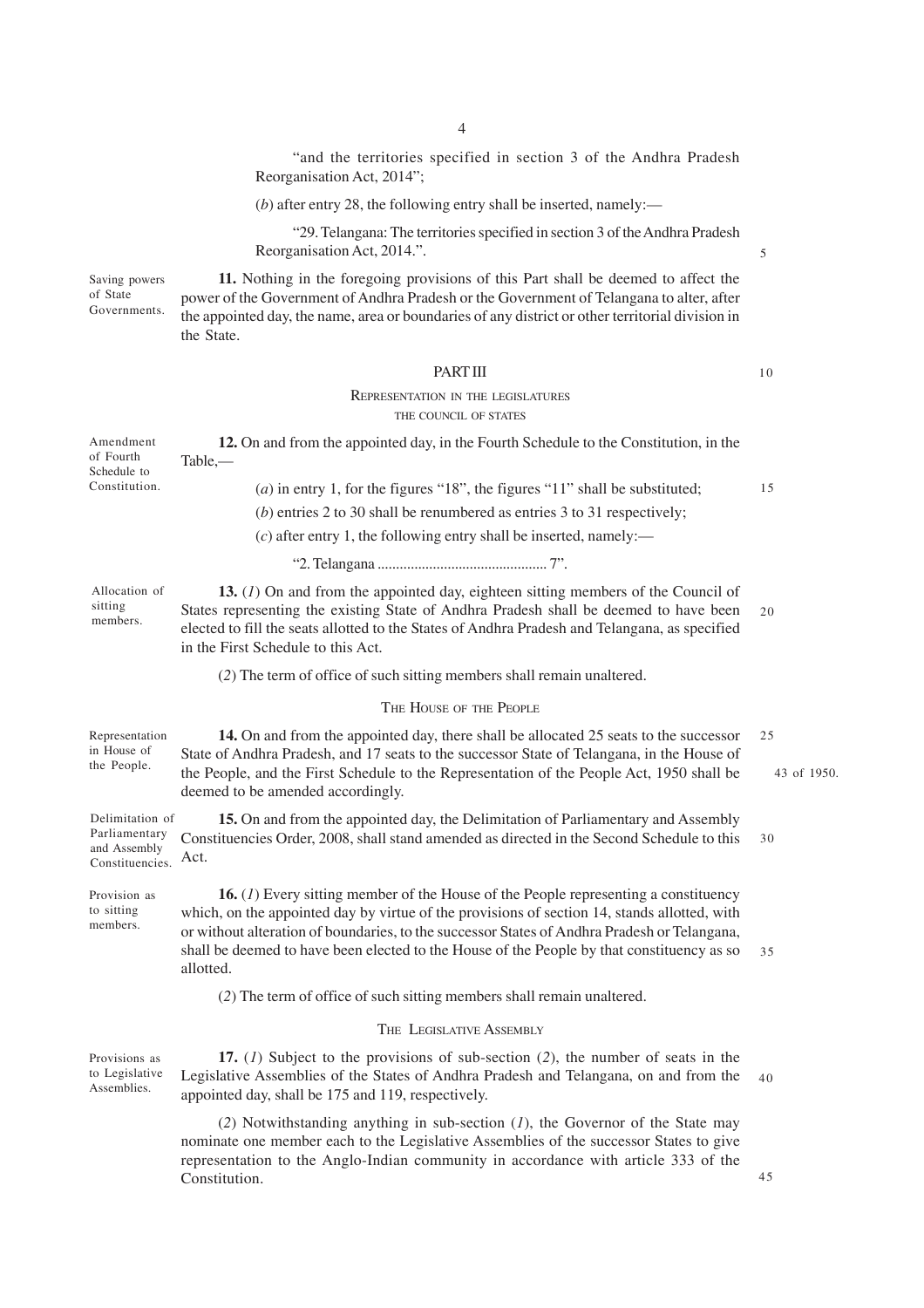4

"and the territories specified in section 3 of the Andhra Pradesh Reorganisation Act, 2014";

(*b*) after entry 28, the following entry shall be inserted, namely:—

"29. Telangana: The territories specified in section 3 of the Andhra Pradesh Reorganisation Act, 2014.".

Saving powers of State Governments.

**11.** Nothing in the foregoing provisions of this Part shall be deemed to affect the power of the Government of Andhra Pradesh or the Government of Telangana to alter, after the appointed day, the name, area or boundaries of any district or other territorial division in the State.

## PART III REPRESENTATION IN THE LEGISLATURES

THE COUNCIL OF STATES **12.** On and from the appointed day, in the Fourth Schedule to the Constitution, in the Table,— (*a*) in entry 1, for the figures "18", the figures "11" shall be substituted; (*b*) entries 2 to 30 shall be renumbered as entries 3 to 31 respectively;  $(c)$  after entry 1, the following entry shall be inserted, namely:— "2. Telangana .............................................. 7". **13.** (*1*) On and from the appointed day, eighteen sitting members of the Council of States representing the existing State of Andhra Pradesh shall be deemed to have been elected to fill the seats allotted to the States of Andhra Pradesh and Telangana, as specified in the First Schedule to this Act. (*2*) The term of office of such sitting members shall remain unaltered. THE HOUSE OF THE PEOPLE **14.** On and from the appointed day, there shall be allocated 25 seats to the successor State of Andhra Pradesh, and 17 seats to the successor State of Telangana, in the House of the People. the People, and the First Schedule to the Representation of the People Act, 1950 shall be 43 of 1950. deemed to be amended accordingly. **15.** On and from the appointed day, the Delimitation of Parliamentary and Assembly Constituencies Order, 2008, shall stand amended as directed in the Second Schedule to this Act. **16.** (*1*) Every sitting member of the House of the People representing a constituency which, on the appointed day by virtue of the provisions of section 14, stands allotted, with or without alteration of boundaries, to the successor States of Andhra Pradesh or Telangana, shall be deemed to have been elected to the House of the People by that constituency as so allotted. (*2*) The term of office of such sitting members shall remain unaltered. THE LEGISLATIVE ASSEMBLY **17.** (*1*) Subject to the provisions of sub-section (*2*), the number of seats in the Legislative Assemblies of the States of Andhra Pradesh and Telangana, on and from the appointed day, shall be 175 and 119, respectively. (*2*) Notwithstanding anything in sub-section (*1*), the Governor of the State may nominate one member each to the Legislative Assemblies of the successor States to give representation to the Anglo-Indian community in accordance with article 333 of the Constitution. Amendment of Fourth Schedule to Constitution. Allocation of sitting members. Representation in House of Delimitation of Parliamentary and Assembly Constituencies. Provision as to sitting members. Provisions as to Legislative Assemblies. 15 20 25 30 35  $40$ 45

10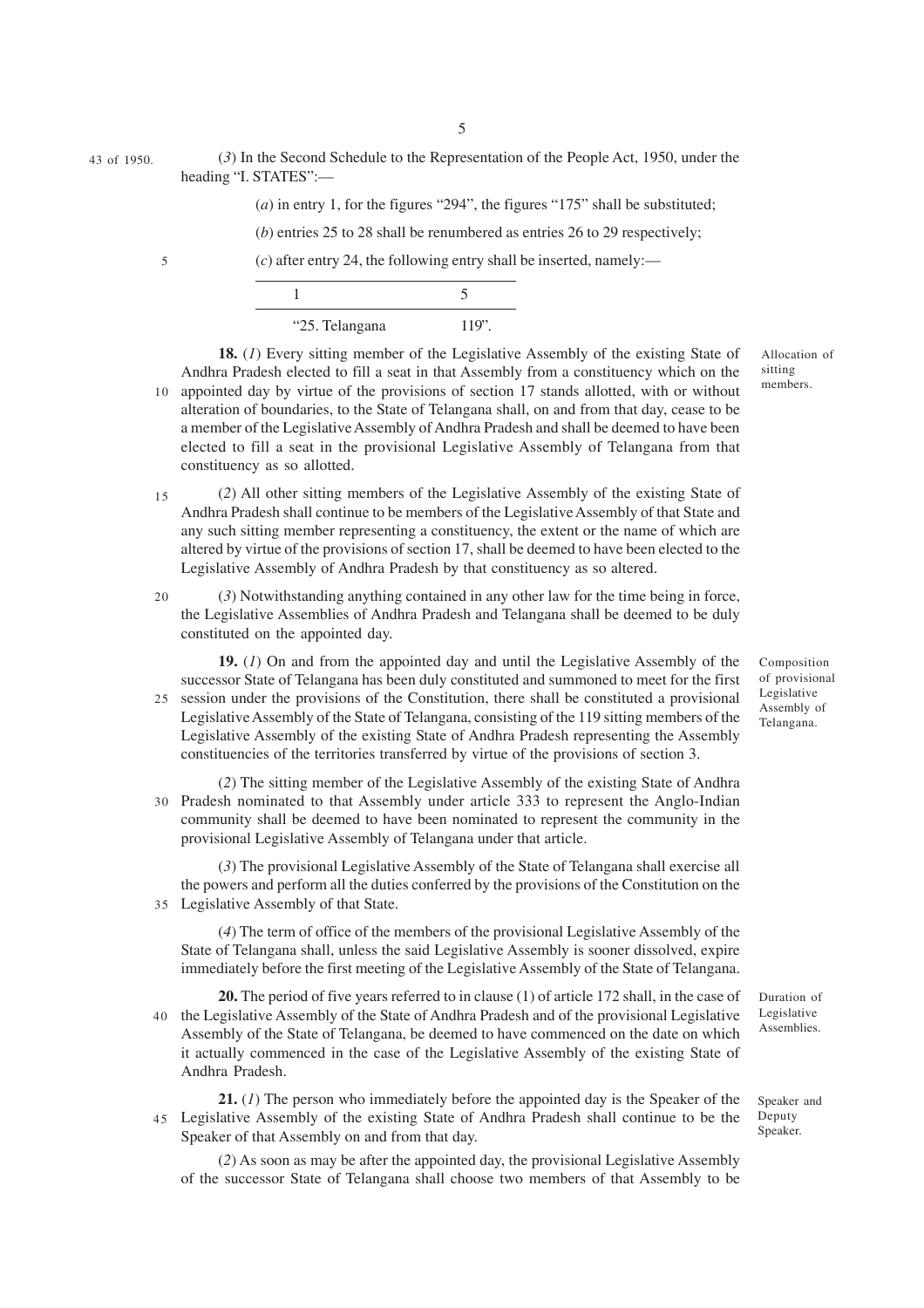43 of 1950.

(*3*) In the Second Schedule to the Representation of the People Act, 1950, under the heading "I. STATES":––

(*a*) in entry 1, for the figures "294", the figures "175" shall be substituted;

(*b*) entries 25 to 28 shall be renumbered as entries 26 to 29 respectively;

5

(*c*) after entry 24, the following entry shall be inserted, namely:—

| "25. Telangana | 119" |
|----------------|------|

**18.** (*1*) Every sitting member of the Legislative Assembly of the existing State of Andhra Pradesh elected to fill a seat in that Assembly from a constituency which on the 10 appointed day by virtue of the provisions of section 17 stands allotted, with or without alteration of boundaries, to the State of Telangana shall, on and from that day, cease to be a member of the Legislative Assembly of Andhra Pradesh and shall be deemed to have been elected to fill a seat in the provisional Legislative Assembly of Telangana from that constituency as so allotted.

(*2*) All other sitting members of the Legislative Assembly of the existing State of Andhra Pradesh shall continue to be members of the Legislative Assembly of that State and sitting member representing a constituency, the extent or the name of which are y virtue of the provisions of section 17, shall be deemed to have been elected to the ve Assembly of Andhra Pradesh by that constituency as so altered. 15

(*3*) Notwithstanding anything contained in any other law for the time being in force, the Legislative Assemblies of Andhra Pradesh and Telangana shall be deemed to be duly constituted on the appointed day. 20

**19.** (*1*) On and from the appointed day and until the Legislative Assembly of the successor State of Telangana has been duly constituted and summoned to meet for the first 25 session under the provisions of the Constitution, there shall be constituted a provisional Legislative Assembly of the State of Telangana, consisting of the 119 sitting members of the Legislative Assembly of the existing State of Andhra Pradesh representing the Assembly constituencies of the territories transferred by virtue of the provisions of section 3.

(*2*) The sitting member of the Legislative Assembly of the existing State of Andhra Pradesh nominated to that Assembly under article 333 to represent the Anglo-Indian 30 community shall be deemed to have been nominated to represent the community in the provisional Legislative Assembly of Telangana under that article.

(*3*) The provisional Legislative Assembly of the State of Telangana shall exercise all the powers and perform all the duties conferred by the provisions of the Constitution on the Legislative Assembly of that State. 35

(*4*) The term of office of the members of the provisional Legislative Assembly of the State of Telangana shall, unless the said Legislative Assembly is sooner dissolved, expire immediately before the first meeting of the Legislative Assembly of the State of Telangana.

**20.** The period of five years referred to in clause (1) of article 172 shall, in the case of 40 the Legislative Assembly of the State of Andhra Pradesh and of the provisional Legislative Assembly of the State of Telangana, be deemed to have commenced on the date on which it actually commenced in the case of the Legislative Assembly of the existing State of Andhra Pradesh.

**21.** (*1*) The person who immediately before the appointed day is the Speaker of the Legislative Assembly of the existing State of Andhra Pradesh shall continue to be the 45Speaker of that Assembly on and from that day.

(*2*) As soon as may be after the appointed day, the provisional Legislative Assembly of the successor State of Telangana shall choose two members of that Assembly to be Allocation of sitting members.

Composition of provisional Legislative Assembly of Telangana.

Duration of Legislative Assemblies.

Speaker and Deputy Speaker.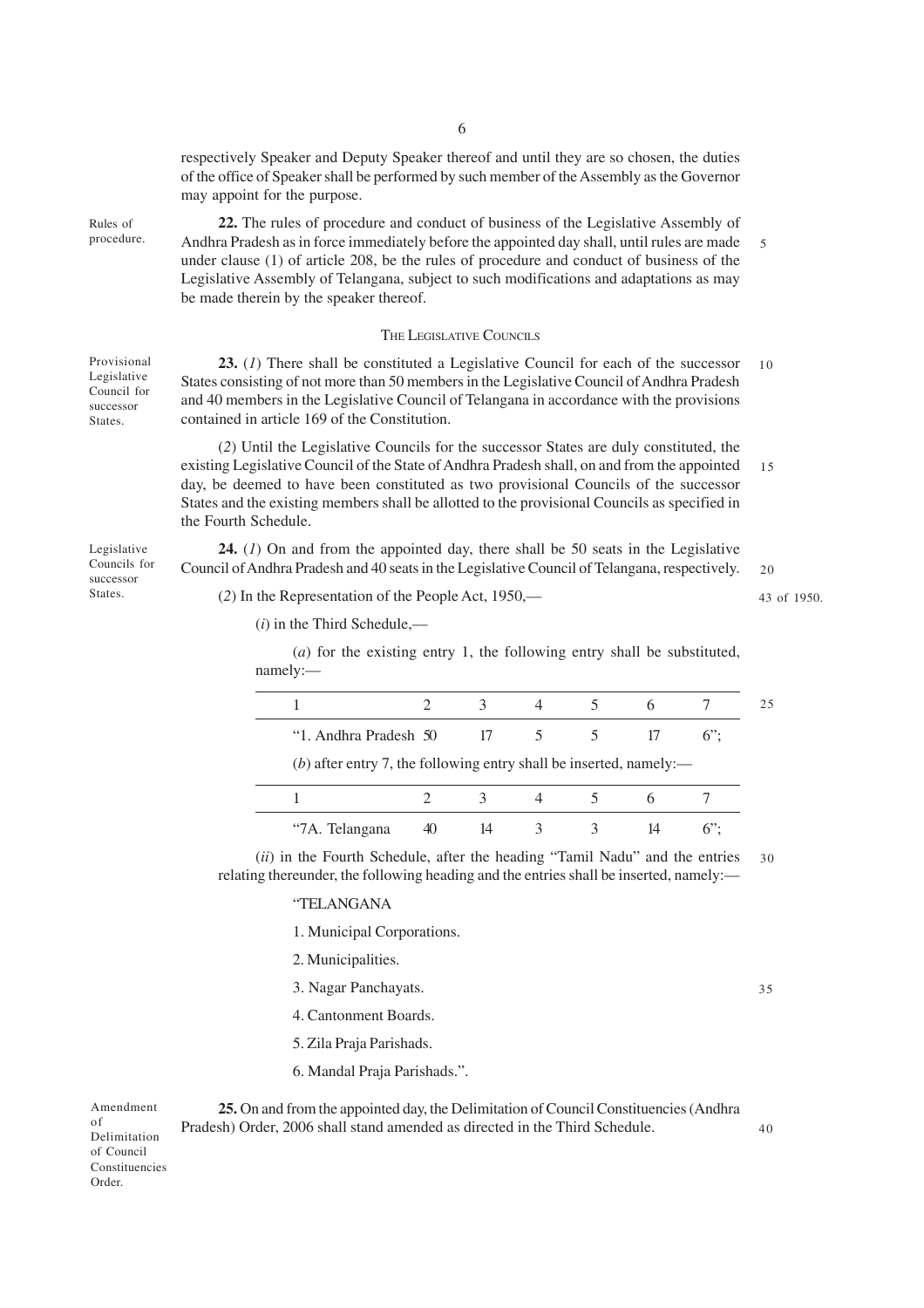### 6

respectively Speaker and Deputy Speaker thereof and until they are so chosen, the duties of the office of Speaker shall be performed by such member of the Assembly as the Governor may appoint for the purpose.

**22.** The rules of procedure and conduct of business of the Legislative Assembly of Andhra Pradesh as in force immediately before the appointed day shall, until rules are made under clause (1) of article 208, be the rules of procedure and conduct of business of the Legislative Assembly of Telangana, subject to such modifications and adaptations as may be made therein by the speaker thereof. 5

## THE LEGISLATIVE COUNCILS

**23.** (*1*) There shall be constituted a Legislative Council for each of the successor States consisting of not more than 50 members in the Legislative Council of Andhra Pradesh and 40 members in the Legislative Council of Telangana in accordance with the provisions contained in article 169 of the Constitution. 10

(*2*) Until the Legislative Councils for the successor States are duly constituted, the existing Legislative Council of the State of Andhra Pradesh shall, on and from the appointed day, be deemed to have been constituted as two provisional Councils of the successor States and the existing members shall be allotted to the provisional Councils as specified in the Fourth Schedule. 15

**24.** (*1*) On and from the appointed day, there shall be 50 seats in the Legislative Council of Andhra Pradesh and 40 seats in the Legislative Council of Telangana, respectively.

States. (2) In the Representation of the People Act, 1950,— 43 of 1950.

## (*i*) in the Third Schedule,––

(*a*) for the existing entry 1, the following entry shall be substituted, namely:––

|                                                                    |    |   |  |        | 25 |
|--------------------------------------------------------------------|----|---|--|--------|----|
| "1. Andhra Pradesh 50                                              | 17 | 5 |  | $6$ ": |    |
| (b) after entry 7, the following entry shall be inserted, namely:— |    |   |  |        |    |
|                                                                    |    |   |  |        |    |
| "7A. Telangana                                                     | 14 |   |  |        |    |

(*ii*) in the Fourth Schedule, after the heading "Tamil Nadu" and the entries relating thereunder, the following heading and the entries shall be inserted, namely:— 30

## "TELANGANA

- 1. Municipal Corporations.
- 2. Municipalities.
- 3. Nagar Panchayats.
- 4. Cantonment Boards.
- 5. Zila Praja Parishads.
- 6. Mandal Praja Parishads.".

Amendment of Delimitation of Council Constituencies Order.

Rules of procedure.

Provisional Legislative Council for successor States.

Legislative Councils for successor

> **25.** On and from the appointed day, the Delimitation of Council Constituencies (Andhra Pradesh) Order, 2006 shall stand amended as directed in the Third Schedule.

 $20$ 

35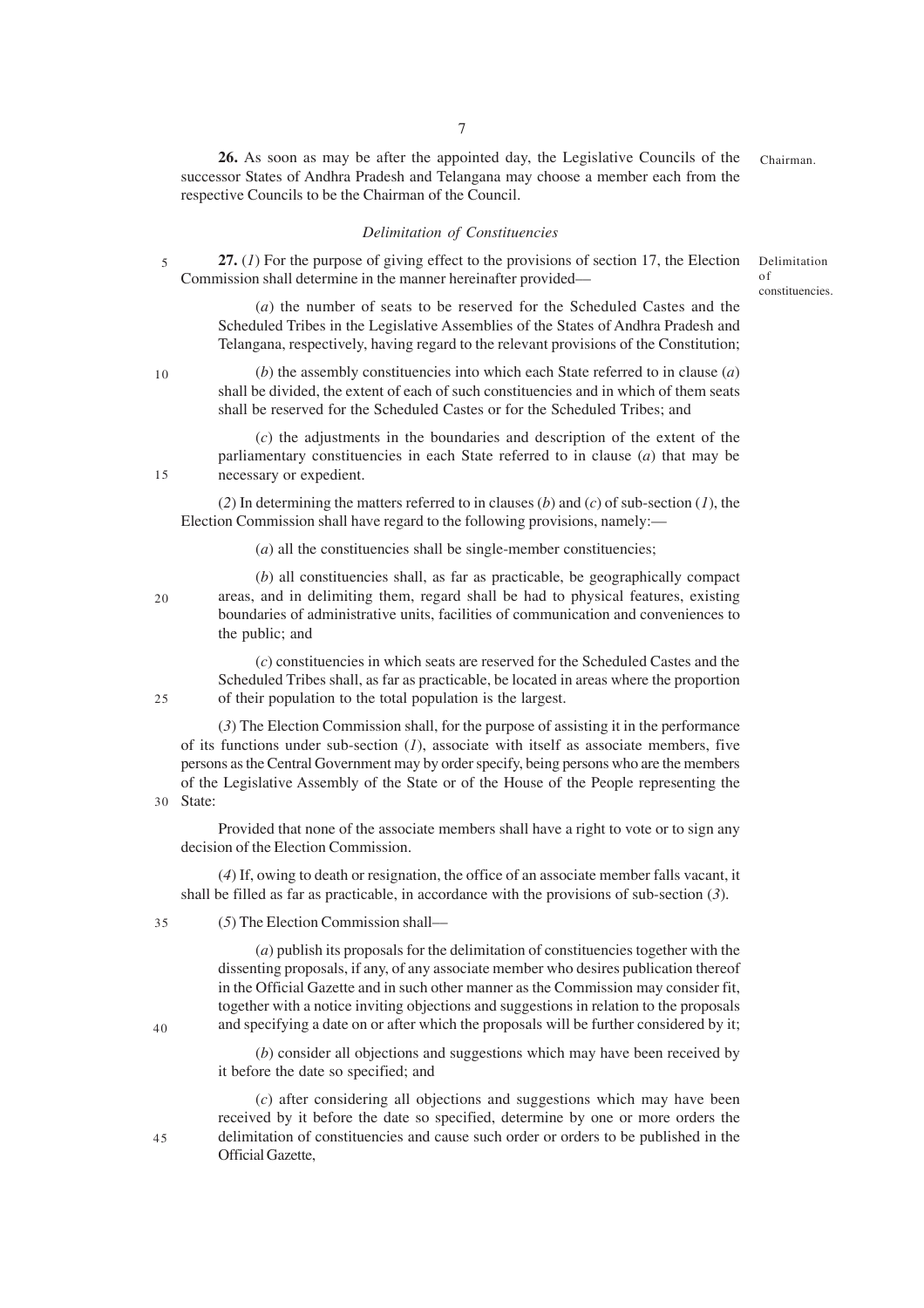**26.** As soon as may be after the appointed day, the Legislative Councils of the successor States of Andhra Pradesh and Telangana may choose a member each from the respective Councils to be the Chairman of the Council.

Chairman.

Delimitation

constituencies.

of

### *Delimitation of Constituencies*

**27.** (*1*) For the purpose of giving effect to the provisions of section 17, the Election Commission shall determine in the manner hereinafter provided–– 5

(*a*) the number of seats to be reserved for the Scheduled Castes and the Scheduled Tribes in the Legislative Assemblies of the States of Andhra Pradesh and Telangana, respectively, having regard to the relevant provisions of the Constitution;

10

15

(*b*) the assembly constituencies into which each State referred to in clause (*a*) shall be divided, the extent of each of such constituencies and in which of them seats shall be reserved for the Scheduled Castes or for the Scheduled Tribes; and

(*c*) the adjustments in the boundaries and description of the extent of the parliamentary constituencies in each State referred to in clause (*a*) that may be necessary or expedient.

(*2*) In determining the matters referred to in clauses (*b*) and (*c*) of sub-section (*1*), the Election Commission shall have regard to the following provisions, namely:—

(*a*) all the constituencies shall be single-member constituencies;

(*b*) all constituencies shall, as far as practicable, be geographically compact areas, and in delimiting them, regard shall be had to physical features, existing boundaries of administrative units, facilities of communication and conveniences to the public; and 20

(*c*) constituencies in which seats are reserved for the Scheduled Castes and the Scheduled Tribes shall, as far as practicable, be located in areas where the proportion of their population to the total population is the largest.

(*3*) The Election Commission shall, for the purpose of assisting it in the performance of its functions under sub-section (*1*), associate with itself as associate members, five persons as the Central Government may by order specify, being persons who are the members of the Legislative Assembly of the State or of the House of the People representing the State:

30

Provided that none of the associate members shall have a right to vote or to sign any decision of the Election Commission.

(*4*) If, owing to death or resignation, the office of an associate member falls vacant, it shall be filled as far as practicable, in accordance with the provisions of sub-section (*3*).

(*5*) The Election Commission shall–– 35

> (*a*) publish its proposals for the delimitation of constituencies together with the dissenting proposals, if any, of any associate member who desires publication thereof in the Official Gazette and in such other manner as the Commission may consider fit, together with a notice inviting objections and suggestions in relation to the proposals and specifying a date on or after which the proposals will be further considered by it;

> (*b*) consider all objections and suggestions which may have been received by it before the date so specified; and

(*c*) after considering all objections and suggestions which may have been received by it before the date so specified, determine by one or more orders the delimitation of constituencies and cause such order or orders to be published in the Official Gazette,

25

40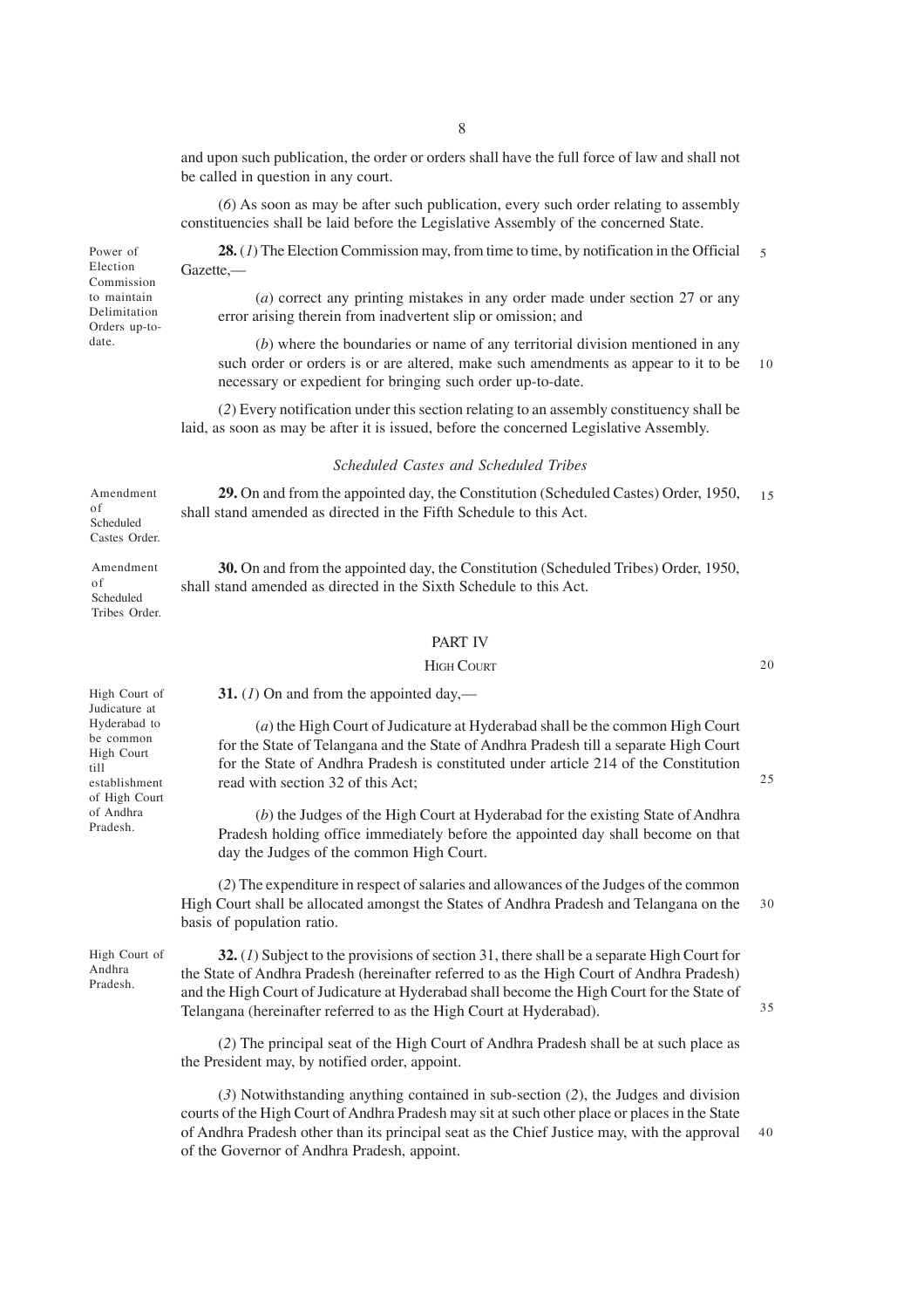and upon such publication, the order or orders shall have the full force of law and shall not be called in question in any court.

(*6*) As soon as may be after such publication, every such order relating to assembly constituencies shall be laid before the Legislative Assembly of the concerned State.

**28.** (*1*) The Election Commission may, from time to time, by notification in the Official Gazette,— 5

(*a*) correct any printing mistakes in any order made under section 27 or any error arising therein from inadvertent slip or omission; and

(*b*) where the boundaries or name of any territorial division mentioned in any such order or orders is or are altered, make such amendments as appear to it to be necessary or expedient for bringing such order up-to-date. 10

(*2*) Every notification under this section relating to an assembly constituency shall be laid, as soon as may be after it is issued, before the concerned Legislative Assembly.

### *Scheduled Castes and Scheduled Tribes*

**29.** On and from the appointed day, the Constitution (Scheduled Castes) Order, 1950, shall stand amended as directed in the Fifth Schedule to this Act. Amendment of Scheduled Castes Order. 15

> **30.** On and from the appointed day, the Constitution (Scheduled Tribes) Order, 1950, shall stand amended as directed in the Sixth Schedule to this Act.

#### PART IV

### HIGH COURT

**31.** (*1*) On and from the appointed day,–– (*a*) the High Court of Judicature at Hyderabad shall be the common High Court for the State of Telangana and the State of Andhra Pradesh till a separate High Court for the State of Andhra Pradesh is constituted under article 214 of the Constitution read with section 32 of this Act;

(*b*) the Judges of the High Court at Hyderabad for the existing State of Andhra Pradesh holding office immediately before the appointed day shall become on that day the Judges of the common High Court.

(*2*) The expenditure in respect of salaries and allowances of the Judges of the common High Court shall be allocated amongst the States of Andhra Pradesh and Telangana on the basis of population ratio. 30

High Court of Andhra Pradesh.

Power of Election Commission to maintain Delimitation Orders up-todate.

Amendment

High Court of Judicature at Hyderabad to be common High Court till

establishment of High Court of Andhra Pradesh.

of Scheduled Tribes Order.

> **32.** (*1*) Subject to the provisions of section 31, there shall be a separate High Court for the State of Andhra Pradesh (hereinafter referred to as the High Court of Andhra Pradesh) and the High Court of Judicature at Hyderabad shall become the High Court for the State of Telangana (hereinafter referred to as the High Court at Hyderabad).

> (*2*) The principal seat of the High Court of Andhra Pradesh shall be at such place as the President may, by notified order, appoint.

(*3*) Notwithstanding anything contained in sub-section (*2*), the Judges and division courts of the High Court of Andhra Pradesh may sit at such other place or places in the State of Andhra Pradesh other than its principal seat as the Chief Justice may, with the approval of the Governor of Andhra Pradesh, appoint. 40

 $20$ 

25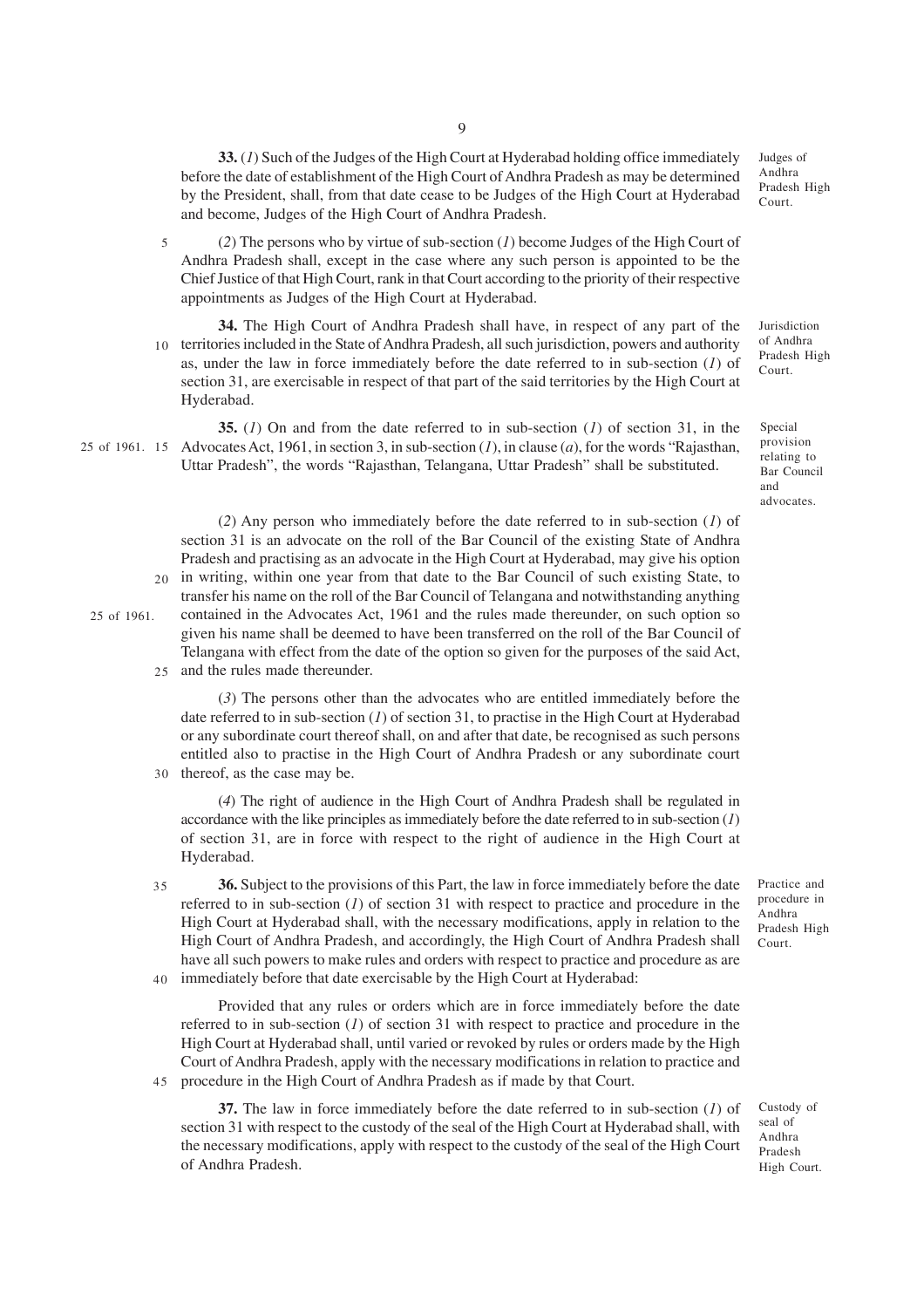**33.** (*1*) Such of the Judges of the High Court at Hyderabad holding office immediately before the date of establishment of the High Court of Andhra Pradesh as may be determined by the President, shall, from that date cease to be Judges of the High Court at Hyderabad and become, Judges of the High Court of Andhra Pradesh.

- (*2*) The persons who by virtue of sub-section (*1*) become Judges of the High Court of Andhra Pradesh shall, except in the case where any such person is appointed to be the Chief Justice of that High Court, rank in that Court according to the priority of their respective appointments as Judges of the High Court at Hyderabad. 5
- **34.** The High Court of Andhra Pradesh shall have, in respect of any part of the 10 territories included in the State of Andhra Pradesh, all such jurisdiction, powers and authority as, under the law in force immediately before the date referred to in sub-section (*1*) of section 31, are exercisable in respect of that part of the said territories by the High Court at Hyderabad.

**35.** (*1*) On and from the date referred to in sub-section (*1*) of section 31, in the 25 of 1961. 15 Advocates Act, 1961, in section 3, in sub-section  $(I)$ , in clause  $(a)$ , for the words "Rajasthan, Uttar Pradesh", the words "Rajasthan, Telangana, Uttar Pradesh" shall be substituted.

provision relating to Bar Council and advocates.

Special

Judges of Andhra Pradesh High Court.

Jurisdiction of Andhra Pradesh High Court.

(*2*) Any person who immediately before the date referred to in sub-section (*1*) of section 31 is an advocate on the roll of the Bar Council of the existing State of Andhra Pradesh and practising as an advocate in the High Court at Hyderabad, may give his option in writing, within one year from that date to the Bar Council of such existing State, to 20 transfer his name on the roll of the Bar Council of Telangana and notwithstanding anything contained in the Advocates Act, 1961 and the rules made thereunder, on such option so given his name shall be deemed to have been transferred on the roll of the Bar Council of Telangana with effect from the date of the option so given for the purposes of the said Act, 25 and the rules made thereunder.

(*3*) The persons other than the advocates who are entitled immediately before the date referred to in sub-section (*1*) of section 31, to practise in the High Court at Hyderabad or any subordinate court thereof shall, on and after that date, be recognised as such persons entitled also to practise in the High Court of Andhra Pradesh or any subordinate court 30 thereof, as the case may be.

(*4*) The right of audience in the High Court of Andhra Pradesh shall be regulated in accordance with the like principles as immediately before the date referred to in sub-section (*1*) of section 31, are in force with respect to the right of audience in the High Court at Hyderabad.

**36.** Subject to the provisions of this Part, the law in force immediately before the date referred to in sub-section (*1*) of section 31 with respect to practice and procedure in the High Court at Hyderabad shall, with the necessary modifications, apply in relation to the High Court of Andhra Pradesh, and accordingly, the High Court of Andhra Pradesh shall have all such powers to make rules and orders with respect to practice and procedure as are immediately before that date exercisable by the High Court at Hyderabad: 35 40

Provided that any rules or orders which are in force immediately before the date referred to in sub-section (*1*) of section 31 with respect to practice and procedure in the High Court at Hyderabad shall, until varied or revoked by rules or orders made by the High Court of Andhra Pradesh, apply with the necessary modifications in relation to practice and procedure in the High Court of Andhra Pradesh as if made by that Court.

**37.** The law in force immediately before the date referred to in sub-section (*1*) of section 31 with respect to the custody of the seal of the High Court at Hyderabad shall, with the necessary modifications, apply with respect to the custody of the seal of the High Court of Andhra Pradesh.

Practice and procedure in Andhra Pradesh High Court.

Custody of seal of Andhra Pradesh High Court.

25 of 1961.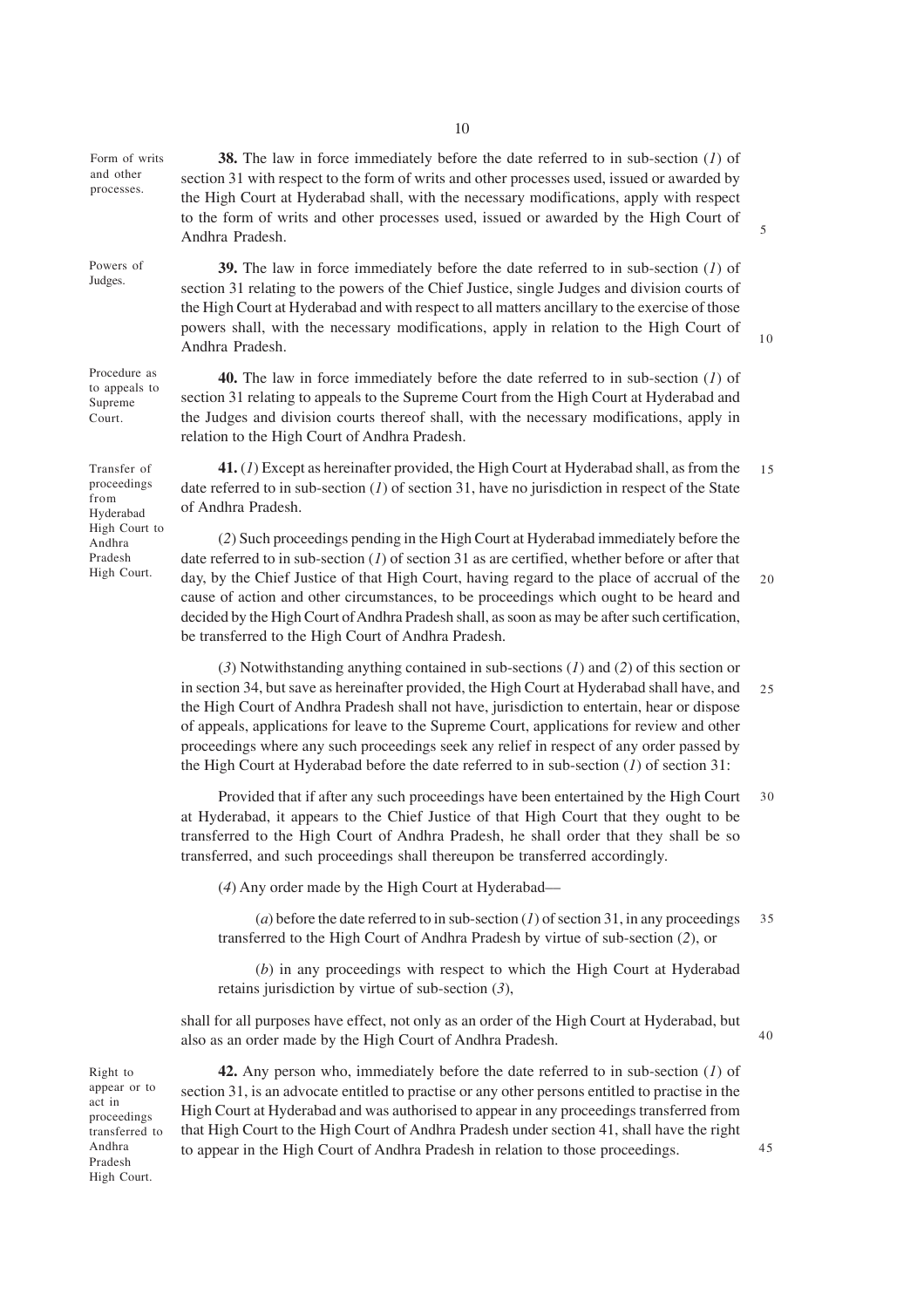**38.** The law in force immediately before the date referred to in sub-section (*1*) of section 31 with respect to the form of writs and other processes used, issued or awarded by the High Court at Hyderabad shall, with the necessary modifications, apply with respect to the form of writs and other processes used, issued or awarded by the High Court of Andhra Pradesh.

**39.** The law in force immediately before the date referred to in sub-section (*1*) of section 31 relating to the powers of the Chief Justice, single Judges and division courts of the High Court at Hyderabad and with respect to all matters ancillary to the exercise of those powers shall, with the necessary modifications, apply in relation to the High Court of Andhra Pradesh.

**40.** The law in force immediately before the date referred to in sub-section (*1*) of section 31 relating to appeals to the Supreme Court from the High Court at Hyderabad and the Judges and division courts thereof shall, with the necessary modifications, apply in relation to the High Court of Andhra Pradesh.

**41.** (*1*) Except as hereinafter provided, the High Court at Hyderabad shall, as from the date referred to in sub-section (*1*) of section 31, have no jurisdiction in respect of the State of Andhra Pradesh. 15

(*2*) Such proceedings pending in the High Court at Hyderabad immediately before the date referred to in sub-section (*1*) of section 31 as are certified, whether before or after that day, by the Chief Justice of that High Court, having regard to the place of accrual of the cause of action and other circumstances, to be proceedings which ought to be heard and decided by the High Court of Andhra Pradesh shall, as soon as may be after such certification, be transferred to the High Court of Andhra Pradesh.  $20$ 

(*3*) Notwithstanding anything contained in sub-sections (*1*) and (*2*) of this section or in section 34, but save as hereinafter provided, the High Court at Hyderabad shall have, and the High Court of Andhra Pradesh shall not have, jurisdiction to entertain, hear or dispose of appeals, applications for leave to the Supreme Court, applications for review and other proceedings where any such proceedings seek any relief in respect of any order passed by the High Court at Hyderabad before the date referred to in sub-section (*1*) of section 31: 25

Provided that if after any such proceedings have been entertained by the High Court at Hyderabad, it appears to the Chief Justice of that High Court that they ought to be transferred to the High Court of Andhra Pradesh, he shall order that they shall be so transferred, and such proceedings shall thereupon be transferred accordingly. 30

(*4*) Any order made by the High Court at Hyderabad––

(*a*) before the date referred to in sub-section  $(I)$  of section 31, in any proceedings transferred to the High Court of Andhra Pradesh by virtue of sub-section (*2*), or 35

(*b*) in any proceedings with respect to which the High Court at Hyderabad retains jurisdiction by virtue of sub-section (*3*),

shall for all purposes have effect, not only as an order of the High Court at Hyderabad, but also as an order made by the High Court of Andhra Pradesh.

Right to appear or to act in proceedings transferred to Andhra Pradesh High Court.

Form of writs and other processes.

Powers of Judges.

Procedure as to appeals to Supreme Court.

Transfer of proceedings from Hyderabad High Court to Andhra Pradesh High Court.

> **42.** Any person who, immediately before the date referred to in sub-section (*1*) of section 31, is an advocate entitled to practise or any other persons entitled to practise in the High Court at Hyderabad and was authorised to appear in any proceedings transferred from that High Court to the High Court of Andhra Pradesh under section 41, shall have the right to appear in the High Court of Andhra Pradesh in relation to those proceedings.

10

10

40

45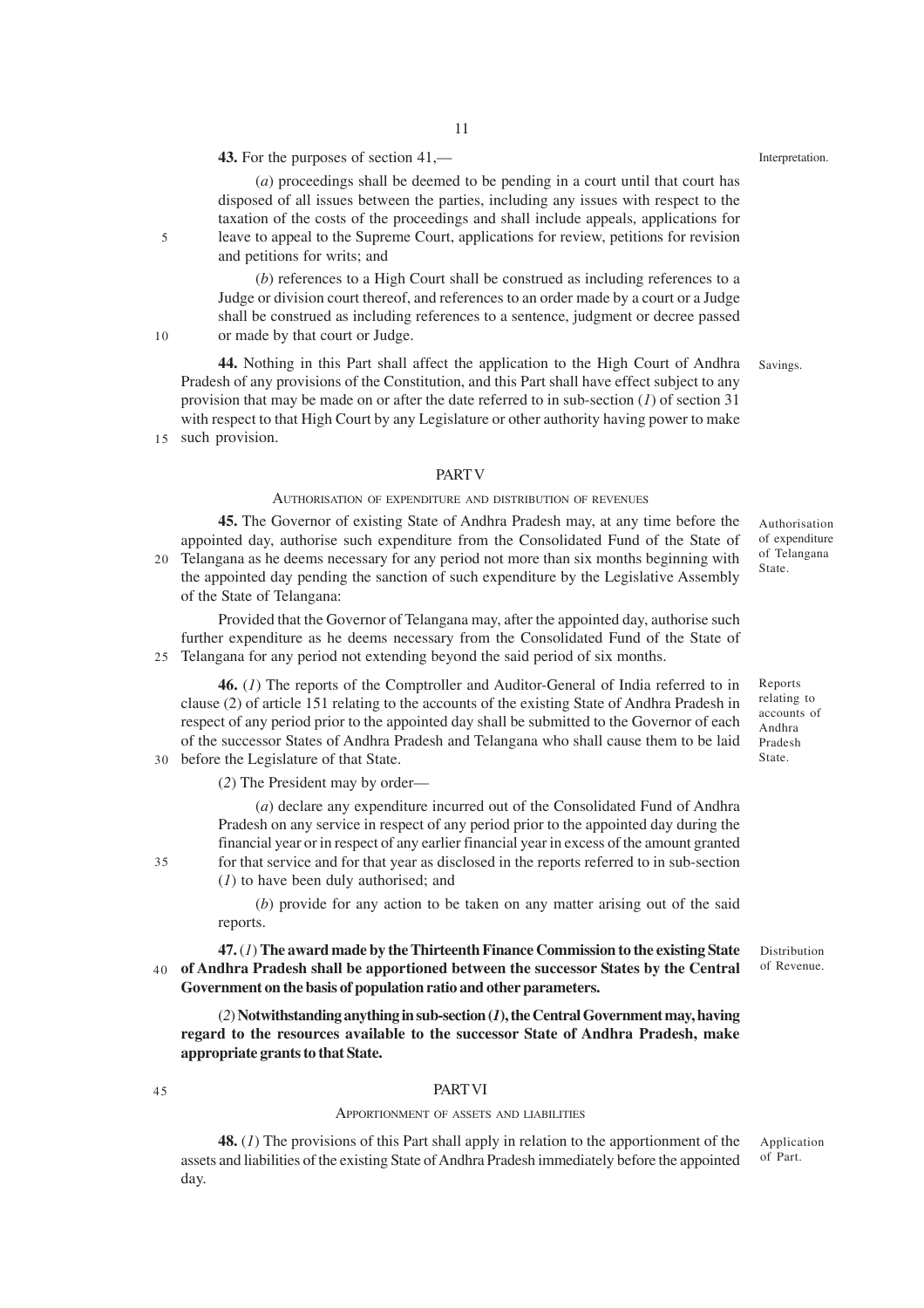## **43.** For the purposes of section 41,––

(*a*) proceedings shall be deemed to be pending in a court until that court has disposed of all issues between the parties, including any issues with respect to the taxation of the costs of the proceedings and shall include appeals, applications for leave to appeal to the Supreme Court, applications for review, petitions for revision and petitions for writs; and

(*b*) references to a High Court shall be construed as including references to a Judge or division court thereof, and references to an order made by a court or a Judge shall be construed as including references to a sentence, judgment or decree passed or made by that court or Judge.

**44.** Nothing in this Part shall affect the application to the High Court of Andhra Pradesh of any provisions of the Constitution, and this Part shall have effect subject to any provision that may be made on or after the date referred to in sub-section  $(1)$  of section 31 with respect to that High Court by any Legislature or other authority having power to make 15 such provision.

#### PART V

## AUTHORISATION OF EXPENDITURE AND DISTRIBUTION OF REVENUES

**45.** The Governor of existing State of Andhra Pradesh may, at any time before the appointed day, authorise such expenditure from the Consolidated Fund of the State of Telangana as he deems necessary for any period not more than six months beginning with the appointed day pending the sanction of such expenditure by the Legislative Assembly of the State of Telangana: 20

Provided that the Governor of Telangana may, after the appointed day, authorise such further expenditure as he deems necessary from the Consolidated Fund of the State of 25 Telangana for any period not extending beyond the said period of six months.

**46.** (*1*) The reports of the Comptroller and Auditor-General of India referred to in clause (2) of article 151 relating to the accounts of the existing State of Andhra Pradesh in respect of any period prior to the appointed day shall be submitted to the Governor of each of the successor States of Andhra Pradesh and Telangana who shall cause them to be laid before the Legislature of that State. 30

(*2*) The President may by order––

(*a*) declare any expenditure incurred out of the Consolidated Fund of Andhra Pradesh on any service in respect of any period prior to the appointed day during the financial year or in respect of any earlier financial year in excess of the amount granted for that service and for that year as disclosed in the reports referred to in sub-section

(*1*) to have been duly authorised; and

(*b*) provide for any action to be taken on any matter arising out of the said reports.

**47.** (*1*) **The award made by the Thirteenth Finance Commission to the existing State of Andhra Pradesh shall be apportioned between the successor States by the Central** 40 **Government on the basis of population ratio and other parameters.**

(*2*) **Notwithstanding anything in sub-section (***1***), the Central Government may, having regard to the resources available to the successor State of Andhra Pradesh, make appropriate grants to that State.**

45

35

5

10

### PART VI

#### APPORTIONMENT OF ASSETS AND LIABILITIES

**48.** (*1*) The provisions of this Part shall apply in relation to the apportionment of the assets and liabilities of the existing State of Andhra Pradesh immediately before the appointed day. Application of Part.

Authorisation of expenditure of Telangana State.

Reports relating to accounts of Andhra Pradesh State.

Distribution of Revenue.

Interpretation.

Savings.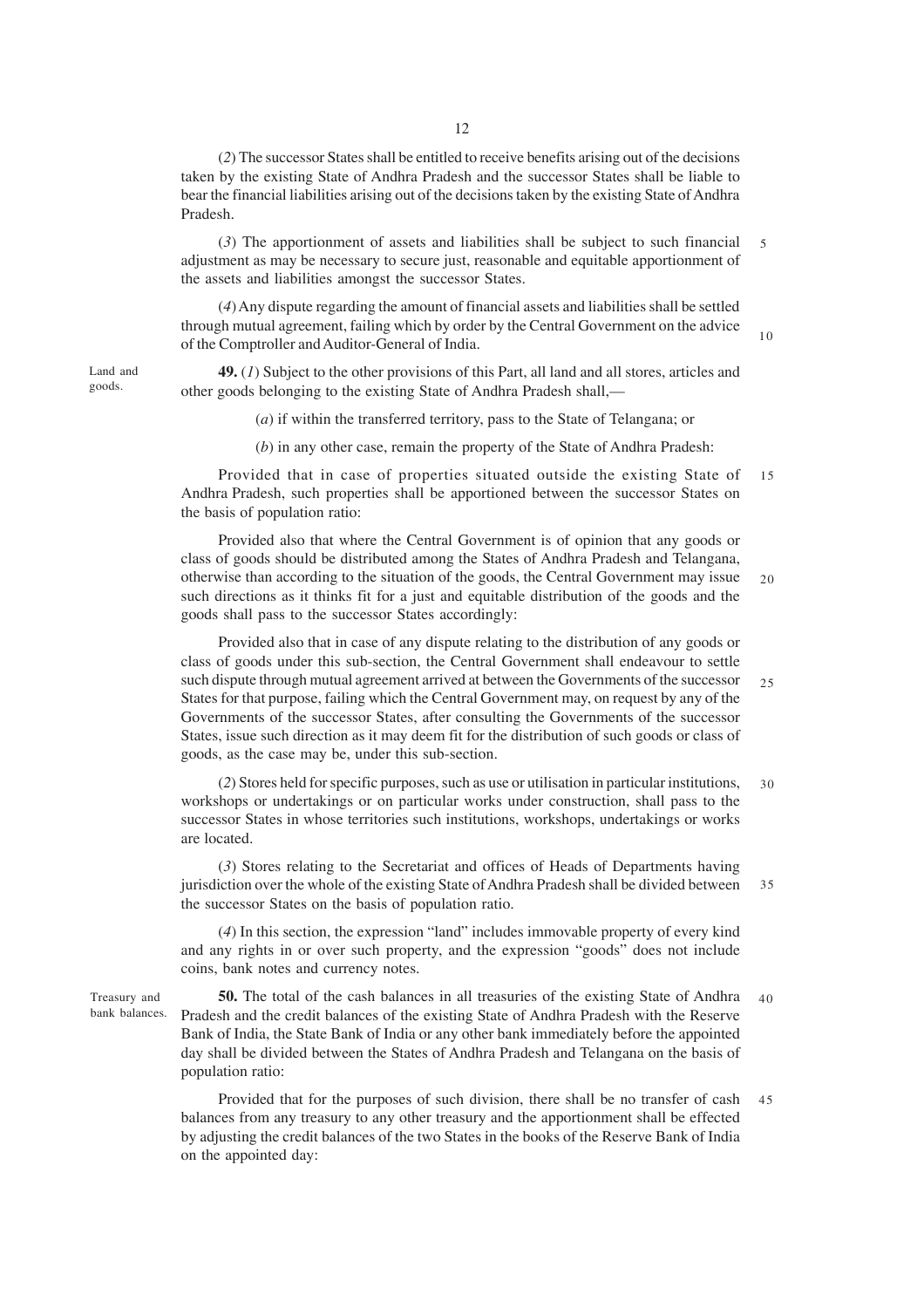12

(*2*) The successor States shall be entitled to receive benefits arising out of the decisions taken by the existing State of Andhra Pradesh and the successor States shall be liable to bear the financial liabilities arising out of the decisions taken by the existing State of Andhra Pradesh.

(*3*) The apportionment of assets and liabilities shall be subject to such financial adjustment as may be necessary to secure just, reasonable and equitable apportionment of the assets and liabilities amongst the successor States. 5

(*4*) Any dispute regarding the amount of financial assets and liabilities shall be settled through mutual agreement, failing which by order by the Central Government on the advice of the Comptroller and Auditor-General of India.

10

**49.** (*1*) Subject to the other provisions of this Part, all land and all stores, articles and other goods belonging to the existing State of Andhra Pradesh shall,—

(*a*) if within the transferred territory, pass to the State of Telangana; or

(*b*) in any other case, remain the property of the State of Andhra Pradesh:

Provided that in case of properties situated outside the existing State of Andhra Pradesh, such properties shall be apportioned between the successor States on the basis of population ratio: 15

Provided also that where the Central Government is of opinion that any goods or class of goods should be distributed among the States of Andhra Pradesh and Telangana, otherwise than according to the situation of the goods, the Central Government may issue such directions as it thinks fit for a just and equitable distribution of the goods and the goods shall pass to the successor States accordingly:  $20$ 

Provided also that in case of any dispute relating to the distribution of any goods or class of goods under this sub-section, the Central Government shall endeavour to settle such dispute through mutual agreement arrived at between the Governments of the successor States for that purpose, failing which the Central Government may, on request by any of the Governments of the successor States, after consulting the Governments of the successor States, issue such direction as it may deem fit for the distribution of such goods or class of goods, as the case may be, under this sub-section.  $25$ 

(*2*) Stores held for specific purposes, such as use or utilisation in particular institutions, workshops or undertakings or on particular works under construction, shall pass to the successor States in whose territories such institutions, workshops, undertakings or works are located. 30

(*3*) Stores relating to the Secretariat and offices of Heads of Departments having jurisdiction over the whole of the existing State of Andhra Pradesh shall be divided between the successor States on the basis of population ratio. 35

(*4*) In this section, the expression "land" includes immovable property of every kind and any rights in or over such property, and the expression "goods" does not include coins, bank notes and currency notes.

Treasury and bank balances.

Land and goods.

> **50.** The total of the cash balances in all treasuries of the existing State of Andhra Pradesh and the credit balances of the existing State of Andhra Pradesh with the Reserve Bank of India, the State Bank of India or any other bank immediately before the appointed day shall be divided between the States of Andhra Pradesh and Telangana on the basis of population ratio: 40

> Provided that for the purposes of such division, there shall be no transfer of cash balances from any treasury to any other treasury and the apportionment shall be effected by adjusting the credit balances of the two States in the books of the Reserve Bank of India on the appointed day: 45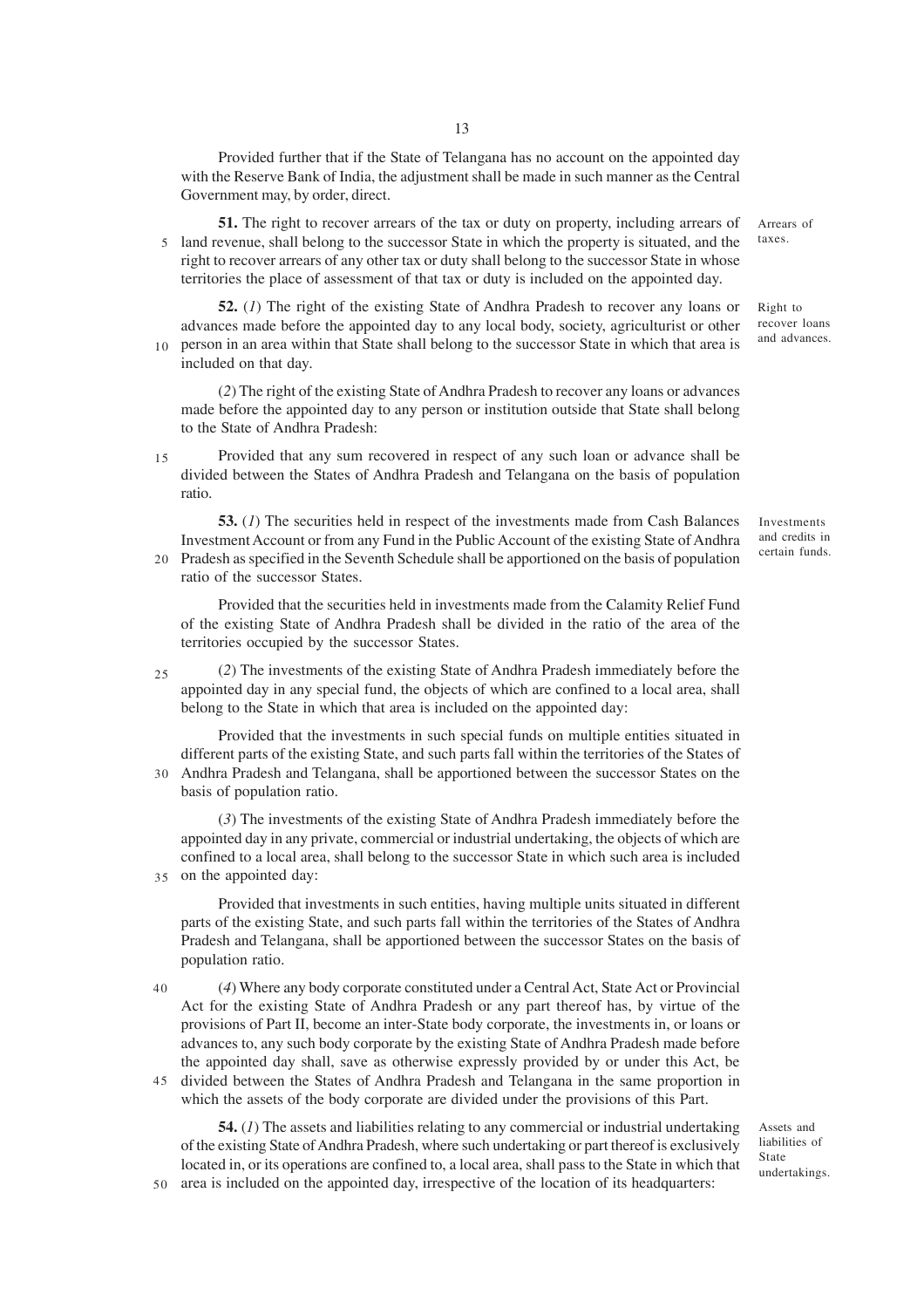Provided further that if the State of Telangana has no account on the appointed day with the Reserve Bank of India, the adjustment shall be made in such manner as the Central Government may, by order, direct.

**51.** The right to recover arrears of the tax or duty on property, including arrears of 5 land revenue, shall belong to the successor State in which the property is situated, and the right to recover arrears of any other tax or duty shall belong to the successor State in whose territories the place of assessment of that tax or duty is included on the appointed day. Arrears of taxes.

**52.** (*1*) The right of the existing State of Andhra Pradesh to recover any loans or advances made before the appointed day to any local body, society, agriculturist or other 10 person in an area within that State shall belong to the successor State in which that area is included on that day.

(*2*) The right of the existing State of Andhra Pradesh to recover any loans or advances made before the appointed day to any person or institution outside that State shall belong to the State of Andhra Pradesh:

Provided that any sum recovered in respect of any such loan or advance shall be divided between the States of Andhra Pradesh and Telangana on the basis of population ratio. 15

**53.** (*1*) The securities held in respect of the investments made from Cash Balances Investment Account or from any Fund in the Public Account of the existing State of Andhra Pradesh as specified in the Seventh Schedule shall be apportioned on the basis of population 20 ratio of the successor States.

Provided that the securities held in investments made from the Calamity Relief Fund of the existing State of Andhra Pradesh shall be divided in the ratio of the area of the territories occupied by the successor States.

(*2*) The investments of the existing State of Andhra Pradesh immediately before the appointed day in any special fund, the objects of which are confined to a local area, shall belong to the State in which that area is included on the appointed day: 25

Provided that the investments in such special funds on multiple entities situated in different parts of the existing State, and such parts fall within the territories of the States of Andhra Pradesh and Telangana, shall be apportioned between the successor States on the 30 basis of population ratio.

(*3*) The investments of the existing State of Andhra Pradesh immediately before the appointed day in any private, commercial or industrial undertaking, the objects of which are confined to a local area, shall belong to the successor State in which such area is included 35 on the appointed day:

Provided that investments in such entities, having multiple units situated in different parts of the existing State, and such parts fall within the territories of the States of Andhra Pradesh and Telangana, shall be apportioned between the successor States on the basis of

population ratio.

(*4*) Where any body corporate constituted under a Central Act, State Act or Provincial Act for the existing State of Andhra Pradesh or any part thereof has, by virtue of the provisions of Part II, become an inter-State body corporate, the investments in, or loans or advances to, any such body corporate by the existing State of Andhra Pradesh made before the appointed day shall, save as otherwise expressly provided by or under this Act, be 45 divided between the States of Andhra Pradesh and Telangana in the same proportion in which the assets of the body corporate are divided under the provisions of this Part. 40

**54.** (*1*) The assets and liabilities relating to any commercial or industrial undertaking of the existing State of Andhra Pradesh, where such undertaking or part thereof is exclusively located in, or its operations are confined to, a local area, shall pass to the State in which that area is included on the appointed day, irrespective of the location of its headquarters: 50

Assets and liabilities of State undertakings.

Right to recover loans and advances.

Investments and credits in certain funds.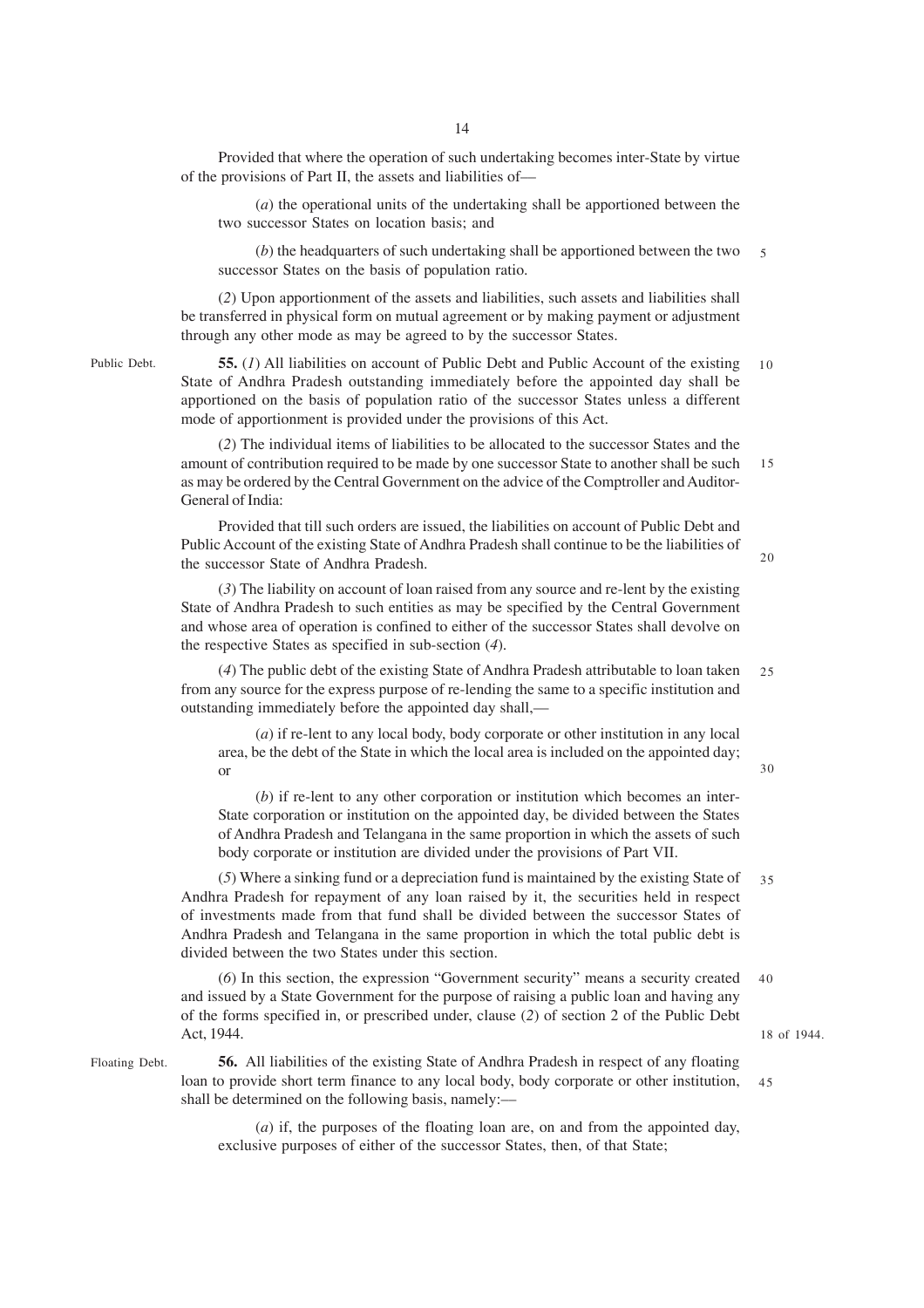Provided that where the operation of such undertaking becomes inter-State by virtue of the provisions of Part II, the assets and liabilities of––

(*a*) the operational units of the undertaking shall be apportioned between the two successor States on location basis; and

(*b*) the headquarters of such undertaking shall be apportioned between the two successor States on the basis of population ratio. 5

(*2*) Upon apportionment of the assets and liabilities, such assets and liabilities shall be transferred in physical form on mutual agreement or by making payment or adjustment through any other mode as may be agreed to by the successor States.

Public Debt.

**55.** (*1*) All liabilities on account of Public Debt and Public Account of the existing State of Andhra Pradesh outstanding immediately before the appointed day shall be apportioned on the basis of population ratio of the successor States unless a different mode of apportionment is provided under the provisions of this Act. 10

(*2*) The individual items of liabilities to be allocated to the successor States and the amount of contribution required to be made by one successor State to another shall be such as may be ordered by the Central Government on the advice of the Comptroller and Auditor-General of India: 15

Provided that till such orders are issued, the liabilities on account of Public Debt and Public Account of the existing State of Andhra Pradesh shall continue to be the liabilities of the successor State of Andhra Pradesh.

(*3*) The liability on account of loan raised from any source and re-lent by the existing State of Andhra Pradesh to such entities as may be specified by the Central Government and whose area of operation is confined to either of the successor States shall devolve on the respective States as specified in sub-section (*4*).

(*4*) The public debt of the existing State of Andhra Pradesh attributable to loan taken from any source for the express purpose of re-lending the same to a specific institution and outstanding immediately before the appointed day shall,— 25

(*a*) if re-lent to any local body, body corporate or other institution in any local area, be the debt of the State in which the local area is included on the appointed day; or

(*b*) if re-lent to any other corporation or institution which becomes an inter-State corporation or institution on the appointed day, be divided between the States of Andhra Pradesh and Telangana in the same proportion in which the assets of such body corporate or institution are divided under the provisions of Part VII.

(*5*) Where a sinking fund or a depreciation fund is maintained by the existing State of Andhra Pradesh for repayment of any loan raised by it, the securities held in respect of investments made from that fund shall be divided between the successor States of Andhra Pradesh and Telangana in the same proportion in which the total public debt is divided between the two States under this section. 35

(*6*) In this section, the expression "Government security" means a security created and issued by a State Government for the purpose of raising a public loan and having any of the forms specified in, or prescribed under, clause (*2*) of section 2 of the Public Debt Act, 1944. 18 of 1944. 40

Floating Debt.

**56.** All liabilities of the existing State of Andhra Pradesh in respect of any floating loan to provide short term finance to any local body, body corporate or other institution, shall be determined on the following basis, namely:–– 45

(*a*) if, the purposes of the floating loan are, on and from the appointed day, exclusive purposes of either of the successor States, then, of that State;

 $20$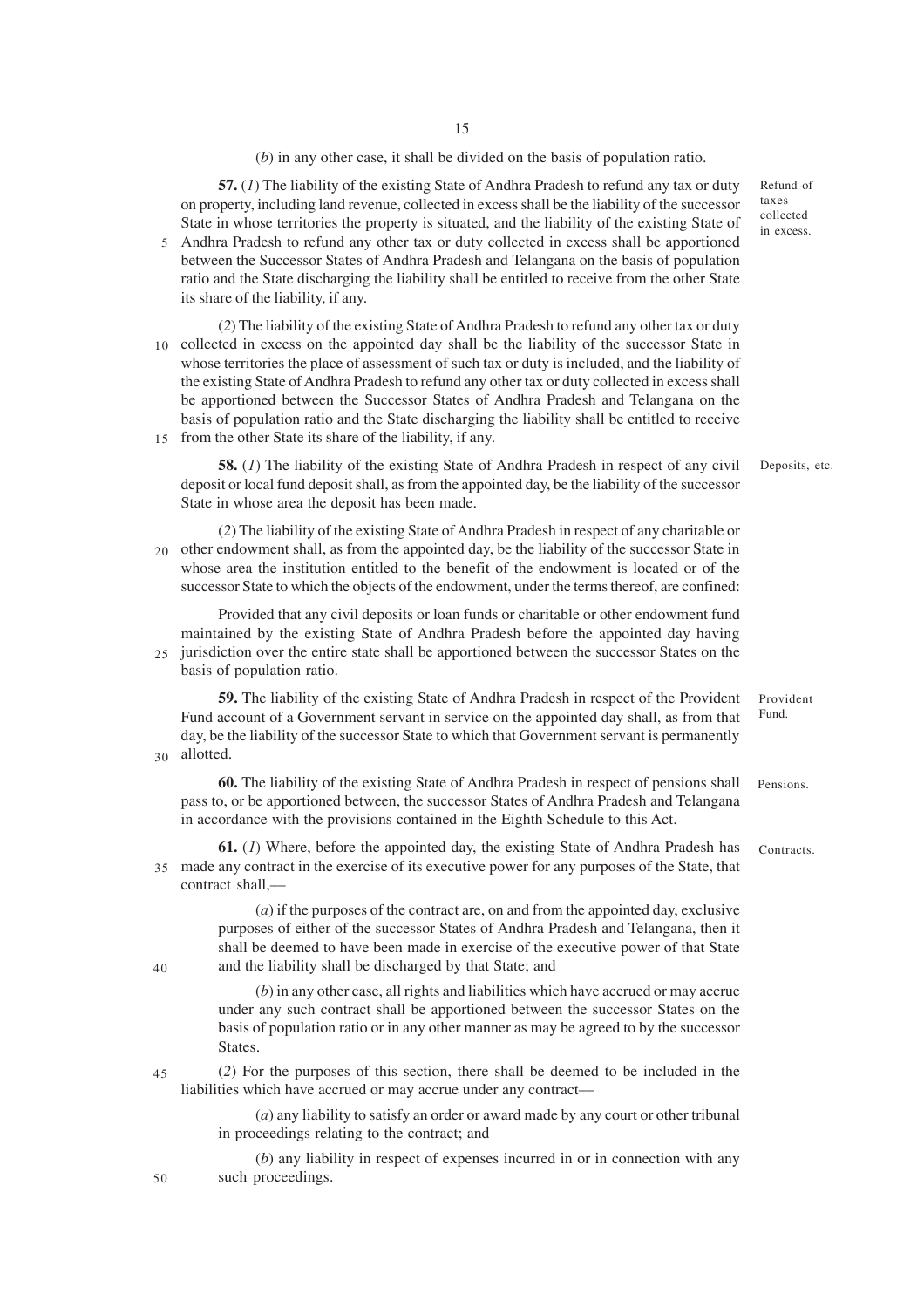(*b*) in any other case, it shall be divided on the basis of population ratio.

Refund of taxes collected in excess.

**57.** (*1*) The liability of the existing State of Andhra Pradesh to refund any tax or duty on property, including land revenue, collected in excess shall be the liability of the successor State in whose territories the property is situated, and the liability of the existing State of

5 Andhra Pradesh to refund any other tax or duty collected in excess shall be apportioned between the Successor States of Andhra Pradesh and Telangana on the basis of population ratio and the State discharging the liability shall be entitled to receive from the other State its share of the liability, if any.

(*2*) The liability of the existing State of Andhra Pradesh to refund any other tax or duty 10 collected in excess on the appointed day shall be the liability of the successor State in whose territories the place of assessment of such tax or duty is included, and the liability of the existing State of Andhra Pradesh to refund any other tax or duty collected in excess shall be apportioned between the Successor States of Andhra Pradesh and Telangana on the basis of population ratio and the State discharging the liability shall be entitled to receive 15 from the other State its share of the liability, if any.

**58.** (*1*) The liability of the existing State of Andhra Pradesh in respect of any civil deposit or local fund deposit shall, as from the appointed day, be the liability of the successor State in whose area the deposit has been made. Deposits, etc.

(*2*) The liability of the existing State of Andhra Pradesh in respect of any charitable or other endowment shall, as from the appointed day, be the liability of the successor State in whose area the institution entitled to the benefit of the endowment is located or of the successor State to which the objects of the endowment, under the terms thereof, are confined: 20

Provided that any civil deposits or loan funds or charitable or other endowment fund maintained by the existing State of Andhra Pradesh before the appointed day having 25 jurisdiction over the entire state shall be apportioned between the successor States on the basis of population ratio.

**59.** The liability of the existing State of Andhra Pradesh in respect of the Provident Fund account of a Government servant in service on the appointed day shall, as from that day, be the liability of the successor State to which that Government servant is permanently allotted. 30 Provident Fund.

**60.** The liability of the existing State of Andhra Pradesh in respect of pensions shall pass to, or be apportioned between, the successor States of Andhra Pradesh and Telangana in accordance with the provisions contained in the Eighth Schedule to this Act. Pensions.

**61.** (*1*) Where, before the appointed day, the existing State of Andhra Pradesh has made any contract in the exercise of its executive power for any purposes of the State, that 35 contract shall,–– Contracts.

(*a*) if the purposes of the contract are, on and from the appointed day, exclusive purposes of either of the successor States of Andhra Pradesh and Telangana, then it shall be deemed to have been made in exercise of the executive power of that State and the liability shall be discharged by that State; and

(*b*) in any other case, all rights and liabilities which have accrued or may accrue under any such contract shall be apportioned between the successor States on the basis of population ratio or in any other manner as may be agreed to by the successor States.

(*2*) For the purposes of this section, there shall be deemed to be included in the liabilities which have accrued or may accrue under any contract–– 45

> (*a*) any liability to satisfy an order or award made by any court or other tribunal in proceedings relating to the contract; and

> (*b*) any liability in respect of expenses incurred in or in connection with any such proceedings.

40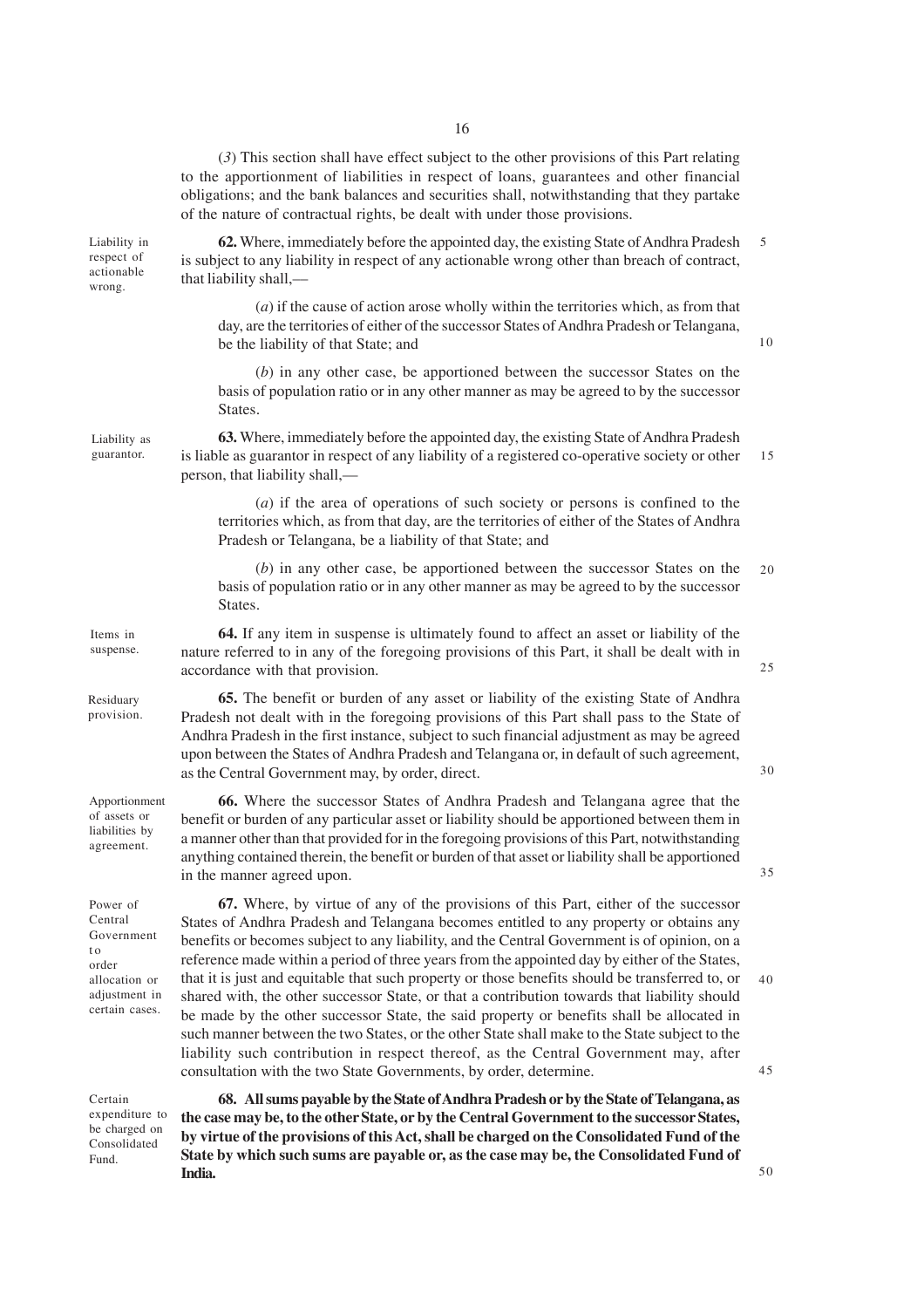(*3*) This section shall have effect subject to the other provisions of this Part relating to the apportionment of liabilities in respect of loans, guarantees and other financial obligations; and the bank balances and securities shall, notwithstanding that they partake of the nature of contractual rights, be dealt with under those provisions. **62.** Where, immediately before the appointed day, the existing State of Andhra Pradesh is subject to any liability in respect of any actionable wrong other than breach of contract, that liability shall,–– (*a*) if the cause of action arose wholly within the territories which, as from that day, are the territories of either of the successor States of Andhra Pradesh or Telangana, be the liability of that State; and (*b*) in any other case, be apportioned between the successor States on the basis of population ratio or in any other manner as may be agreed to by the successor States. **63.** Where, immediately before the appointed day, the existing State of Andhra Pradesh is liable as guarantor in respect of any liability of a registered co-operative society or other person, that liability shall,— (*a*) if the area of operations of such society or persons is confined to the territories which, as from that day, are the territories of either of the States of Andhra Pradesh or Telangana, be a liability of that State; and (*b*) in any other case, be apportioned between the successor States on the basis of population ratio or in any other manner as may be agreed to by the successor States. **64.** If any item in suspense is ultimately found to affect an asset or liability of the nature referred to in any of the foregoing provisions of this Part, it shall be dealt with in accordance with that provision. **65.** The benefit or burden of any asset or liability of the existing State of Andhra Pradesh not dealt with in the foregoing provisions of this Part shall pass to the State of Andhra Pradesh in the first instance, subject to such financial adjustment as may be agreed upon between the States of Andhra Pradesh and Telangana or, in default of such agreement, as the Central Government may, by order, direct. **66.** Where the successor States of Andhra Pradesh and Telangana agree that the benefit or burden of any particular asset or liability should be apportioned between them in a manner other than that provided for in the foregoing provisions of this Part, notwithstanding anything contained therein, the benefit or burden of that asset or liability shall be apportioned in the manner agreed upon. **67.** Where, by virtue of any of the provisions of this Part, either of the successor States of Andhra Pradesh and Telangana becomes entitled to any property or obtains any benefits or becomes subject to any liability, and the Central Government is of opinion, on a reference made within a period of three years from the appointed day by either of the States, that it is just and equitable that such property or those benefits should be transferred to, or shared with, the other successor State, or that a contribution towards that liability should be made by the other successor State, the said property or benefits shall be allocated in such manner between the two States, or the other State shall make to the State subject to the liability such contribution in respect thereof, as the Central Government may, after consultation with the two State Governments, by order, determine. **68. All sums payable by the State of Andhra Pradesh or by the State of Telangana, as the case may be, to the other State, or by the Central Government to the successor States, by virtue of the provisions of this Act, shall be charged on the Consolidated Fund of the State by which such sums are payable or, as the case may be, the Consolidated Fund of India.** Liability in respect of actionable wrong. Liability as guarantor. Items in suspense. Residuary provision. Apportionment of assets or liabilities by agreement. Power of Central Government t o order allocation or adjustment in certain cases. Certain expenditure to be charged on Consolidated Fund. 5 10 15  $20$ 25 30 35 40 45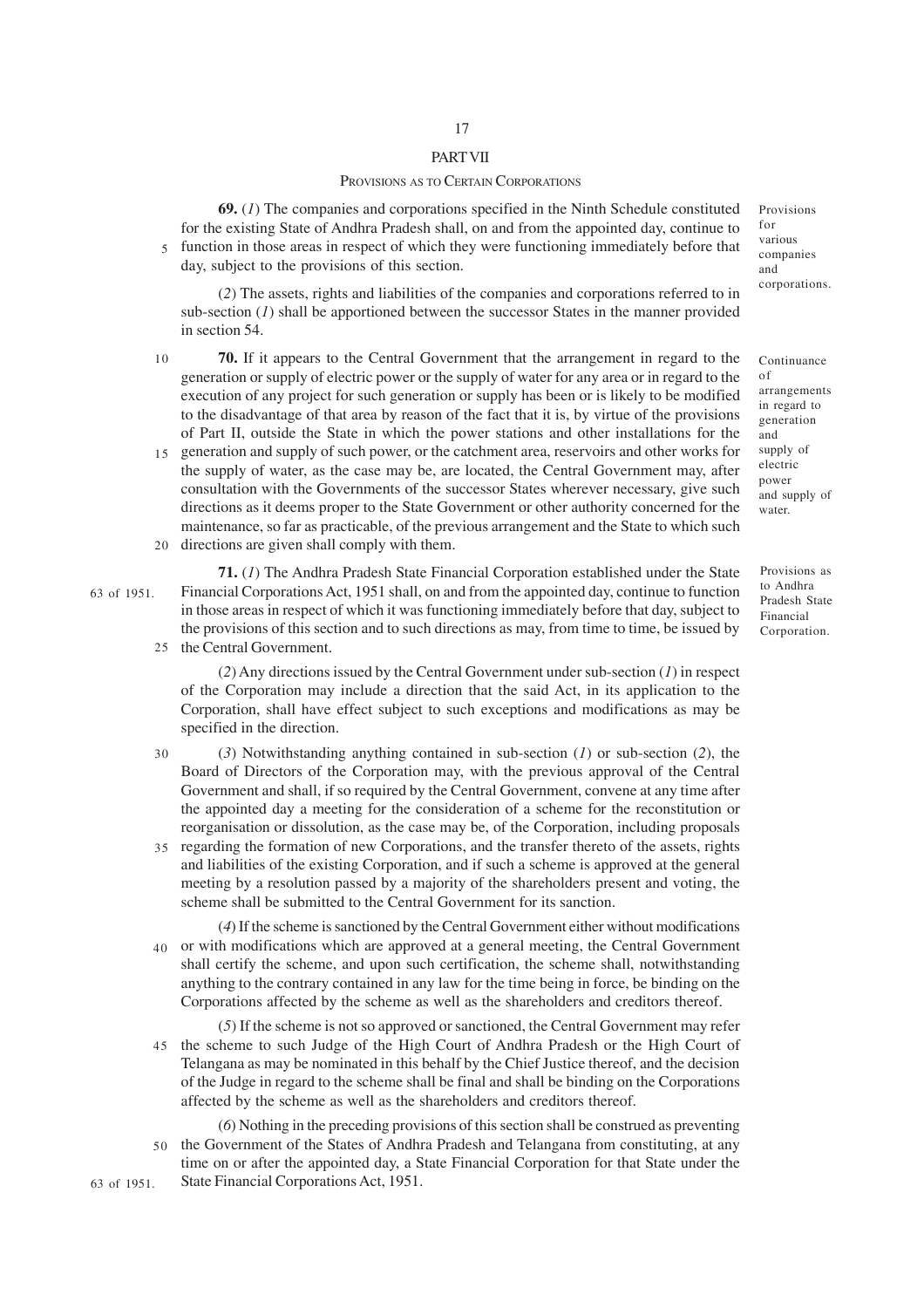# 17

# PART VII

## PROVISIONS AS TO CERTAIN CORPORATIONS

**69.** (*1*) The companies and corporations specified in the Ninth Schedule constituted for the existing State of Andhra Pradesh shall, on and from the appointed day, continue to 5 function in those areas in respect of which they were functioning immediately before that day, subject to the provisions of this section.

(*2*) The assets, rights and liabilities of the companies and corporations referred to in sub-section (*1*) shall be apportioned between the successor States in the manner provided in section 54.

- **70.** If it appears to the Central Government that the arrangement in regard to the generation or supply of electric power or the supply of water for any area or in regard to the execution of any project for such generation or supply has been or is likely to be modified to the disadvantage of that area by reason of the fact that it is, by virtue of the provisions of Part II, outside the State in which the power stations and other installations for the 10
- generation and supply of such power, or the catchment area, reservoirs and other works for the supply of water, as the case may be, are located, the Central Government may, after consultation with the Governments of the successor States wherever necessary, give such directions as it deems proper to the State Government or other authority concerned for the maintenance, so far as practicable, of the previous arrangement and the State to which such 15  $20$
- directions are given shall comply with them.

**71.** (*1*) The Andhra Pradesh State Financial Corporation established under the State Financial Corporations Act, 1951 shall, on and from the appointed day, continue to function in those areas in respect of which it was functioning immediately before that day, subject to the provisions of this section and to such directions as may, from time to time, be issued by

the Central Government. 25

> (*2*) Any directions issued by the Central Government under sub-section (*1*) in respect of the Corporation may include a direction that the said Act, in its application to the Corporation, shall have effect subject to such exceptions and modifications as may be specified in the direction.

- (*3*) Notwithstanding anything contained in sub-section (*1*) or sub-section (*2*), the Board of Directors of the Corporation may, with the previous approval of the Central Government and shall, if so required by the Central Government, convene at any time after the appointed day a meeting for the consideration of a scheme for the reconstitution or reorganisation or dissolution, as the case may be, of the Corporation, including proposals 30
- 35 regarding the formation of new Corporations, and the transfer thereto of the assets, rights and liabilities of the existing Corporation, and if such a scheme is approved at the general meeting by a resolution passed by a majority of the shareholders present and voting, the scheme shall be submitted to the Central Government for its sanction.

(*4*) If the scheme is sanctioned by the Central Government either without modifications or with modifications which are approved at a general meeting, the Central Government shall certify the scheme, and upon such certification, the scheme shall, notwithstanding anything to the contrary contained in any law for the time being in force, be binding on the Corporations affected by the scheme as well as the shareholders and creditors thereof.  $40<sup>-1</sup>$ 

(*5*) If the scheme is not so approved or sanctioned, the Central Government may refer the scheme to such Judge of the High Court of Andhra Pradesh or the High Court of Telangana as may be nominated in this behalf by the Chief Justice thereof, and the decision of the Judge in regard to the scheme shall be final and shall be binding on the Corporations affected by the scheme as well as the shareholders and creditors thereof. 45

(*6*) Nothing in the preceding provisions of this section shall be construed as preventing 50 the Government of the States of Andhra Pradesh and Telangana from constituting, at any time on or after the appointed day, a State Financial Corporation for that State under the State Financial Corporations Act, 1951.

Provisions for various companies and corporations.

Continuance of arrangements in regard to generation and supply of electric power and supply of water.

Provisions as to Andhra Pradesh State Financial Corporation.

63 of 1951.

63 of 1951.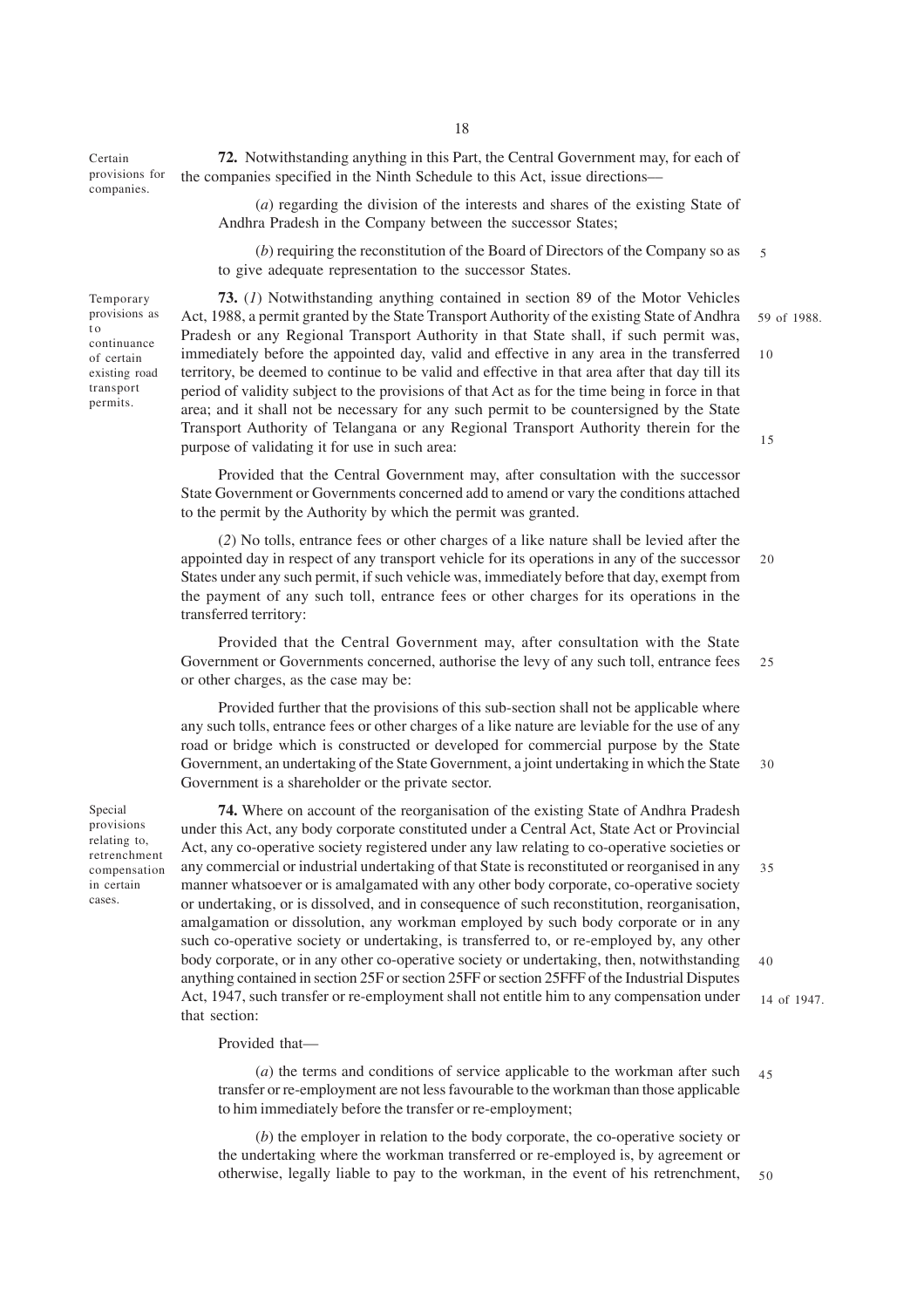Certain provisions for companies.

**72.** Notwithstanding anything in this Part, the Central Government may, for each of the companies specified in the Ninth Schedule to this Act, issue directions––

(*a*) regarding the division of the interests and shares of the existing State of Andhra Pradesh in the Company between the successor States;

(*b*) requiring the reconstitution of the Board of Directors of the Company so as to give adequate representation to the successor States. 5

Temporary provisions as t o continuance of certain existing road transport permits.

**73.** (*1*) Notwithstanding anything contained in section 89 of the Motor Vehicles Act, 1988, a permit granted by the State Transport Authority of the existing State of Andhra Pradesh or any Regional Transport Authority in that State shall, if such permit was, immediately before the appointed day, valid and effective in any area in the transferred territory, be deemed to continue to be valid and effective in that area after that day till its period of validity subject to the provisions of that Act as for the time being in force in that area; and it shall not be necessary for any such permit to be countersigned by the State Transport Authority of Telangana or any Regional Transport Authority therein for the purpose of validating it for use in such area: 59 of 1988. 10 15

Provided that the Central Government may, after consultation with the successor State Government or Governments concerned add to amend or vary the conditions attached to the permit by the Authority by which the permit was granted.

(*2*) No tolls, entrance fees or other charges of a like nature shall be levied after the appointed day in respect of any transport vehicle for its operations in any of the successor States under any such permit, if such vehicle was, immediately before that day, exempt from the payment of any such toll, entrance fees or other charges for its operations in the transferred territory: 20

Provided that the Central Government may, after consultation with the State Government or Governments concerned, authorise the levy of any such toll, entrance fees or other charges, as the case may be: 25

Provided further that the provisions of this sub-section shall not be applicable where any such tolls, entrance fees or other charges of a like nature are leviable for the use of any road or bridge which is constructed or developed for commercial purpose by the State Government, an undertaking of the State Government, a joint undertaking in which the State Government is a shareholder or the private sector. 30

Special provisions relating to, retrenchment compensation in certain cases.

**74.** Where on account of the reorganisation of the existing State of Andhra Pradesh under this Act, any body corporate constituted under a Central Act, State Act or Provincial Act, any co-operative society registered under any law relating to co-operative societies or any commercial or industrial undertaking of that State is reconstituted or reorganised in any manner whatsoever or is amalgamated with any other body corporate, co-operative society or undertaking, or is dissolved, and in consequence of such reconstitution, reorganisation, amalgamation or dissolution, any workman employed by such body corporate or in any such co-operative society or undertaking, is transferred to, or re-employed by, any other body corporate, or in any other co-operative society or undertaking, then, notwithstanding anything contained in section 25F or section 25FF or section 25FFF of the Industrial Disputes Act, 1947, such transfer or re-employment shall not entitle him to any compensation under that section: 14 of 1947. 35 40

### Provided that—

(*a*) the terms and conditions of service applicable to the workman after such transfer or re-employment are not less favourable to the workman than those applicable to him immediately before the transfer or re-employment; 45

(*b*) the employer in relation to the body corporate, the co-operative society or the undertaking where the workman transferred or re-employed is, by agreement or otherwise, legally liable to pay to the workman, in the event of his retrenchment, 50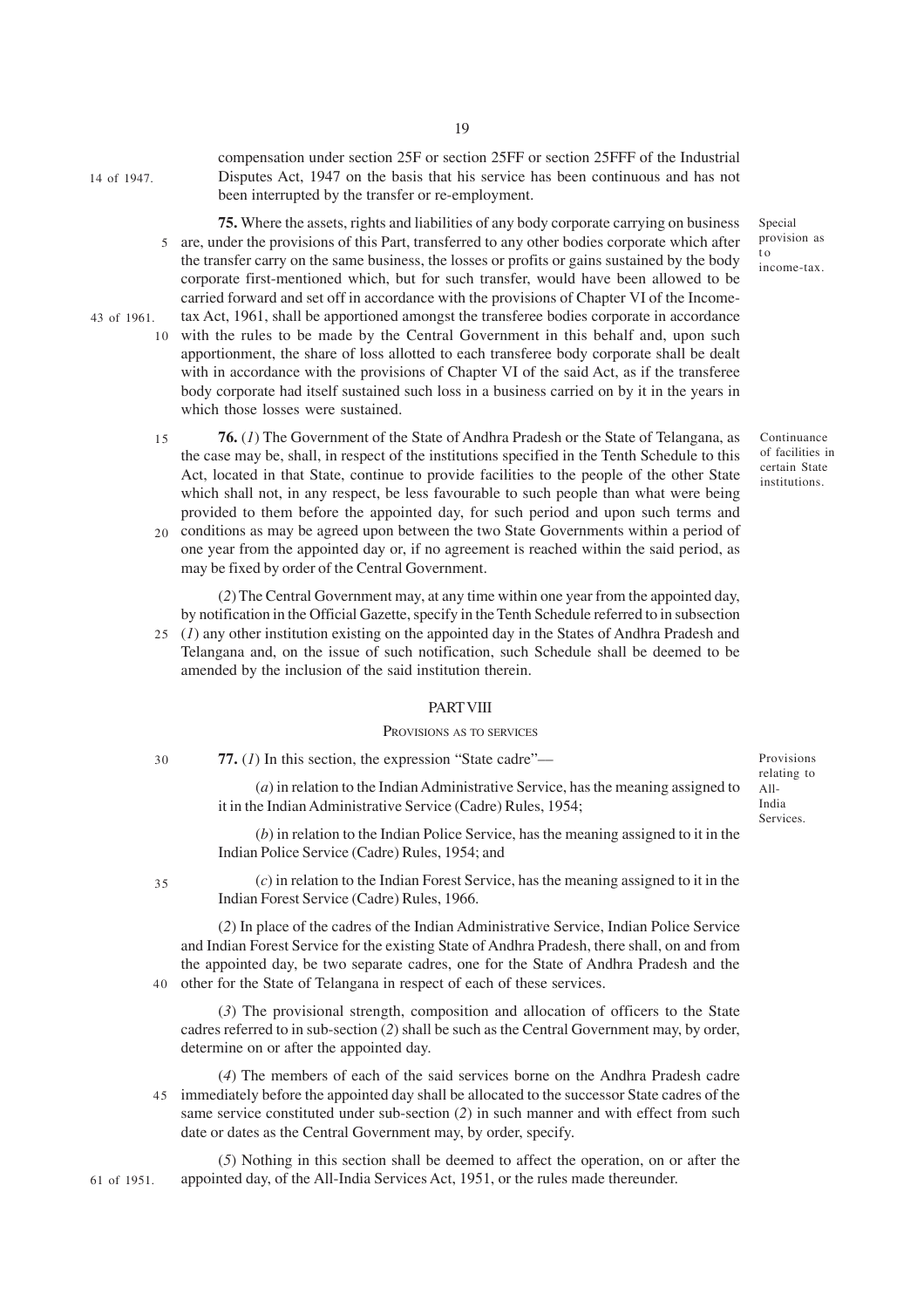14 of 1947.

43 of 1961.

compensation under section 25F or section 25FF or section 25FFF of the Industrial Disputes Act, 1947 on the basis that his service has been continuous and has not been interrupted by the transfer or re-employment.

**75.** Where the assets, rights and liabilities of any body corporate carrying on business 5 are, under the provisions of this Part, transferred to any other bodies corporate which after the transfer carry on the same business, the losses or profits or gains sustained by the body corporate first-mentioned which, but for such transfer, would have been allowed to be carried forward and set off in accordance with the provisions of Chapter VI of the Income-

tax Act, 1961, shall be apportioned amongst the transferee bodies corporate in accordance with the rules to be made by the Central Government in this behalf and, upon such apportionment, the share of loss allotted to each transferee body corporate shall be dealt with in accordance with the provisions of Chapter VI of the said Act, as if the transferee body corporate had itself sustained such loss in a business carried on by it in the years in which those losses were sustained. 10

**76.** (*1*) The Government of the State of Andhra Pradesh or the State of Telangana, as the case may be, shall, in respect of the institutions specified in the Tenth Schedule to this Act, located in that State, continue to provide facilities to the people of the other State which shall not, in any respect, be less favourable to such people than what were being provided to them before the appointed day, for such period and upon such terms and 20 conditions as may be agreed upon between the two State Governments within a period of one year from the appointed day or, if no agreement is reached within the said period, as may be fixed by order of the Central Government. 15

(*2*) The Central Government may, at any time within one year from the appointed day, by notification in the Official Gazette, specify in the Tenth Schedule referred to in subsection 25 (*I*) any other institution existing on the appointed day in the States of Andhra Pradesh and

Telangana and, on the issue of such notification, such Schedule shall be deemed to be amended by the inclusion of the said institution therein.

### PART VIII

#### PROVISIONS AS TO SERVICES

**77.** (*1*) In this section, the expression "State cadre"––

(*a*) in relation to the Indian Administrative Service, has the meaning assigned to it in the Indian Administrative Service (Cadre) Rules, 1954;

(*b*) in relation to the Indian Police Service, has the meaning assigned to it in the Indian Police Service (Cadre) Rules, 1954; and

35

30

(*c*) in relation to the Indian Forest Service, has the meaning assigned to it in the Indian Forest Service (Cadre) Rules, 1966.

(*2*) In place of the cadres of the Indian Administrative Service, Indian Police Service and Indian Forest Service for the existing State of Andhra Pradesh, there shall, on and from the appointed day, be two separate cadres, one for the State of Andhra Pradesh and the 40 other for the State of Telangana in respect of each of these services.

(*3*) The provisional strength, composition and allocation of officers to the State cadres referred to in sub-section (*2*) shall be such as the Central Government may, by order, determine on or after the appointed day.

(*4*) The members of each of the said services borne on the Andhra Pradesh cadre immediately before the appointed day shall be allocated to the successor State cadres of the same service constituted under sub-section (*2*) in such manner and with effect from such date or dates as the Central Government may, by order, specify. 45

(*5*) Nothing in this section shall be deemed to affect the operation, on or after the appointed day, of the All-India Services Act, 1951, or the rules made thereunder.

Special provision as t o income-tax.

Continuance of facilities in certain State institutions.

Provisions relating to All-India Services.

61 of 1951.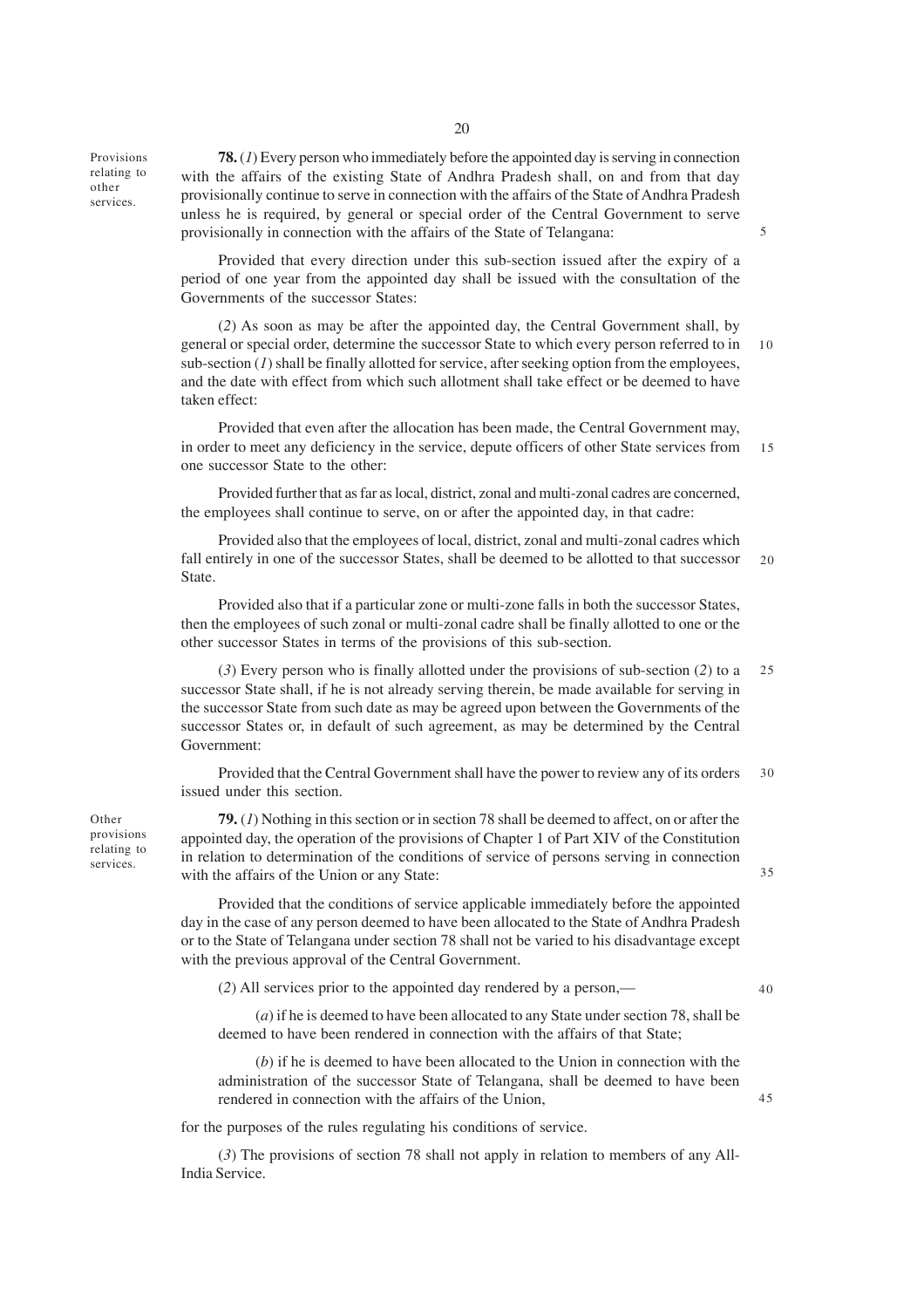Provisions relating to other services.

**78.** (*1*) Every person who immediately before the appointed day is serving in connection with the affairs of the existing State of Andhra Pradesh shall, on and from that day provisionally continue to serve in connection with the affairs of the State of Andhra Pradesh unless he is required, by general or special order of the Central Government to serve provisionally in connection with the affairs of the State of Telangana:

Provided that every direction under this sub-section issued after the expiry of a period of one year from the appointed day shall be issued with the consultation of the Governments of the successor States:

(*2*) As soon as may be after the appointed day, the Central Government shall, by general or special order, determine the successor State to which every person referred to in sub-section  $(I)$  shall be finally allotted for service, after seeking option from the employees, and the date with effect from which such allotment shall take effect or be deemed to have taken effect: 10

Provided that even after the allocation has been made, the Central Government may, in order to meet any deficiency in the service, depute officers of other State services from one successor State to the other: 15

Provided further that as far as local, district, zonal and multi-zonal cadres are concerned, the employees shall continue to serve, on or after the appointed day, in that cadre:

Provided also that the employees of local, district, zonal and multi-zonal cadres which fall entirely in one of the successor States, shall be deemed to be allotted to that successor State.  $20$ 

Provided also that if a particular zone or multi-zone falls in both the successor States, then the employees of such zonal or multi-zonal cadre shall be finally allotted to one or the other successor States in terms of the provisions of this sub-section.

(*3*) Every person who is finally allotted under the provisions of sub-section (*2*) to a successor State shall, if he is not already serving therein, be made available for serving in the successor State from such date as may be agreed upon between the Governments of the successor States or, in default of such agreement, as may be determined by the Central Government:  $25$ 

Provided that the Central Government shall have the power to review any of its orders issued under this section. 30

**79.** (*1*) Nothing in this section or in section 78 shall be deemed to affect, on or after the appointed day, the operation of the provisions of Chapter 1 of Part XIV of the Constitution in relation to determination of the conditions of service of persons serving in connection with the affairs of the Union or any State:

Provided that the conditions of service applicable immediately before the appointed day in the case of any person deemed to have been allocated to the State of Andhra Pradesh or to the State of Telangana under section 78 shall not be varied to his disadvantage except with the previous approval of the Central Government.

(*2*) All services prior to the appointed day rendered by a person,—

(*a*) if he is deemed to have been allocated to any State under section 78, shall be deemed to have been rendered in connection with the affairs of that State;

(*b*) if he is deemed to have been allocated to the Union in connection with the administration of the successor State of Telangana, shall be deemed to have been rendered in connection with the affairs of the Union,

for the purposes of the rules regulating his conditions of service.

(*3*) The provisions of section 78 shall not apply in relation to members of any All-India Service.

Other provisions relating to services.

40

45

35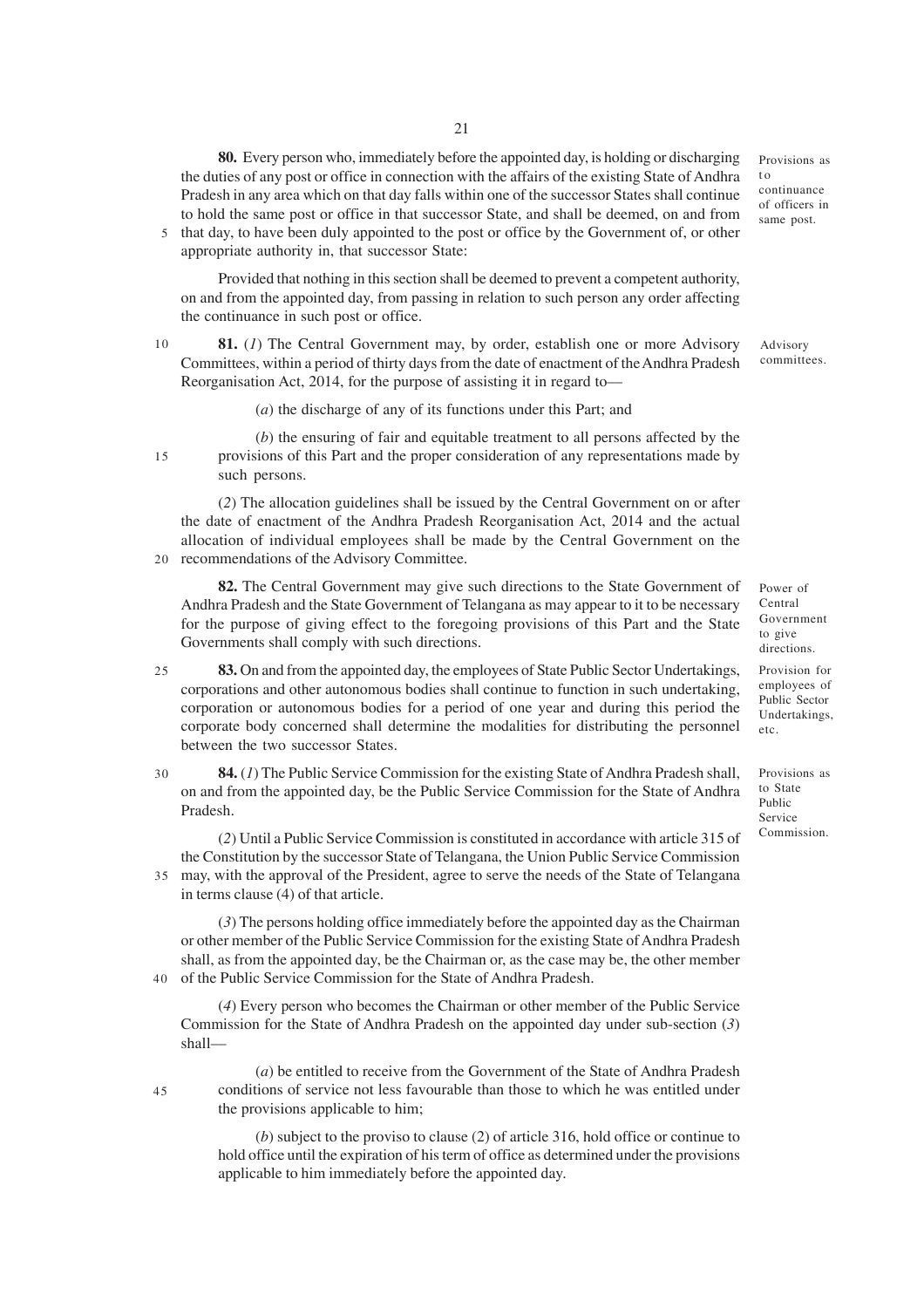**80.** Every person who, immediately before the appointed day, is holding or discharging the duties of any post or office in connection with the affairs of the existing State of Andhra Pradesh in any area which on that day falls within one of the successor States shall continue to hold the same post or office in that successor State, and shall be deemed, on and from

5 that day, to have been duly appointed to the post or office by the Government of, or other appropriate authority in, that successor State:

Provided that nothing in this section shall be deemed to prevent a competent authority, on and from the appointed day, from passing in relation to such person any order affecting the continuance in such post or office.

**81.** (*1*) The Central Government may, by order, establish one or more Advisory Committees, within a period of thirty days from the date of enactment of the Andhra Pradesh Reorganisation Act, 2014, for the purpose of assisting it in regard to–– 10

(*a*) the discharge of any of its functions under this Part; and

(*b*) the ensuring of fair and equitable treatment to all persons affected by the provisions of this Part and the proper consideration of any representations made by such persons. 15

(*2*) The allocation guidelines shall be issued by the Central Government on or after the date of enactment of the Andhra Pradesh Reorganisation Act, 2014 and the actual allocation of individual employees shall be made by the Central Government on the recommendations of the Advisory Committee.  $20<sup>2</sup>$ 

**82.** The Central Government may give such directions to the State Government of Andhra Pradesh and the State Government of Telangana as may appear to it to be necessary for the purpose of giving effect to the foregoing provisions of this Part and the State Governments shall comply with such directions.

- **83.** On and from the appointed day, the employees of State Public Sector Undertakings, corporations and other autonomous bodies shall continue to function in such undertaking, corporation or autonomous bodies for a period of one year and during this period the corporate body concerned shall determine the modalities for distributing the personnel between the two successor States. 25
- **84.** (*1*) The Public Service Commission for the existing State of Andhra Pradesh shall, on and from the appointed day, be the Public Service Commission for the State of Andhra Pradesh.  $30$

(*2*) Until a Public Service Commission is constituted in accordance with article 315 of the Constitution by the successor State of Telangana, the Union Public Service Commission may, with the approval of the President, agree to serve the needs of the State of Telangana 35

in terms clause (4) of that article.

(*3*) The persons holding office immediately before the appointed day as the Chairman or other member of the Public Service Commission for the existing State of Andhra Pradesh shall, as from the appointed day, be the Chairman or, as the case may be, the other member of the Public Service Commission for the State of Andhra Pradesh. 40

(*4*) Every person who becomes the Chairman or other member of the Public Service Commission for the State of Andhra Pradesh on the appointed day under sub-section (*3*) shall––

(*a*) be entitled to receive from the Government of the State of Andhra Pradesh conditions of service not less favourable than those to which he was entitled under the provisions applicable to him;

(*b*) subject to the proviso to clause (2) of article 316, hold office or continue to hold office until the expiration of his term of office as determined under the provisions applicable to him immediately before the appointed day.

Provisions as t o continuance of officers in same post.

Advisory committees.

Power of Central Government to give directions.

Provision for employees of Public Sector Undertakings, etc.

Provisions as to State Public Service Commission.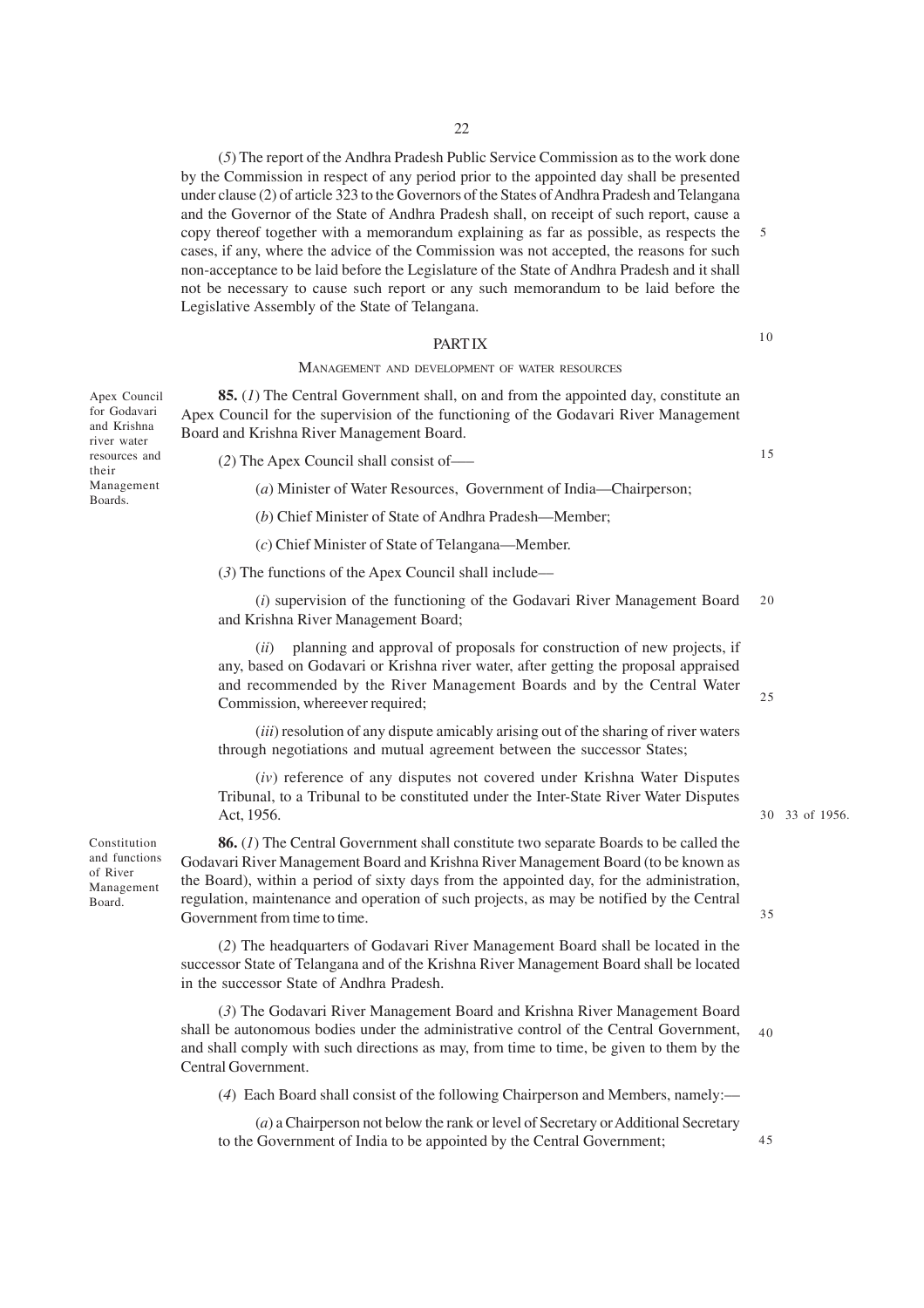(*5*) The report of the Andhra Pradesh Public Service Commission as to the work done by the Commission in respect of any period prior to the appointed day shall be presented under clause (2) of article 323 to the Governors of the States of Andhra Pradesh and Telangana and the Governor of the State of Andhra Pradesh shall, on receipt of such report, cause a copy thereof together with a memorandum explaining as far as possible, as respects the cases, if any, where the advice of the Commission was not accepted, the reasons for such non-acceptance to be laid before the Legislature of the State of Andhra Pradesh and it shall not be necessary to cause such report or any such memorandum to be laid before the Legislative Assembly of the State of Telangana.

#### PART IX

## MANAGEMENT AND DEVELOPMENT OF WATER RESOURCES

**85.** (*1*) The Central Government shall, on and from the appointed day, constitute an Apex Council for the supervision of the functioning of the Godavari River Management Board and Krishna River Management Board.

(*2*) The Apex Council shall consist of–––

(*a*) Minister of Water Resources, Government of India—Chairperson;

(*b*) Chief Minister of State of Andhra Pradesh—Member;

(*c*) Chief Minister of State of Telangana—Member.

(*3*) The functions of the Apex Council shall include––

(*i*) supervision of the functioning of the Godavari River Management Board and Krishna River Management Board; 20

(*ii*) planning and approval of proposals for construction of new projects, if any, based on Godavari or Krishna river water, after getting the proposal appraised and recommended by the River Management Boards and by the Central Water Commission, whereever required;

(*iii*) resolution of any dispute amicably arising out of the sharing of river waters through negotiations and mutual agreement between the successor States;

(*iv*) reference of any disputes not covered under Krishna Water Disputes Tribunal, to a Tribunal to be constituted under the Inter-State River Water Disputes Act, 1956.

**86.** (*1*) The Central Government shall constitute two separate Boards to be called the Godavari River Management Board and Krishna River Management Board (to be known as the Board), within a period of sixty days from the appointed day, for the administration, regulation, maintenance and operation of such projects, as may be notified by the Central Government from time to time.

(*2*) The headquarters of Godavari River Management Board shall be located in the successor State of Telangana and of the Krishna River Management Board shall be located in the successor State of Andhra Pradesh.

(*3*) The Godavari River Management Board and Krishna River Management Board shall be autonomous bodies under the administrative control of the Central Government, and shall comply with such directions as may, from time to time, be given to them by the Central Government. 40

(*4*) Each Board shall consist of the following Chairperson and Members, namely:––

(*a*) a Chairperson not below the rank or level of Secretary or Additional Secretary to the Government of India to be appointed by the Central Government;

Apex Council for Godavari and Krishna river water resources and their Management Boards.

Constitution and functions of River Management Board.

45

33 of 1956. 30

10

15

5

25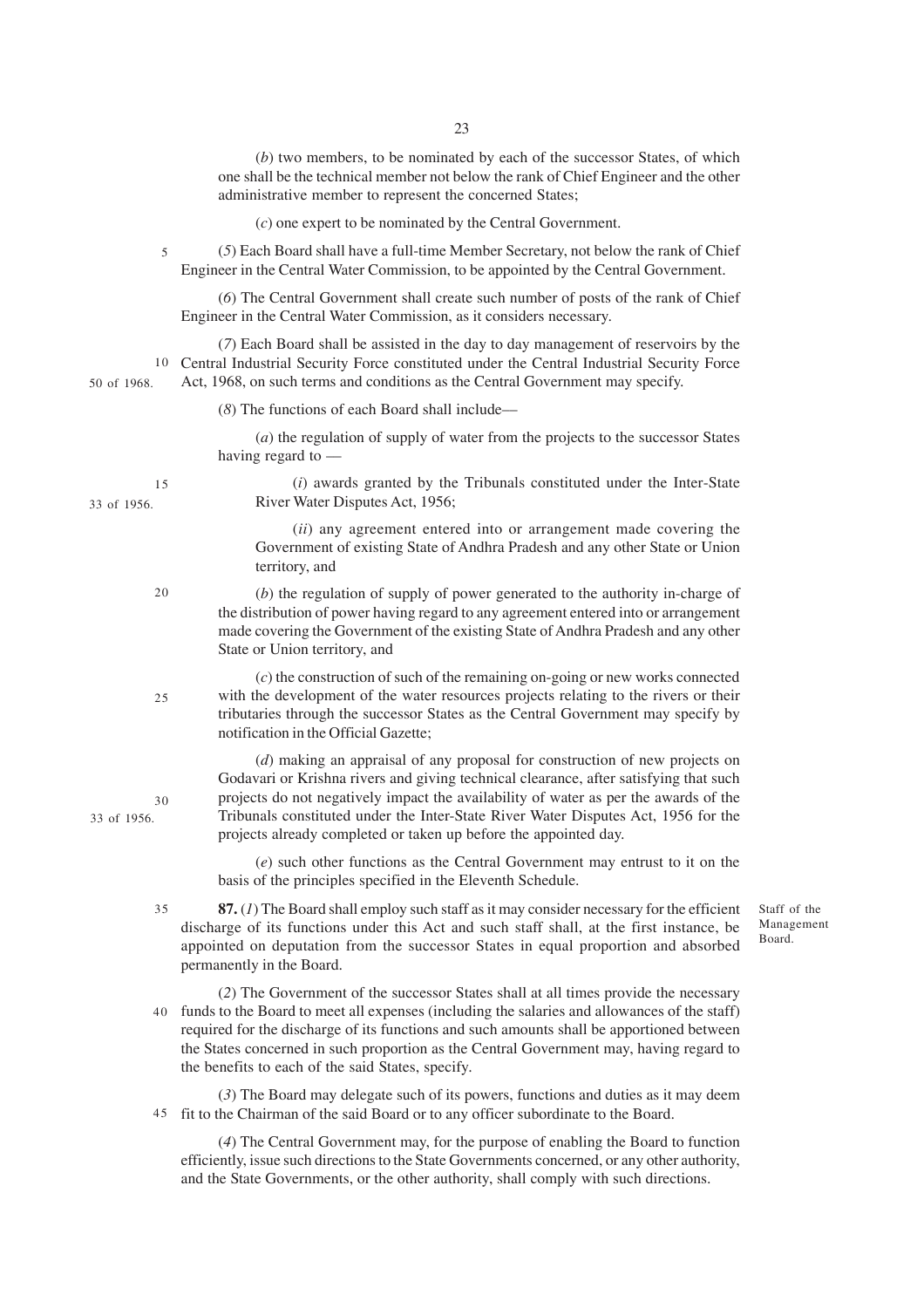(*b*) two members, to be nominated by each of the successor States, of which one shall be the technical member not below the rank of Chief Engineer and the other administrative member to represent the concerned States; (*c*) one expert to be nominated by the Central Government. (*5*) Each Board shall have a full-time Member Secretary, not below the rank of Chief Engineer in the Central Water Commission, to be appointed by the Central Government. (*6*) The Central Government shall create such number of posts of the rank of Chief Engineer in the Central Water Commission, as it considers necessary. (*7*) Each Board shall be assisted in the day to day management of reservoirs by the Central Industrial Security Force constituted under the Central Industrial Security Force 10 Act, 1968, on such terms and conditions as the Central Government may specify. (*8*) The functions of each Board shall include–– (*a*) the regulation of supply of water from the projects to the successor States having regard to — (*i*) awards granted by the Tribunals constituted under the Inter-State River Water Disputes Act, 1956; (*ii*) any agreement entered into or arrangement made covering the Government of existing State of Andhra Pradesh and any other State or Union territory, and (*b*) the regulation of supply of power generated to the authority in-charge of the distribution of power having regard to any agreement entered into or arrangement made covering the Government of the existing State of Andhra Pradesh and any other State or Union territory, and (*c*) the construction of such of the remaining on-going or new works connected with the development of the water resources projects relating to the rivers or their tributaries through the successor States as the Central Government may specify by notification in the Official Gazette; (*d*) making an appraisal of any proposal for construction of new projects on Godavari or Krishna rivers and giving technical clearance, after satisfying that such projects do not negatively impact the availability of water as per the awards of the Tribunals constituted under the Inter-State River Water Disputes Act, 1956 for the projects already completed or taken up before the appointed day. (*e*) such other functions as the Central Government may entrust to it on the basis of the principles specified in the Eleventh Schedule. **87.** (*1*) The Board shall employ such staff as it may consider necessary for the efficient discharge of its functions under this Act and such staff shall, at the first instance, be appointed on deputation from the successor States in equal proportion and absorbed permanently in the Board. (*2*) The Government of the successor States shall at all times provide the necessary funds to the Board to meet all expenses (including the salaries and allowances of the staff) 40 required for the discharge of its functions and such amounts shall be apportioned between the States concerned in such proportion as the Central Government may, having regard to the benefits to each of the said States, specify. 50 of 1968. 33 of 1956. 33 of 1956. Staff of the Management Board. 5 15 20  $25$  $30$ 35

(*3*) The Board may delegate such of its powers, functions and duties as it may deem 45 fit to the Chairman of the said Board or to any officer subordinate to the Board.

(*4*) The Central Government may, for the purpose of enabling the Board to function efficiently, issue such directions to the State Governments concerned, or any other authority, and the State Governments, or the other authority, shall comply with such directions.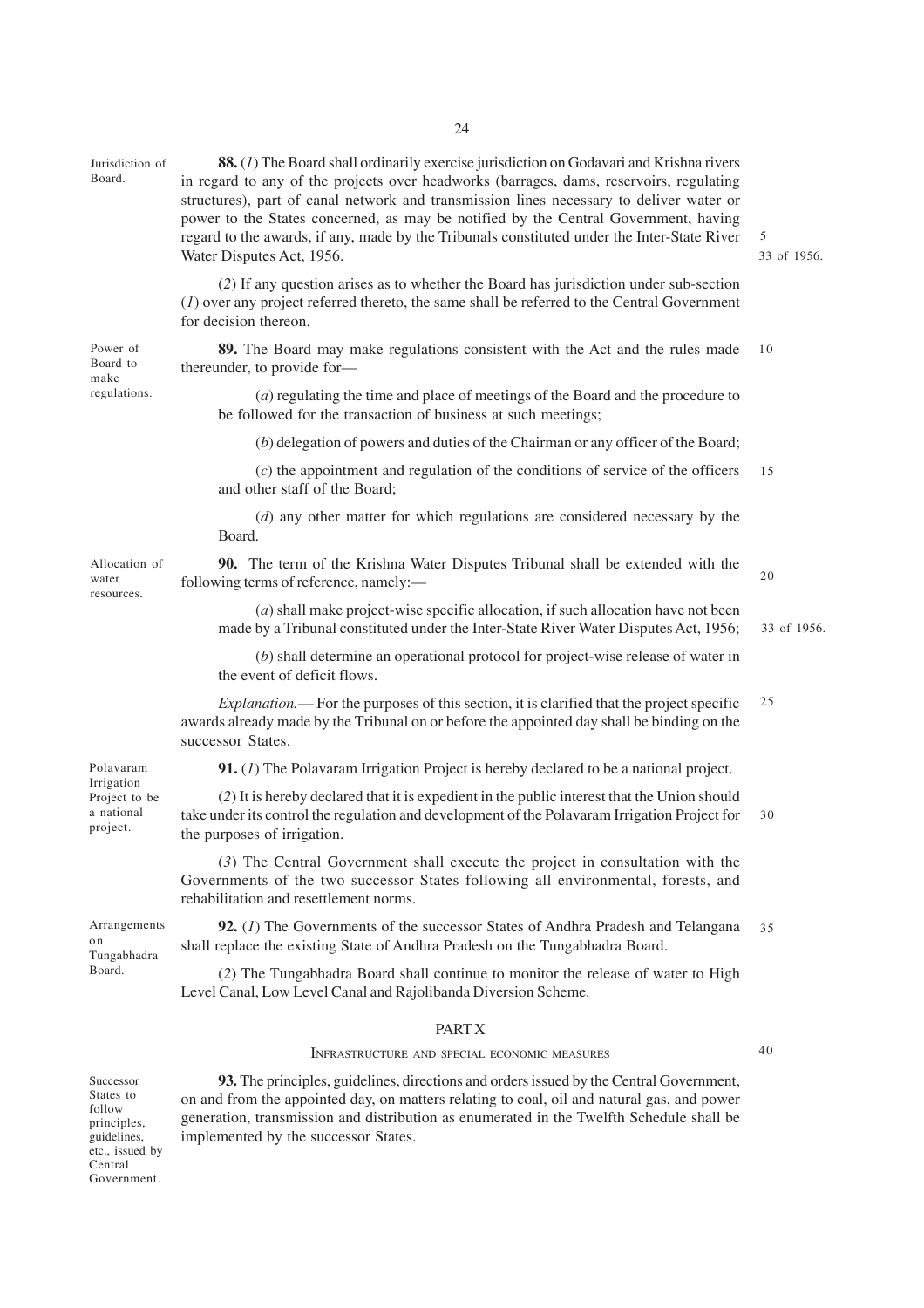| Jurisdiction of<br>Board.                                      | 88. (1) The Board shall ordinarily exercise jurisdiction on Godavari and Krishna rivers<br>in regard to any of the projects over headworks (barrages, dams, reservoirs, regulating<br>structures), part of canal network and transmission lines necessary to deliver water or<br>power to the States concerned, as may be notified by the Central Government, having<br>regard to the awards, if any, made by the Tribunals constituted under the Inter-State River<br>Water Disputes Act, 1956. | 5<br>33 of 1956. |
|----------------------------------------------------------------|--------------------------------------------------------------------------------------------------------------------------------------------------------------------------------------------------------------------------------------------------------------------------------------------------------------------------------------------------------------------------------------------------------------------------------------------------------------------------------------------------|------------------|
|                                                                | (2) If any question arises as to whether the Board has jurisdiction under sub-section<br>(1) over any project referred thereto, the same shall be referred to the Central Government<br>for decision thereon.                                                                                                                                                                                                                                                                                    |                  |
| Power of<br>Board to<br>make<br>regulations.                   | 89. The Board may make regulations consistent with the Act and the rules made<br>thereunder, to provide for-                                                                                                                                                                                                                                                                                                                                                                                     | 10               |
|                                                                | (a) regulating the time and place of meetings of the Board and the procedure to<br>be followed for the transaction of business at such meetings;                                                                                                                                                                                                                                                                                                                                                 |                  |
|                                                                | (b) delegation of powers and duties of the Chairman or any officer of the Board;                                                                                                                                                                                                                                                                                                                                                                                                                 |                  |
|                                                                | $(c)$ the appointment and regulation of the conditions of service of the officers<br>and other staff of the Board;                                                                                                                                                                                                                                                                                                                                                                               | 15               |
|                                                                | $(d)$ any other matter for which regulations are considered necessary by the<br>Board.                                                                                                                                                                                                                                                                                                                                                                                                           |                  |
| Allocation of<br>water<br>resources.                           | 90. The term of the Krishna Water Disputes Tribunal shall be extended with the<br>following terms of reference, namely:—                                                                                                                                                                                                                                                                                                                                                                         | 20               |
|                                                                | $(a)$ shall make project-wise specific allocation, if such allocation have not been<br>made by a Tribunal constituted under the Inter-State River Water Disputes Act, 1956;                                                                                                                                                                                                                                                                                                                      | 33 of 1956.      |
|                                                                | $(b)$ shall determine an operational protocol for project-wise release of water in<br>the event of deficit flows.                                                                                                                                                                                                                                                                                                                                                                                |                  |
|                                                                | <i>Explanation</i> .— For the purposes of this section, it is clarified that the project specific<br>awards already made by the Tribunal on or before the appointed day shall be binding on the<br>successor States.                                                                                                                                                                                                                                                                             | 25               |
| Polavaram                                                      | <b>91.</b> (1) The Polavaram Irrigation Project is hereby declared to be a national project.                                                                                                                                                                                                                                                                                                                                                                                                     |                  |
| Irrigation<br>Project to be<br>a national<br>project.          | (2) It is hereby declared that it is expedient in the public interest that the Union should<br>take under its control the regulation and development of the Polavaram Irrigation Project for<br>the purposes of irrigation.                                                                                                                                                                                                                                                                      | 30               |
|                                                                | (3) The Central Government shall execute the project in consultation with the<br>Governments of the two successor States following all environmental, forests, and<br>rehabilitation and resettlement norms.                                                                                                                                                                                                                                                                                     |                  |
| Arrangements<br>on<br>Tungabhadra<br>Board.                    | 92. (1) The Governments of the successor States of Andhra Pradesh and Telangana<br>shall replace the existing State of Andhra Pradesh on the Tungabhadra Board.                                                                                                                                                                                                                                                                                                                                  | 35               |
|                                                                | (2) The Tungabhadra Board shall continue to monitor the release of water to High<br>Level Canal, Low Level Canal and Rajolibanda Diversion Scheme.                                                                                                                                                                                                                                                                                                                                               |                  |
|                                                                | <b>PARTX</b>                                                                                                                                                                                                                                                                                                                                                                                                                                                                                     |                  |
|                                                                | INFRASTRUCTURE AND SPECIAL ECONOMIC MEASURES                                                                                                                                                                                                                                                                                                                                                                                                                                                     | 40               |
| Successor<br>States to<br>follow<br>principles,<br>guidelines, | 93. The principles, guidelines, directions and orders issued by the Central Government,<br>on and from the appointed day, on matters relating to coal, oil and natural gas, and power<br>generation, transmission and distribution as enumerated in the Twelfth Schedule shall be<br>implemented by the successor States.                                                                                                                                                                        |                  |

etc., issued by Central Government.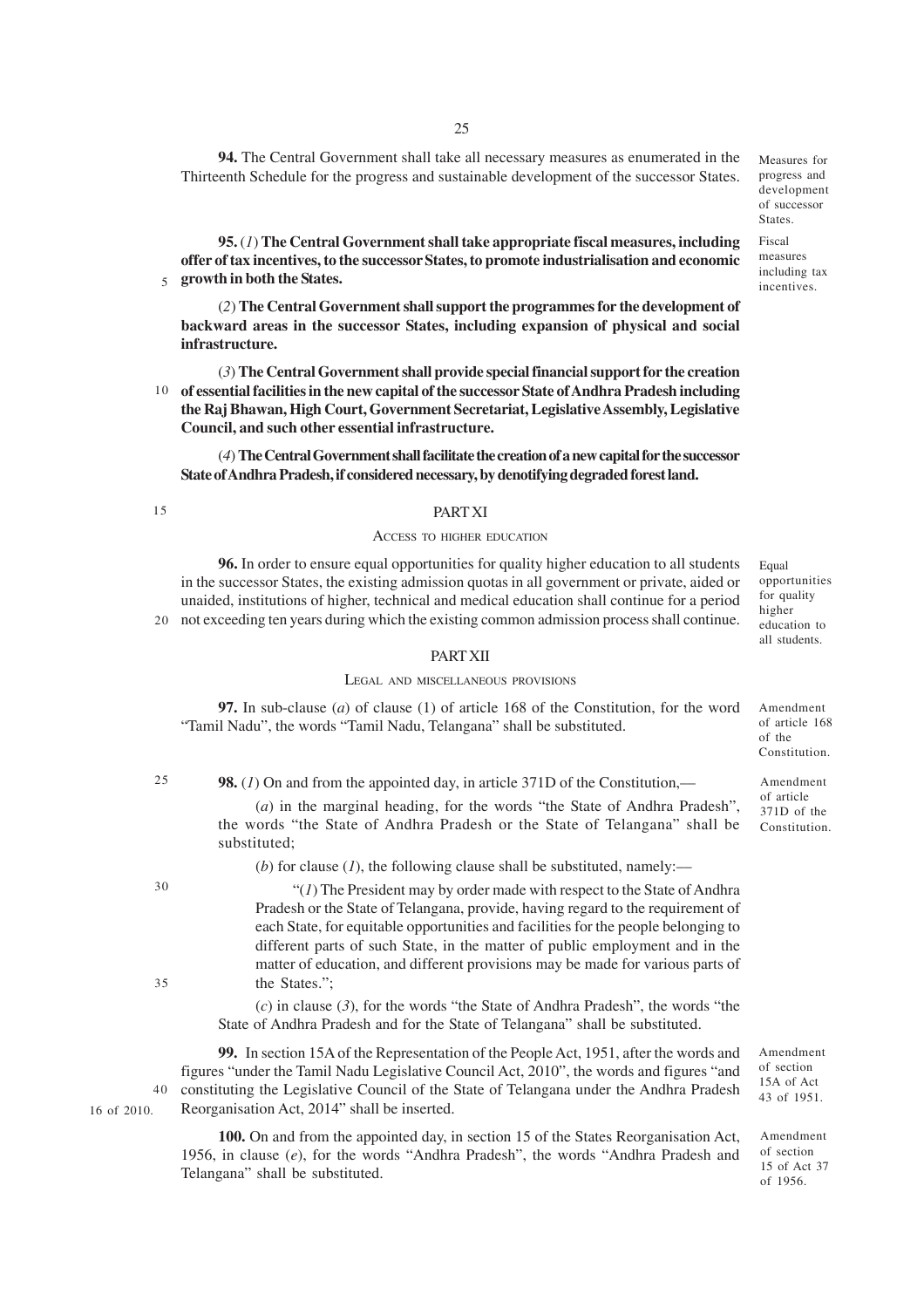**94.** The Central Government shall take all necessary measures as enumerated in the Thirteenth Schedule for the progress and sustainable development of the successor States.

**95.** (*1*) **The Central Government shall take appropriate fiscal measures, including offer of tax incentives, to the successor States, to promote industrialisation and economic growth in both the States.** 5

(*2*) **The Central Government shall support the programmes for the development of backward areas in the successor States, including expansion of physical and social infrastructure.**

(*3*) **The Central Government shall provide special financial support for the creation of essential facilities in the new capital of the successor State of Andhra Pradesh including** 10 **the Raj Bhawan, High Court, Government Secretariat, Legislative Assembly, Legislative Council, and such other essential infrastructure.**

(*4*) **The Central Government shall facilitate the creation of a new capital for the successor State of Andhra Pradesh, if considered necessary, by denotifying degraded forest land.**

#### PART XI

#### ACCESS TO HIGHER EDUCATION

**96.** In order to ensure equal opportunities for quality higher education to all students in the successor States, the existing admission quotas in all government or private, aided or unaided, institutions of higher, technical and medical education shall continue for a period not exceeding ten years during which the existing common admission process shall continue. 20

#### PART XII

#### LEGAL AND MISCELLANEOUS PROVISIONS

**97.** In sub-clause (*a*) of clause (1) of article 168 of the Constitution, for the word "Tamil Nadu", the words "Tamil Nadu, Telangana" shall be substituted.

25

15

**98.** (*1*) On and from the appointed day, in article 371D of the Constitution,––

(*a*) in the marginal heading, for the words "the State of Andhra Pradesh", the words "the State of Andhra Pradesh or the State of Telangana" shall be substituted;

(*b*) for clause (*l*), the following clause shall be substituted, namely:—

"(*1*) The President may by order made with respect to the State of Andhra Pradesh or the State of Telangana, provide, having regard to the requirement of each State, for equitable opportunities and facilities for the people belonging to different parts of such State, in the matter of public employment and in the matter of education, and different provisions may be made for various parts of the States.";

(*c*) in clause (*3*), for the words "the State of Andhra Pradesh", the words "the State of Andhra Pradesh and for the State of Telangana" shall be substituted.

**99.** In section 15A of the Representation of the People Act, 1951, after the words and figures "under the Tamil Nadu Legislative Council Act, 2010", the words and figures "and constituting the Legislative Council of the State of Telangana under the Andhra Pradesh Reorganisation Act, 2014" shall be inserted.

**100.** On and from the appointed day, in section 15 of the States Reorganisation Act, 1956, in clause (*e*), for the words "Andhra Pradesh", the words "Andhra Pradesh and Telangana" shall be substituted.

Measures for progress and development of successor **States**.

Fiscal measures including tax incentives.

Equal opportunities for quality higher education to all students.

Amendment of article 168 of the Constitution.

Amendment of article 371D of the Constitution.

Amendment of section 15A of Act 43 of 1951.

Amendment of section 15 of Act 37 of 1956.

30

35

40

16 of 2010.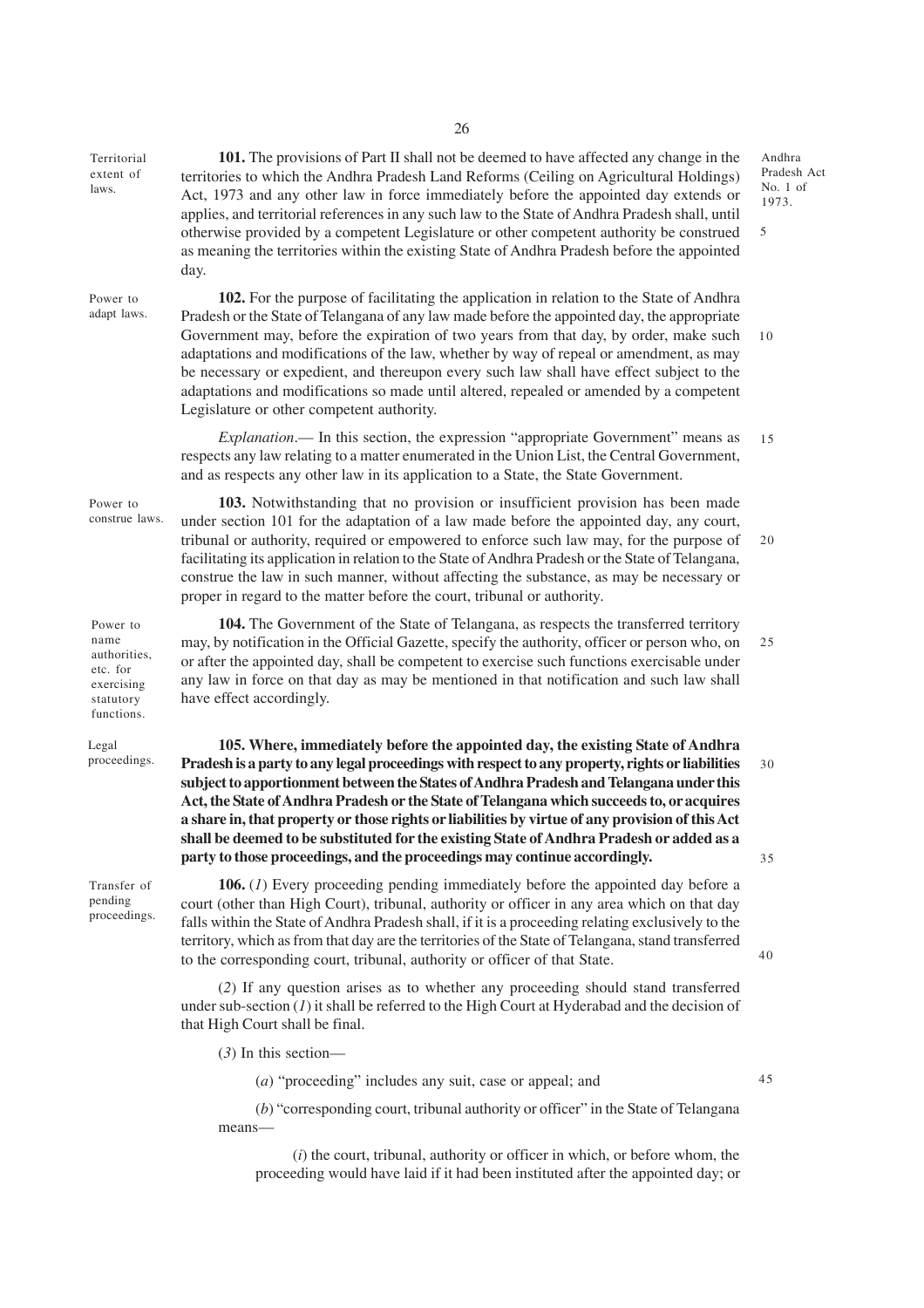| Territorial<br>extent of<br>laws.                                                     | <b>101.</b> The provisions of Part II shall not be deemed to have affected any change in the<br>territories to which the Andhra Pradesh Land Reforms (Ceiling on Agricultural Holdings)<br>Act, 1973 and any other law in force immediately before the appointed day extends or<br>applies, and territorial references in any such law to the State of Andhra Pradesh shall, until<br>otherwise provided by a competent Legislature or other competent authority be construed<br>as meaning the territories within the existing State of Andhra Pradesh before the appointed<br>day.                                                                 | Andhra<br>Pradesh Act<br>No. $1$ of<br>1973.<br>5 |
|---------------------------------------------------------------------------------------|------------------------------------------------------------------------------------------------------------------------------------------------------------------------------------------------------------------------------------------------------------------------------------------------------------------------------------------------------------------------------------------------------------------------------------------------------------------------------------------------------------------------------------------------------------------------------------------------------------------------------------------------------|---------------------------------------------------|
| Power to<br>adapt laws.                                                               | 102. For the purpose of facilitating the application in relation to the State of Andhra<br>Pradesh or the State of Telangana of any law made before the appointed day, the appropriate<br>Government may, before the expiration of two years from that day, by order, make such<br>adaptations and modifications of the law, whether by way of repeal or amendment, as may<br>be necessary or expedient, and thereupon every such law shall have effect subject to the<br>adaptations and modifications so made until altered, repealed or amended by a competent<br>Legislature or other competent authority.                                       | 10                                                |
|                                                                                       | <i>Explanation</i> .— In this section, the expression "appropriate Government" means as<br>respects any law relating to a matter enumerated in the Union List, the Central Government,<br>and as respects any other law in its application to a State, the State Government.                                                                                                                                                                                                                                                                                                                                                                         | 15                                                |
| Power to<br>construe laws.                                                            | 103. Notwithstanding that no provision or insufficient provision has been made<br>under section 101 for the adaptation of a law made before the appointed day, any court,<br>tribunal or authority, required or empowered to enforce such law may, for the purpose of<br>facilitating its application in relation to the State of Andhra Pradesh or the State of Telangana,<br>construe the law in such manner, without affecting the substance, as may be necessary or<br>proper in regard to the matter before the court, tribunal or authority.                                                                                                   | 20                                                |
| Power to<br>name<br>authorities,<br>etc. for<br>exercising<br>statutory<br>functions. | 104. The Government of the State of Telangana, as respects the transferred territory<br>may, by notification in the Official Gazette, specify the authority, officer or person who, on<br>or after the appointed day, shall be competent to exercise such functions exercisable under<br>any law in force on that day as may be mentioned in that notification and such law shall<br>have effect accordingly.                                                                                                                                                                                                                                        | 25                                                |
| Legal<br>proceedings.                                                                 | 105. Where, immediately before the appointed day, the existing State of Andhra<br>Pradesh is a party to any legal proceedings with respect to any property, rights or liabilities<br>subject to apportionment between the States of Andhra Pradesh and Telangana under this<br>Act, the State of Andhra Pradesh or the State of Telangana which succeeds to, or acquires<br>a share in, that property or those rights or liabilities by virtue of any provision of this Act<br>shall be deemed to be substituted for the existing State of Andhra Pradesh or added as a<br>party to those proceedings, and the proceedings may continue accordingly. | 30<br>35                                          |
| Transfer of<br>pending<br>proceedings.                                                | 106. $(I)$ Every proceeding pending immediately before the appointed day before a<br>court (other than High Court), tribunal, authority or officer in any area which on that day<br>falls within the State of Andhra Pradesh shall, if it is a proceeding relating exclusively to the<br>territory, which as from that day are the territories of the State of Telangana, stand transferred<br>to the corresponding court, tribunal, authority or officer of that State.                                                                                                                                                                             | 40                                                |
|                                                                                       | (2) If any question arises as to whether any proceeding should stand transferred<br>under sub-section $(l)$ it shall be referred to the High Court at Hyderabad and the decision of<br>that High Court shall be final.                                                                                                                                                                                                                                                                                                                                                                                                                               |                                                   |
|                                                                                       | $(3)$ In this section-                                                                                                                                                                                                                                                                                                                                                                                                                                                                                                                                                                                                                               |                                                   |

(*a*) "proceeding" includes any suit, case or appeal; and

45

(*b*) "corresponding court, tribunal authority or officer" in the State of Telangana means––

(*i*) the court, tribunal, authority or officer in which, or before whom, the proceeding would have laid if it had been instituted after the appointed day; or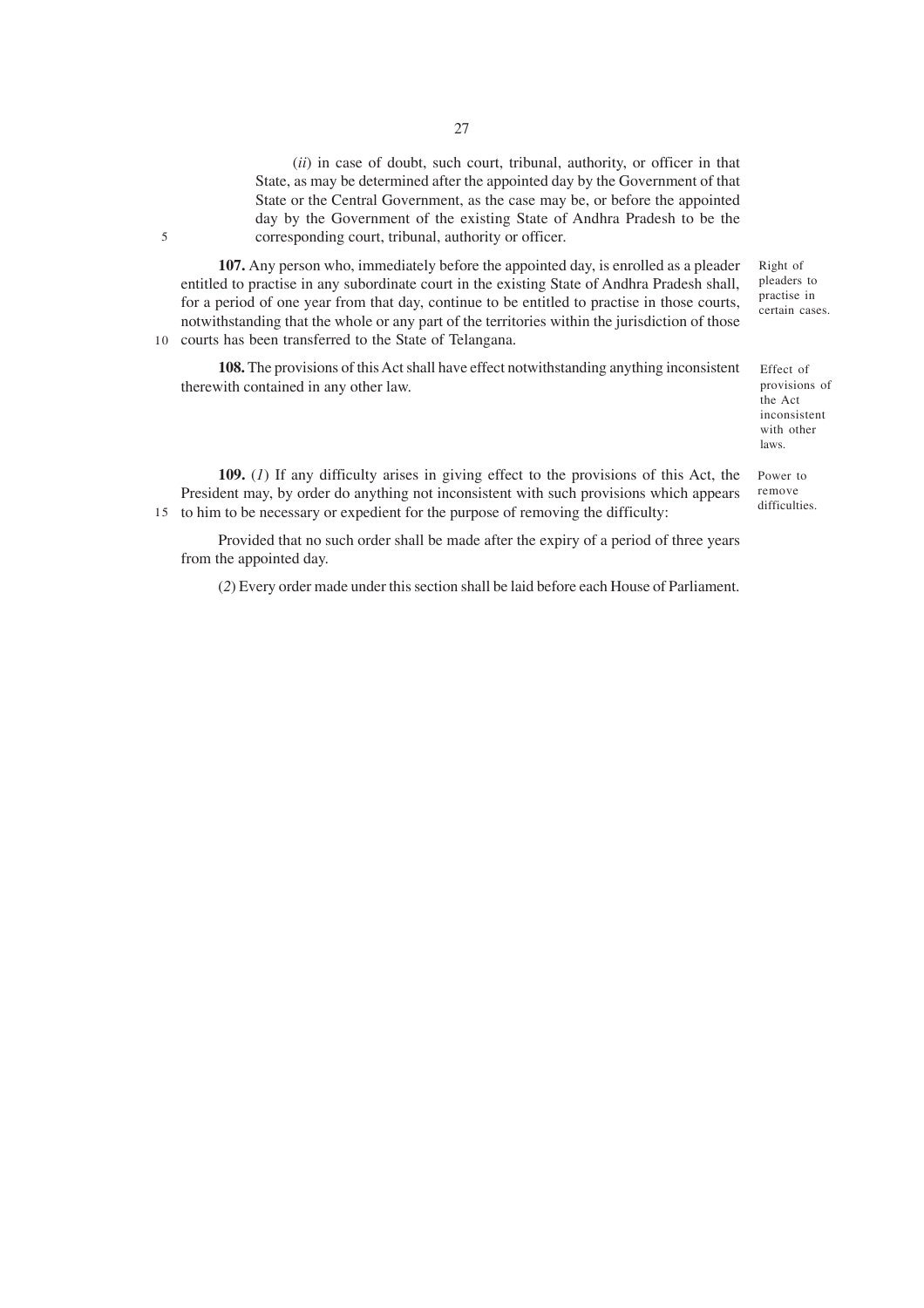(*ii*) in case of doubt, such court, tribunal, authority, or officer in that State, as may be determined after the appointed day by the Government of that State or the Central Government, as the case may be, or before the appointed day by the Government of the existing State of Andhra Pradesh to be the corresponding court, tribunal, authority or officer.

**107.** Any person who, immediately before the appointed day, is enrolled as a pleader entitled to practise in any subordinate court in the existing State of Andhra Pradesh shall, for a period of one year from that day, continue to be entitled to practise in those courts, notwithstanding that the whole or any part of the territories within the jurisdiction of those 10 courts has been transferred to the State of Telangana.

**108.** The provisions of this Act shall have effect notwithstanding anything inconsistent therewith contained in any other law.

Effect of provisions of the Act inconsistent with other laws.

Right of pleaders to practise in certain cases.

Power to remove difficulties.

**109.** (*1*) If any difficulty arises in giving effect to the provisions of this Act, the President may, by order do anything not inconsistent with such provisions which appears 15 to him to be necessary or expedient for the purpose of removing the difficulty:

Provided that no such order shall be made after the expiry of a period of three years from the appointed day.

(*2*) Every order made under this section shall be laid before each House of Parliament.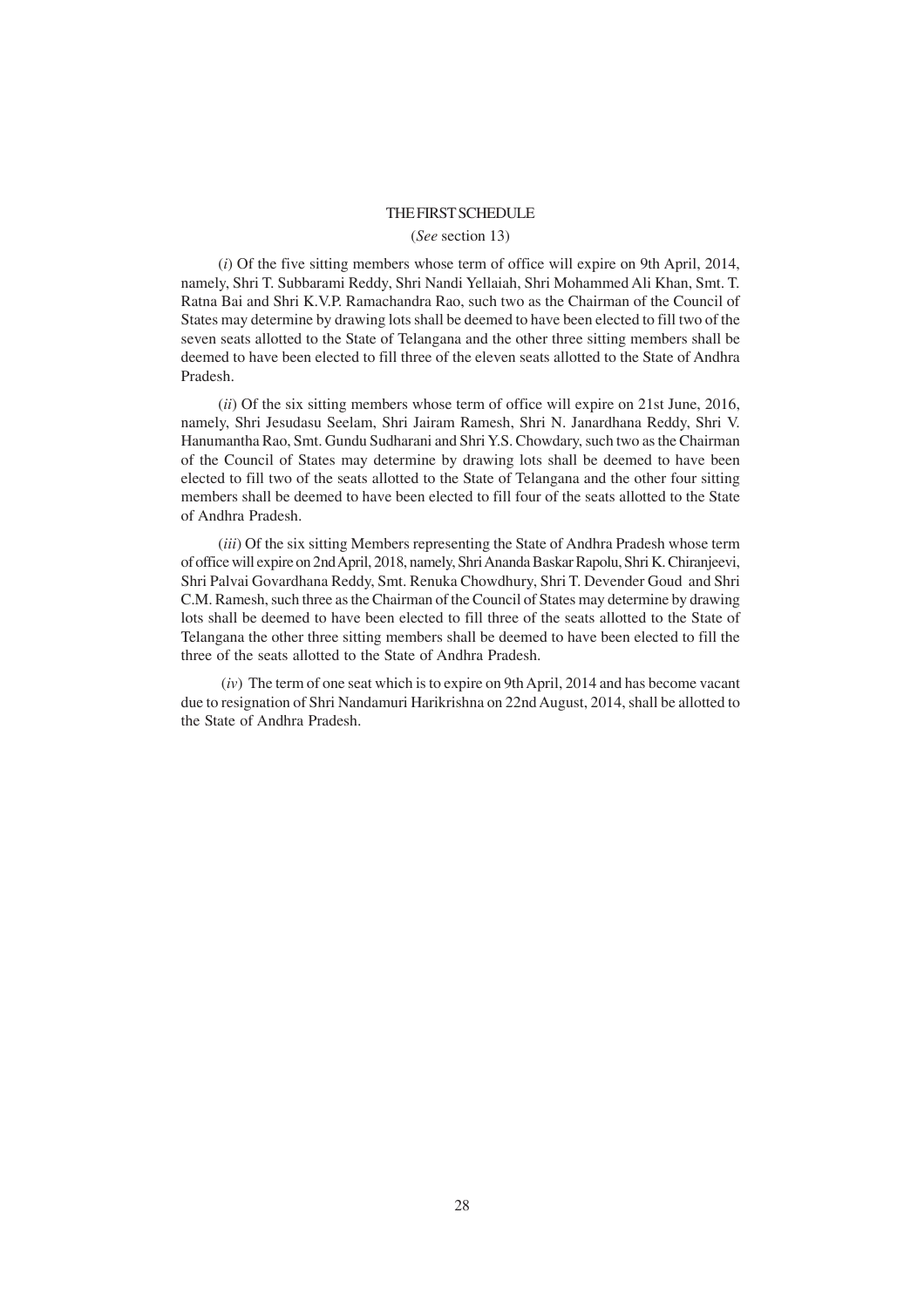## THE FIRST SCHEDULE

## (*See* section 13)

(*i*) Of the five sitting members whose term of office will expire on 9th April, 2014, namely, Shri T. Subbarami Reddy, Shri Nandi Yellaiah, Shri Mohammed Ali Khan, Smt. T. Ratna Bai and Shri K.V.P. Ramachandra Rao, such two as the Chairman of the Council of States may determine by drawing lots shall be deemed to have been elected to fill two of the seven seats allotted to the State of Telangana and the other three sitting members shall be deemed to have been elected to fill three of the eleven seats allotted to the State of Andhra Pradesh.

(*ii*) Of the six sitting members whose term of office will expire on 21st June, 2016, namely, Shri Jesudasu Seelam, Shri Jairam Ramesh, Shri N. Janardhana Reddy, Shri V. Hanumantha Rao, Smt. Gundu Sudharani and Shri Y.S. Chowdary, such two as the Chairman of the Council of States may determine by drawing lots shall be deemed to have been elected to fill two of the seats allotted to the State of Telangana and the other four sitting members shall be deemed to have been elected to fill four of the seats allotted to the State of Andhra Pradesh.

(*iii*) Of the six sitting Members representing the State of Andhra Pradesh whose term of office will expire on 2nd April, 2018, namely, Shri Ananda Baskar Rapolu, Shri K. Chiranjeevi, Shri Palvai Govardhana Reddy, Smt. Renuka Chowdhury, Shri T. Devender Goud and Shri C.M. Ramesh, such three as the Chairman of the Council of States may determine by drawing lots shall be deemed to have been elected to fill three of the seats allotted to the State of Telangana the other three sitting members shall be deemed to have been elected to fill the three of the seats allotted to the State of Andhra Pradesh.

 (*iv*) The term of one seat which is to expire on 9th April, 2014 and has become vacant due to resignation of Shri Nandamuri Harikrishna on 22nd August, 2014, shall be allotted to the State of Andhra Pradesh.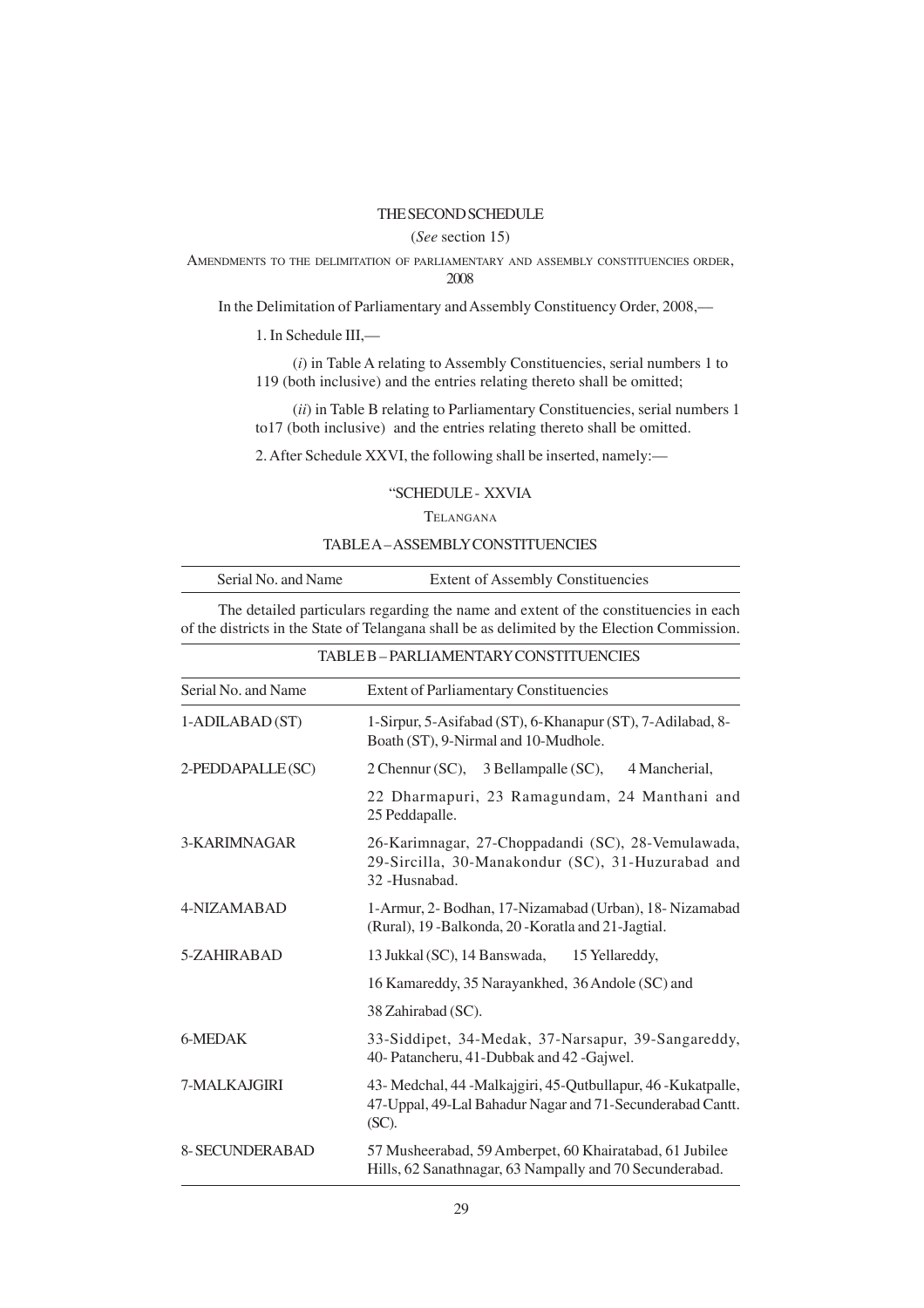## THE SECOND SCHEDULE

(*See* section 15)

AMENDMENTS TO THE DELIMITATION OF PARLIAMENTARY AND ASSEMBLY CONSTITUENCIES ORDER, 2008

In the Delimitation of Parliamentary and Assembly Constituency Order, 2008,––

1. In Schedule III,—

(*i*) in Table A relating to Assembly Constituencies, serial numbers 1 to 119 (both inclusive) and the entries relating thereto shall be omitted;

(*ii*) in Table B relating to Parliamentary Constituencies, serial numbers 1 to17 (both inclusive) and the entries relating thereto shall be omitted.

2. After Schedule XXVI, the following shall be inserted, namely:—

## "SCHEDULE - XXVIA

### TELANGANA

### TABLE A – ASSEMBLY CONSTITUENCIES

| Serial No. and Name | <b>Extent of Assembly Constituencies</b>                                                     |
|---------------------|----------------------------------------------------------------------------------------------|
|                     | The detailed particulars regarding the name and extent of the constituencies in each         |
|                     | of the districts in the State of Telangana shall be as delimited by the Election Commission. |

# TABLE B – PARLIAMENTARY CONSTITUENCIES Serial No. and Name Extent of Parliamentary Constituencies 1-ADILABAD (ST) 1-Sirpur, 5-Asifabad (ST), 6-Khanapur (ST), 7-Adilabad, 8- Boath (ST), 9-Nirmal and 10-Mudhole. 2-PEDDAPALLE (SC) 2 Chennur (SC), 3 Bellampalle (SC), 4 Mancherial, 22 Dharmapuri, 23 Ramagundam, 24 Manthani and 25 Peddapalle. 3-KARIMNAGAR 26-Karimnagar, 27-Choppadandi (SC), 28-Vemulawada, 29-Sircilla, 30-Manakondur (SC), 31-Huzurabad and 32 -Husnabad. 4-NIZAMABAD 1-Armur, 2- Bodhan, 17-Nizamabad (Urban), 18- Nizamabad (Rural), 19 -Balkonda, 20 -Koratla and 21-Jagtial. 5-ZAHIRABAD 13 Jukkal (SC), 14 Banswada, 15 Yellareddy, 16 Kamareddy, 35 Narayankhed, 36 Andole (SC) and 38 Zahirabad (SC). 6-MEDAK 33-Siddipet, 34-Medak, 37-Narsapur, 39-Sangareddy, 40- Patancheru, 41-Dubbak and 42 -Gajwel. 7-MALKAJGIRI 43- Medchal, 44 -Malkajgiri, 45-Qutbullapur, 46 -Kukatpalle, 47-Uppal, 49-Lal Bahadur Nagar and 71-Secunderabad Cantt. (SC). 8- SECUNDERABAD 57 Musheerabad, 59 Amberpet, 60 Khairatabad, 61 Jubilee Hills, 62 Sanathnagar, 63 Nampally and 70 Secunderabad.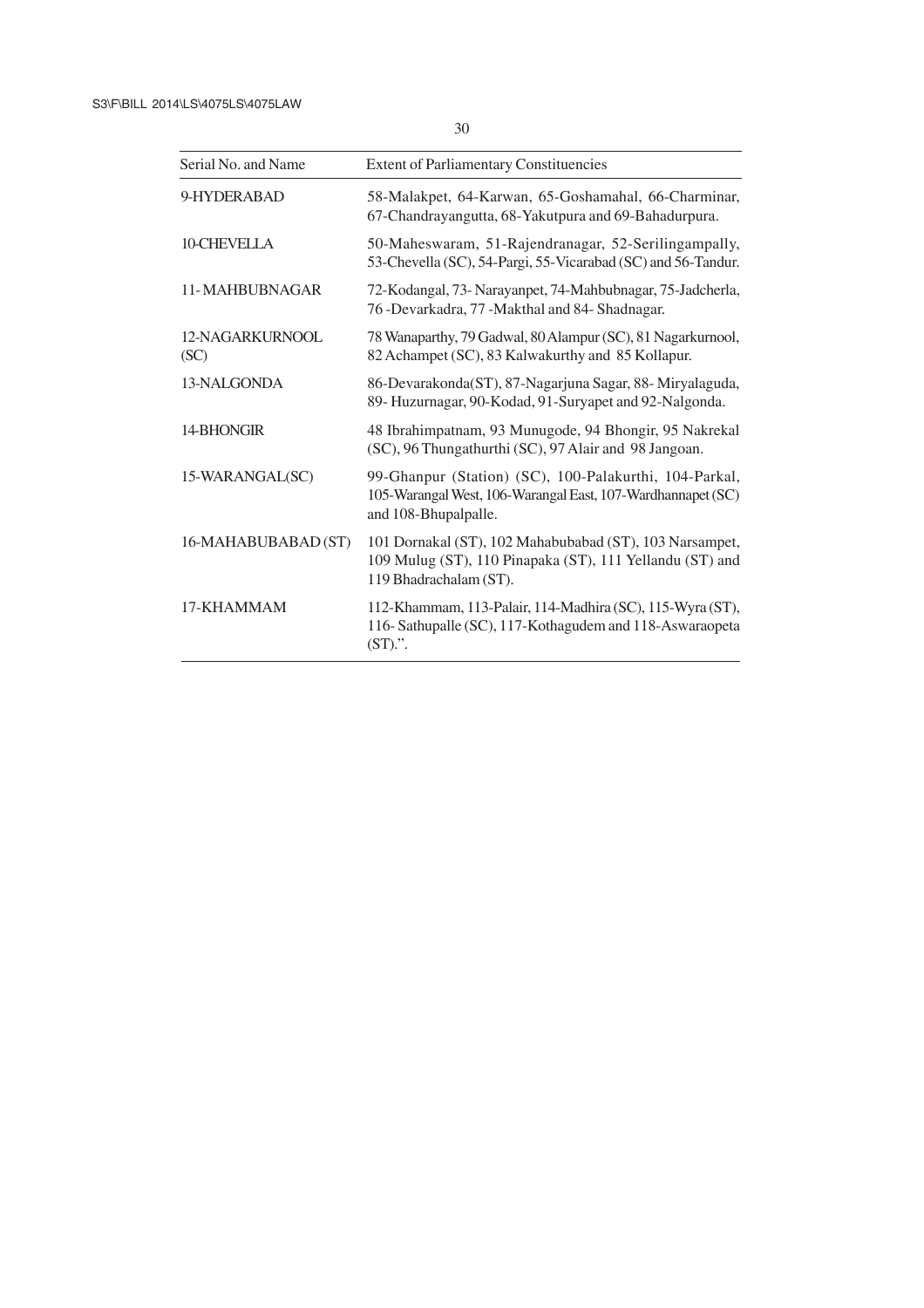| Serial No. and Name    | <b>Extent of Parliamentary Constituencies</b>                                                                                                 |
|------------------------|-----------------------------------------------------------------------------------------------------------------------------------------------|
| 9-HYDERABAD            | 58-Malakpet, 64-Karwan, 65-Goshamahal, 66-Charminar,<br>67-Chandrayangutta, 68-Yakutpura and 69-Bahadurpura.                                  |
| 10-CHEVELLA            | 50-Maheswaram, 51-Rajendranagar, 52-Serilingampally,<br>53-Chevella (SC), 54-Pargi, 55-Vicarabad (SC) and 56-Tandur.                          |
| <b>11-MAHBUBNAGAR</b>  | 72-Kodangal, 73-Narayanpet, 74-Mahbubnagar, 75-Jadcherla,<br>76 - Devarkadra, 77 - Makthal and 84 - Shadnagar.                                |
| 12-NAGARKURNOOL<br>SC) | 78 Wanaparthy, 79 Gadwal, 80 Alampur (SC), 81 Nagarkurnool,<br>82 Achampet (SC), 83 Kalwakurthy and 85 Kollapur.                              |
| 13-NALGONDA            | 86-Devarakonda(ST), 87-Nagarjuna Sagar, 88- Miryalaguda,<br>89-Huzurnagar, 90-Kodad, 91-Suryapet and 92-Nalgonda.                             |
| 14-BHONGIR             | 48 Ibrahimpatnam, 93 Munugode, 94 Bhongir, 95 Nakrekal<br>(SC), 96 Thungathurthi (SC), 97 Alair and 98 Jangoan.                               |
| 15-WARANGAL(SC)        | 99-Ghanpur (Station) (SC), 100-Palakurthi, 104-Parkal,<br>105-Warangal West, 106-Warangal East, 107-Wardhannapet (SC)<br>and 108-Bhupalpalle. |
| 16-MAHABUBABAD (ST)    | 101 Dornakal (ST), 102 Mahabubabad (ST), 103 Narsampet,<br>109 Mulug (ST), 110 Pinapaka (ST), 111 Yellandu (ST) and<br>119 Bhadrachalam (ST). |
| 17-KHAMMAM             | 112-Khammam, 113-Palair, 114-Madhira (SC), 115-Wyra (ST),<br>116-Sathupalle (SC), 117-Kothagudem and 118-Aswaraopeta<br>$(ST)$ .".            |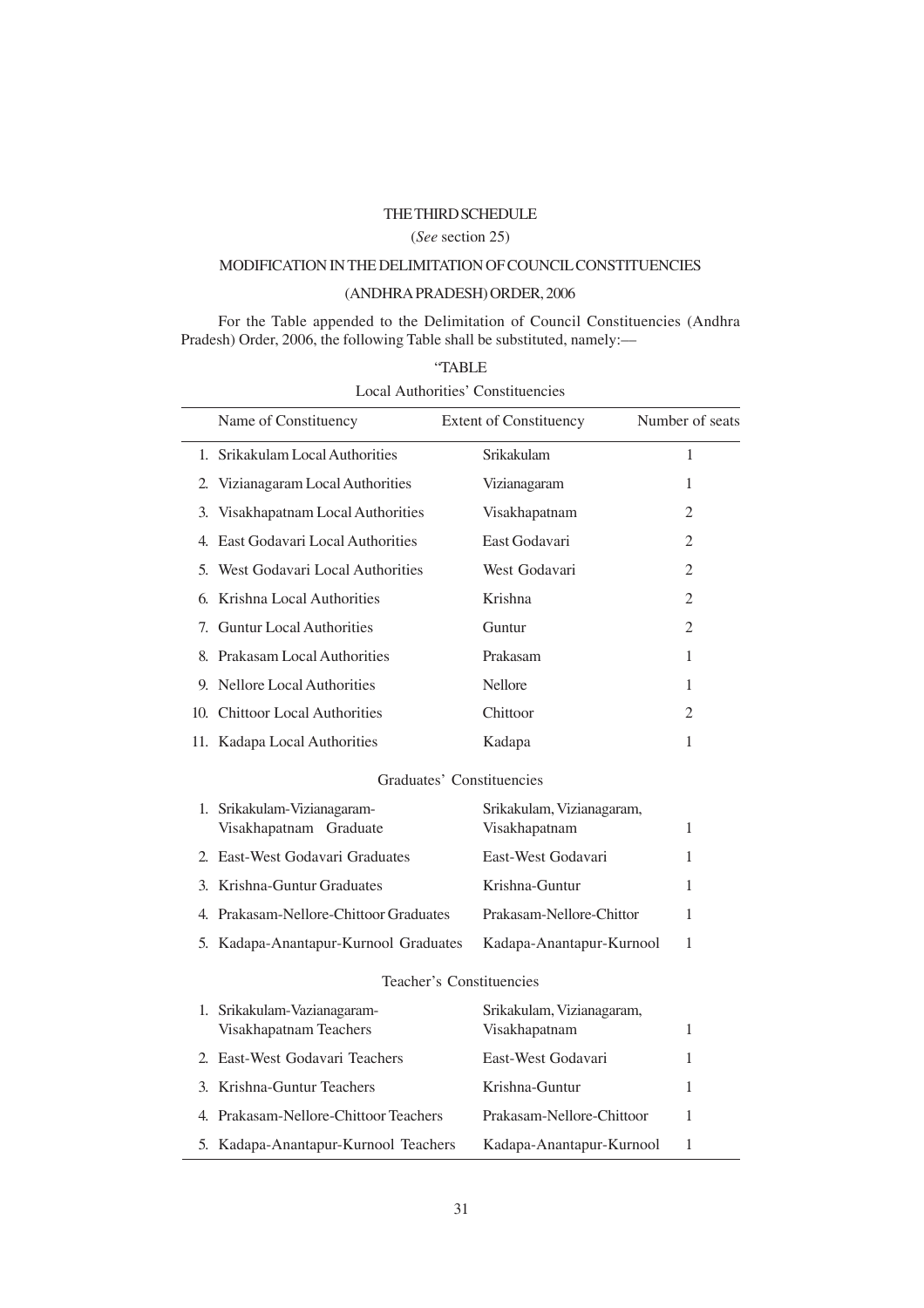## THE THIRD SCHEDULE

# (*See* section 25)

# MODIFICATION IN THE DELIMITATION OF COUNCIL CONSTITUENCIES

# (ANDHRA PRADESH) ORDER, 2006

For the Table appended to the Delimitation of Council Constituencies (Andhra Pradesh) Order, 2006, the following Table shall be substituted, namely:—

| Name of Constituency                                  | <b>Extent of Constituency</b>              | Number of seats |
|-------------------------------------------------------|--------------------------------------------|-----------------|
| 1. Srikakulam Local Authorities                       | Srikakulam                                 | 1               |
| 2. Vizianagaram Local Authorities                     | Vizianagaram                               | 1               |
| 3. Visakhapatnam Local Authorities                    | Visakhapatnam                              | 2               |
| 4. East Godavari Local Authorities                    | East Godavari                              | 2               |
| 5. West Godavari Local Authorities                    | West Godavari                              | $\overline{c}$  |
| 6. Krishna Local Authorities                          | Krishna                                    | 2               |
| 7. Guntur Local Authorities                           | Guntur                                     | 2               |
| 8. Prakasam Local Authorities                         | Prakasam                                   | 1               |
| 9. Nellore Local Authorities                          | <b>Nellore</b>                             | 1               |
| 10. Chittoor Local Authorities                        | Chittoor                                   | $\mathfrak{2}$  |
| 11. Kadapa Local Authorities                          | Kadapa                                     | 1               |
|                                                       | Graduates' Constituencies                  |                 |
| 1. Srikakulam-Vizianagaram-<br>Visakhapatnam Graduate | Srikakulam, Vizianagaram,<br>Visakhapatnam | 1               |
| 2. East-West Godavari Graduates                       | East-West Godavari                         | 1               |
| 3. Krishna-Guntur Graduates                           | Krishna-Guntur                             | 1               |
| 4. Prakasam-Nellore-Chittoor Graduates                | Prakasam-Nellore-Chittor                   | 1               |
| 5. Kadapa-Anantapur-Kurnool Graduates                 | Kadapa-Anantapur-Kurnool                   | 1               |
|                                                       | Teacher's Constituencies                   |                 |
| 1. Srikakulam-Vazianagaram-<br>Visakhapatnam Teachers | Srikakulam, Vizianagaram,<br>Visakhapatnam | 1               |
| 2. East-West Godavari Teachers                        | East-West Godavari                         | 1               |
| 3. Krishna-Guntur Teachers                            | Krishna-Guntur                             | 1               |
| 4. Prakasam-Nellore-Chittoor Teachers                 | Prakasam-Nellore-Chittoor                  | 1               |
| 5. Kadapa-Anantapur-Kurnool Teachers                  | Kadapa-Anantapur-Kurnool                   | 1               |

| "TABLE                            |
|-----------------------------------|
| Local Authorities' Constituencies |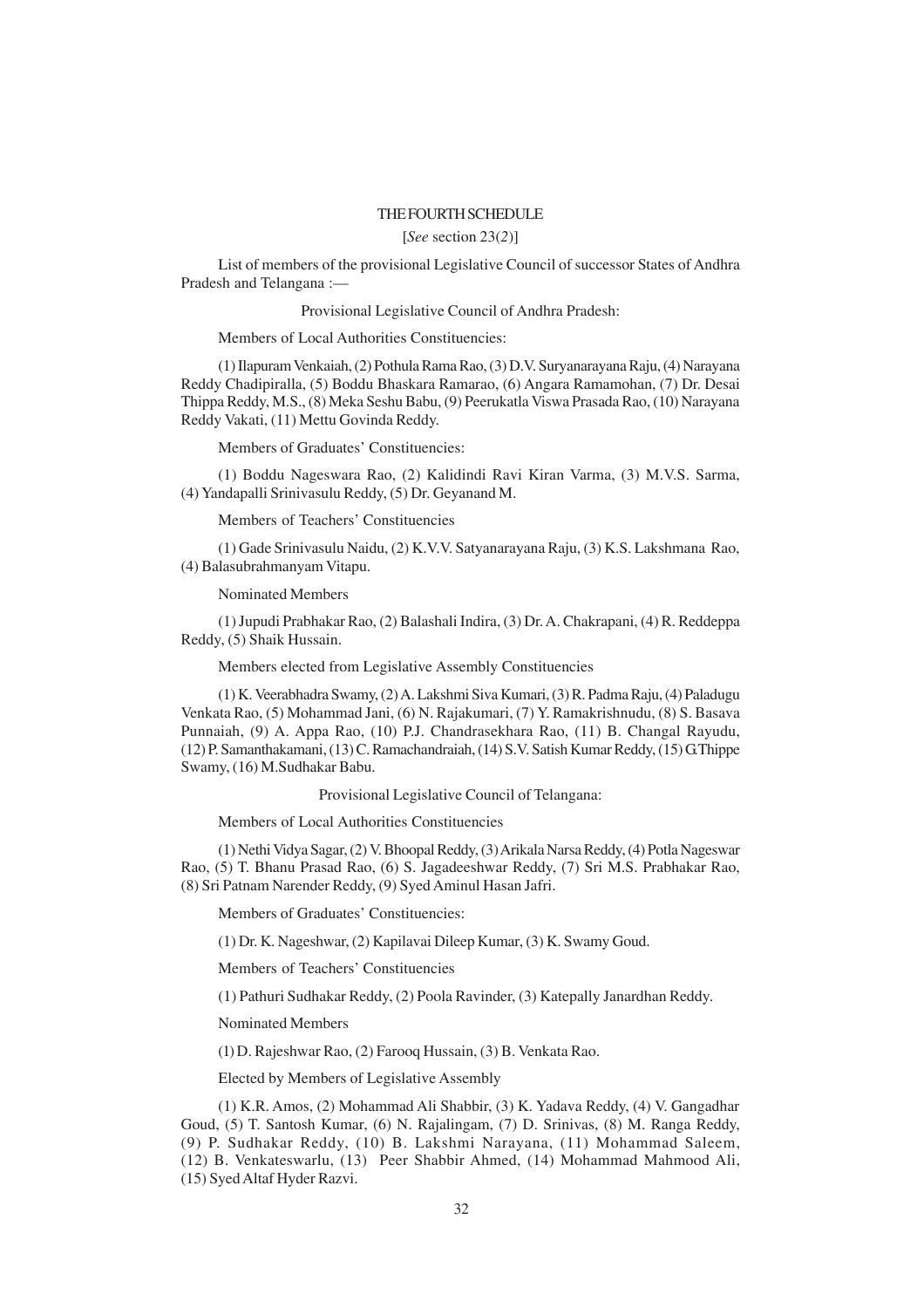## THE FOURTH SCHEDULE

## [*See* section 23(*2*)]

List of members of the provisional Legislative Council of successor States of Andhra Pradesh and Telangana :—

#### Provisional Legislative Council of Andhra Pradesh:

### Members of Local Authorities Constituencies:

(1) Ilapuram Venkaiah, (2) Pothula Rama Rao, (3) D.V. Suryanarayana Raju, (4) Narayana Reddy Chadipiralla, (5) Boddu Bhaskara Ramarao, (6) Angara Ramamohan, (7) Dr. Desai Thippa Reddy, M.S., (8) Meka Seshu Babu, (9) Peerukatla Viswa Prasada Rao, (10) Narayana Reddy Vakati, (11) Mettu Govinda Reddy.

### Members of Graduates' Constituencies:

(1) Boddu Nageswara Rao, (2) Kalidindi Ravi Kiran Varma, (3) M.V.S. Sarma, (4) Yandapalli Srinivasulu Reddy, (5) Dr. Geyanand M.

Members of Teachers' Constituencies

(1) Gade Srinivasulu Naidu, (2) K.V.V. Satyanarayana Raju, (3) K.S. Lakshmana Rao, (4) Balasubrahmanyam Vitapu.

Nominated Members

(1) Jupudi Prabhakar Rao, (2) Balashali Indira, (3) Dr. A. Chakrapani, (4) R. Reddeppa Reddy, (5) Shaik Hussain.

#### Members elected from Legislative Assembly Constituencies

(1) K. Veerabhadra Swamy, (2) A. Lakshmi Siva Kumari, (3) R. Padma Raju, (4) Paladugu Venkata Rao, (5) Mohammad Jani, (6) N. Rajakumari, (7) Y. Ramakrishnudu, (8) S. Basava Punnaiah, (9) A. Appa Rao, (10) P.J. Chandrasekhara Rao, (11) B. Changal Rayudu, (12) P. Samanthakamani, (13) C. Ramachandraiah, (14) S.V. Satish Kumar Reddy, (15) G.Thippe Swamy, (16) M.Sudhakar Babu.

Provisional Legislative Council of Telangana:

Members of Local Authorities Constituencies

(1) Nethi Vidya Sagar, (2) V. Bhoopal Reddy, (3) Arikala Narsa Reddy, (4) Potla Nageswar Rao, (5) T. Bhanu Prasad Rao, (6) S. Jagadeeshwar Reddy, (7) Sri M.S. Prabhakar Rao, (8) Sri Patnam Narender Reddy, (9) Syed Aminul Hasan Jafri.

Members of Graduates' Constituencies:

(1) Dr. K. Nageshwar, (2) Kapilavai Dileep Kumar, (3) K. Swamy Goud.

Members of Teachers' Constituencies

(1) Pathuri Sudhakar Reddy, (2) Poola Ravinder, (3) Katepally Janardhan Reddy.

Nominated Members

(1) D. Rajeshwar Rao, (2) Farooq Hussain, (3) B. Venkata Rao.

Elected by Members of Legislative Assembly

(1) K.R. Amos, (2) Mohammad Ali Shabbir, (3) K. Yadava Reddy, (4) V. Gangadhar Goud, (5) T. Santosh Kumar, (6) N. Rajalingam, (7) D. Srinivas, (8) M. Ranga Reddy, (9) P. Sudhakar Reddy, (10) B. Lakshmi Narayana, (11) Mohammad Saleem, (12) B. Venkateswarlu, (13) Peer Shabbir Ahmed, (14) Mohammad Mahmood Ali, (15) Syed Altaf Hyder Razvi.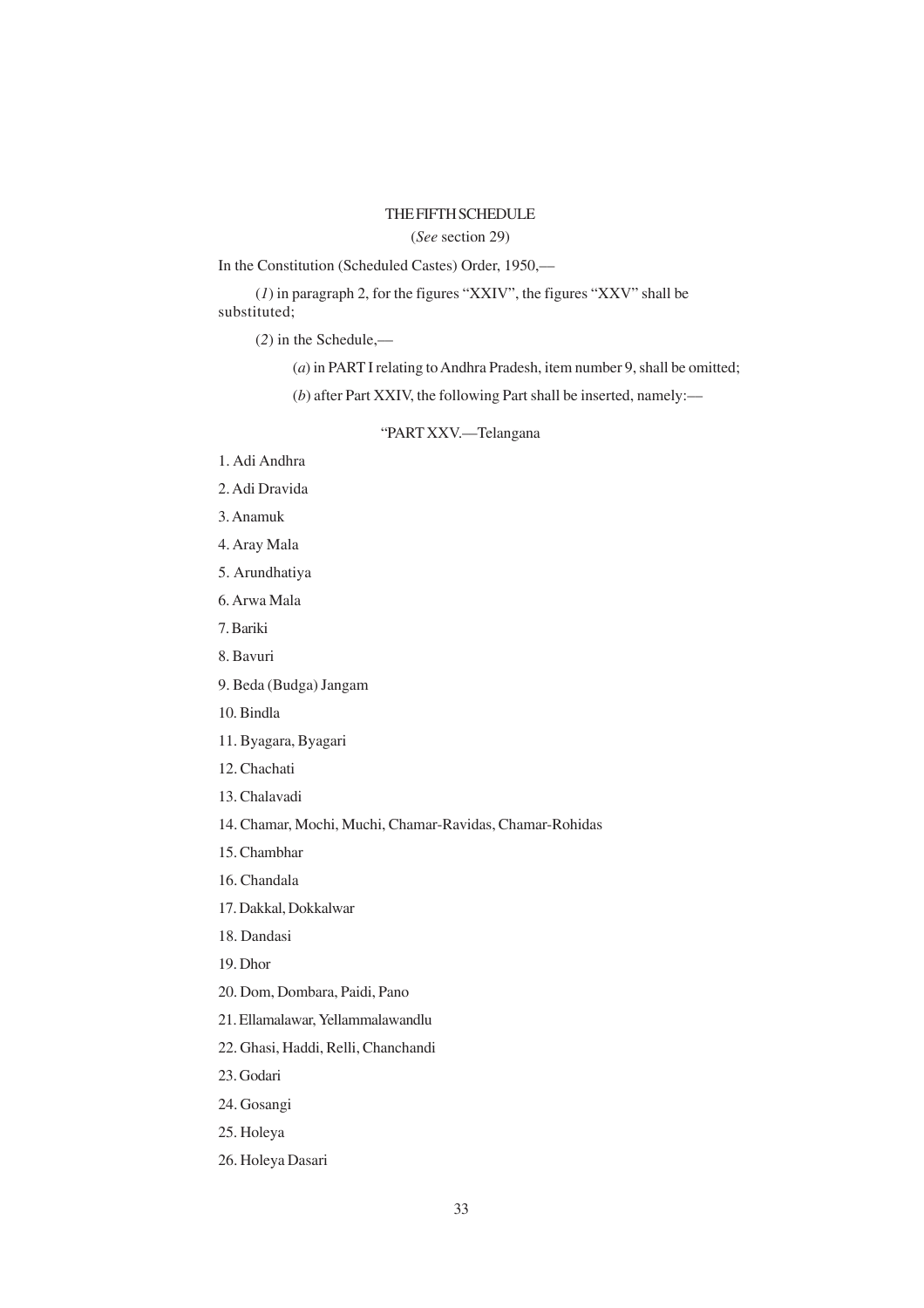# THE FIFTH SCHEDULE

(*See* section 29)

In the Constitution (Scheduled Castes) Order, 1950,––

(*1*) in paragraph 2, for the figures "XXIV", the figures "XXV" shall be substituted;

(*2*) in the Schedule,––

(*a*) in PART I relating to Andhra Pradesh, item number 9, shall be omitted;

(*b*) after Part XXIV, the following Part shall be inserted, namely:––

# "PART XXV.––Telangana

- 1. Adi Andhra
- 2. Adi Dravida
- 3. Anamuk
- 4. Aray Mala
- 5. Arundhatiya
- 6. Arwa Mala
- 7. Bariki
- 8. Bavuri
- 9. Beda (Budga) Jangam
- 10. Bindla
- 11. Byagara, Byagari
- 12. Chachati
- 13. Chalavadi
- 14. Chamar, Mochi, Muchi, Chamar-Ravidas, Chamar-Rohidas
- 15. Chambhar
- 16. Chandala
- 17. Dakkal, Dokkalwar
- 18. Dandasi
- 19. Dhor
- 20. Dom, Dombara, Paidi, Pano
- 21. Ellamalawar, Yellammalawandlu
- 22. Ghasi, Haddi, Relli, Chanchandi
- 23. Godari
- 24. Gosangi
- 25. Holeya
- 26. Holeya Dasari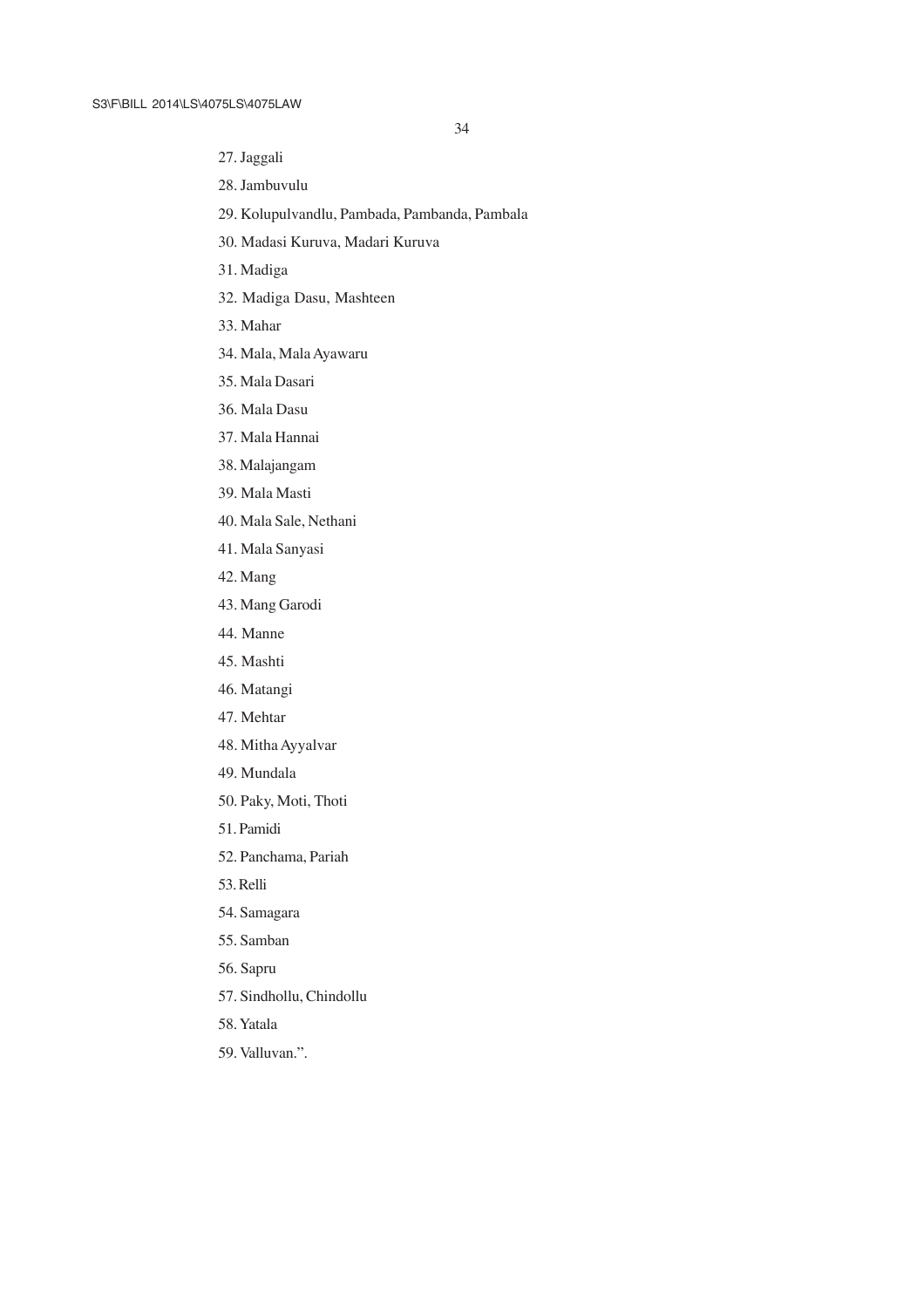- 27. Jaggali
- 28. Jambuvulu
- 29. Kolupulvandlu, Pambada, Pambanda, Pambala
- 30. Madasi Kuruva, Madari Kuruva
- 31. Madiga
- 32. Madiga Dasu, Mashteen
- 33. Mahar
- 34. Mala, Mala Ayawaru
- 35. Mala Dasari
- 36. Mala Dasu
- 37. Mala Hannai
- 38. Malajangam
- 39. Mala Masti
- 40. Mala Sale, Nethani
- 41. Mala Sanyasi
- 42. Mang
- 43. Mang Garodi
- 44. Manne
- 45. Mashti
- 46. Matangi
- 47. Mehtar
- 48. Mitha Ayyalvar
- 49. Mundala
- 50. Paky, Moti, Thoti
- 51. Pamidi
- 52. Panchama, Pariah
- 53. Relli
- 54. Samagara
- 55. Samban
- 56. Sapru
- 57. Sindhollu, Chindollu
- 58. Yatala
- 59. Valluvan.".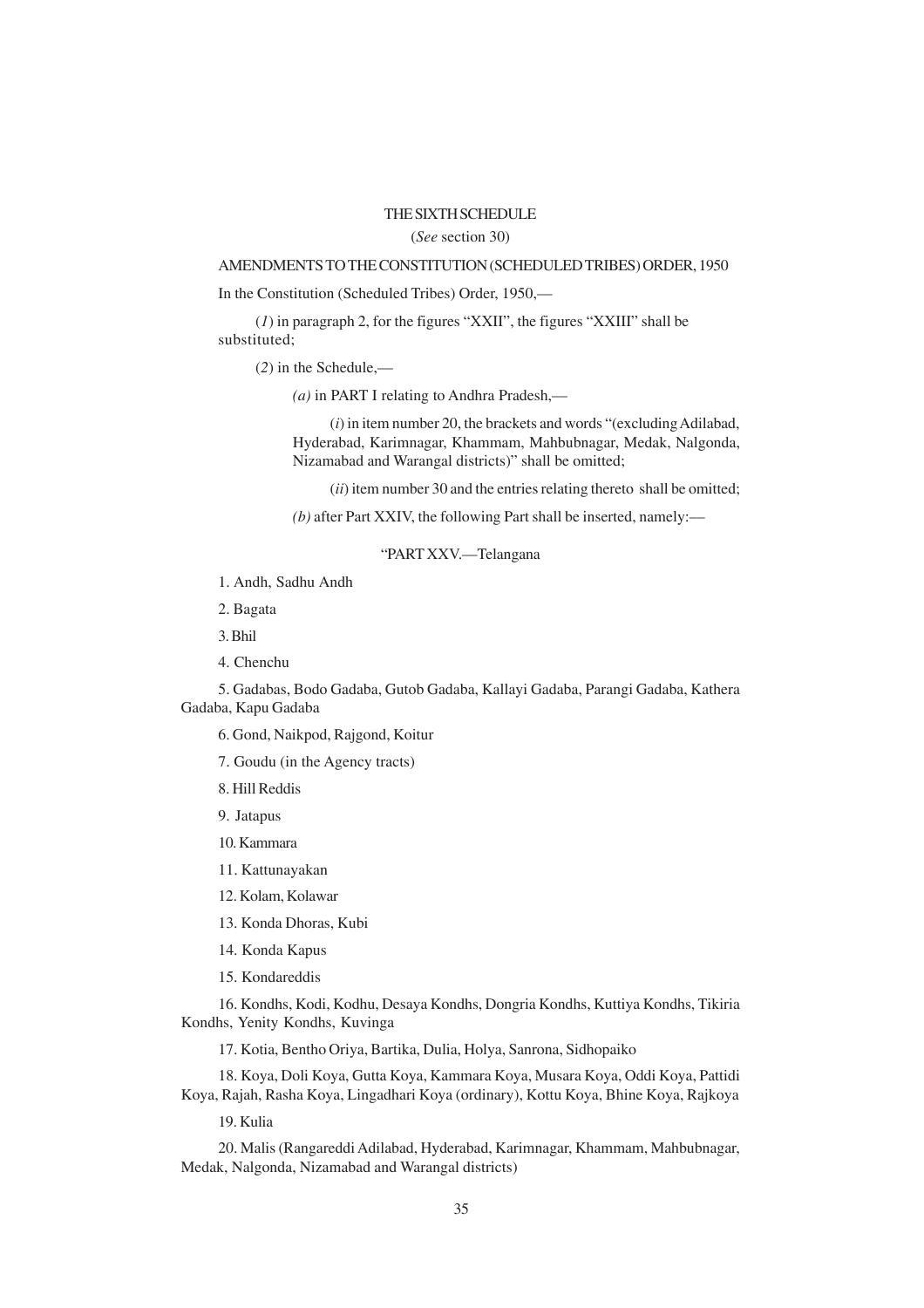## THE SIXTH SCHEDULE

## (*See* section 30)

## AMENDMENTS TO THE CONSTITUTION (SCHEDULED TRIBES) ORDER, 1950

In the Constitution (Scheduled Tribes) Order, 1950,––

(*1*) in paragraph 2, for the figures "XXII", the figures "XXIII" shall be substituted;

(*2*) in the Schedule,––

*(a)* in PART I relating to Andhra Pradesh,––

(*i*) in item number 20, the brackets and words "(excluding Adilabad, Hyderabad, Karimnagar, Khammam, Mahbubnagar, Medak, Nalgonda, Nizamabad and Warangal districts)" shall be omitted;

(*ii*) item number 30 and the entries relating thereto shall be omitted;

*(b)* after Part XXIV, the following Part shall be inserted, namely:––

## "PART XXV.––Telangana

- 1. Andh, Sadhu Andh
- 2. Bagata
- 3. Bhil
- 4. Chenchu

5. Gadabas, Bodo Gadaba, Gutob Gadaba, Kallayi Gadaba, Parangi Gadaba, Kathera Gadaba, Kapu Gadaba

- 6. Gond, Naikpod, Rajgond, Koitur
- 7. Goudu (in the Agency tracts)
- 8. Hill Reddis
- 9. Jatapus
- 10. Kammara
- 11. Kattunayakan
- 12. Kolam, Kolawar
- 13. Konda Dhoras, Kubi
- 14. Konda Kapus
- 15. Kondareddis

16. Kondhs, Kodi, Kodhu, Desaya Kondhs, Dongria Kondhs, Kuttiya Kondhs, Tikiria Kondhs, Yenity Kondhs, Kuvinga

17. Kotia, Bentho Oriya, Bartika, Dulia, Holya, Sanrona, Sidhopaiko

18. Koya, Doli Koya, Gutta Koya, Kammara Koya, Musara Koya, Oddi Koya, Pattidi Koya, Rajah, Rasha Koya, Lingadhari Koya (ordinary), Kottu Koya, Bhine Koya, Rajkoya

19. Kulia

20. Malis (Rangareddi Adilabad, Hyderabad, Karimnagar, Khammam, Mahbubnagar, Medak, Nalgonda, Nizamabad and Warangal districts)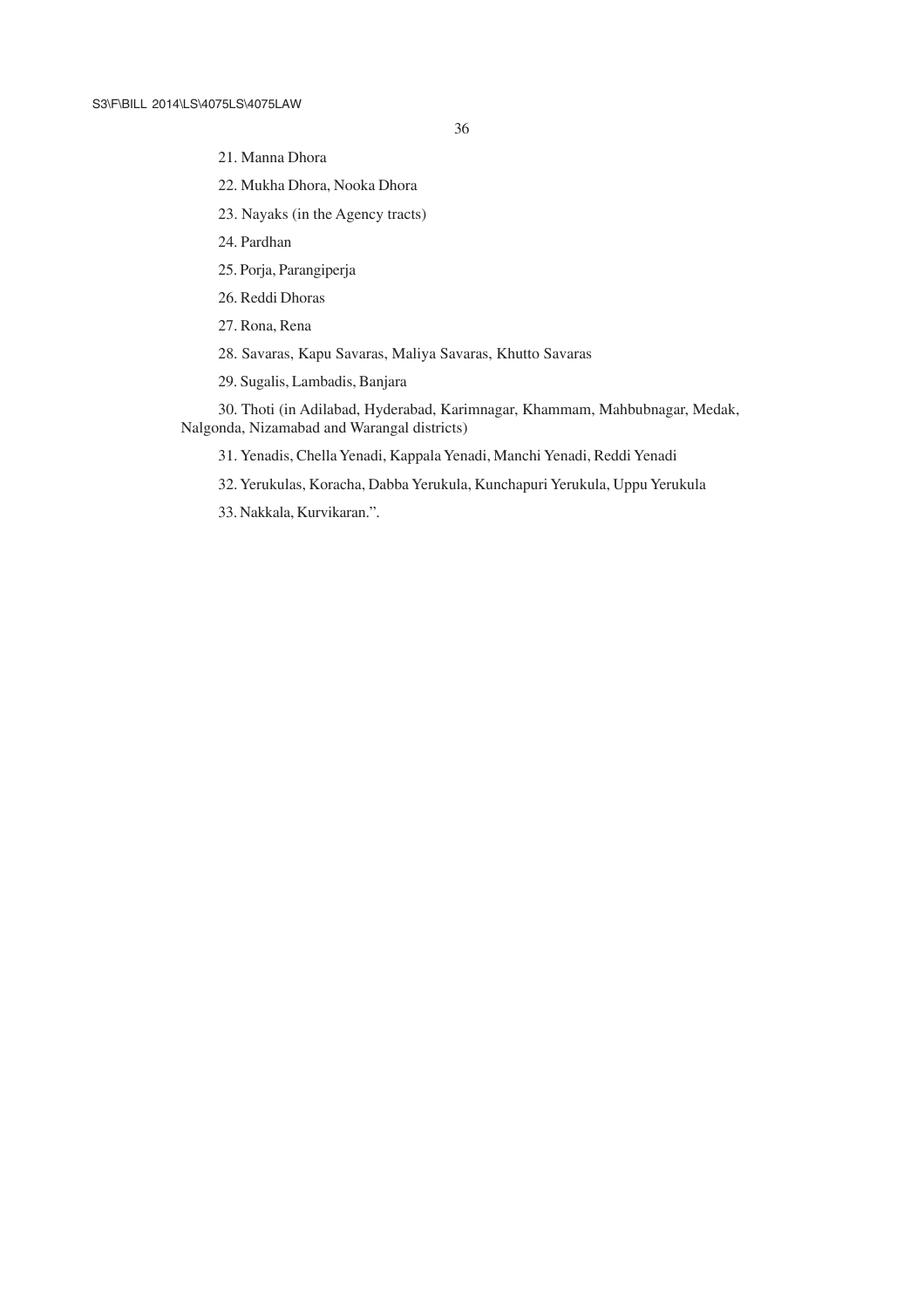- 21. Manna Dhora
- 22. Mukha Dhora, Nooka Dhora
- 23. Nayaks (in the Agency tracts)
- 24. Pardhan
- 25. Porja, Parangiperja
- 26. Reddi Dhoras
- 27. Rona, Rena
- 28. Savaras, Kapu Savaras, Maliya Savaras, Khutto Savaras
- 29. Sugalis, Lambadis, Banjara

30. Thoti (in Adilabad, Hyderabad, Karimnagar, Khammam, Mahbubnagar, Medak, Nalgonda, Nizamabad and Warangal districts)

- 31. Yenadis, Chella Yenadi, Kappala Yenadi, Manchi Yenadi, Reddi Yenadi
- 32. Yerukulas, Koracha, Dabba Yerukula, Kunchapuri Yerukula, Uppu Yerukula
- 33. Nakkala, Kurvikaran.".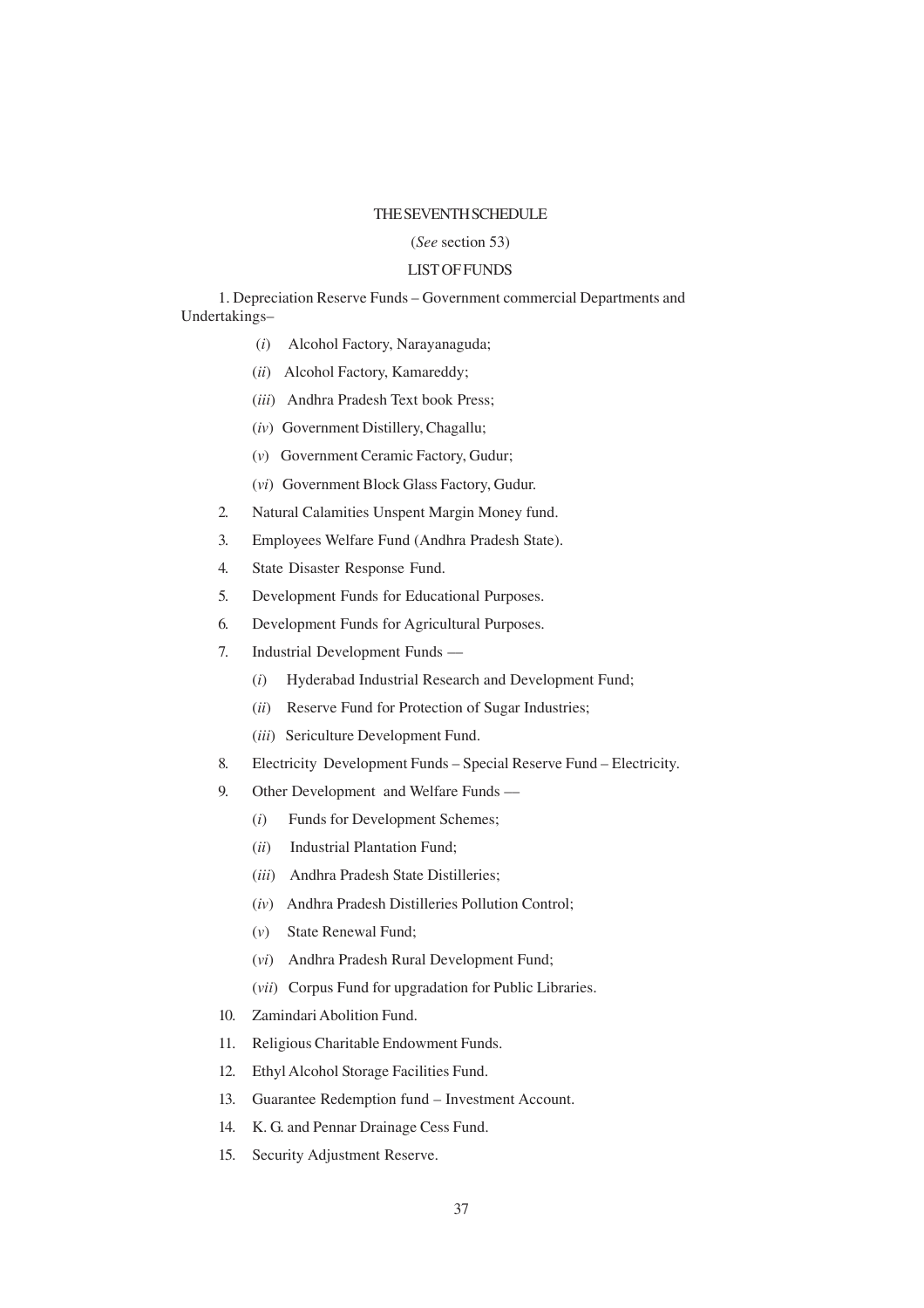## THE SEVENTH SCHEDULE

# (*See* section 53)

## LIST OF FUNDS

1. Depreciation Reserve Funds – Government commercial Departments and Undertakings–

- (*i*) Alcohol Factory, Narayanaguda;
- (*ii*) Alcohol Factory, Kamareddy;
- (*iii*) Andhra Pradesh Text book Press;
- (*iv*) Government Distillery, Chagallu;
- (*v*) Government Ceramic Factory, Gudur;
- (*vi*) Government Block Glass Factory, Gudur.
- 2. Natural Calamities Unspent Margin Money fund.
- 3. Employees Welfare Fund (Andhra Pradesh State).
- 4. State Disaster Response Fund.
- 5. Development Funds for Educational Purposes.
- 6. Development Funds for Agricultural Purposes.
- 7. Industrial Development Funds ––
	- (*i*) Hyderabad Industrial Research and Development Fund;
	- (*ii*) Reserve Fund for Protection of Sugar Industries;
	- (*iii*) Sericulture Development Fund.
- 8. Electricity Development Funds Special Reserve Fund Electricity.
- 9. Other Development and Welfare Funds ––
	- (*i*) Funds for Development Schemes;
	- (*ii*) Industrial Plantation Fund;
	- (*iii*) Andhra Pradesh State Distilleries;
	- (*iv*) Andhra Pradesh Distilleries Pollution Control;
	- (*v*) State Renewal Fund;
	- (*vi*) Andhra Pradesh Rural Development Fund;
	- (*vii*) Corpus Fund for upgradation for Public Libraries.
- 10. Zamindari Abolition Fund.
- 11. Religious Charitable Endowment Funds.
- 12. Ethyl Alcohol Storage Facilities Fund.
- 13. Guarantee Redemption fund Investment Account.
- 14. K. G. and Pennar Drainage Cess Fund.
- 15. Security Adjustment Reserve.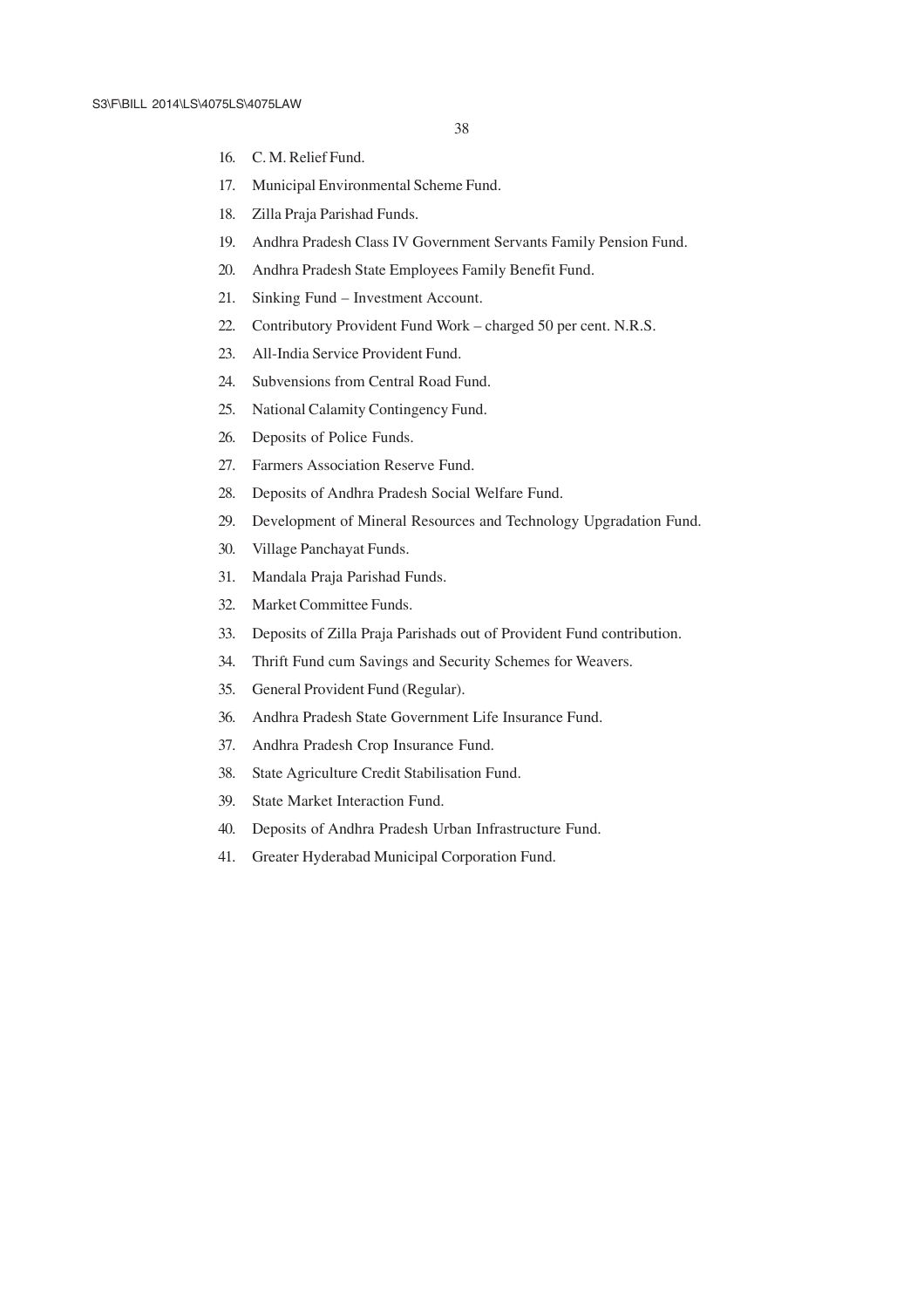- 16. C. M. Relief Fund.
- 17. Municipal Environmental Scheme Fund.
- 18. Zilla Praja Parishad Funds.
- 19. Andhra Pradesh Class IV Government Servants Family Pension Fund.
- 20. Andhra Pradesh State Employees Family Benefit Fund.
- 21. Sinking Fund Investment Account.
- 22. Contributory Provident Fund Work charged 50 per cent. N.R.S.
- 23. All-India Service Provident Fund.
- 24. Subvensions from Central Road Fund.
- 25. National Calamity Contingency Fund.
- 26. Deposits of Police Funds.
- 27. Farmers Association Reserve Fund.
- 28. Deposits of Andhra Pradesh Social Welfare Fund.
- 29. Development of Mineral Resources and Technology Upgradation Fund.
- 30. Village Panchayat Funds.
- 31. Mandala Praja Parishad Funds.
- 32. Market Committee Funds.
- 33. Deposits of Zilla Praja Parishads out of Provident Fund contribution.
- 34. Thrift Fund cum Savings and Security Schemes for Weavers.
- 35. General Provident Fund (Regular).
- 36. Andhra Pradesh State Government Life Insurance Fund.
- 37. Andhra Pradesh Crop Insurance Fund.
- 38. State Agriculture Credit Stabilisation Fund.
- 39. State Market Interaction Fund.
- 40. Deposits of Andhra Pradesh Urban Infrastructure Fund.
- 41. Greater Hyderabad Municipal Corporation Fund.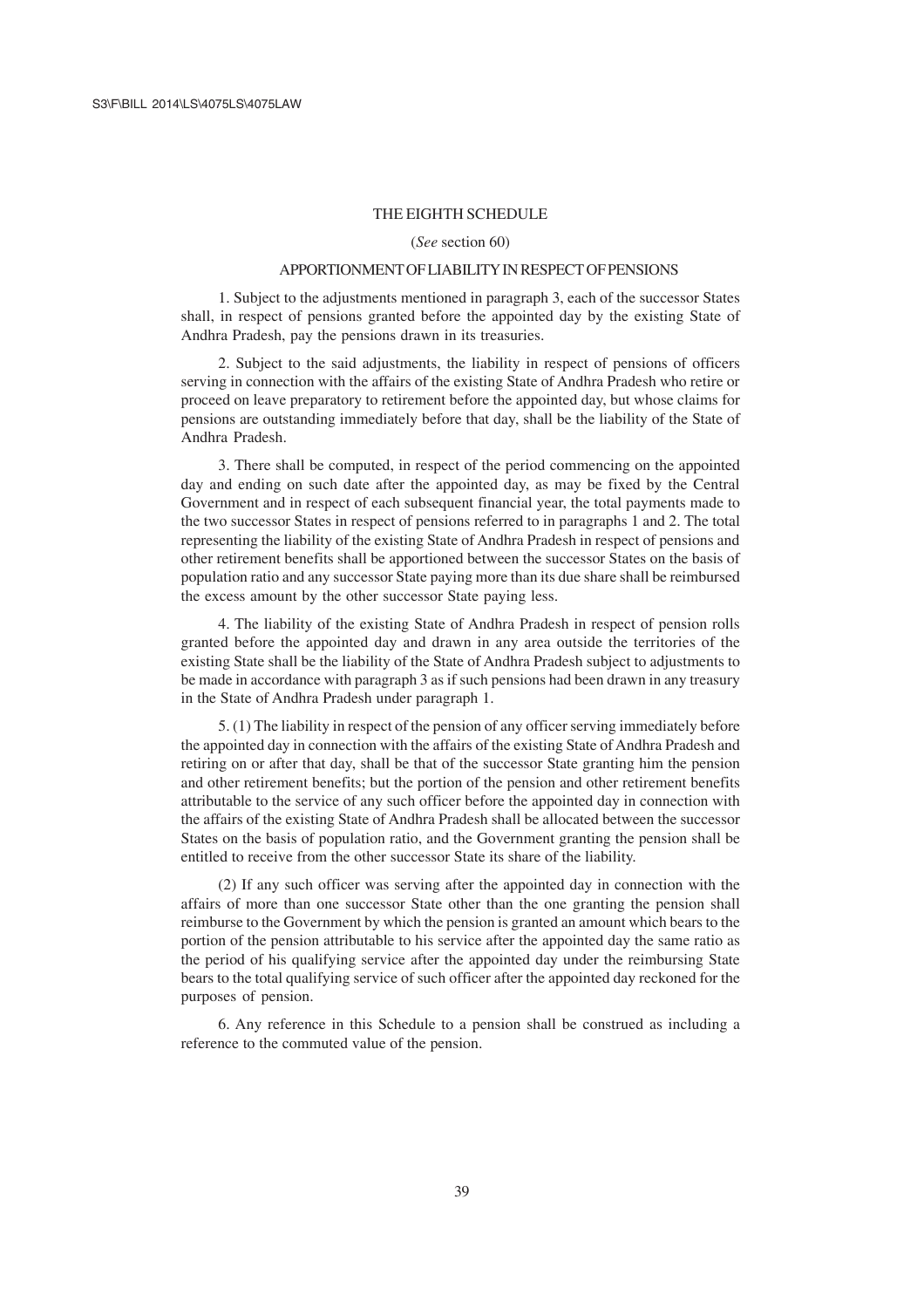## THE EIGHTH SCHEDULE

#### (*See* section 60)

#### APPORTIONMENT OF LIABILITY IN RESPECT OF PENSIONS

1. Subject to the adjustments mentioned in paragraph 3, each of the successor States shall, in respect of pensions granted before the appointed day by the existing State of Andhra Pradesh, pay the pensions drawn in its treasuries.

2. Subject to the said adjustments, the liability in respect of pensions of officers serving in connection with the affairs of the existing State of Andhra Pradesh who retire or proceed on leave preparatory to retirement before the appointed day, but whose claims for pensions are outstanding immediately before that day, shall be the liability of the State of Andhra Pradesh.

3. There shall be computed, in respect of the period commencing on the appointed day and ending on such date after the appointed day, as may be fixed by the Central Government and in respect of each subsequent financial year, the total payments made to the two successor States in respect of pensions referred to in paragraphs 1 and 2. The total representing the liability of the existing State of Andhra Pradesh in respect of pensions and other retirement benefits shall be apportioned between the successor States on the basis of population ratio and any successor State paying more than its due share shall be reimbursed the excess amount by the other successor State paying less.

4. The liability of the existing State of Andhra Pradesh in respect of pension rolls granted before the appointed day and drawn in any area outside the territories of the existing State shall be the liability of the State of Andhra Pradesh subject to adjustments to be made in accordance with paragraph 3 as if such pensions had been drawn in any treasury in the State of Andhra Pradesh under paragraph 1.

5. (1) The liability in respect of the pension of any officer serving immediately before the appointed day in connection with the affairs of the existing State of Andhra Pradesh and retiring on or after that day, shall be that of the successor State granting him the pension and other retirement benefits; but the portion of the pension and other retirement benefits attributable to the service of any such officer before the appointed day in connection with the affairs of the existing State of Andhra Pradesh shall be allocated between the successor States on the basis of population ratio, and the Government granting the pension shall be entitled to receive from the other successor State its share of the liability.

(2) If any such officer was serving after the appointed day in connection with the affairs of more than one successor State other than the one granting the pension shall reimburse to the Government by which the pension is granted an amount which bears to the portion of the pension attributable to his service after the appointed day the same ratio as the period of his qualifying service after the appointed day under the reimbursing State bears to the total qualifying service of such officer after the appointed day reckoned for the purposes of pension.

6. Any reference in this Schedule to a pension shall be construed as including a reference to the commuted value of the pension.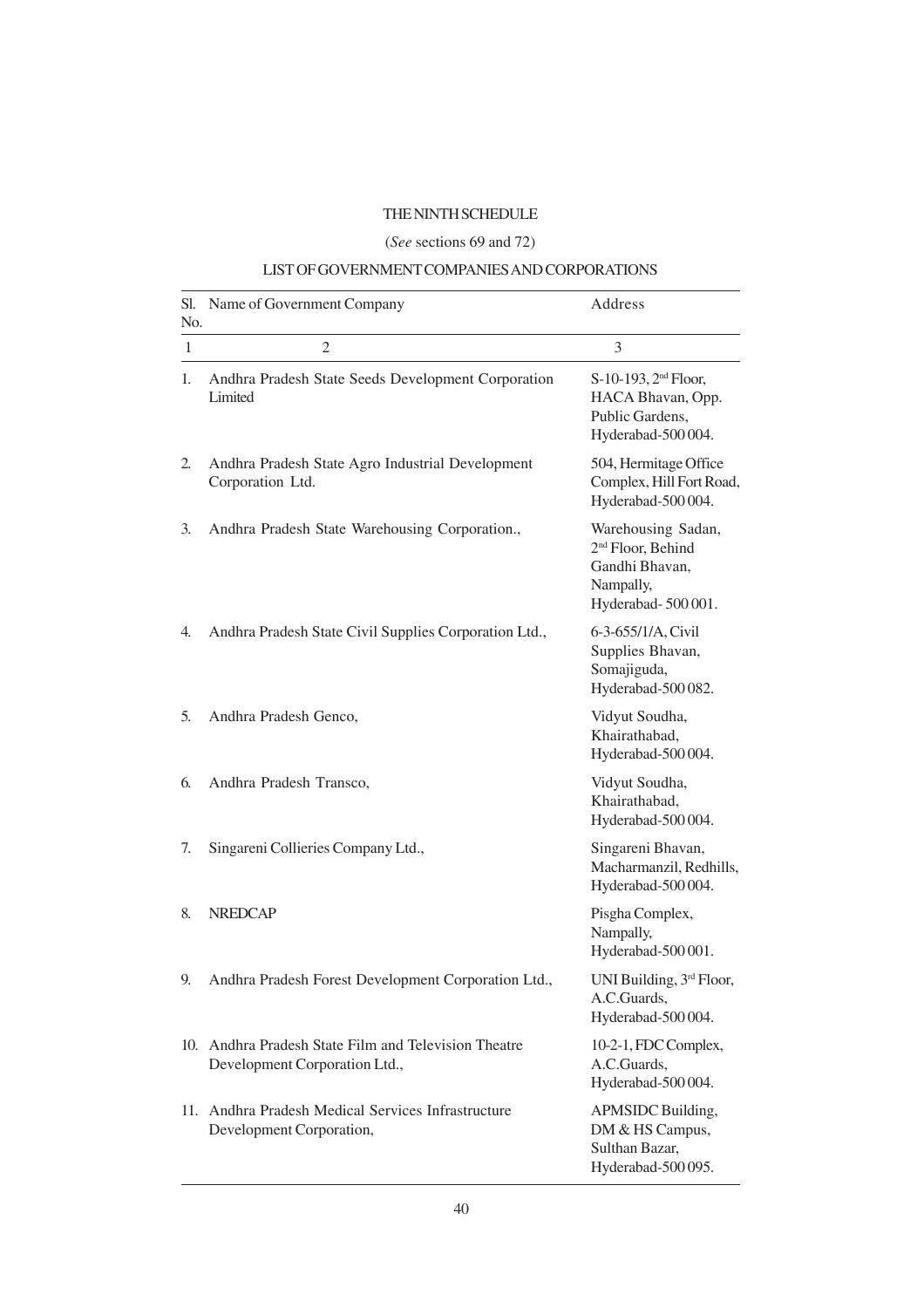# THE NINTH SCHEDULE

# (*See* sections 69 and 72)

# LIST OF GOVERNMENT COMPANIES AND CORPORATIONS

| Sl.<br>No.   | Name of Government Company                                                            | Address                                                                                                 |
|--------------|---------------------------------------------------------------------------------------|---------------------------------------------------------------------------------------------------------|
| $\mathbf{1}$ | $\mathfrak{2}$                                                                        | 3                                                                                                       |
| 1.           | Andhra Pradesh State Seeds Development Corporation<br>Limited                         | S-10-193, 2 <sup>nd</sup> Floor,<br>HACA Bhavan, Opp.<br>Public Gardens,<br>Hyderabad-500004.           |
| 2.           | Andhra Pradesh State Agro Industrial Development<br>Corporation Ltd.                  | 504, Hermitage Office<br>Complex, Hill Fort Road,<br>Hyderabad-500 004.                                 |
| 3.           | Andhra Pradesh State Warehousing Corporation.,                                        | Warehousing Sadan,<br>2 <sup>nd</sup> Floor, Behind<br>Gandhi Bhavan,<br>Nampally,<br>Hyderabad-500001. |
| 4.           | Andhra Pradesh State Civil Supplies Corporation Ltd.,                                 | 6-3-655/1/A, Civil<br>Supplies Bhavan,<br>Somajiguda,<br>Hyderabad-500 082.                             |
| 5.           | Andhra Pradesh Genco,                                                                 | Vidyut Soudha,<br>Khairathabad,<br>Hyderabad-500 004.                                                   |
| 6.           | Andhra Pradesh Transco,                                                               | Vidyut Soudha,<br>Khairathabad,<br>Hyderabad-500 004.                                                   |
| 7.           | Singareni Collieries Company Ltd.,                                                    | Singareni Bhavan,<br>Macharmanzil, Redhills,<br>Hyderabad-500 004.                                      |
| 8.           | <b>NREDCAP</b>                                                                        | Pisgha Complex,<br>Nampally,<br>Hyderabad-500 001.                                                      |
| 9.           | Andhra Pradesh Forest Development Corporation Ltd.,                                   | UNI Building, 3rd Floor,<br>A.C.Guards,<br>Hyderabad-500 004.                                           |
|              | 10. Andhra Pradesh State Film and Television Theatre<br>Development Corporation Ltd., | 10-2-1, FDC Complex,<br>A.C.Guards,<br>Hyderabad-500 004.                                               |
| 11.          | Andhra Pradesh Medical Services Infrastructure<br>Development Corporation,            | APMSIDC Building,<br>DM & HS Campus,<br>Sulthan Bazar,<br>Hyderabad-500 095.                            |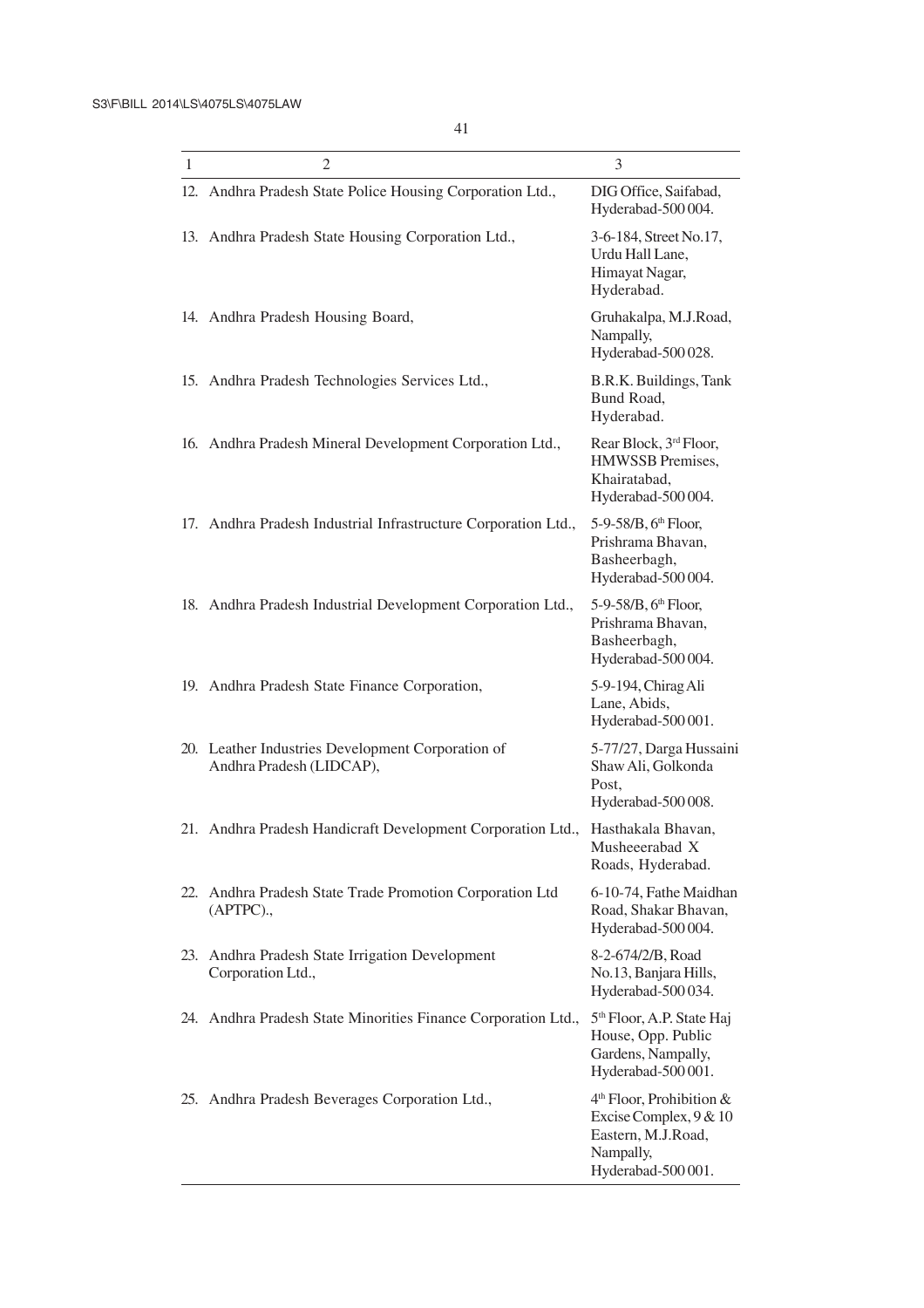| $\mathbf{1}$ | $\overline{2}$                                                                | 3                                                                                                             |
|--------------|-------------------------------------------------------------------------------|---------------------------------------------------------------------------------------------------------------|
| 12.          | Andhra Pradesh State Police Housing Corporation Ltd.,                         | DIG Office, Saifabad,<br>Hyderabad-500 004.                                                                   |
|              | 13. Andhra Pradesh State Housing Corporation Ltd.,                            | 3-6-184, Street No.17,<br>Urdu Hall Lane,<br>Himayat Nagar,<br>Hyderabad.                                     |
|              | 14. Andhra Pradesh Housing Board,                                             | Gruhakalpa, M.J.Road,<br>Nampally,<br>Hyderabad-500028.                                                       |
|              | 15. Andhra Pradesh Technologies Services Ltd.,                                | B.R.K. Buildings, Tank<br>Bund Road,<br>Hyderabad.                                                            |
|              | 16. Andhra Pradesh Mineral Development Corporation Ltd.,                      | Rear Block, 3rd Floor,<br><b>HMWSSB</b> Premises,<br>Khairatabad,<br>Hyderabad-500004.                        |
|              | 17. Andhra Pradesh Industrial Infrastructure Corporation Ltd.,                | 5-9-58/B, 6th Floor,<br>Prishrama Bhavan,<br>Basheerbagh,<br>Hyderabad-500 004.                               |
|              | 18. Andhra Pradesh Industrial Development Corporation Ltd.,                   | 5-9-58/B, 6th Floor,<br>Prishrama Bhavan,<br>Basheerbagh,<br>Hyderabad-500 004.                               |
|              | 19. Andhra Pradesh State Finance Corporation,                                 | 5-9-194, Chirag Ali<br>Lane, Abids,<br>Hyderabad-500001.                                                      |
|              | 20. Leather Industries Development Corporation of<br>Andhra Pradesh (LIDCAP), | 5-77/27, Darga Hussaini<br>Shaw Ali, Golkonda<br>Post,<br>Hyderabad-500 008.                                  |
|              | 21. Andhra Pradesh Handicraft Development Corporation Ltd.,                   | Hasthakala Bhavan,<br>Musheeerabad X<br>Roads, Hyderabad.                                                     |
|              | 22. Andhra Pradesh State Trade Promotion Corporation Ltd<br>$(APTPC)$ .,      | 6-10-74, Fathe Maidhan<br>Road, Shakar Bhavan,<br>Hyderabad-500004.                                           |
| 23.          | Andhra Pradesh State Irrigation Development<br>Corporation Ltd.,              | 8-2-674/2/B, Road<br>No.13, Banjara Hills,<br>Hyderabad-500 034.                                              |
|              | 24. Andhra Pradesh State Minorities Finance Corporation Ltd.,                 | 5 <sup>th</sup> Floor, A.P. State Haj<br>House, Opp. Public<br>Gardens, Nampally,<br>Hyderabad-500 001.       |
|              | 25. Andhra Pradesh Beverages Corporation Ltd.,                                | $4th$ Floor, Prohibition &<br>Excise Complex, 9 & 10<br>Eastern, M.J.Road,<br>Nampally,<br>Hyderabad-500 001. |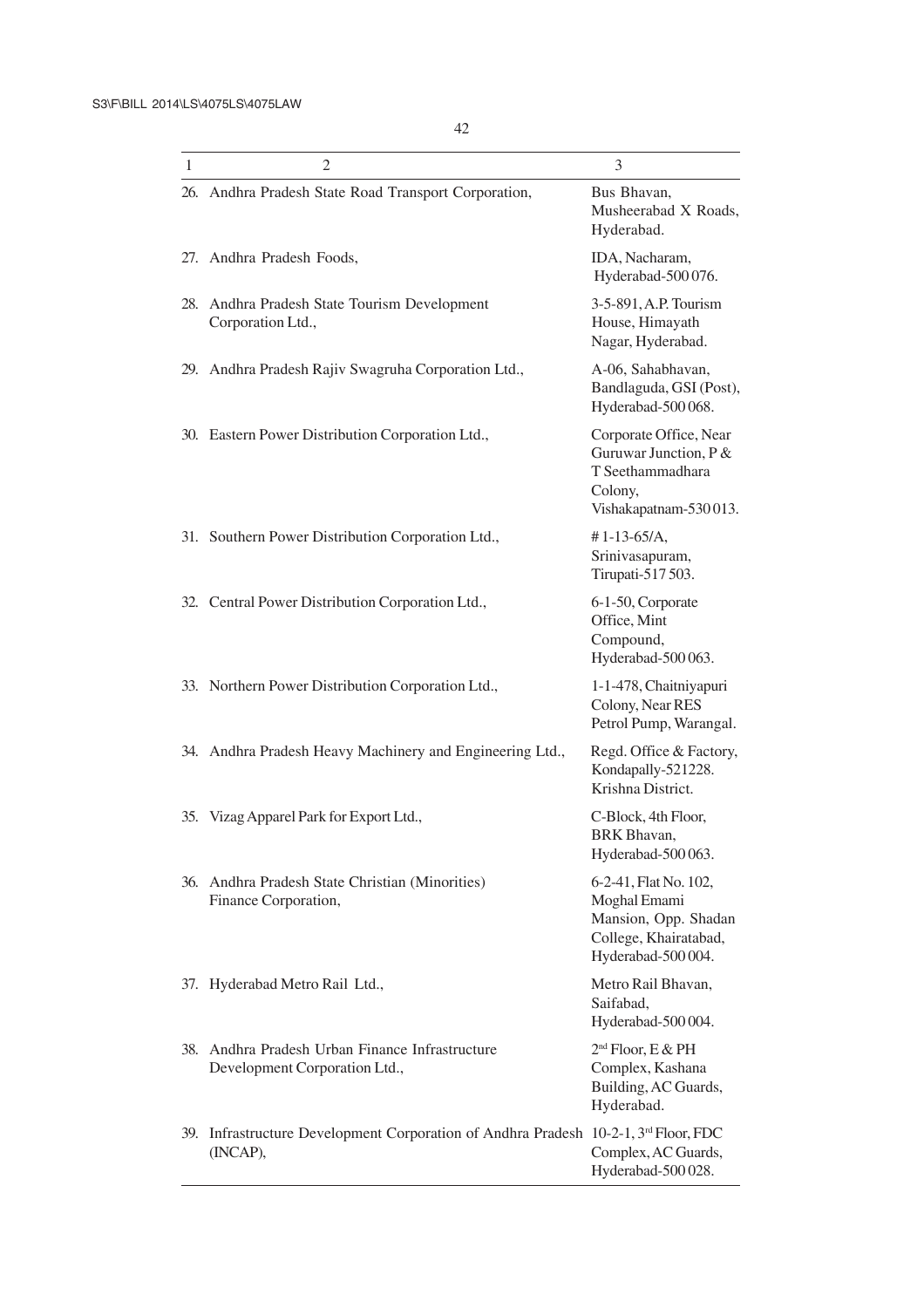| $\mathbf{1}$ | 2                                                                                               | 3                                                                                                            |
|--------------|-------------------------------------------------------------------------------------------------|--------------------------------------------------------------------------------------------------------------|
|              | 26. Andhra Pradesh State Road Transport Corporation,                                            | Bus Bhavan,<br>Musheerabad X Roads,<br>Hyderabad.                                                            |
|              | 27. Andhra Pradesh Foods,                                                                       | IDA, Nacharam,<br>Hyderabad-500076.                                                                          |
|              | 28. Andhra Pradesh State Tourism Development<br>Corporation Ltd.,                               | 3-5-891, A.P. Tourism<br>House, Himayath<br>Nagar, Hyderabad.                                                |
|              | 29. Andhra Pradesh Rajiv Swagruha Corporation Ltd.,                                             | A-06, Sahabhavan,<br>Bandlaguda, GSI (Post),<br>Hyderabad-500 068.                                           |
|              | 30. Eastern Power Distribution Corporation Ltd.,                                                | Corporate Office, Near<br>Guruwar Junction, P &<br>T Seethammadhara<br>Colony,<br>Vishakapatnam-530013.      |
|              | 31. Southern Power Distribution Corporation Ltd.,                                               | $# 1 - 13 - 65/A,$<br>Srinivasapuram,<br>Tirupati-517 503.                                                   |
|              | 32. Central Power Distribution Corporation Ltd.,                                                | 6-1-50, Corporate<br>Office, Mint<br>Compound,<br>Hyderabad-500 063.                                         |
|              | 33. Northern Power Distribution Corporation Ltd.,                                               | 1-1-478, Chaitniyapuri<br>Colony, Near RES<br>Petrol Pump, Warangal.                                         |
|              | 34. Andhra Pradesh Heavy Machinery and Engineering Ltd.,                                        | Regd. Office & Factory,<br>Kondapally-521228.<br>Krishna District.                                           |
|              | 35. Vizag Apparel Park for Export Ltd.,                                                         | C-Block, 4th Floor,<br><b>BRK</b> Bhavan.<br>Hyderabad-500 063.                                              |
|              | 36. Andhra Pradesh State Christian (Minorities)<br>Finance Corporation,                         | 6-2-41, Flat No. 102,<br>Moghal Emami<br>Mansion, Opp. Shadan<br>College, Khairatabad,<br>Hyderabad-500 004. |
|              | 37. Hyderabad Metro Rail Ltd.,                                                                  | Metro Rail Bhavan,<br>Saifabad,<br>Hyderabad-500 004.                                                        |
|              | 38. Andhra Pradesh Urban Finance Infrastructure<br>Development Corporation Ltd.,                | 2 <sup>nd</sup> Floor, E & PH<br>Complex, Kashana<br>Building, AC Guards,<br>Hyderabad.                      |
|              | 39. Infrastructure Development Corporation of Andhra Pradesh 10-2-1, 3rd Floor, FDC<br>(INCAP), | Complex, AC Guards,<br>Hyderabad-500 028.                                                                    |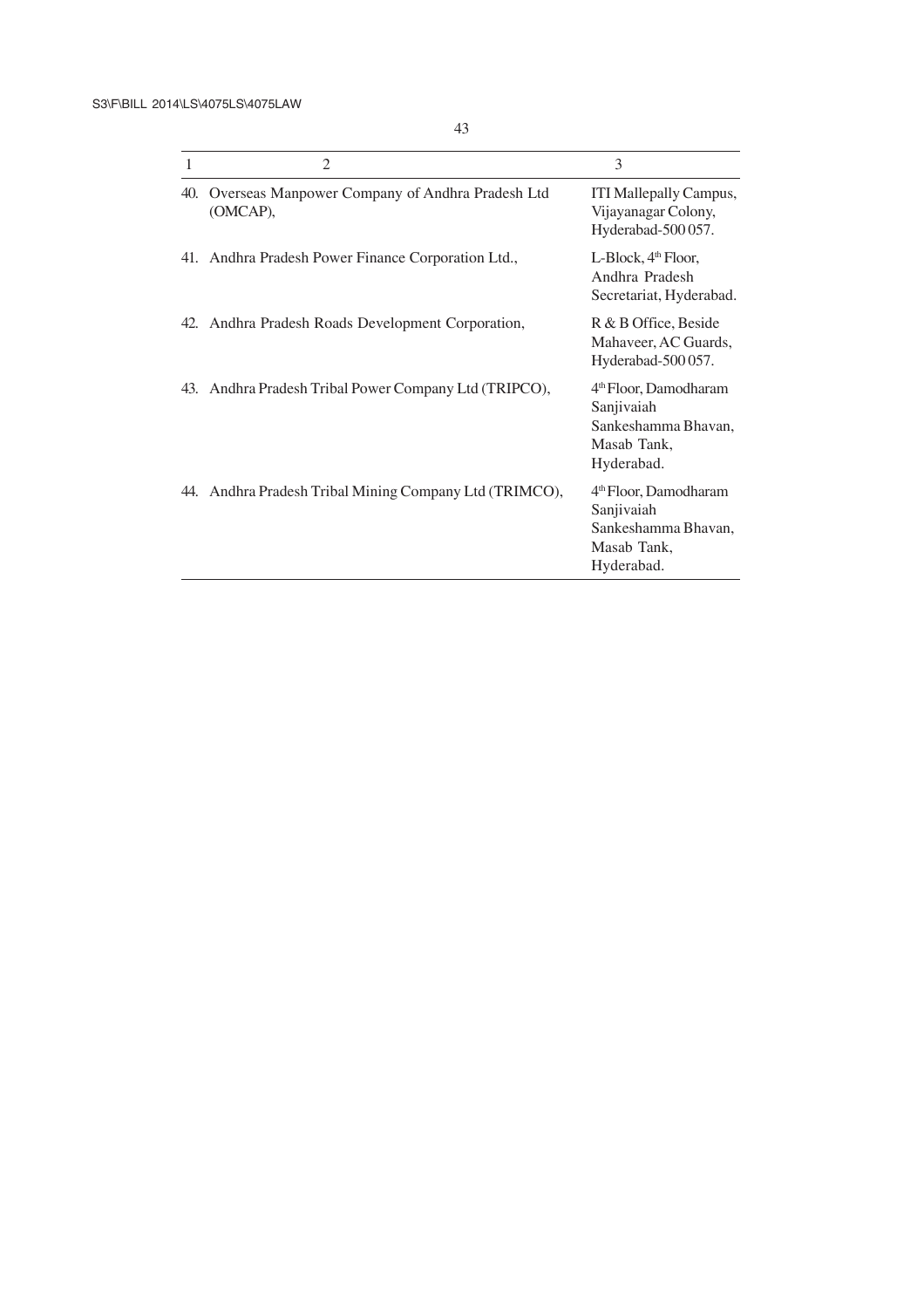| 1   | $\overline{2}$                                              | 3                                                                                                   |
|-----|-------------------------------------------------------------|-----------------------------------------------------------------------------------------------------|
| 40. | Overseas Manpower Company of Andhra Pradesh Ltd<br>(OMCAP), | ITI Mallepally Campus,<br>Vijayanagar Colony,<br>Hyderabad-500 057.                                 |
| 41. | Andhra Pradesh Power Finance Corporation Ltd.,              | L-Block, 4 <sup>th</sup> Floor,<br>Andhra Pradesh<br>Secretariat, Hyderabad.                        |
|     | 42. Andhra Pradesh Roads Development Corporation,           | R & B Office, Beside<br>Mahaveer, AC Guards,<br>Hyderabad-500 057.                                  |
|     | 43. Andhra Pradesh Tribal Power Company Ltd (TRIPCO),       | 4 <sup>th</sup> Floor, Damodharam<br>Sanjivaiah<br>Sankeshamma Bhavan,<br>Masab Tank,<br>Hyderabad. |
|     | 44. Andhra Pradesh Tribal Mining Company Ltd (TRIMCO),      | 4 <sup>th</sup> Floor, Damodharam<br>Sanjivaiah<br>Sankeshamma Bhavan,<br>Masab Tank,<br>Hyderabad. |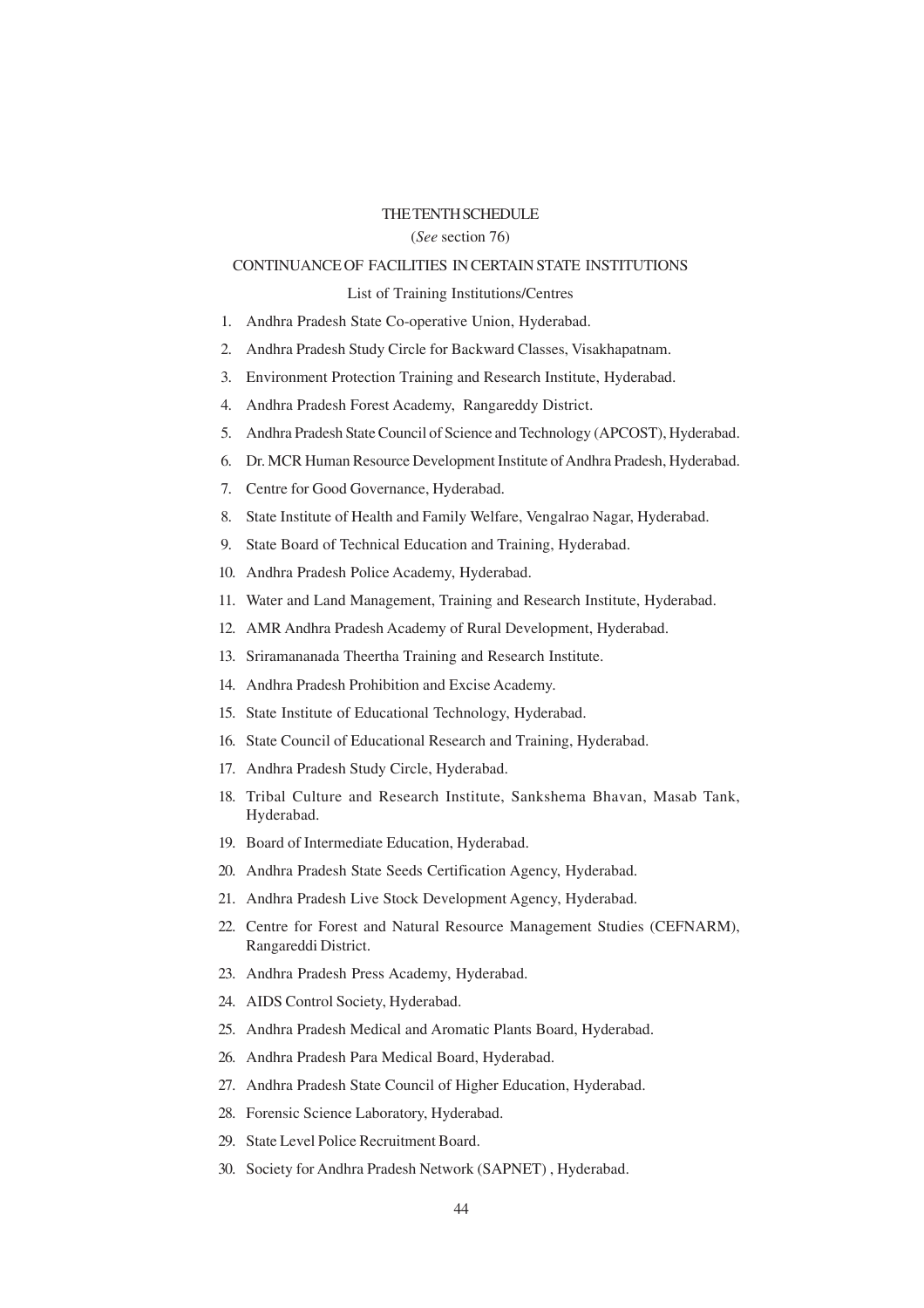## THE TENTH SCHEDULE

## (*See* section 76)

# CONTINUANCE OF FACILITIES IN CERTAIN STATE INSTITUTIONS

#### List of Training Institutions/Centres

- 1. Andhra Pradesh State Co-operative Union, Hyderabad.
- 2. Andhra Pradesh Study Circle for Backward Classes, Visakhapatnam.
- 3. Environment Protection Training and Research Institute, Hyderabad.
- 4. Andhra Pradesh Forest Academy, Rangareddy District.
- 5. Andhra Pradesh State Council of Science and Technology (APCOST), Hyderabad.
- 6. Dr. MCR Human Resource Development Institute of Andhra Pradesh, Hyderabad.
- 7. Centre for Good Governance, Hyderabad.
- 8. State Institute of Health and Family Welfare, Vengalrao Nagar, Hyderabad.
- 9. State Board of Technical Education and Training, Hyderabad.
- 10. Andhra Pradesh Police Academy, Hyderabad.
- 11. Water and Land Management, Training and Research Institute, Hyderabad.
- 12. AMR Andhra Pradesh Academy of Rural Development, Hyderabad.
- 13. Sriramananada Theertha Training and Research Institute.
- 14. Andhra Pradesh Prohibition and Excise Academy.
- 15. State Institute of Educational Technology, Hyderabad.
- 16. State Council of Educational Research and Training, Hyderabad.
- 17. Andhra Pradesh Study Circle, Hyderabad.
- 18. Tribal Culture and Research Institute, Sankshema Bhavan, Masab Tank, Hyderabad.
- 19. Board of Intermediate Education, Hyderabad.
- 20. Andhra Pradesh State Seeds Certification Agency, Hyderabad.
- 21. Andhra Pradesh Live Stock Development Agency, Hyderabad.
- 22. Centre for Forest and Natural Resource Management Studies (CEFNARM), Rangareddi District.
- 23. Andhra Pradesh Press Academy, Hyderabad.
- 24. AIDS Control Society, Hyderabad.
- 25. Andhra Pradesh Medical and Aromatic Plants Board, Hyderabad.
- 26. Andhra Pradesh Para Medical Board, Hyderabad.
- 27. Andhra Pradesh State Council of Higher Education, Hyderabad.
- 28. Forensic Science Laboratory, Hyderabad.
- 29. State Level Police Recruitment Board.
- 30. Society for Andhra Pradesh Network (SAPNET) , Hyderabad.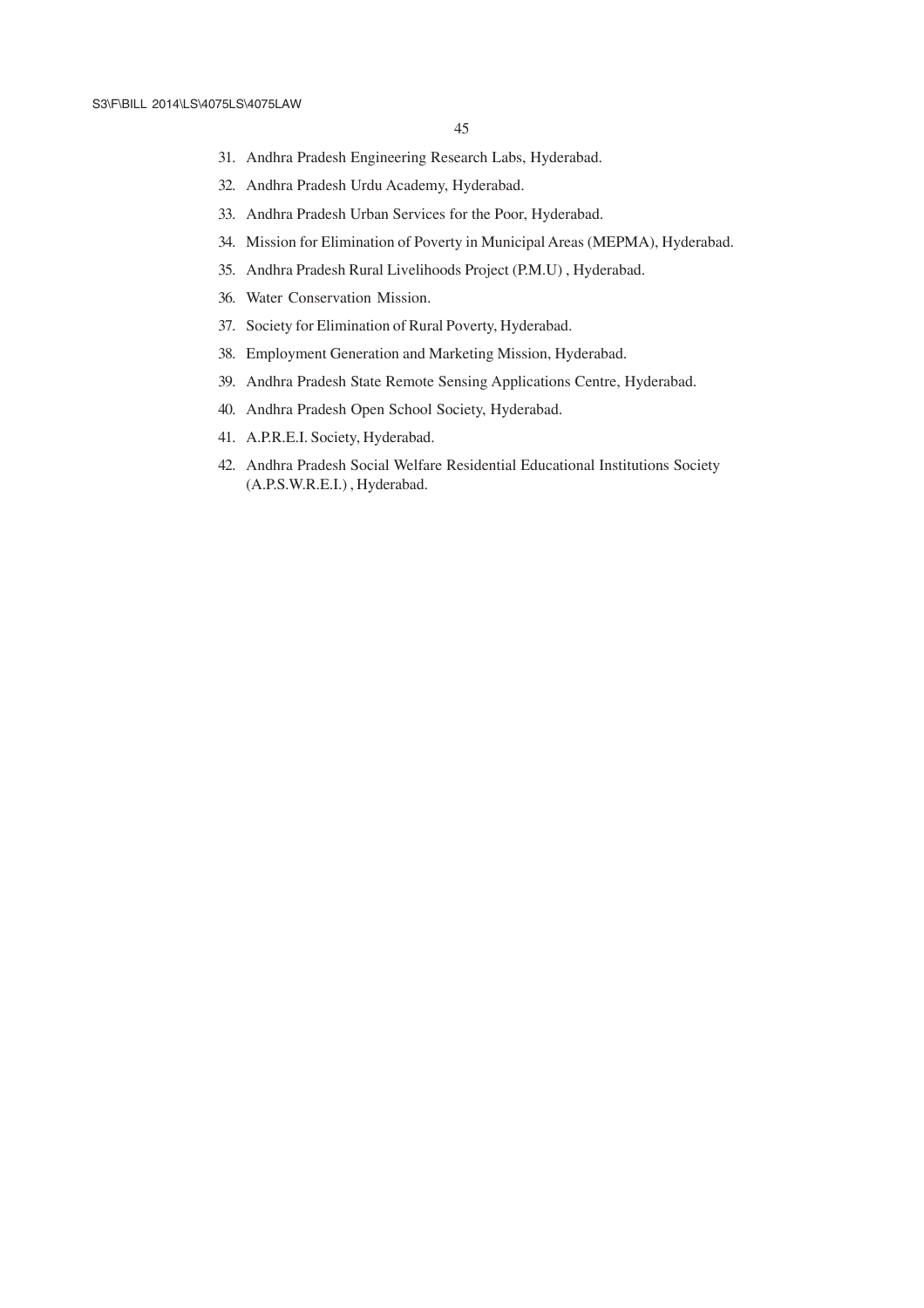- 31. Andhra Pradesh Engineering Research Labs, Hyderabad.
- 32. Andhra Pradesh Urdu Academy, Hyderabad.
- 33. Andhra Pradesh Urban Services for the Poor, Hyderabad.
- 34. Mission for Elimination of Poverty in Municipal Areas (MEPMA), Hyderabad.
- 35. Andhra Pradesh Rural Livelihoods Project (P.M.U) , Hyderabad.
- 36. Water Conservation Mission.
- 37. Society for Elimination of Rural Poverty, Hyderabad.
- 38. Employment Generation and Marketing Mission, Hyderabad.
- 39. Andhra Pradesh State Remote Sensing Applications Centre, Hyderabad.
- 40. Andhra Pradesh Open School Society, Hyderabad.
- 41. A.P.R.E.I. Society, Hyderabad.
- 42. Andhra Pradesh Social Welfare Residential Educational Institutions Society (A.P.S.W.R.E.I.) , Hyderabad.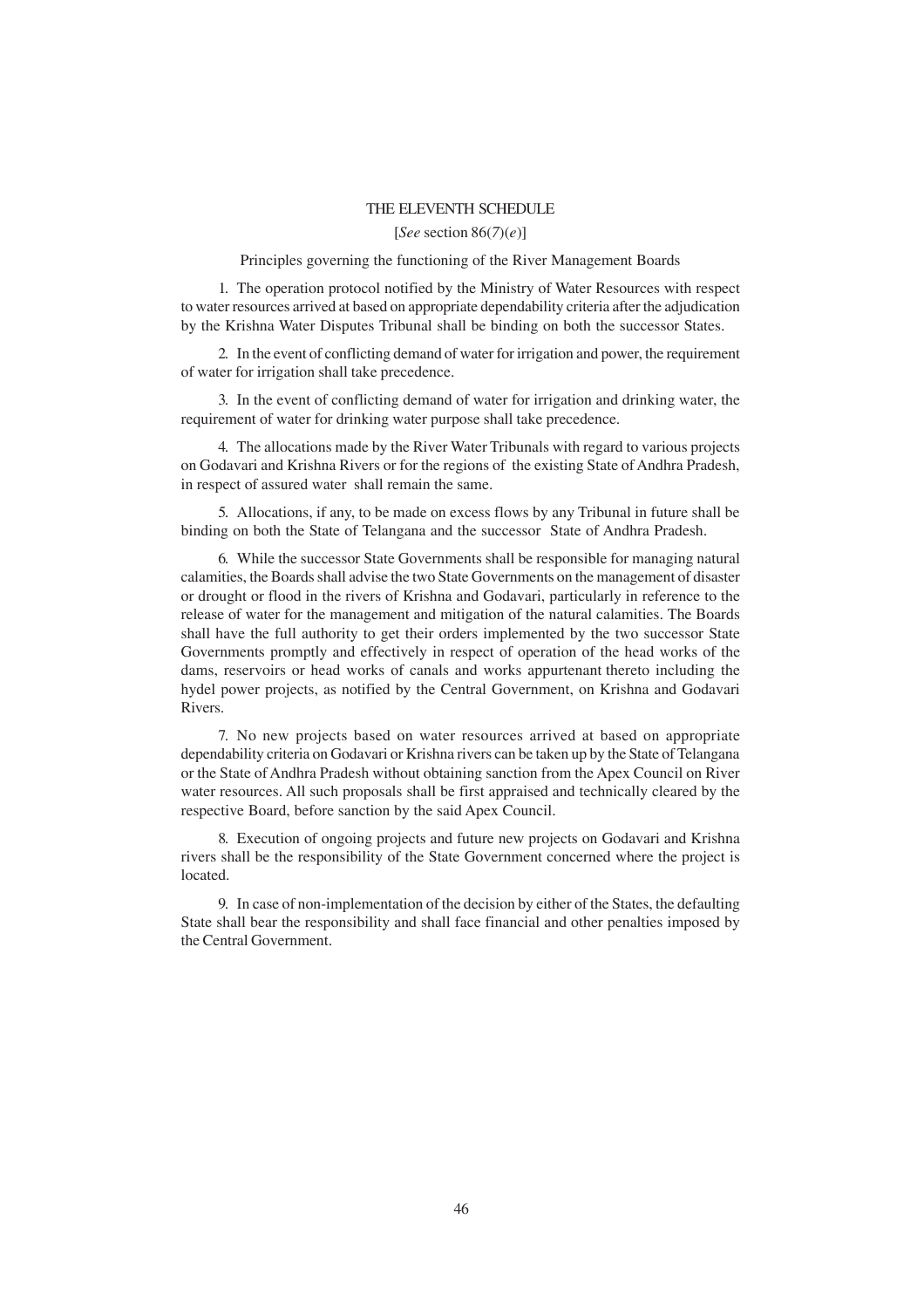## THE ELEVENTH SCHEDULE

[*See* section 86(*7*)(*e*)]

Principles governing the functioning of the River Management Boards

1. The operation protocol notified by the Ministry of Water Resources with respect to water resources arrived at based on appropriate dependability criteria after the adjudication by the Krishna Water Disputes Tribunal shall be binding on both the successor States.

2. In the event of conflicting demand of water for irrigation and power, the requirement of water for irrigation shall take precedence.

3. In the event of conflicting demand of water for irrigation and drinking water, the requirement of water for drinking water purpose shall take precedence.

4. The allocations made by the River Water Tribunals with regard to various projects on Godavari and Krishna Rivers or for the regions of the existing State of Andhra Pradesh, in respect of assured water shall remain the same.

5. Allocations, if any, to be made on excess flows by any Tribunal in future shall be binding on both the State of Telangana and the successor State of Andhra Pradesh.

6. While the successor State Governments shall be responsible for managing natural calamities, the Boards shall advise the two State Governments on the management of disaster or drought or flood in the rivers of Krishna and Godavari, particularly in reference to the release of water for the management and mitigation of the natural calamities. The Boards shall have the full authority to get their orders implemented by the two successor State Governments promptly and effectively in respect of operation of the head works of the dams, reservoirs or head works of canals and works appurtenant thereto including the hydel power projects, as notified by the Central Government, on Krishna and Godavari Rivers.

7. No new projects based on water resources arrived at based on appropriate dependability criteria on Godavari or Krishna rivers can be taken up by the State of Telangana or the State of Andhra Pradesh without obtaining sanction from the Apex Council on River water resources. All such proposals shall be first appraised and technically cleared by the respective Board, before sanction by the said Apex Council.

8. Execution of ongoing projects and future new projects on Godavari and Krishna rivers shall be the responsibility of the State Government concerned where the project is located.

9. In case of non-implementation of the decision by either of the States, the defaulting State shall bear the responsibility and shall face financial and other penalties imposed by the Central Government.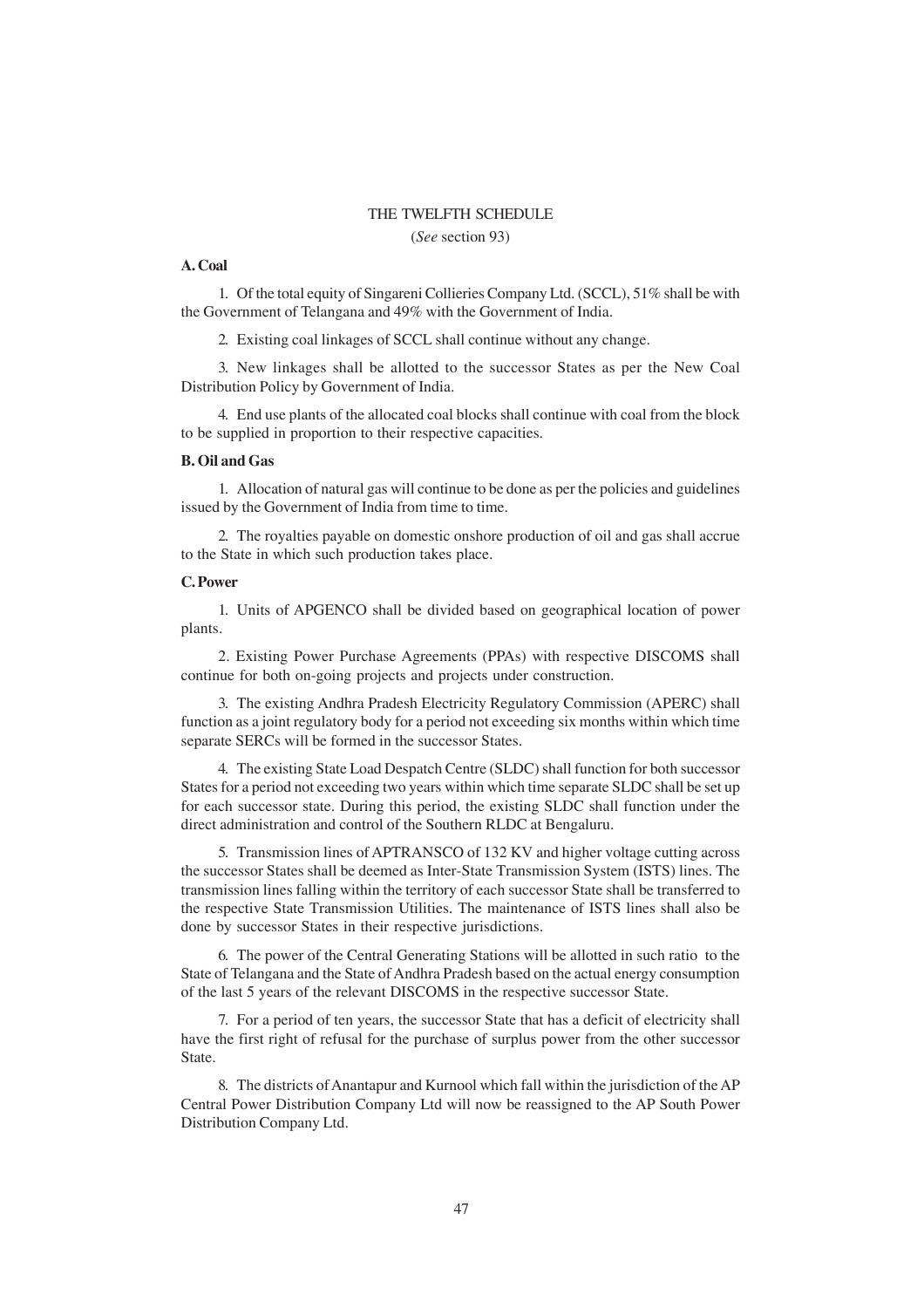# THE TWELFTH SCHEDULE

(*See* section 93)

## **A. Coal**

1. Of the total equity of Singareni Collieries Company Ltd. (SCCL), 51% shall be with the Government of Telangana and 49% with the Government of India.

2. Existing coal linkages of SCCL shall continue without any change.

3. New linkages shall be allotted to the successor States as per the New Coal Distribution Policy by Government of India.

4. End use plants of the allocated coal blocks shall continue with coal from the block to be supplied in proportion to their respective capacities.

## **B. Oil and Gas**

1. Allocation of natural gas will continue to be done as per the policies and guidelines issued by the Government of India from time to time.

2. The royalties payable on domestic onshore production of oil and gas shall accrue to the State in which such production takes place.

#### **C. Power**

1. Units of APGENCO shall be divided based on geographical location of power plants.

2. Existing Power Purchase Agreements (PPAs) with respective DISCOMS shall continue for both on-going projects and projects under construction.

3. The existing Andhra Pradesh Electricity Regulatory Commission (APERC) shall function as a joint regulatory body for a period not exceeding six months within which time separate SERCs will be formed in the successor States.

4. The existing State Load Despatch Centre (SLDC) shall function for both successor States for a period not exceeding two years within which time separate SLDC shall be set up for each successor state. During this period, the existing SLDC shall function under the direct administration and control of the Southern RLDC at Bengaluru.

5. Transmission lines of APTRANSCO of 132 KV and higher voltage cutting across the successor States shall be deemed as Inter-State Transmission System (ISTS) lines. The transmission lines falling within the territory of each successor State shall be transferred to the respective State Transmission Utilities. The maintenance of ISTS lines shall also be done by successor States in their respective jurisdictions.

6. The power of the Central Generating Stations will be allotted in such ratio to the State of Telangana and the State of Andhra Pradesh based on the actual energy consumption of the last 5 years of the relevant DISCOMS in the respective successor State.

7. For a period of ten years, the successor State that has a deficit of electricity shall have the first right of refusal for the purchase of surplus power from the other successor State.

8. The districts of Anantapur and Kurnool which fall within the jurisdiction of the AP Central Power Distribution Company Ltd will now be reassigned to the AP South Power Distribution Company Ltd.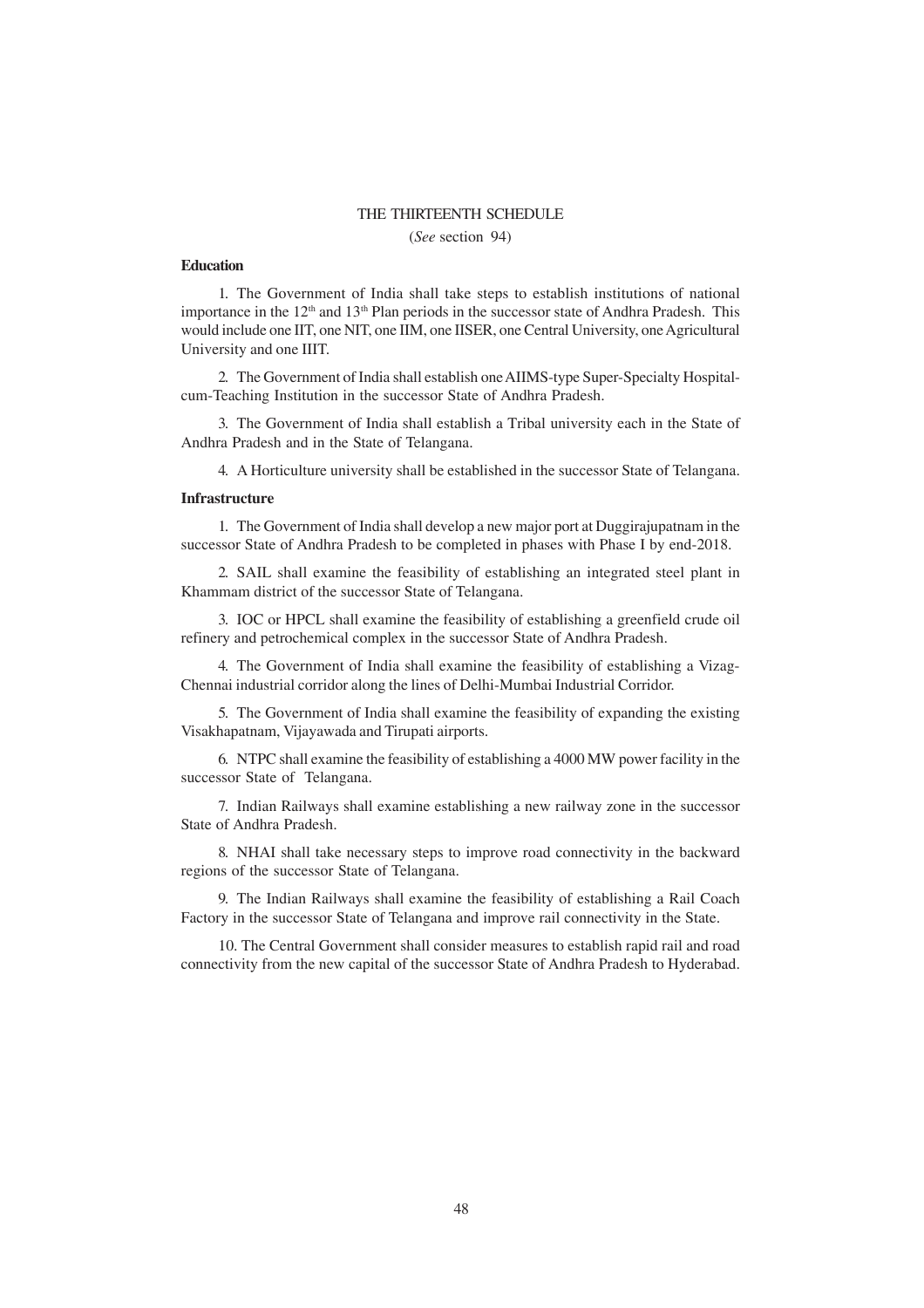# THE THIRTEENTH SCHEDULE

(*See* section 94)

#### **Education**

1. The Government of India shall take steps to establish institutions of national importance in the  $12<sup>th</sup>$  and  $13<sup>th</sup>$  Plan periods in the successor state of Andhra Pradesh. This would include one IIT, one NIT, one IIM, one IISER, one Central University, one Agricultural University and one IIIT.

2. The Government of India shall establish one AIIMS-type Super-Specialty Hospitalcum-Teaching Institution in the successor State of Andhra Pradesh.

3. The Government of India shall establish a Tribal university each in the State of Andhra Pradesh and in the State of Telangana.

4. A Horticulture university shall be established in the successor State of Telangana.

## **Infrastructure**

1. The Government of India shall develop a new major port at Duggirajupatnam in the successor State of Andhra Pradesh to be completed in phases with Phase I by end-2018.

2. SAIL shall examine the feasibility of establishing an integrated steel plant in Khammam district of the successor State of Telangana.

3. IOC or HPCL shall examine the feasibility of establishing a greenfield crude oil refinery and petrochemical complex in the successor State of Andhra Pradesh.

4. The Government of India shall examine the feasibility of establishing a Vizag-Chennai industrial corridor along the lines of Delhi-Mumbai Industrial Corridor.

5. The Government of India shall examine the feasibility of expanding the existing Visakhapatnam, Vijayawada and Tirupati airports.

6. NTPC shall examine the feasibility of establishing a 4000 MW power facility in the successor State of Telangana.

7. Indian Railways shall examine establishing a new railway zone in the successor State of Andhra Pradesh.

8. NHAI shall take necessary steps to improve road connectivity in the backward regions of the successor State of Telangana.

9. The Indian Railways shall examine the feasibility of establishing a Rail Coach Factory in the successor State of Telangana and improve rail connectivity in the State.

10. The Central Government shall consider measures to establish rapid rail and road connectivity from the new capital of the successor State of Andhra Pradesh to Hyderabad.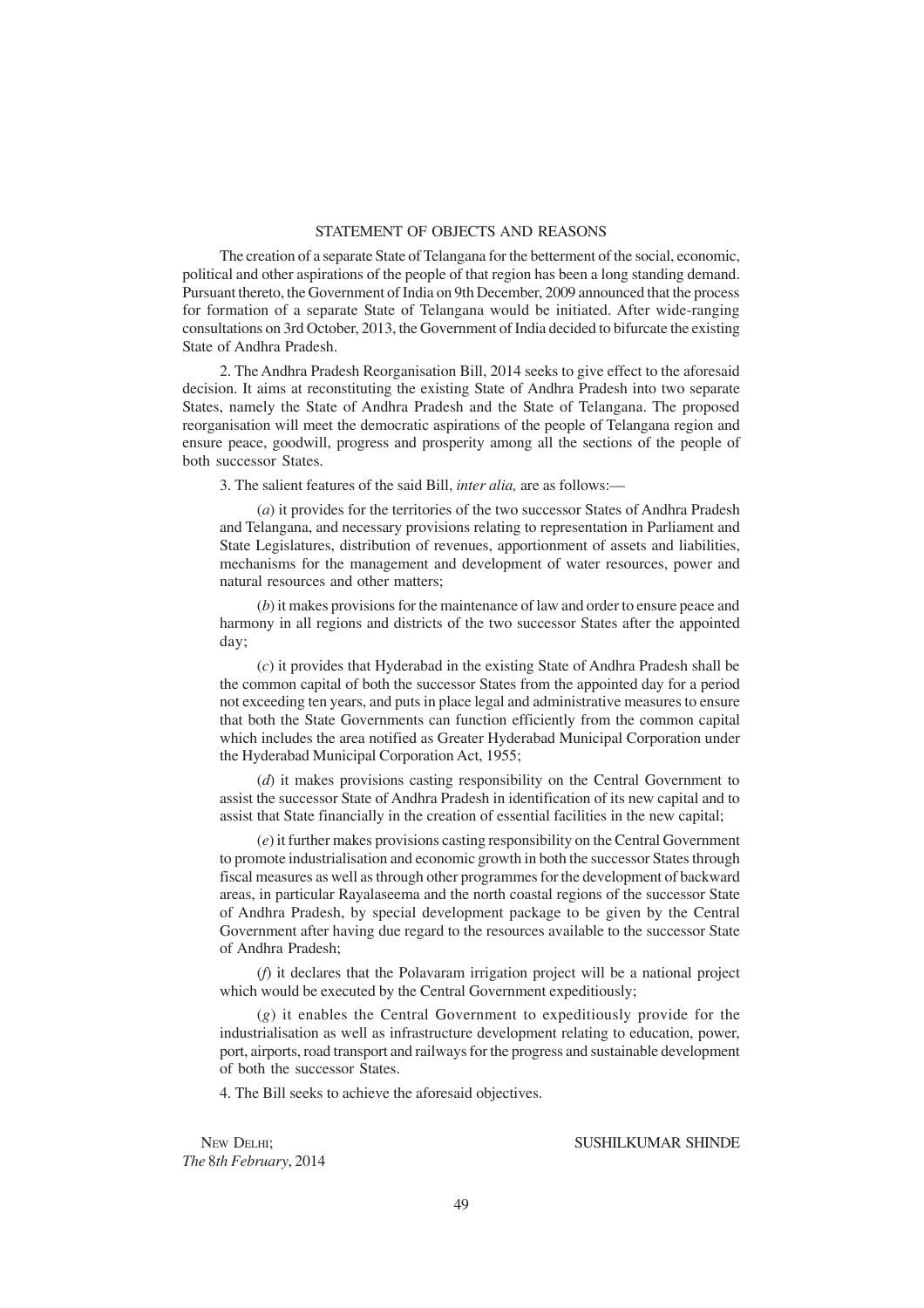## STATEMENT OF OBJECTS AND REASONS

The creation of a separate State of Telangana for the betterment of the social, economic, political and other aspirations of the people of that region has been a long standing demand. Pursuant thereto, the Government of India on 9th December, 2009 announced that the process for formation of a separate State of Telangana would be initiated. After wide-ranging consultations on 3rd October, 2013, the Government of India decided to bifurcate the existing State of Andhra Pradesh.

2. The Andhra Pradesh Reorganisation Bill, 2014 seeks to give effect to the aforesaid decision. It aims at reconstituting the existing State of Andhra Pradesh into two separate States, namely the State of Andhra Pradesh and the State of Telangana. The proposed reorganisation will meet the democratic aspirations of the people of Telangana region and ensure peace, goodwill, progress and prosperity among all the sections of the people of both successor States.

3. The salient features of the said Bill, *inter alia,* are as follows:—

(*a*) it provides for the territories of the two successor States of Andhra Pradesh and Telangana, and necessary provisions relating to representation in Parliament and State Legislatures, distribution of revenues, apportionment of assets and liabilities, mechanisms for the management and development of water resources, power and natural resources and other matters;

(*b*) it makes provisions for the maintenance of law and order to ensure peace and harmony in all regions and districts of the two successor States after the appointed day;

(*c*) it provides that Hyderabad in the existing State of Andhra Pradesh shall be the common capital of both the successor States from the appointed day for a period not exceeding ten years, and puts in place legal and administrative measures to ensure that both the State Governments can function efficiently from the common capital which includes the area notified as Greater Hyderabad Municipal Corporation under the Hyderabad Municipal Corporation Act, 1955;

(*d*) it makes provisions casting responsibility on the Central Government to assist the successor State of Andhra Pradesh in identification of its new capital and to assist that State financially in the creation of essential facilities in the new capital;

(*e*) it further makes provisions casting responsibility on the Central Government to promote industrialisation and economic growth in both the successor States through fiscal measures as well as through other programmes for the development of backward areas, in particular Rayalaseema and the north coastal regions of the successor State of Andhra Pradesh, by special development package to be given by the Central Government after having due regard to the resources available to the successor State of Andhra Pradesh;

(*f*) it declares that the Polavaram irrigation project will be a national project which would be executed by the Central Government expeditiously;

(*g*) it enables the Central Government to expeditiously provide for the industrialisation as well as infrastructure development relating to education, power, port, airports, road transport and railways for the progress and sustainable development of both the successor States.

4. The Bill seeks to achieve the aforesaid objectives.

*The* 8*th February*, 2014

NEW DELHI; SUSHILKUMAR SHINDE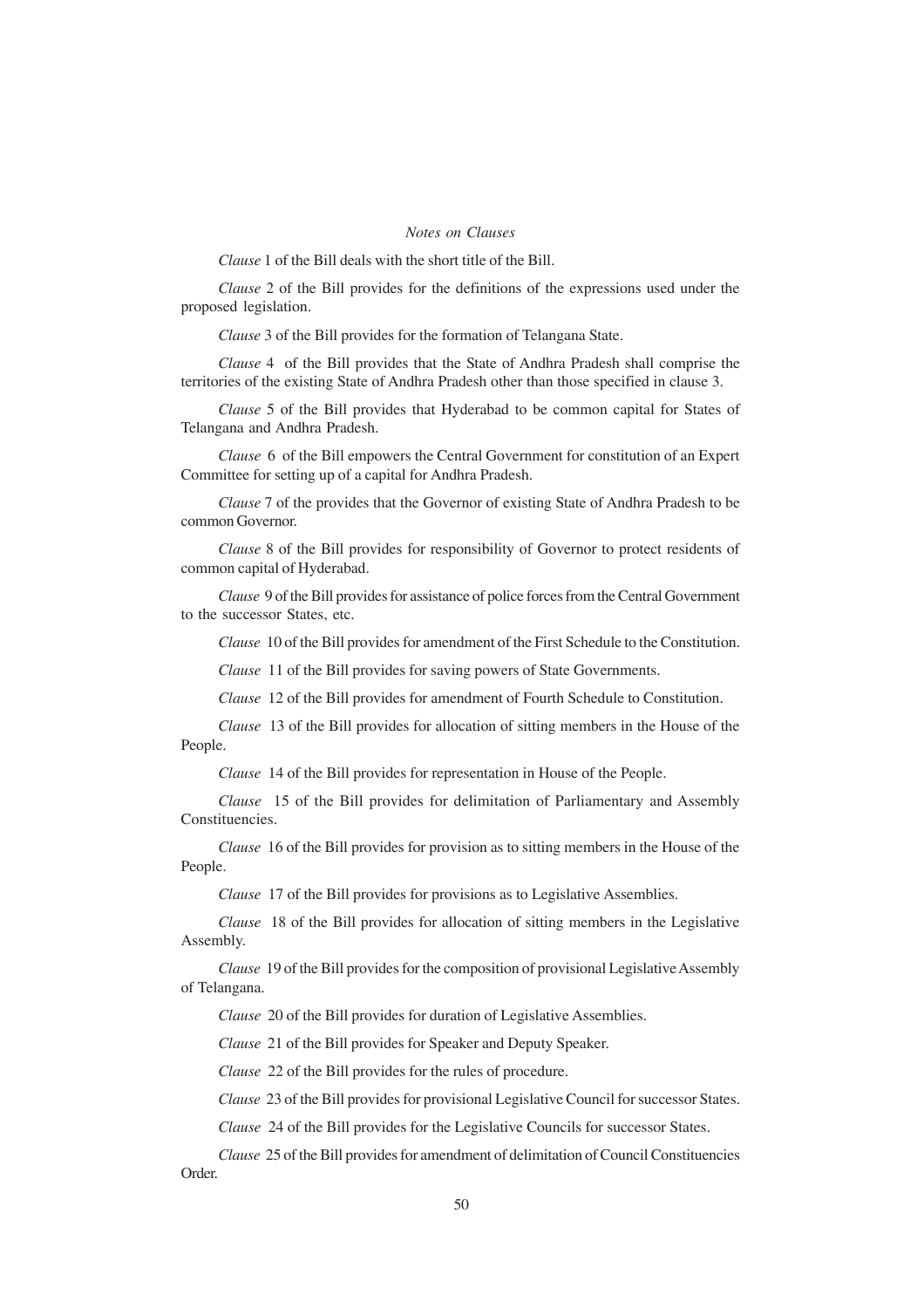## *Notes on Clauses*

*Clause* 1 of the Bill deals with the short title of the Bill.

*Clause* 2 of the Bill provides for the definitions of the expressions used under the proposed legislation.

*Clause* 3 of the Bill provides for the formation of Telangana State.

*Clause* 4 of the Bill provides that the State of Andhra Pradesh shall comprise the territories of the existing State of Andhra Pradesh other than those specified in clause 3.

*Clause* 5 of the Bill provides that Hyderabad to be common capital for States of Telangana and Andhra Pradesh.

*Clause* 6 of the Bill empowers the Central Government for constitution of an Expert Committee for setting up of a capital for Andhra Pradesh.

*Clause* 7 of the provides that the Governor of existing State of Andhra Pradesh to be common Governor.

*Clause* 8 of the Bill provides for responsibility of Governor to protect residents of common capital of Hyderabad.

*Clause* 9 of the Bill provides for assistance of police forces from the Central Government to the successor States, etc.

*Clause* 10 of the Bill provides for amendment of the First Schedule to the Constitution.

*Clause* 11 of the Bill provides for saving powers of State Governments.

*Clause* 12 of the Bill provides for amendment of Fourth Schedule to Constitution.

*Clause* 13 of the Bill provides for allocation of sitting members in the House of the People.

*Clause* 14 of the Bill provides for representation in House of the People.

*Clause* 15 of the Bill provides for delimitation of Parliamentary and Assembly Constituencies.

*Clause* 16 of the Bill provides for provision as to sitting members in the House of the People.

*Clause* 17 of the Bill provides for provisions as to Legislative Assemblies.

*Clause* 18 of the Bill provides for allocation of sitting members in the Legislative Assembly.

*Clause* 19 of the Bill provides for the composition of provisional Legislative Assembly of Telangana.

*Clause* 20 of the Bill provides for duration of Legislative Assemblies.

*Clause* 21 of the Bill provides for Speaker and Deputy Speaker.

*Clause* 22 of the Bill provides for the rules of procedure.

*Clause* 23 of the Bill provides for provisional Legislative Council for successor States.

*Clause* 24 of the Bill provides for the Legislative Councils for successor States.

*Clause* 25 of the Bill provides for amendment of delimitation of Council Constituencies Order.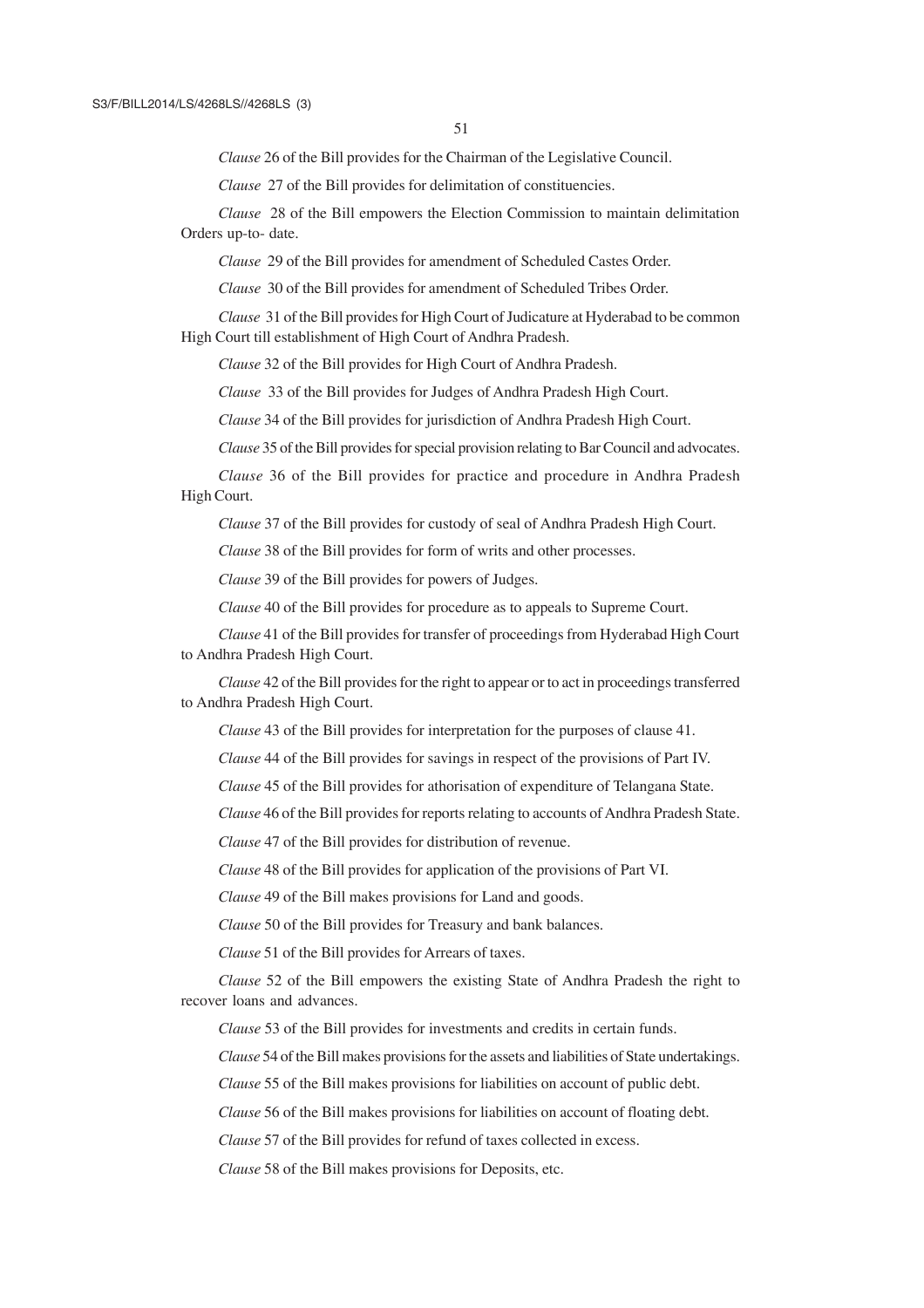*Clause* 26 of the Bill provides for the Chairman of the Legislative Council.

*Clause* 27 of the Bill provides for delimitation of constituencies.

*Clause* 28 of the Bill empowers the Election Commission to maintain delimitation Orders up-to- date.

*Clause* 29 of the Bill provides for amendment of Scheduled Castes Order.

*Clause* 30 of the Bill provides for amendment of Scheduled Tribes Order.

*Clause* 31 of the Bill provides for High Court of Judicature at Hyderabad to be common High Court till establishment of High Court of Andhra Pradesh.

*Clause* 32 of the Bill provides for High Court of Andhra Pradesh.

*Clause* 33 of the Bill provides for Judges of Andhra Pradesh High Court.

*Clause* 34 of the Bill provides for jurisdiction of Andhra Pradesh High Court.

*Clause* 35 of the Bill provides for special provision relating to Bar Council and advocates.

*Clause* 36 of the Bill provides for practice and procedure in Andhra Pradesh High Court.

*Clause* 37 of the Bill provides for custody of seal of Andhra Pradesh High Court.

*Clause* 38 of the Bill provides for form of writs and other processes.

*Clause* 39 of the Bill provides for powers of Judges.

*Clause* 40 of the Bill provides for procedure as to appeals to Supreme Court.

*Clause* 41 of the Bill provides for transfer of proceedings from Hyderabad High Court to Andhra Pradesh High Court.

*Clause* 42 of the Bill provides for the right to appear or to act in proceedings transferred to Andhra Pradesh High Court.

*Clause* 43 of the Bill provides for interpretation for the purposes of clause 41.

*Clause* 44 of the Bill provides for savings in respect of the provisions of Part IV.

*Clause* 45 of the Bill provides for athorisation of expenditure of Telangana State.

*Clause* 46 of the Bill provides for reports relating to accounts of Andhra Pradesh State.

*Clause* 47 of the Bill provides for distribution of revenue.

*Clause* 48 of the Bill provides for application of the provisions of Part VI.

*Clause* 49 of the Bill makes provisions for Land and goods.

*Clause* 50 of the Bill provides for Treasury and bank balances.

*Clause* 51 of the Bill provides for Arrears of taxes.

*Clause* 52 of the Bill empowers the existing State of Andhra Pradesh the right to recover loans and advances.

*Clause* 53 of the Bill provides for investments and credits in certain funds.

*Clause* 54 of the Bill makes provisions for the assets and liabilities of State undertakings.

*Clause* 55 of the Bill makes provisions for liabilities on account of public debt.

*Clause* 56 of the Bill makes provisions for liabilities on account of floating debt.

*Clause* 57 of the Bill provides for refund of taxes collected in excess.

*Clause* 58 of the Bill makes provisions for Deposits, etc.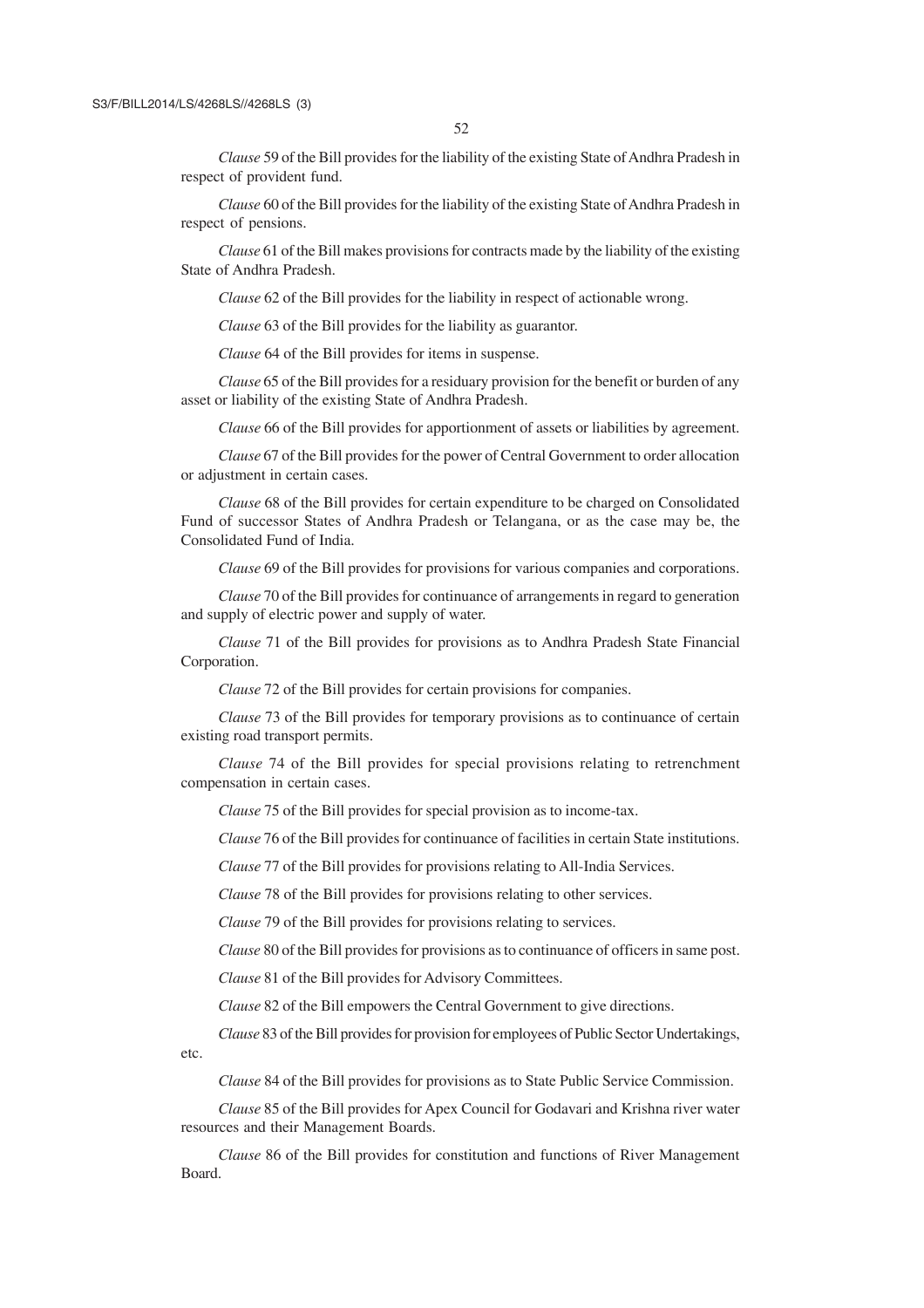*Clause* 59 of the Bill provides for the liability of the existing State of Andhra Pradesh in respect of provident fund.

*Clause* 60 of the Bill provides for the liability of the existing State of Andhra Pradesh in respect of pensions.

*Clause* 61 of the Bill makes provisions for contracts made by the liability of the existing State of Andhra Pradesh.

*Clause* 62 of the Bill provides for the liability in respect of actionable wrong.

*Clause* 63 of the Bill provides for the liability as guarantor.

*Clause* 64 of the Bill provides for items in suspense.

*Clause* 65 of the Bill provides for a residuary provision for the benefit or burden of any asset or liability of the existing State of Andhra Pradesh.

*Clause* 66 of the Bill provides for apportionment of assets or liabilities by agreement.

*Clause* 67 of the Bill provides for the power of Central Government to order allocation or adjustment in certain cases.

*Clause* 68 of the Bill provides for certain expenditure to be charged on Consolidated Fund of successor States of Andhra Pradesh or Telangana, or as the case may be, the Consolidated Fund of India.

*Clause* 69 of the Bill provides for provisions for various companies and corporations.

*Clause* 70 of the Bill provides for continuance of arrangements in regard to generation and supply of electric power and supply of water.

*Clause* 71 of the Bill provides for provisions as to Andhra Pradesh State Financial Corporation.

*Clause* 72 of the Bill provides for certain provisions for companies.

*Clause* 73 of the Bill provides for temporary provisions as to continuance of certain existing road transport permits.

*Clause* 74 of the Bill provides for special provisions relating to retrenchment compensation in certain cases.

*Clause* 75 of the Bill provides for special provision as to income-tax.

*Clause* 76 of the Bill provides for continuance of facilities in certain State institutions.

*Clause* 77 of the Bill provides for provisions relating to All-India Services.

*Clause* 78 of the Bill provides for provisions relating to other services.

*Clause* 79 of the Bill provides for provisions relating to services.

*Clause* 80 of the Bill provides for provisions as to continuance of officers in same post.

*Clause* 81 of the Bill provides for Advisory Committees.

*Clause* 82 of the Bill empowers the Central Government to give directions.

*Clause* 83 of the Bill provides for provision for employees of Public Sector Undertakings, etc.

*Clause* 84 of the Bill provides for provisions as to State Public Service Commission.

*Clause* 85 of the Bill provides for Apex Council for Godavari and Krishna river water resources and their Management Boards.

*Clause* 86 of the Bill provides for constitution and functions of River Management Board.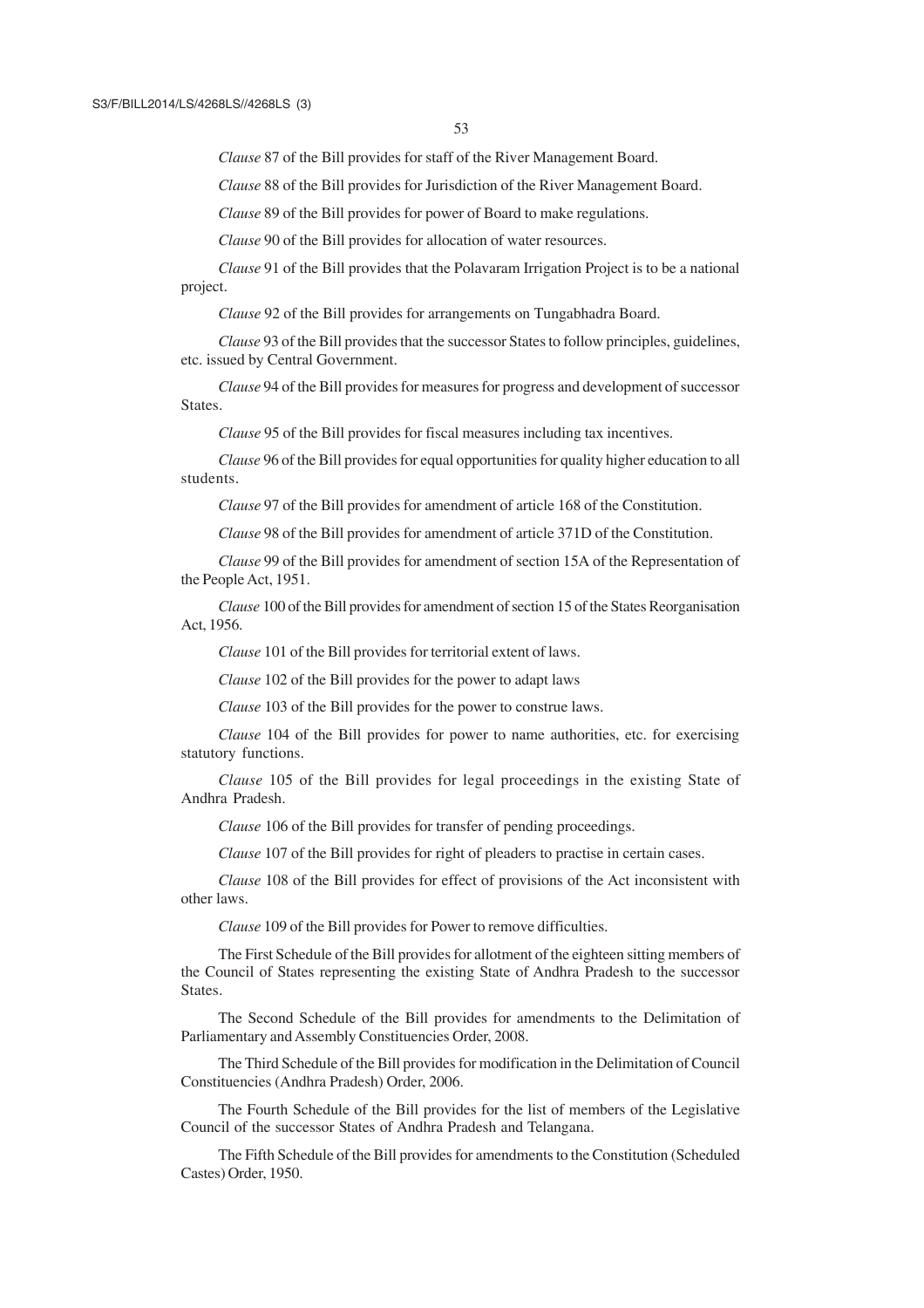*Clause* 87 of the Bill provides for staff of the River Management Board.

*Clause* 88 of the Bill provides for Jurisdiction of the River Management Board.

*Clause* 89 of the Bill provides for power of Board to make regulations.

*Clause* 90 of the Bill provides for allocation of water resources.

*Clause* 91 of the Bill provides that the Polavaram Irrigation Project is to be a national project.

*Clause* 92 of the Bill provides for arrangements on Tungabhadra Board.

*Clause* 93 of the Bill provides that the successor States to follow principles, guidelines, etc. issued by Central Government.

*Clause* 94 of the Bill provides for measures for progress and development of successor States.

*Clause* 95 of the Bill provides for fiscal measures including tax incentives.

*Clause* 96 of the Bill provides for equal opportunities for quality higher education to all students.

*Clause* 97 of the Bill provides for amendment of article 168 of the Constitution.

*Clause* 98 of the Bill provides for amendment of article 371D of the Constitution.

*Clause* 99 of the Bill provides for amendment of section 15A of the Representation of the People Act, 1951.

*Clause* 100 of the Bill provides for amendment of section 15 of the States Reorganisation Act, 1956.

*Clause* 101 of the Bill provides for territorial extent of laws.

*Clause* 102 of the Bill provides for the power to adapt laws

*Clause* 103 of the Bill provides for the power to construe laws.

*Clause* 104 of the Bill provides for power to name authorities, etc. for exercising statutory functions.

*Clause* 105 of the Bill provides for legal proceedings in the existing State of Andhra Pradesh.

*Clause* 106 of the Bill provides for transfer of pending proceedings.

*Clause* 107 of the Bill provides for right of pleaders to practise in certain cases.

*Clause* 108 of the Bill provides for effect of provisions of the Act inconsistent with other laws.

*Clause* 109 of the Bill provides for Power to remove difficulties.

The First Schedule of the Bill provides for allotment of the eighteen sitting members of the Council of States representing the existing State of Andhra Pradesh to the successor States.

The Second Schedule of the Bill provides for amendments to the Delimitation of Parliamentary and Assembly Constituencies Order, 2008.

The Third Schedule of the Bill provides for modification in the Delimitation of Council Constituencies (Andhra Pradesh) Order, 2006.

The Fourth Schedule of the Bill provides for the list of members of the Legislative Council of the successor States of Andhra Pradesh and Telangana.

The Fifth Schedule of the Bill provides for amendments to the Constitution (Scheduled Castes) Order, 1950.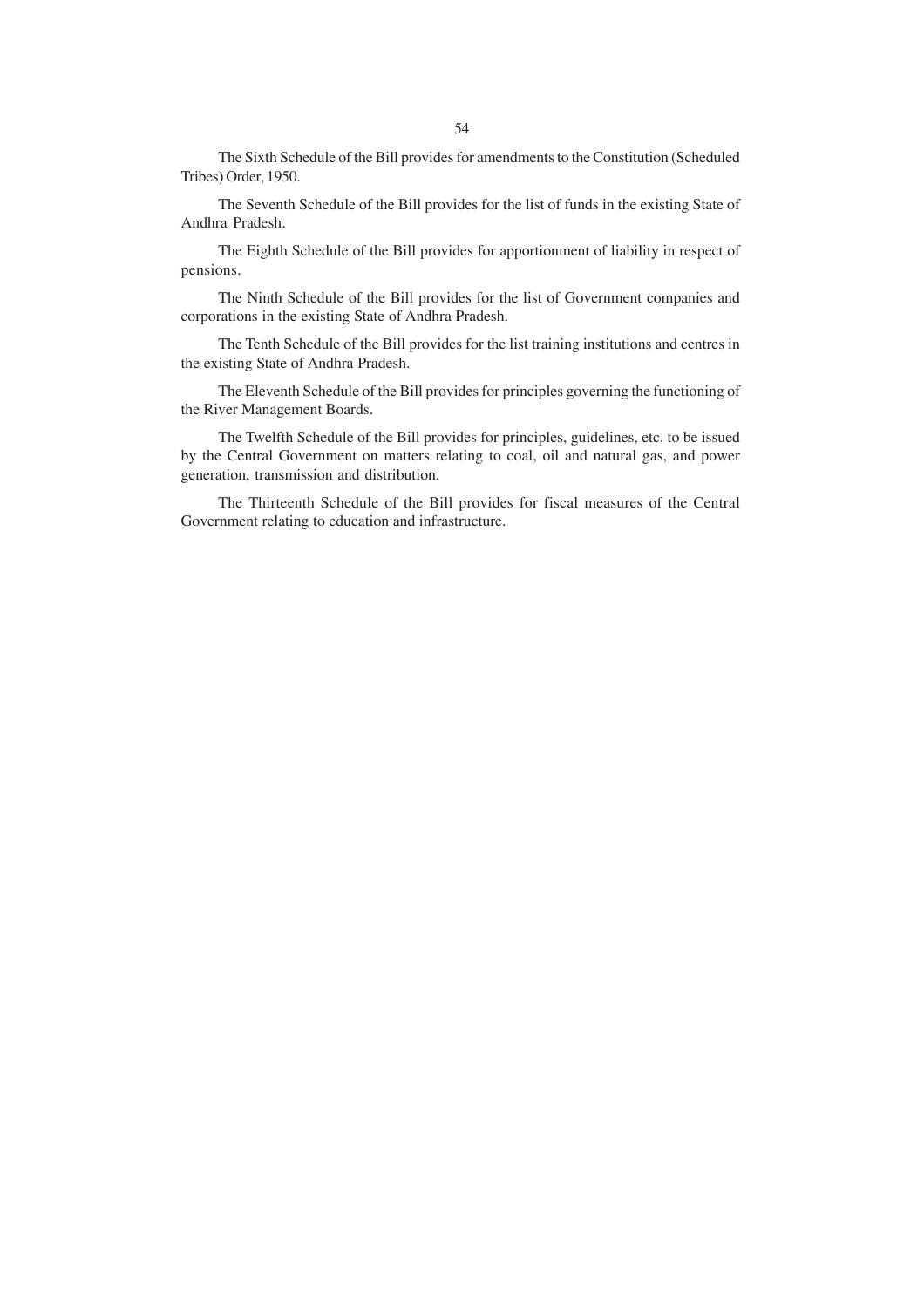The Sixth Schedule of the Bill provides for amendments to the Constitution (Scheduled Tribes) Order, 1950.

The Seventh Schedule of the Bill provides for the list of funds in the existing State of Andhra Pradesh.

The Eighth Schedule of the Bill provides for apportionment of liability in respect of pensions.

The Ninth Schedule of the Bill provides for the list of Government companies and corporations in the existing State of Andhra Pradesh.

The Tenth Schedule of the Bill provides for the list training institutions and centres in the existing State of Andhra Pradesh.

The Eleventh Schedule of the Bill provides for principles governing the functioning of the River Management Boards.

The Twelfth Schedule of the Bill provides for principles, guidelines, etc. to be issued by the Central Government on matters relating to coal, oil and natural gas, and power generation, transmission and distribution.

The Thirteenth Schedule of the Bill provides for fiscal measures of the Central Government relating to education and infrastructure.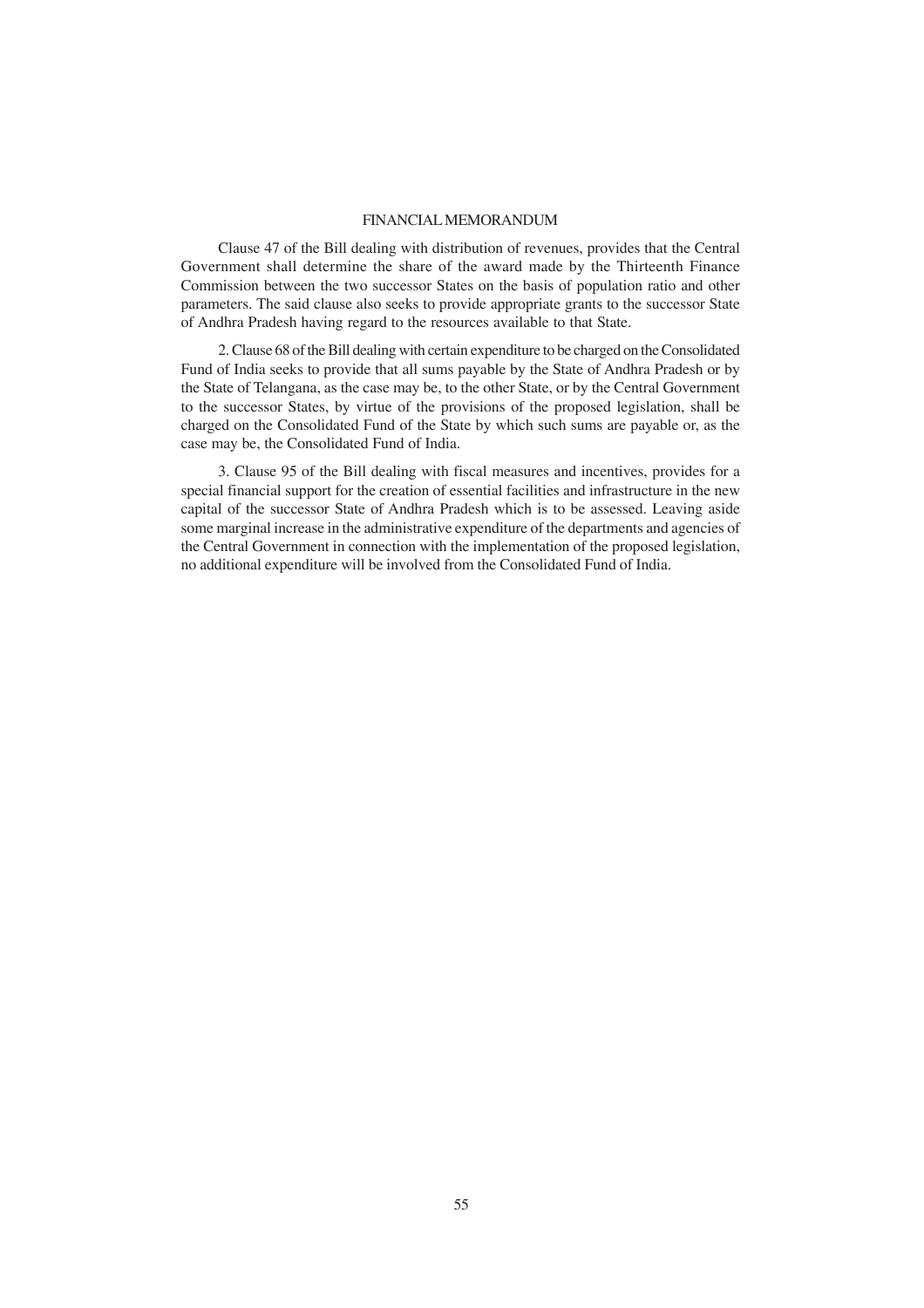## FINANCIAL MEMORANDUM

Clause 47 of the Bill dealing with distribution of revenues, provides that the Central Government shall determine the share of the award made by the Thirteenth Finance Commission between the two successor States on the basis of population ratio and other parameters. The said clause also seeks to provide appropriate grants to the successor State of Andhra Pradesh having regard to the resources available to that State.

2. Clause 68 of the Bill dealing with certain expenditure to be charged on the Consolidated Fund of India seeks to provide that all sums payable by the State of Andhra Pradesh or by the State of Telangana, as the case may be, to the other State, or by the Central Government to the successor States, by virtue of the provisions of the proposed legislation, shall be charged on the Consolidated Fund of the State by which such sums are payable or, as the case may be, the Consolidated Fund of India.

3. Clause 95 of the Bill dealing with fiscal measures and incentives, provides for a special financial support for the creation of essential facilities and infrastructure in the new capital of the successor State of Andhra Pradesh which is to be assessed. Leaving aside some marginal increase in the administrative expenditure of the departments and agencies of the Central Government in connection with the implementation of the proposed legislation, no additional expenditure will be involved from the Consolidated Fund of India.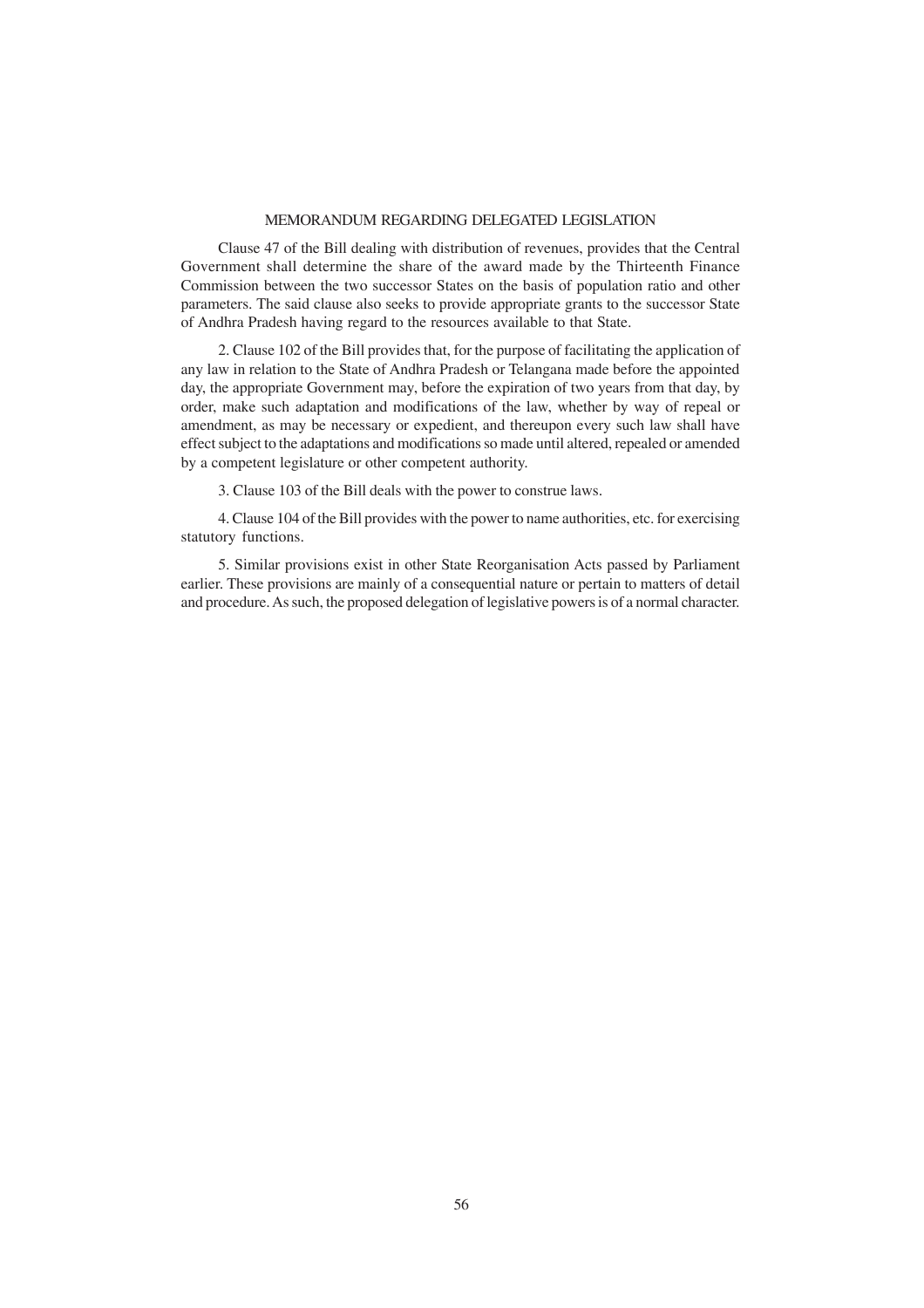## MEMORANDUM REGARDING DELEGATED LEGISLATION

Clause 47 of the Bill dealing with distribution of revenues, provides that the Central Government shall determine the share of the award made by the Thirteenth Finance Commission between the two successor States on the basis of population ratio and other parameters. The said clause also seeks to provide appropriate grants to the successor State of Andhra Pradesh having regard to the resources available to that State.

2. Clause 102 of the Bill provides that, for the purpose of facilitating the application of any law in relation to the State of Andhra Pradesh or Telangana made before the appointed day, the appropriate Government may, before the expiration of two years from that day, by order, make such adaptation and modifications of the law, whether by way of repeal or amendment, as may be necessary or expedient, and thereupon every such law shall have effect subject to the adaptations and modifications so made until altered, repealed or amended by a competent legislature or other competent authority.

3. Clause 103 of the Bill deals with the power to construe laws.

4. Clause 104 of the Bill provides with the power to name authorities, etc. for exercising statutory functions.

5. Similar provisions exist in other State Reorganisation Acts passed by Parliament earlier. These provisions are mainly of a consequential nature or pertain to matters of detail and procedure. As such, the proposed delegation of legislative powers is of a normal character.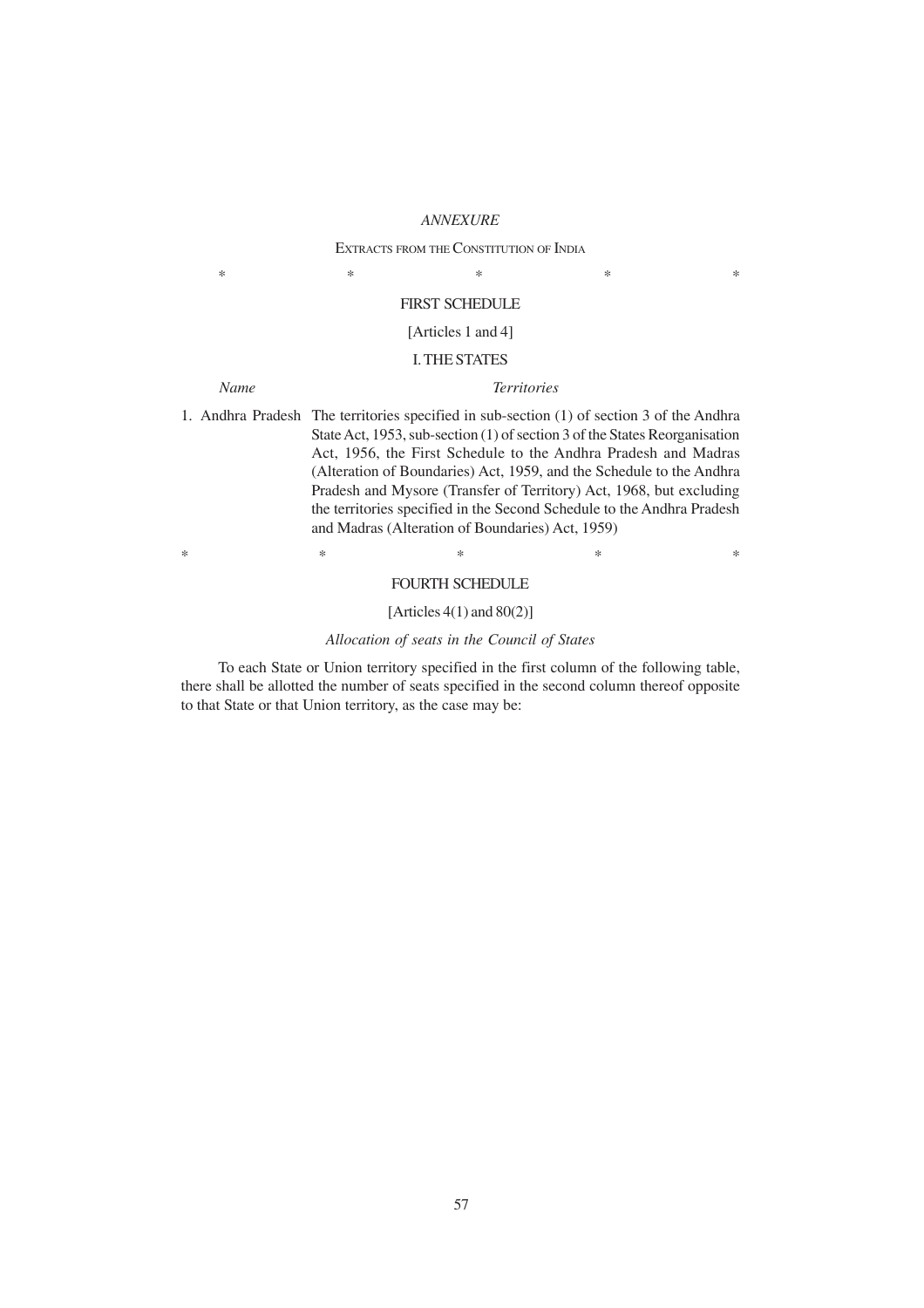## *ANNEXURE*

#### EXTRACTS FROM THE CONSTITUTION OF INDIA

# $*$  \*  $*$  \*  $*$  \* FIRST SCHEDULE [Articles 1 and 4] I. THE STATES *Name Territories* 1. Andhra Pradesh The territories specified in sub-section (1) of section 3 of the Andhra

State Act, 1953, sub-section (1) of section 3 of the States Reorganisation Act, 1956, the First Schedule to the Andhra Pradesh and Madras (Alteration of Boundaries) Act, 1959, and the Schedule to the Andhra Pradesh and Mysore (Transfer of Territory) Act, 1968, but excluding the territories specified in the Second Schedule to the Andhra Pradesh and Madras (Alteration of Boundaries) Act, 1959)

 $*$  \*  $*$  \*  $*$  \*

## FOURTH SCHEDULE

## [Articles  $4(1)$  and  $80(2)$ ]

# *Allocation of seats in the Council of States*

To each State or Union territory specified in the first column of the following table, there shall be allotted the number of seats specified in the second column thereof opposite to that State or that Union territory, as the case may be: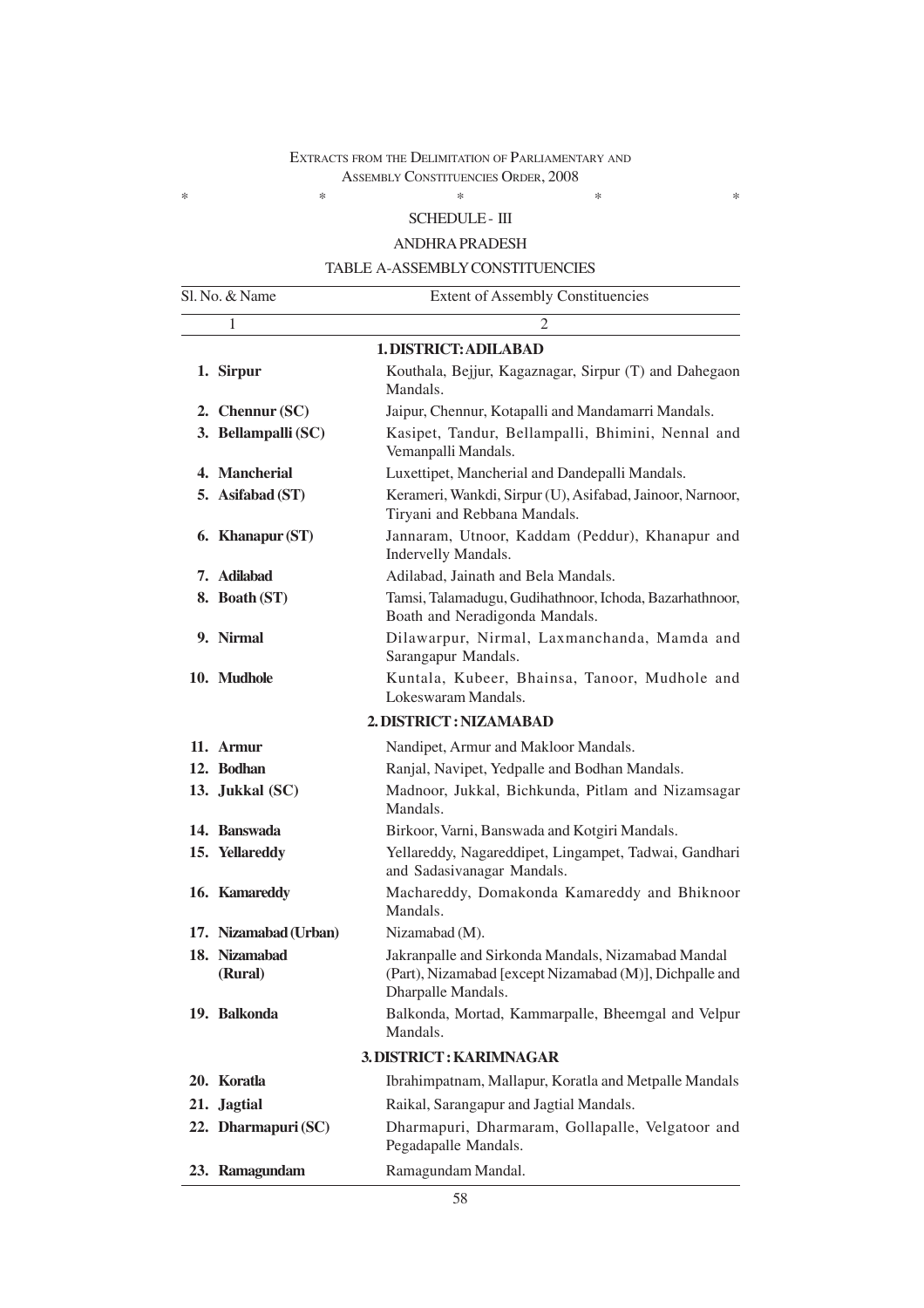# EXTRACTS FROM THE DELIMITATION OF PARLIAMENTARY AND ASSEMBLY CONSTITUENCIES ORDER, 2008

 $*$   $*$   $*$   $*$   $*$   $*$ 

# SCHEDULE - III

# ANDHRA PRADESH

# TABLE A-ASSEMBLY CONSTITUENCIES

| Sl. No. & Name |                       | <b>Extent of Assembly Constituencies</b>                                                  |
|----------------|-----------------------|-------------------------------------------------------------------------------------------|
|                | $\mathbf{1}$          | 2                                                                                         |
|                |                       | <b>1. DISTRICT: ADILABAD</b>                                                              |
|                | 1. Sirpur             | Kouthala, Bejjur, Kagaznagar, Sirpur (T) and Dahegaon<br>Mandals.                         |
|                | 2. Chennur (SC)       | Jaipur, Chennur, Kotapalli and Mandamarri Mandals.                                        |
|                | 3. Bellampalli (SC)   | Kasipet, Tandur, Bellampalli, Bhimini, Nennal and<br>Vemanpalli Mandals.                  |
|                | 4. Mancherial         | Luxettipet, Mancherial and Dandepalli Mandals.                                            |
|                | 5. Asifabad (ST)      | Kerameri, Wankdi, Sirpur (U), Asifabad, Jainoor, Narnoor,<br>Tiryani and Rebbana Mandals. |
|                | 6. Khanapur (ST)      | Jannaram, Utnoor, Kaddam (Peddur), Khanapur and<br>Indervelly Mandals.                    |
|                | 7. Adilabad           | Adilabad, Jainath and Bela Mandals.                                                       |
|                | 8. Boath (ST)         | Tamsi, Talamadugu, Gudihathnoor, Ichoda, Bazarhathnoor,<br>Boath and Neradigonda Mandals. |
|                | 9. Nirmal             | Dilawarpur, Nirmal, Laxmanchanda, Mamda and<br>Sarangapur Mandals.                        |
|                | 10. Mudhole           | Kuntala, Kubeer, Bhainsa, Tanoor, Mudhole and<br>Lokeswaram Mandals.                      |
|                |                       | 2. DISTRICT: NIZAMABAD                                                                    |
|                | 11. Armur             | Nandipet, Armur and Makloor Mandals.                                                      |
|                | 12. Bodhan            | Ranjal, Navipet, Yedpalle and Bodhan Mandals.                                             |
|                | 13. Jukkal (SC)       | Madnoor, Jukkal, Bichkunda, Pitlam and Nizamsagar<br>Mandals.                             |
|                | 14. Banswada          | Birkoor, Varni, Banswada and Kotgiri Mandals.                                             |
|                | 15. Yellareddy        | Yellareddy, Nagareddipet, Lingampet, Tadwai, Gandhari<br>and Sadasivanagar Mandals.       |
|                | 16. Kamareddy         | Machareddy, Domakonda Kamareddy and Bhiknoor<br>Mandals.                                  |
|                | 17. Nizamabad (Urban) | Nizamabad (M).                                                                            |
|                | 18. Nizamabad         | Jakranpalle and Sirkonda Mandals, Nizamabad Mandal                                        |
|                | (Rural)               | (Part), Nizamabad [except Nizamabad (M)], Dichpalle and<br>Dharpalle Mandals.             |
|                | 19. Balkonda          | Balkonda, Mortad, Kammarpalle, Bheemgal and Velpur<br>Mandals.                            |
|                |                       | 3. DISTRICT: KARIMNAGAR                                                                   |
|                | 20. Koratla           | Ibrahimpatnam, Mallapur, Koratla and Metpalle Mandals                                     |
|                | 21. Jagtial           | Raikal, Sarangapur and Jagtial Mandals.                                                   |
|                | 22. Dharmapuri (SC)   | Dharmapuri, Dharmaram, Gollapalle, Velgatoor and<br>Pegadapalle Mandals.                  |
|                | 23. Ramagundam        | Ramagundam Mandal.                                                                        |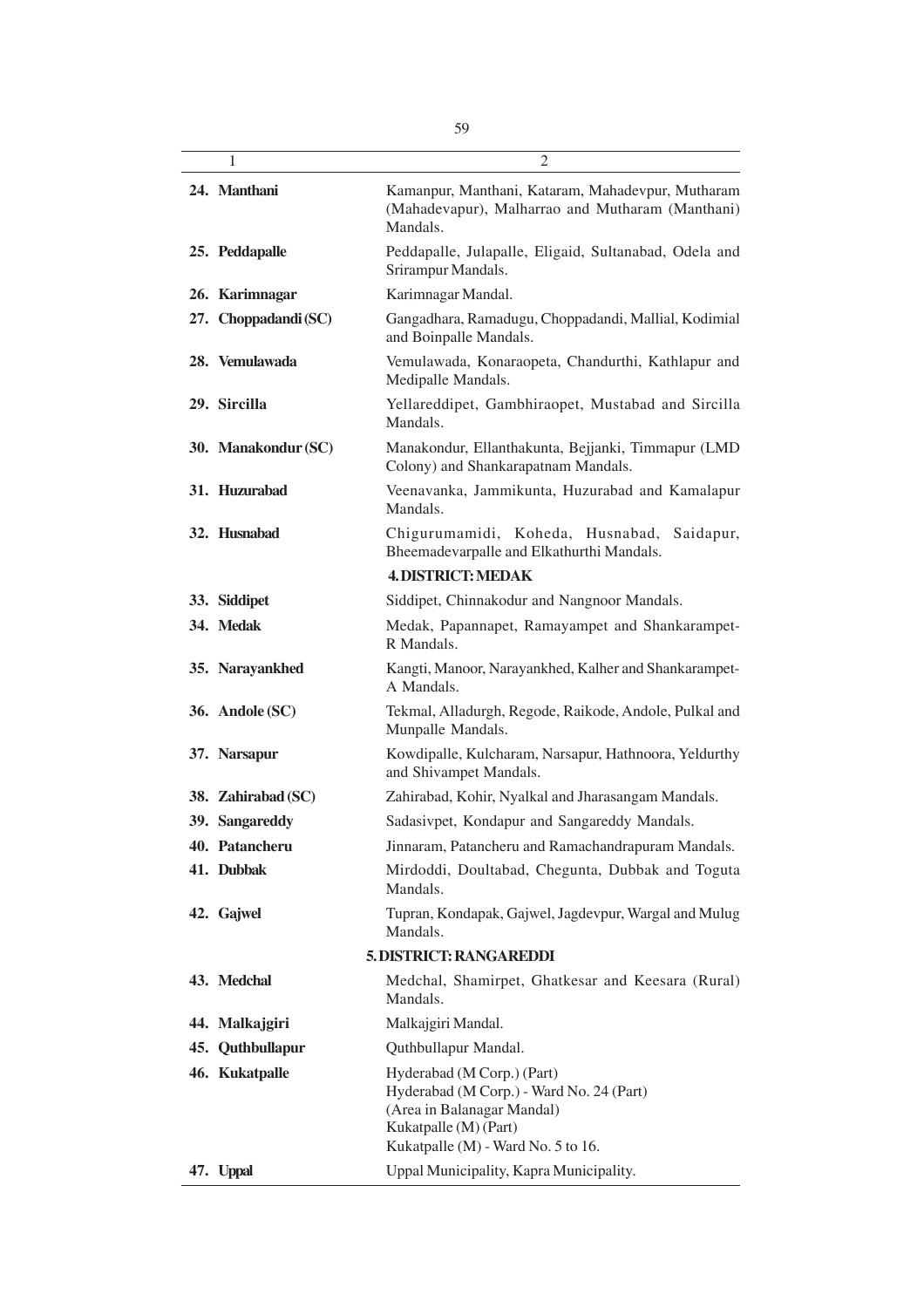| 1                    | $\overline{2}$                                                                                                                                                      |
|----------------------|---------------------------------------------------------------------------------------------------------------------------------------------------------------------|
| 24. Manthani         | Kamanpur, Manthani, Kataram, Mahadevpur, Mutharam<br>(Mahadevapur), Malharrao and Mutharam (Manthani)<br>Mandals.                                                   |
| 25. Peddapalle       | Peddapalle, Julapalle, Eligaid, Sultanabad, Odela and<br>Srirampur Mandals.                                                                                         |
| 26. Karimnagar       | Karimnagar Mandal.                                                                                                                                                  |
| 27. Choppadandi (SC) | Gangadhara, Ramadugu, Choppadandi, Mallial, Kodimial<br>and Boinpalle Mandals.                                                                                      |
| 28. Vemulawada       | Vemulawada, Konaraopeta, Chandurthi, Kathlapur and<br>Medipalle Mandals.                                                                                            |
| 29. Sircilla         | Yellareddipet, Gambhiraopet, Mustabad and Sircilla<br>Mandals.                                                                                                      |
| 30. Manakondur (SC)  | Manakondur, Ellanthakunta, Bejjanki, Timmapur (LMD<br>Colony) and Shankarapatnam Mandals.                                                                           |
| 31. Huzurabad        | Veenavanka, Jammikunta, Huzurabad and Kamalapur<br>Mandals.                                                                                                         |
| 32. Husnabad         | Chigurumamidi, Koheda, Husnabad,<br>Saidapur,<br>Bheemadevarpalle and Elkathurthi Mandals.                                                                          |
|                      | <b>4. DISTRICT: MEDAK</b>                                                                                                                                           |
| 33. Siddipet         | Siddipet, Chinnakodur and Nangnoor Mandals.                                                                                                                         |
| 34. Medak            | Medak, Papannapet, Ramayampet and Shankarampet-<br>R Mandals.                                                                                                       |
| 35. Narayankhed      | Kangti, Manoor, Narayankhed, Kalher and Shankarampet-<br>A Mandals.                                                                                                 |
| 36. Andole (SC)      | Tekmal, Alladurgh, Regode, Raikode, Andole, Pulkal and<br>Munpalle Mandals.                                                                                         |
| 37. Narsapur         | Kowdipalle, Kulcharam, Narsapur, Hathnoora, Yeldurthy<br>and Shivampet Mandals.                                                                                     |
| 38. Zahirabad (SC)   | Zahirabad, Kohir, Nyalkal and Jharasangam Mandals.                                                                                                                  |
| 39. Sangareddy       | Sadasivpet, Kondapur and Sangareddy Mandals.                                                                                                                        |
| 40. Patancheru       | Jinnaram, Patancheru and Ramachandrapuram Mandals.                                                                                                                  |
| 41. Dubbak           | Mirdoddi, Doultabad, Chegunta, Dubbak and Toguta<br>Mandals.                                                                                                        |
| 42. Gajwel           | Tupran, Kondapak, Gajwel, Jagdevpur, Wargal and Mulug<br>Mandals.                                                                                                   |
|                      | 5. DISTRICT: RANGAREDDI                                                                                                                                             |
| 43. Medchal          | Medchal, Shamirpet, Ghatkesar and Keesara (Rural)<br>Mandals.                                                                                                       |
| 44. Malkajgiri       | Malkajgiri Mandal.                                                                                                                                                  |
| 45. Quthbullapur     | Quthbullapur Mandal.                                                                                                                                                |
| 46. Kukatpalle       | Hyderabad (M Corp.) (Part)<br>Hyderabad (M Corp.) - Ward No. 24 (Part)<br>(Area in Balanagar Mandal)<br>Kukatpalle (M) (Part)<br>Kukatpalle (M) - Ward No. 5 to 16. |
| 47. Uppal            | Uppal Municipality, Kapra Municipality.                                                                                                                             |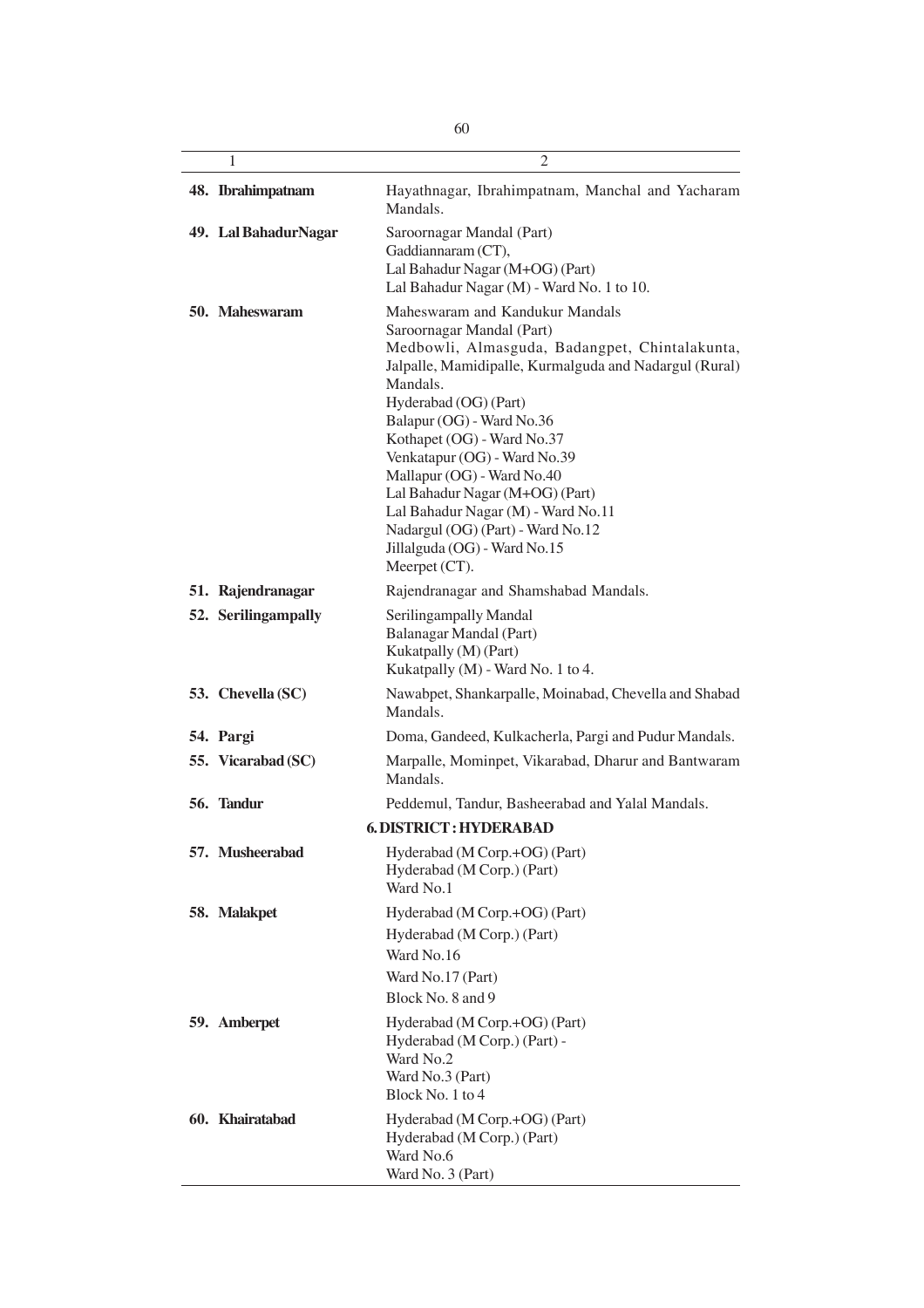| 1                    | 2                                                                                                                                                                                                                                                                                                                                                                                                                                                                                                     |
|----------------------|-------------------------------------------------------------------------------------------------------------------------------------------------------------------------------------------------------------------------------------------------------------------------------------------------------------------------------------------------------------------------------------------------------------------------------------------------------------------------------------------------------|
| 48. Ibrahimpatnam    | Hayathnagar, Ibrahimpatnam, Manchal and Yacharam<br>Mandals.                                                                                                                                                                                                                                                                                                                                                                                                                                          |
| 49. Lal BahadurNagar | Saroornagar Mandal (Part)<br>Gaddiannaram (CT),<br>Lal Bahadur Nagar (M+OG) (Part)<br>Lal Bahadur Nagar (M) - Ward No. 1 to 10.                                                                                                                                                                                                                                                                                                                                                                       |
| 50. Maheswaram       | Maheswaram and Kandukur Mandals<br>Saroornagar Mandal (Part)<br>Medbowli, Almasguda, Badangpet, Chintalakunta,<br>Jalpalle, Mamidipalle, Kurmalguda and Nadargul (Rural)<br>Mandals.<br>Hyderabad (OG) (Part)<br>Balapur (OG) - Ward No.36<br>Kothapet (OG) - Ward No.37<br>Venkatapur (OG) - Ward No.39<br>Mallapur (OG) - Ward No.40<br>Lal Bahadur Nagar (M+OG) (Part)<br>Lal Bahadur Nagar (M) - Ward No.11<br>Nadargul (OG) (Part) - Ward No.12<br>Jillalguda (OG) - Ward No.15<br>Meerpet (CT). |
| 51. Rajendranagar    | Rajendranagar and Shamshabad Mandals.                                                                                                                                                                                                                                                                                                                                                                                                                                                                 |
| 52. Seriling ampally | Serilingampally Mandal<br>Balanagar Mandal (Part)<br>Kukatpally (M) (Part)<br>Kukatpally (M) - Ward No. 1 to 4.                                                                                                                                                                                                                                                                                                                                                                                       |
| 53. Chevella (SC)    | Nawabpet, Shankarpalle, Moinabad, Chevella and Shabad<br>Mandals.                                                                                                                                                                                                                                                                                                                                                                                                                                     |
| 54. Pargi            | Doma, Gandeed, Kulkacherla, Pargi and Pudur Mandals.                                                                                                                                                                                                                                                                                                                                                                                                                                                  |
| 55. Vicarabad (SC)   | Marpalle, Mominpet, Vikarabad, Dharur and Bantwaram<br>Mandals.                                                                                                                                                                                                                                                                                                                                                                                                                                       |
| 56. Tandur           | Peddemul, Tandur, Basheerabad and Yalal Mandals.                                                                                                                                                                                                                                                                                                                                                                                                                                                      |
|                      | <b>6. DISTRICT: HYDERABAD</b>                                                                                                                                                                                                                                                                                                                                                                                                                                                                         |
| 57. Musheerabad      | Hyderabad (M Corp.+OG) (Part)<br>Hyderabad (M Corp.) (Part)<br>Ward No.1                                                                                                                                                                                                                                                                                                                                                                                                                              |
| 58. Malakpet         | Hyderabad (M Corp.+OG) (Part)<br>Hyderabad (M Corp.) (Part)<br>Ward No.16<br>Ward No.17 (Part)<br>Block No. 8 and 9                                                                                                                                                                                                                                                                                                                                                                                   |
| 59. Amberpet         | Hyderabad (M Corp.+OG) (Part)<br>Hyderabad (M Corp.) (Part) -<br>Ward No.2<br>Ward No.3 (Part)<br>Block No. 1 to 4                                                                                                                                                                                                                                                                                                                                                                                    |
| 60. Khairatabad      | Hyderabad (M Corp.+OG) (Part)<br>Hyderabad (M Corp.) (Part)<br>Ward No.6<br>Ward No. 3 (Part)                                                                                                                                                                                                                                                                                                                                                                                                         |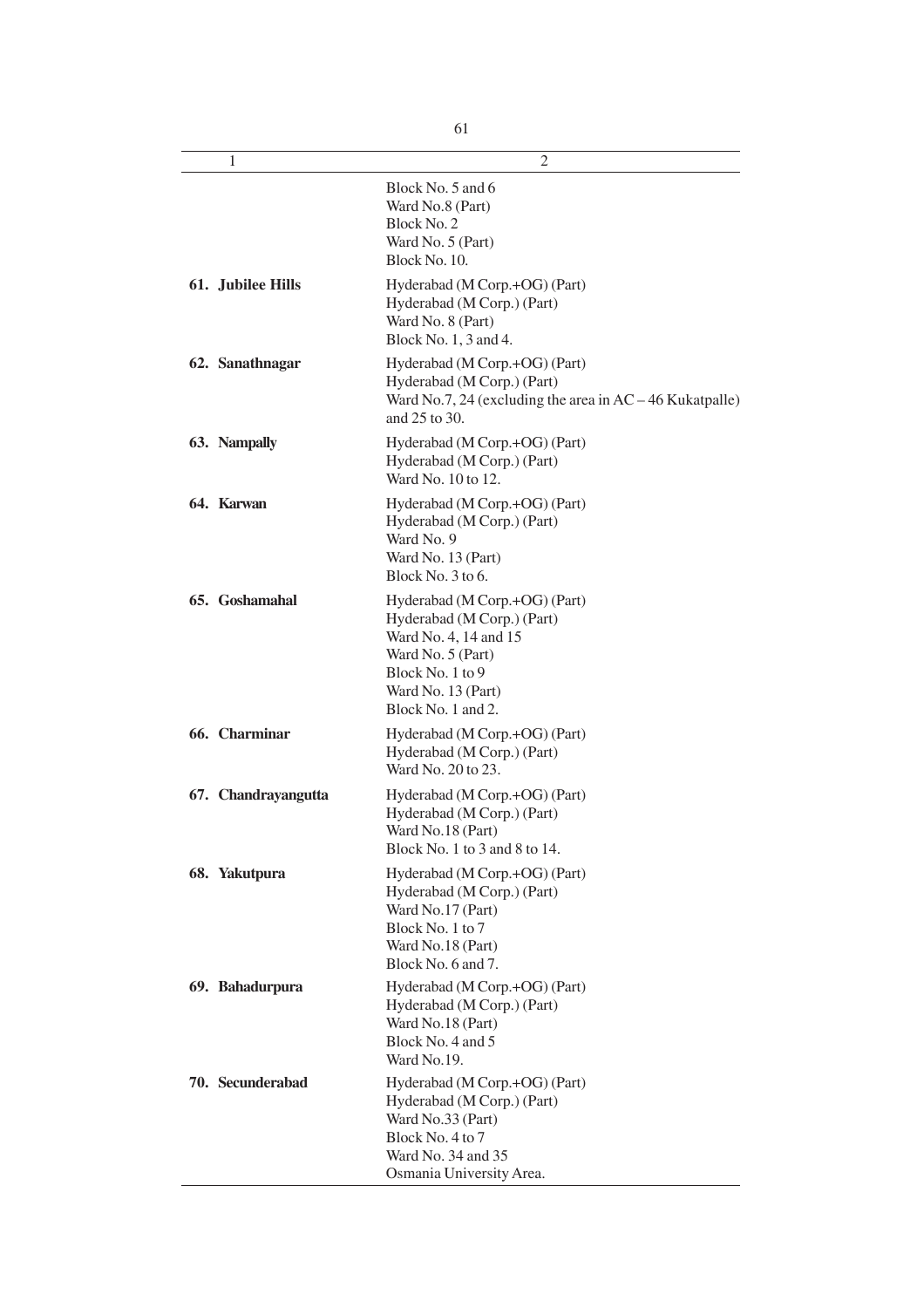61

| 1                   | 2                                                                                                                                                                         |
|---------------------|---------------------------------------------------------------------------------------------------------------------------------------------------------------------------|
|                     | Block No. 5 and 6<br>Ward No.8 (Part)<br>Block No. 2<br>Ward No. 5 (Part)<br>Block No. 10.                                                                                |
| 61. Jubilee Hills   | Hyderabad (M Corp.+OG) (Part)<br>Hyderabad (M Corp.) (Part)<br>Ward No. 8 (Part)<br>Block No. 1, 3 and 4.                                                                 |
| 62. Sanathnagar     | Hyderabad (M Corp.+OG) (Part)<br>Hyderabad (M Corp.) (Part)<br>Ward No.7, 24 (excluding the area in $AC - 46$ Kukatpalle)<br>and 25 to 30.                                |
| 63. Nampally        | Hyderabad (M Corp.+OG) (Part)<br>Hyderabad (M Corp.) (Part)<br>Ward No. 10 to 12.                                                                                         |
| 64. Karwan          | Hyderabad (M Corp.+OG) (Part)<br>Hyderabad (M Corp.) (Part)<br>Ward No. 9<br>Ward No. 13 (Part)<br>Block No. $3$ to 6.                                                    |
| 65. Goshamahal      | Hyderabad (M Corp.+OG) (Part)<br>Hyderabad (M Corp.) (Part)<br>Ward No. 4, 14 and 15<br>Ward No. 5 (Part)<br>Block No. 1 to 9<br>Ward No. 13 (Part)<br>Block No. 1 and 2. |
| 66. Charminar       | Hyderabad (M Corp.+OG) (Part)<br>Hyderabad (M Corp.) (Part)<br>Ward No. 20 to 23.                                                                                         |
| 67. Chandrayangutta | Hyderabad (M Corp.+OG) (Part)<br>Hyderabad (M Corp.) (Part)<br>Ward No.18 (Part)<br>Block No. 1 to 3 and 8 to 14.                                                         |
| 68. Yakutpura       | Hyderabad (M Corp.+OG) (Part)<br>Hyderabad (M Corp.) (Part)<br>Ward No.17 (Part)<br>Block No. 1 to 7<br>Ward No.18 (Part)<br>Block No. 6 and 7.                           |
| 69. Bahadurpura     | Hyderabad (M Corp.+OG) (Part)<br>Hyderabad (M Corp.) (Part)<br>Ward No.18 (Part)<br>Block No. 4 and 5<br>Ward No.19.                                                      |
| 70. Secunderabad    | Hyderabad (M Corp.+OG) (Part)<br>Hyderabad (M Corp.) (Part)<br>Ward No.33 (Part)<br>Block No. 4 to 7<br>Ward No. 34 and 35<br>Osmania University Area.                    |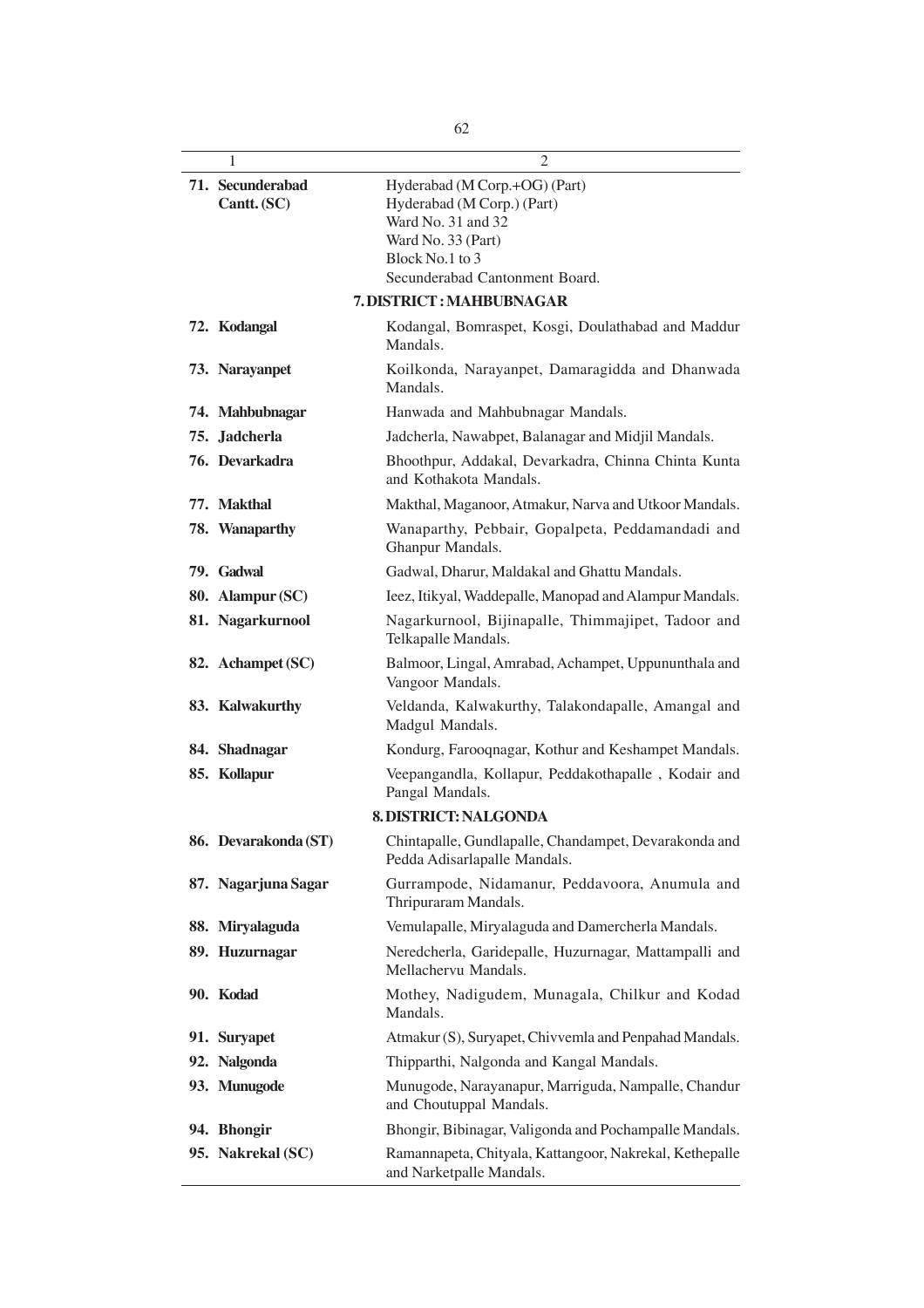| 1                               | $\overline{2}$                                                                                                                                               |
|---------------------------------|--------------------------------------------------------------------------------------------------------------------------------------------------------------|
| 71. Secunderabad<br>Cantt. (SC) | Hyderabad (M Corp.+OG) (Part)<br>Hyderabad (M Corp.) (Part)<br>Ward No. 31 and 32<br>Ward No. 33 (Part)<br>Block No.1 to 3<br>Secunderabad Cantonment Board. |
|                                 | 7. DISTRICT: MAHBUBNAGAR                                                                                                                                     |
| 72. Kodangal                    | Kodangal, Bomraspet, Kosgi, Doulathabad and Maddur<br>Mandals.                                                                                               |
| 73. Narayanpet                  | Koilkonda, Narayanpet, Damaragidda and Dhanwada<br>Mandals.                                                                                                  |
| 74. Mahbubnagar                 | Hanwada and Mahbubnagar Mandals.                                                                                                                             |
| 75. Jadcherla                   | Jadcherla, Nawabpet, Balanagar and Midjil Mandals.                                                                                                           |
| 76. Devarkadra                  | Bhoothpur, Addakal, Devarkadra, Chinna Chinta Kunta<br>and Kothakota Mandals.                                                                                |
| 77. Makthal                     | Makthal, Maganoor, Atmakur, Narva and Utkoor Mandals.                                                                                                        |
| 78. Wanaparthy                  | Wanaparthy, Pebbair, Gopalpeta, Peddamandadi and<br>Ghanpur Mandals.                                                                                         |
| 79. Gadwal                      | Gadwal, Dharur, Maldakal and Ghattu Mandals.                                                                                                                 |
| 80. Alampur (SC)                | Ieez, Itikyal, Waddepalle, Manopad and Alampur Mandals.                                                                                                      |
| 81. Nagarkurnool                | Nagarkurnool, Bijinapalle, Thimmajipet, Tadoor and<br>Telkapalle Mandals.                                                                                    |
| 82. Achampet (SC)               | Balmoor, Lingal, Amrabad, Achampet, Uppununthala and<br>Vangoor Mandals.                                                                                     |
| 83. Kalwakurthy                 | Veldanda, Kalwakurthy, Talakondapalle, Amangal and<br>Madgul Mandals.                                                                                        |
| 84. Shadnagar                   | Kondurg, Farooqnagar, Kothur and Keshampet Mandals.                                                                                                          |
| 85. Kollapur                    | Veepangandla, Kollapur, Peddakothapalle, Kodair and<br>Pangal Mandals.                                                                                       |
|                                 | <b>8. DISTRICT: NALGONDA</b>                                                                                                                                 |
| 86. Devarakonda (ST)            | Chintapalle, Gundlapalle, Chandampet, Devarakonda and<br>Pedda Adisarlapalle Mandals.                                                                        |
| 87. Nagarjuna Sagar             | Gurrampode, Nidamanur, Peddavoora, Anumula and<br>Thripuraram Mandals.                                                                                       |
| 88. Miryalaguda                 | Vemulapalle, Miryalaguda and Damercherla Mandals.                                                                                                            |
| 89. Huzurnagar                  | Neredcherla, Garidepalle, Huzurnagar, Mattampalli and<br>Mellachervu Mandals.                                                                                |
| 90. Kodad                       | Mothey, Nadigudem, Munagala, Chilkur and Kodad<br>Mandals.                                                                                                   |
| 91. Suryapet                    | Atmakur (S), Suryapet, Chivvemla and Penpahad Mandals.                                                                                                       |
| 92. Nalgonda                    | Thipparthi, Nalgonda and Kangal Mandals.                                                                                                                     |
| 93. Munugode                    | Munugode, Narayanapur, Marriguda, Nampalle, Chandur<br>and Choutuppal Mandals.                                                                               |
| 94. Bhongir                     | Bhongir, Bibinagar, Valigonda and Pochampalle Mandals.                                                                                                       |
| 95. Nakrekal (SC)               | Ramannapeta, Chityala, Kattangoor, Nakrekal, Kethepalle<br>and Narketpalle Mandals.                                                                          |

62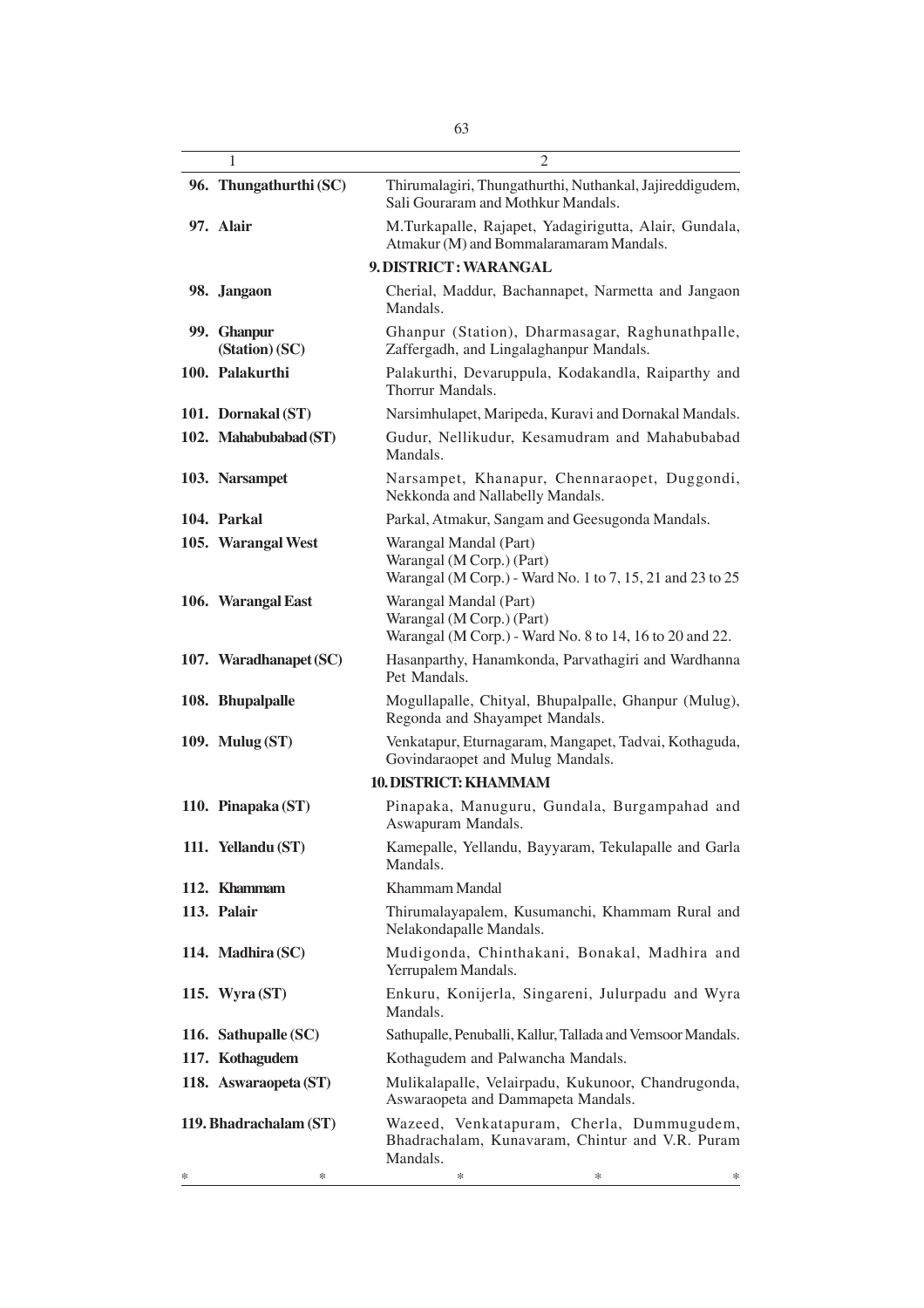|   | 1                             | $\overline{c}$                                                                                                   |  |
|---|-------------------------------|------------------------------------------------------------------------------------------------------------------|--|
|   | 96. Thungathurthi (SC)        | Thirumalagiri, Thungathurthi, Nuthankal, Jajireddigudem,<br>Sali Gouraram and Mothkur Mandals.                   |  |
|   | 97. Alair                     | M.Turkapalle, Rajapet, Yadagirigutta, Alair, Gundala,<br>Atmakur (M) and Bommalaramaram Mandals.                 |  |
|   |                               | 9. DISTRICT: WARANGAL                                                                                            |  |
|   | 98. Jangaon                   | Cherial, Maddur, Bachannapet, Narmetta and Jangaon<br>Mandals.                                                   |  |
|   | 99. Ghanpur<br>(Station) (SC) | Ghanpur (Station), Dharmasagar, Raghunathpalle,<br>Zaffergadh, and Lingalaghanpur Mandals.                       |  |
|   | 100. Palakurthi               | Palakurthi, Devaruppula, Kodakandla, Raiparthy and<br>Thorrur Mandals.                                           |  |
|   | 101. Dornakal (ST)            | Narsimhulapet, Maripeda, Kuravi and Dornakal Mandals.                                                            |  |
|   | 102. Mahabubabad (ST)         | Gudur, Nellikudur, Kesamudram and Mahabubabad<br>Mandals.                                                        |  |
|   | 103. Narsampet                | Narsampet, Khanapur, Chennaraopet, Duggondi,<br>Nekkonda and Nallabelly Mandals.                                 |  |
|   | 104. Parkal                   | Parkal, Atmakur, Sangam and Geesugonda Mandals.                                                                  |  |
|   | 105. Warangal West            | Warangal Mandal (Part)<br>Warangal (M Corp.) (Part)<br>Warangal (M Corp.) - Ward No. 1 to 7, 15, 21 and 23 to 25 |  |
|   | 106. Warangal East            | Warangal Mandal (Part)<br>Warangal (M Corp.) (Part)<br>Warangal (M Corp.) - Ward No. 8 to 14, 16 to 20 and 22.   |  |
|   | 107. Waradhanapet (SC)        | Hasanparthy, Hanamkonda, Parvathagiri and Wardhanna<br>Pet Mandals.                                              |  |
|   | 108. Bhupalpalle              | Mogullapalle, Chityal, Bhupalpalle, Ghanpur (Mulug),<br>Regonda and Shayampet Mandals.                           |  |
|   | 109. Mulug (ST)               | Venkatapur, Eturnagaram, Mangapet, Tadvai, Kothaguda,<br>Govindaraopet and Mulug Mandals.                        |  |
|   |                               | <b>10. DISTRICT: KHAMMAM</b>                                                                                     |  |
|   | 110. Pinapaka (ST)            | Pinapaka, Manuguru, Gundala, Burgampahad and<br>Aswapuram Mandals.                                               |  |
|   | 111. Yellandu (ST)            | Kamepalle, Yellandu, Bayyaram, Tekulapalle and Garla<br>Mandals.                                                 |  |
|   | 112. Khammam                  | Khammam Mandal                                                                                                   |  |
|   | 113. Palair                   | Thirumalayapalem, Kusumanchi, Khammam Rural and<br>Nelakondapalle Mandals.                                       |  |
|   | 114. Madhira (SC)             | Mudigonda, Chinthakani, Bonakal, Madhira and<br>Yerrupalem Mandals.                                              |  |
|   | 115. Wyra $(ST)$              | Enkuru, Konijerla, Singareni, Julurpadu and Wyra<br>Mandals.                                                     |  |
|   | 116. Sathupalle (SC)          | Sathupalle, Penuballi, Kallur, Tallada and Vemsoor Mandals.                                                      |  |
|   | 117. Kothagudem               | Kothagudem and Palwancha Mandals.                                                                                |  |
|   | 118. Aswaraopeta (ST)         | Mulikalapalle, Velairpadu, Kukunoor, Chandrugonda,<br>Aswaraopeta and Dammapeta Mandals.                         |  |
|   | 119. Bhadrachalam (ST)        | Wazeed, Venkatapuram, Cherla, Dummugudem,<br>Bhadrachalam, Kunavaram, Chintur and V.R. Puram<br>Mandals.         |  |
| ∗ | ∗                             | ∗<br>∗<br>*                                                                                                      |  |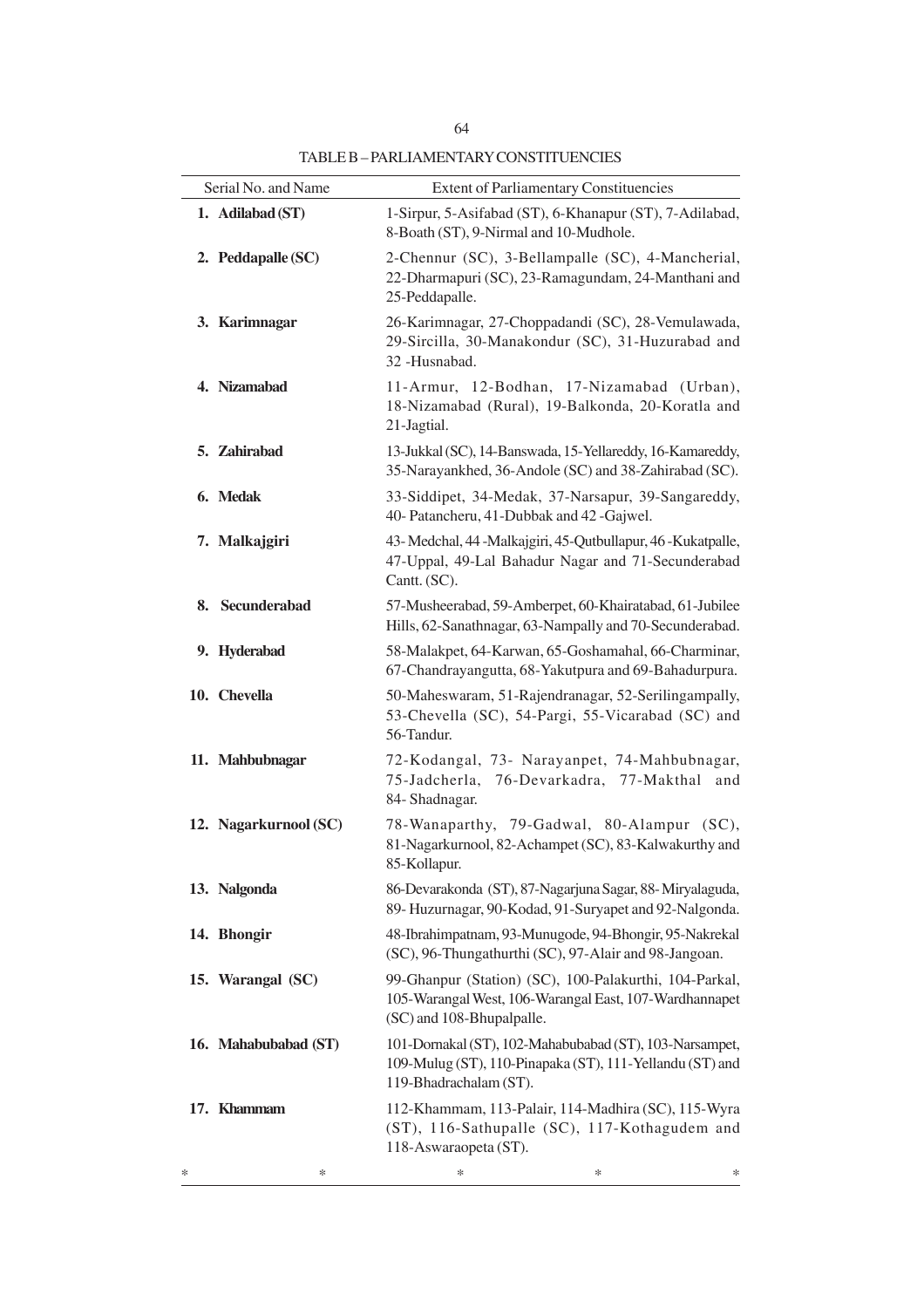|   | Serial No. and Name   | <b>Extent of Parliamentary Constituencies</b>                                                                                                 |                                                                                                      |  |  |  |
|---|-----------------------|-----------------------------------------------------------------------------------------------------------------------------------------------|------------------------------------------------------------------------------------------------------|--|--|--|
|   | 1. Adilabad (ST)      | 8-Boath (ST), 9-Nirmal and 10-Mudhole.                                                                                                        | 1-Sirpur, 5-Asifabad (ST), 6-Khanapur (ST), 7-Adilabad,                                              |  |  |  |
|   | 2. Peddapalle (SC)    | 2-Chennur (SC), 3-Bellampalle (SC), 4-Mancherial,<br>25-Peddapalle.                                                                           | 22-Dharmapuri (SC), 23-Ramagundam, 24-Manthani and                                                   |  |  |  |
|   | 3. Karimnagar         | 26-Karimnagar, 27-Choppadandi (SC), 28-Vemulawada,<br>32 - Husnabad.                                                                          | 29-Sircilla, 30-Manakondur (SC), 31-Huzurabad and                                                    |  |  |  |
|   | 4. Nizamabad          | 21-Jagtial.                                                                                                                                   | 11-Armur, 12-Bodhan, 17-Nizamabad (Urban),<br>18-Nizamabad (Rural), 19-Balkonda, 20-Koratla and      |  |  |  |
|   | 5. Zahirabad          | 13-Jukkal (SC), 14-Banswada, 15-Yellareddy, 16-Kamareddy,<br>35-Narayankhed, 36-Andole (SC) and 38-Zahirabad (SC).                            |                                                                                                      |  |  |  |
|   | 6. Medak              | 40- Patancheru, 41-Dubbak and 42-Gajwel.                                                                                                      | 33-Siddipet, 34-Medak, 37-Narsapur, 39-Sangareddy,                                                   |  |  |  |
|   | 7. Malkajgiri         | 43- Medchal, 44-Malkajgiri, 45-Qutbullapur, 46-Kukatpalle,<br>47-Uppal, 49-Lal Bahadur Nagar and 71-Secunderabad<br>Cantt. (SC).              |                                                                                                      |  |  |  |
|   | 8. Secunderabad       | 57-Musheerabad, 59-Amberpet, 60-Khairatabad, 61-Jubilee<br>Hills, 62-Sanathnagar, 63-Nampally and 70-Secunderabad.                            |                                                                                                      |  |  |  |
|   | 9. Hyderabad          | 58-Malakpet, 64-Karwan, 65-Goshamahal, 66-Charminar,<br>67-Chandrayangutta, 68-Yakutpura and 69-Bahadurpura.                                  |                                                                                                      |  |  |  |
|   | 10. Chevella          | 50-Maheswaram, 51-Rajendranagar, 52-Serilingampally,<br>56-Tandur.                                                                            | 53-Chevella (SC), 54-Pargi, 55-Vicarabad (SC) and                                                    |  |  |  |
|   | 11. Mahbubnagar       | 72-Kodangal, 73- Narayanpet, 74-Mahbubnagar,<br>75-Jadcherla,<br>84- Shadnagar.                                                               | 76-Devarkadra, 77-Makthal<br>and                                                                     |  |  |  |
|   | 12. Nagarkurnool (SC) | 78-Wanaparthy, 79-Gadwal, 80-Alampur (SC),<br>85-Kollapur.                                                                                    | 81-Nagarkurnool, 82-Achampet (SC), 83-Kalwakurthy and                                                |  |  |  |
|   | 13. Nalgonda          | 86-Devarakonda (ST), 87-Nagarjuna Sagar, 88-Miryalaguda,<br>89-Huzurnagar, 90-Kodad, 91-Suryapet and 92-Nalgonda.                             |                                                                                                      |  |  |  |
|   | 14. Bhongir           | 48-Ibrahimpatnam, 93-Munugode, 94-Bhongir, 95-Nakrekal<br>(SC), 96-Thungathurthi (SC), 97-Alair and 98-Jangoan.                               |                                                                                                      |  |  |  |
|   | 15. Warangal (SC)     | 99-Ghanpur (Station) (SC), 100-Palakurthi, 104-Parkal,<br>(SC) and 108-Bhupalpalle.                                                           | 105-Warangal West, 106-Warangal East, 107-Wardhannapet                                               |  |  |  |
|   | 16. Mahabubabad (ST)  | 101-Dornakal (ST), 102-Mahabubabad (ST), 103-Narsampet,<br>109-Mulug (ST), 110-Pinapaka (ST), 111-Yellandu (ST) and<br>119-Bhadrachalam (ST). |                                                                                                      |  |  |  |
|   | 17. Khammam           | 118-Aswaraopeta (ST).                                                                                                                         | 112-Khammam, 113-Palair, 114-Madhira (SC), 115-Wyra<br>(ST), 116-Sathupalle (SC), 117-Kothagudem and |  |  |  |
| ∗ | ∗                     | ∗                                                                                                                                             | ∗<br>∗                                                                                               |  |  |  |

| TABLE B-PARLIAMENTARY CONSTITUENCIES |  |
|--------------------------------------|--|
|--------------------------------------|--|

64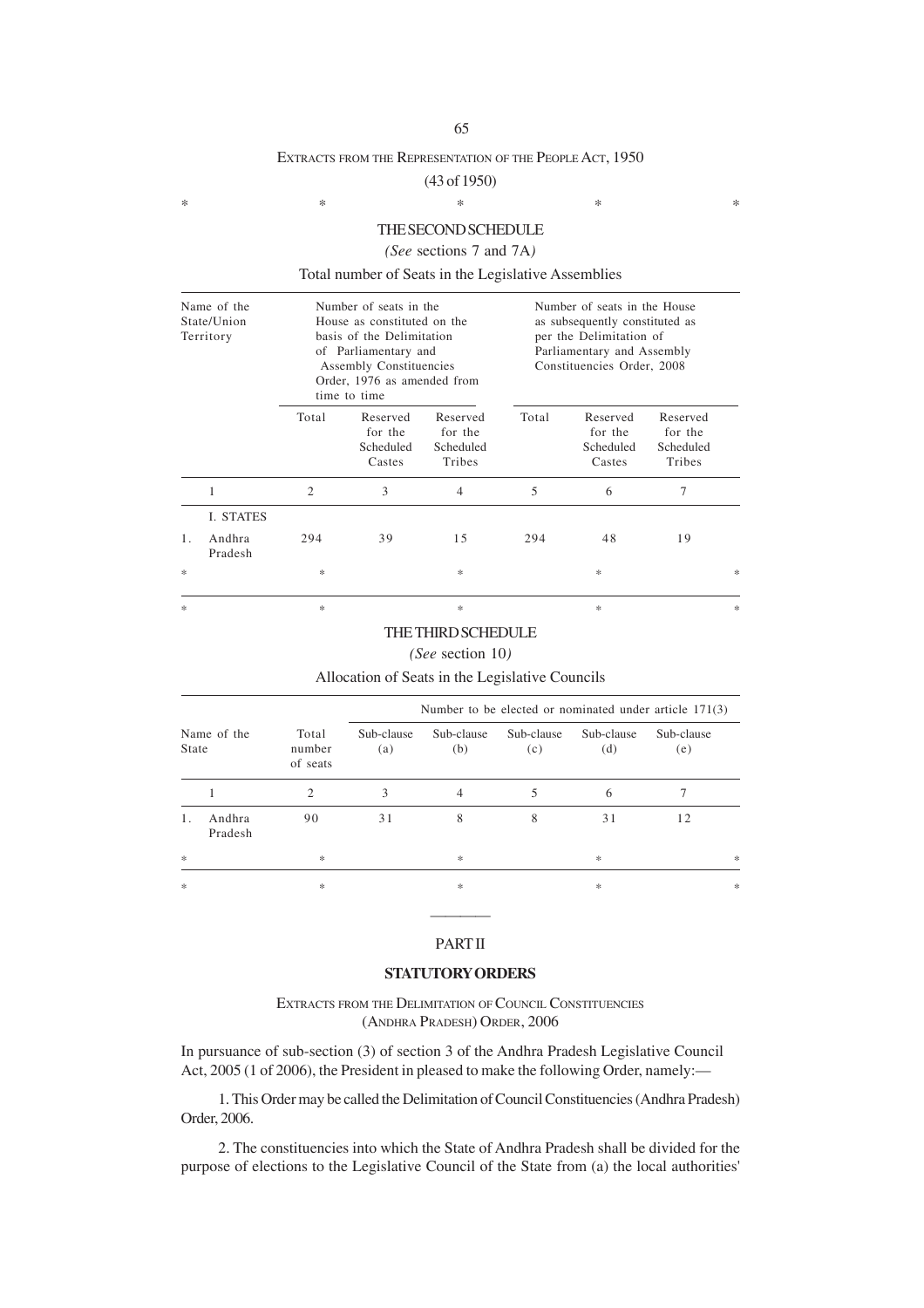## EXTRACTS FROM THE REPRESENTATION OF THE PEOPLE ACT, 1950

## (43 of 1950)

# $*$  \*  $*$  \*  $*$  \*  $*$  \*

# THE SECOND SCHEDULE

## *(See* sections 7 and 7A*)*

## Total number of Seats in the Legislative Assemblies

| Name of the<br>State/Union<br>Territory |                   | Number of seats in the<br>House as constituted on the<br>basis of the Delimitation<br>of Parliamentary and<br>Assembly Constituencies<br>Order, 1976 as amended from<br>time to time |                                            |                                            | Number of seats in the House<br>as subsequently constituted as<br>per the Delimitation of<br>Parliamentary and Assembly<br>Constituencies Order, 2008 |                                            |                                            |               |
|-----------------------------------------|-------------------|--------------------------------------------------------------------------------------------------------------------------------------------------------------------------------------|--------------------------------------------|--------------------------------------------|-------------------------------------------------------------------------------------------------------------------------------------------------------|--------------------------------------------|--------------------------------------------|---------------|
|                                         |                   | Total                                                                                                                                                                                | Reserved<br>for the<br>Scheduled<br>Castes | Reserved<br>for the<br>Scheduled<br>Tribes | Total                                                                                                                                                 | Reserved<br>for the<br>Scheduled<br>Castes | Reserved<br>for the<br>Scheduled<br>Tribes |               |
|                                         | 1                 | $\overline{c}$                                                                                                                                                                       | 3                                          | 4                                          | 5                                                                                                                                                     | 6                                          | 7                                          |               |
|                                         | I. STATES         |                                                                                                                                                                                      |                                            |                                            |                                                                                                                                                       |                                            |                                            |               |
| 1.                                      | Andhra<br>Pradesh | 294                                                                                                                                                                                  | 39                                         | 1.5                                        | 294                                                                                                                                                   | 48                                         | 19                                         |               |
| *                                       |                   | *                                                                                                                                                                                    |                                            | $\frac{1}{2}$                              |                                                                                                                                                       | $\frac{1}{2}$                              |                                            | $\mathcal{H}$ |
| 宗                                       |                   | *                                                                                                                                                                                    |                                            | $\frac{1}{2}$                              |                                                                                                                                                       | $\frac{1}{2}$                              |                                            | *             |

## THE THIRD SCHEDULE

*(See* section 10*)*

Allocation of Seats in the Legislative Councils

|                      |                   |                             |                   | Number to be elected or nominated under article $171(3)$ |                   |                   |                   |
|----------------------|-------------------|-----------------------------|-------------------|----------------------------------------------------------|-------------------|-------------------|-------------------|
| Name of the<br>State |                   | Total<br>number<br>of seats | Sub-clause<br>(a) | Sub-clause<br>(b)                                        | Sub-clause<br>(c) | Sub-clause<br>(d) | Sub-clause<br>(e) |
|                      |                   | 2                           | 3                 | 4                                                        | 5                 | 6                 |                   |
| 1.                   | Andhra<br>Pradesh | 90                          | 31                | 8                                                        | 8                 | 31                | 12                |
| *                    |                   | *                           |                   | $\frac{1}{2}$                                            |                   | *                 | $\frac{1}{2}$     |
| *                    |                   | *                           |                   | *                                                        |                   | *                 | $\frac{1}{2}$     |

# ———— PART II

## **STATUTORY ORDERS**

## EXTRACTS FROM THE DELIMITATION OF COUNCIL CONSTITUENCIES (ANDHRA PRADESH) ORDER, 2006

In pursuance of sub-section (3) of section 3 of the Andhra Pradesh Legislative Council Act, 2005 (1 of 2006), the President in pleased to make the following Order, namely:—

1. This Order may be called the Delimitation of Council Constituencies (Andhra Pradesh) Order, 2006.

2. The constituencies into which the State of Andhra Pradesh shall be divided for the purpose of elections to the Legislative Council of the State from (a) the local authorities'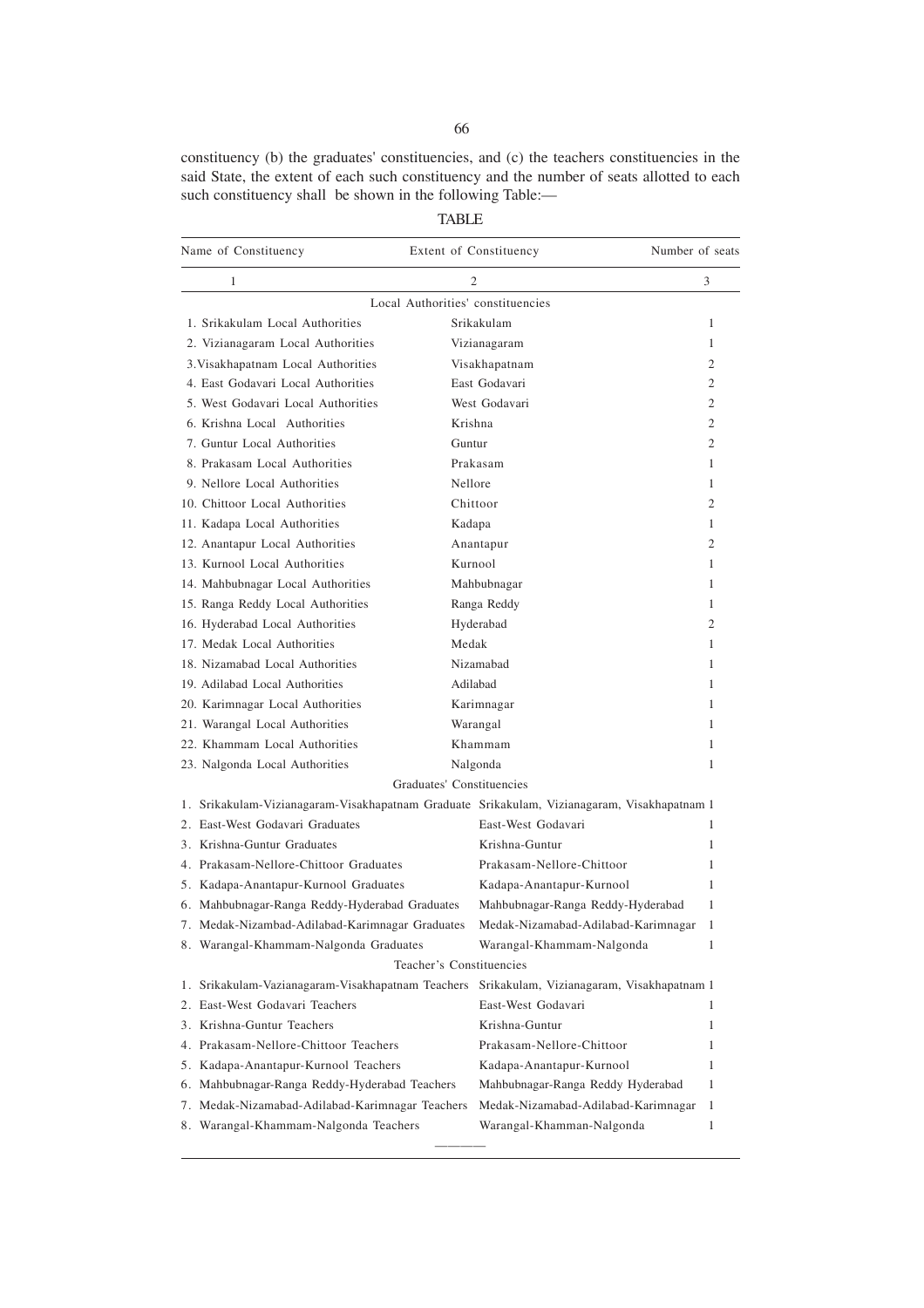constituency (b) the graduates' constituencies, and (c) the teachers constituencies in the said State, the extent of each such constituency and the number of seats allotted to each such constituency shall be shown in the following Table:—

| Name of Constituency                                                                        | Extent of Constituency            |                                     | Number of seats |  |  |
|---------------------------------------------------------------------------------------------|-----------------------------------|-------------------------------------|-----------------|--|--|
| 1                                                                                           | $\mathfrak{2}$                    |                                     | 3               |  |  |
|                                                                                             | Local Authorities' constituencies |                                     |                 |  |  |
| 1. Srikakulam Local Authorities                                                             | Srikakulam                        |                                     | 1               |  |  |
| 2. Vizianagaram Local Authorities                                                           | Vizianagaram                      |                                     | 1               |  |  |
| 3. Visakhapatnam Local Authorities                                                          | Visakhapatnam                     |                                     | 2               |  |  |
| 4. East Godavari Local Authorities                                                          | East Godavari                     |                                     | 2               |  |  |
| 5. West Godavari Local Authorities                                                          | West Godavari                     |                                     | $\overline{c}$  |  |  |
| 6. Krishna Local Authorities                                                                | Krishna                           |                                     | 2               |  |  |
| 7. Guntur Local Authorities                                                                 | Guntur                            |                                     | $\overline{2}$  |  |  |
| 8. Prakasam Local Authorities                                                               | Prakasam                          |                                     | 1               |  |  |
| 9. Nellore Local Authorities                                                                | Nellore                           |                                     | 1               |  |  |
| 10. Chittoor Local Authorities                                                              | Chittoor                          |                                     | 2               |  |  |
| 11. Kadapa Local Authorities                                                                | Kadapa                            |                                     | 1               |  |  |
| 12. Anantapur Local Authorities                                                             | Anantapur                         |                                     | $\overline{c}$  |  |  |
| 13. Kurnool Local Authorities                                                               | Kurnool                           |                                     | 1               |  |  |
| 14. Mahbubnagar Local Authorities                                                           | Mahbubnagar                       |                                     | 1               |  |  |
| 15. Ranga Reddy Local Authorities                                                           | Ranga Reddy                       |                                     | 1               |  |  |
| 16. Hyderabad Local Authorities                                                             | Hyderabad                         |                                     | 2               |  |  |
| 17. Medak Local Authorities                                                                 | Medak                             |                                     | 1               |  |  |
| 18. Nizamabad Local Authorities                                                             | Nizamabad                         |                                     | 1               |  |  |
| 19. Adilabad Local Authorities                                                              | Adilabad                          |                                     | 1               |  |  |
| 20. Karimnagar Local Authorities                                                            | Karimnagar                        |                                     | 1               |  |  |
| 21. Warangal Local Authorities                                                              | Warangal                          |                                     | 1               |  |  |
| 22. Khammam Local Authorities                                                               | Khammam                           |                                     | 1               |  |  |
| 23. Nalgonda Local Authorities                                                              | Nalgonda                          |                                     | 1               |  |  |
|                                                                                             | Graduates' Constituencies         |                                     |                 |  |  |
| 1. Srikakulam-Vizianagaram-Visakhapatnam Graduate Srikakulam, Vizianagaram, Visakhapatnam 1 |                                   |                                     |                 |  |  |
| 2. East-West Godavari Graduates                                                             |                                   | East-West Godavari                  | 1               |  |  |
| 3. Krishna-Guntur Graduates                                                                 |                                   | Krishna-Guntur                      | 1               |  |  |
| 4. Prakasam-Nellore-Chittoor Graduates                                                      |                                   | Prakasam-Nellore-Chittoor           | 1               |  |  |
| 5. Kadapa-Anantapur-Kurnool Graduates                                                       |                                   | Kadapa-Anantapur-Kurnool            | 1               |  |  |
| 6. Mahbubnagar-Ranga Reddy-Hyderabad Graduates                                              |                                   | Mahbubnagar-Ranga Reddy-Hyderabad   | 1               |  |  |
| 7. Medak-Nizambad-Adilabad-Karimnagar Graduates                                             |                                   | Medak-Nizamabad-Adilabad-Karimnagar | 1               |  |  |
| 8. Warangal-Khammam-Nalgonda Graduates                                                      |                                   | Warangal-Khammam-Nalgonda           | 1               |  |  |
| Teacher's Constituencies                                                                    |                                   |                                     |                 |  |  |
| 1. Srikakulam-Vazianagaram-Visakhapatnam Teachers Srikakulam, Vizianagaram, Visakhapatnam 1 |                                   |                                     |                 |  |  |
| 2. East-West Godavari Teachers                                                              |                                   | East-West Godavari                  | 1               |  |  |
| 3. Krishna-Guntur Teachers                                                                  |                                   | Krishna-Guntur                      | 1               |  |  |
| Prakasam-Nellore-Chittoor Teachers<br>4.                                                    |                                   | Prakasam-Nellore-Chittoor           | 1               |  |  |
| 5. Kadapa-Anantapur-Kurnool Teachers                                                        |                                   | Kadapa-Anantapur-Kurnool            | 1               |  |  |
| 6. Mahbubnagar-Ranga Reddy-Hyderabad Teachers                                               |                                   | Mahbubnagar-Ranga Reddy Hyderabad   | 1               |  |  |
| Medak-Nizamabad-Adilabad-Karimnagar Teachers<br>7.                                          |                                   | Medak-Nizamabad-Adilabad-Karimnagar | 1               |  |  |
| 8. Warangal-Khammam-Nalgonda Teachers                                                       |                                   | Warangal-Khamman-Nalgonda           | 1               |  |  |
|                                                                                             |                                   |                                     |                 |  |  |

TABLE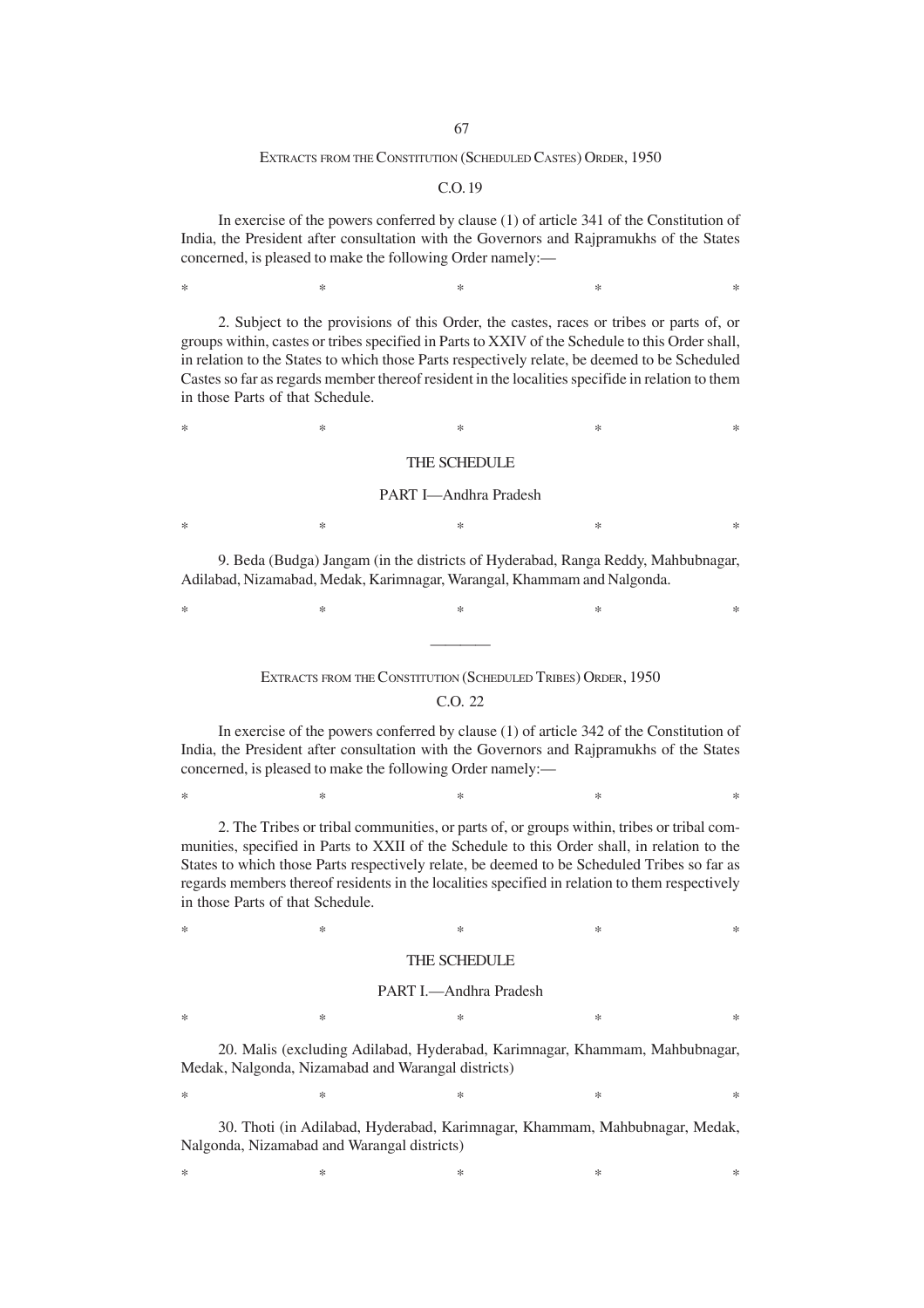#### EXTRACTS FROM THE CONSTITUTION (SCHEDULED CASTES) ORDER, 1950

### C.O. 19

In exercise of the powers conferred by clause (1) of article 341 of the Constitution of India, the President after consultation with the Governors and Rajpramukhs of the States concerned, is pleased to make the following Order namely:—

 $*$  \*  $*$  \*  $*$  \*  $*$  \*

2. Subject to the provisions of this Order, the castes, races or tribes or parts of, or groups within, castes or tribes specified in Parts to XXIV of the Schedule to this Order shall, in relation to the States to which those Parts respectively relate, be deemed to be Scheduled Castes so far as regards member thereof resident in the localities specifide in relation to them in those Parts of that Schedule.

#### THE SCHEDULE

 $*$  \*  $*$  \*  $*$  \*  $*$  \*

#### PART I—Andhra Pradesh

 $*$  \*  $*$  \*  $*$  \*  $*$  \*

9. Beda (Budga) Jangam (in the districts of Hyderabad, Ranga Reddy, Mahbubnagar, Adilabad, Nizamabad, Medak, Karimnagar, Warangal, Khammam and Nalgonda.

 $*$  \*  $*$  \*  $*$  \*  $*$  \*

————

#### EXTRACTS FROM THE CONSTITUTION (SCHEDULED TRIBES) ORDER, 1950

#### C.O. 22

In exercise of the powers conferred by clause (1) of article 342 of the Constitution of India, the President after consultation with the Governors and Rajpramukhs of the States concerned, is pleased to make the following Order namely:—

 $*$  \*  $*$  \*  $*$  \*  $*$  \*

2. The Tribes or tribal communities, or parts of, or groups within, tribes or tribal communities, specified in Parts to XXII of the Schedule to this Order shall, in relation to the States to which those Parts respectively relate, be deemed to be Scheduled Tribes so far as regards members thereof residents in the localities specified in relation to them respectively in those Parts of that Schedule.

#### THE SCHEDULE

# PART I.—Andhra Pradesh  $*$   $*$   $*$   $*$   $*$   $*$

20. Malis (excluding Adilabad, Hyderabad, Karimnagar, Khammam, Mahbubnagar, Medak, Nalgonda, Nizamabad and Warangal districts)

 $*$  \*  $*$  \*  $*$  \*  $*$  \*

30. Thoti (in Adilabad, Hyderabad, Karimnagar, Khammam, Mahbubnagar, Medak, Nalgonda, Nizamabad and Warangal districts)

 $*$  \*  $*$  \*  $*$  \*  $*$  \*

 $*$  \*  $*$  \*  $*$  \*  $*$  \*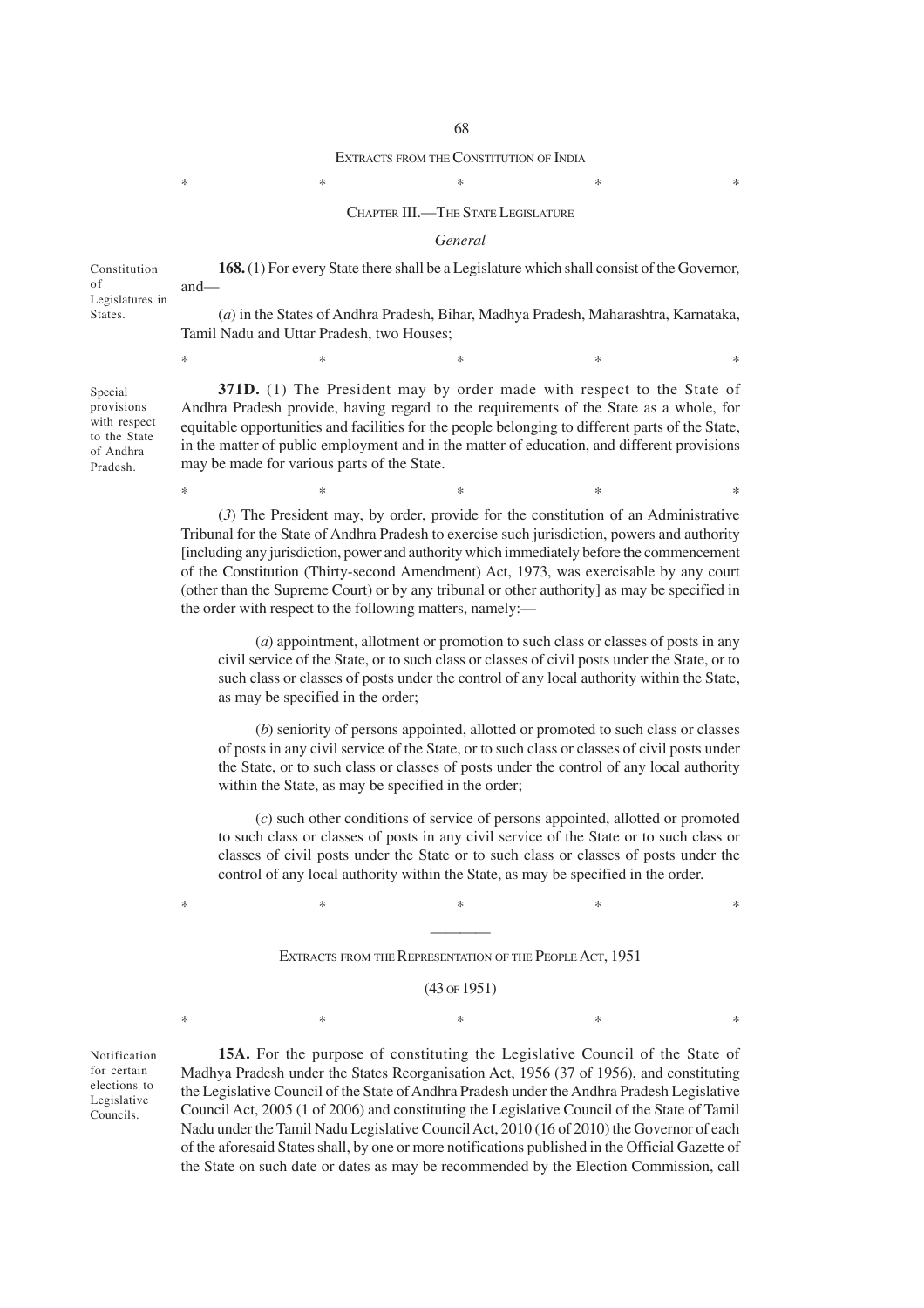68

#### EXTRACTS FROM THE CONSTITUTION OF INDIA

## $*$  \*  $*$  \*  $*$  \*  $*$  \* CHAPTER III.—THE STATE LEGISLATURE

#### *General*

**168.** (1) For every State there shall be a Legislature which shall consist of the Governor, and— Legislatures in

> (*a*) in the States of Andhra Pradesh, Bihar, Madhya Pradesh, Maharashtra, Karnataka, Tamil Nadu and Uttar Pradesh, two Houses;

> $*$  \*  $*$  \*  $*$  \*  $*$  \*

**371D.** (1) The President may by order made with respect to the State of Andhra Pradesh provide, having regard to the requirements of the State as a whole, for equitable opportunities and facilities for the people belonging to different parts of the State, in the matter of public employment and in the matter of education, and different provisions may be made for various parts of the State.

(*3*) The President may, by order, provide for the constitution of an Administrative Tribunal for the State of Andhra Pradesh to exercise such jurisdiction, powers and authority [including any jurisdiction, power and authority which immediately before the commencement of the Constitution (Thirty-second Amendment) Act, 1973, was exercisable by any court (other than the Supreme Court) or by any tribunal or other authority] as may be specified in the order with respect to the following matters, namely:—

 $*$  \*  $*$  \*  $*$  \*  $*$  \*

(*a*) appointment, allotment or promotion to such class or classes of posts in any civil service of the State, or to such class or classes of civil posts under the State, or to such class or classes of posts under the control of any local authority within the State, as may be specified in the order;

(*b*) seniority of persons appointed, allotted or promoted to such class or classes of posts in any civil service of the State, or to such class or classes of civil posts under the State, or to such class or classes of posts under the control of any local authority within the State, as may be specified in the order;

(*c*) such other conditions of service of persons appointed, allotted or promoted to such class or classes of posts in any civil service of the State or to such class or classes of civil posts under the State or to such class or classes of posts under the control of any local authority within the State, as may be specified in the order.

 $*$  \*  $*$  \*  $*$  \*  $*$  \*

———— EXTRACTS FROM THE REPRESENTATION OF THE PEOPLE ACT, 1951

#### (43 OF 1951)

 $*$  \*  $*$  \*  $*$  \*  $*$  \*

Notification for certain elections to Legislative Councils.

**15A.** For the purpose of constituting the Legislative Council of the State of Madhya Pradesh under the States Reorganisation Act, 1956 (37 of 1956), and constituting the Legislative Council of the State of Andhra Pradesh under the Andhra Pradesh Legislative Council Act, 2005 (1 of 2006) and constituting the Legislative Council of the State of Tamil Nadu under the Tamil Nadu Legislative Council Act, 2010 (16 of 2010) the Governor of each of the aforesaid States shall, by one or more notifications published in the Official Gazette of the State on such date or dates as may be recommended by the Election Commission, call

Special provisions with respect to the State of Andhra Pradesh.

Constitution of

States.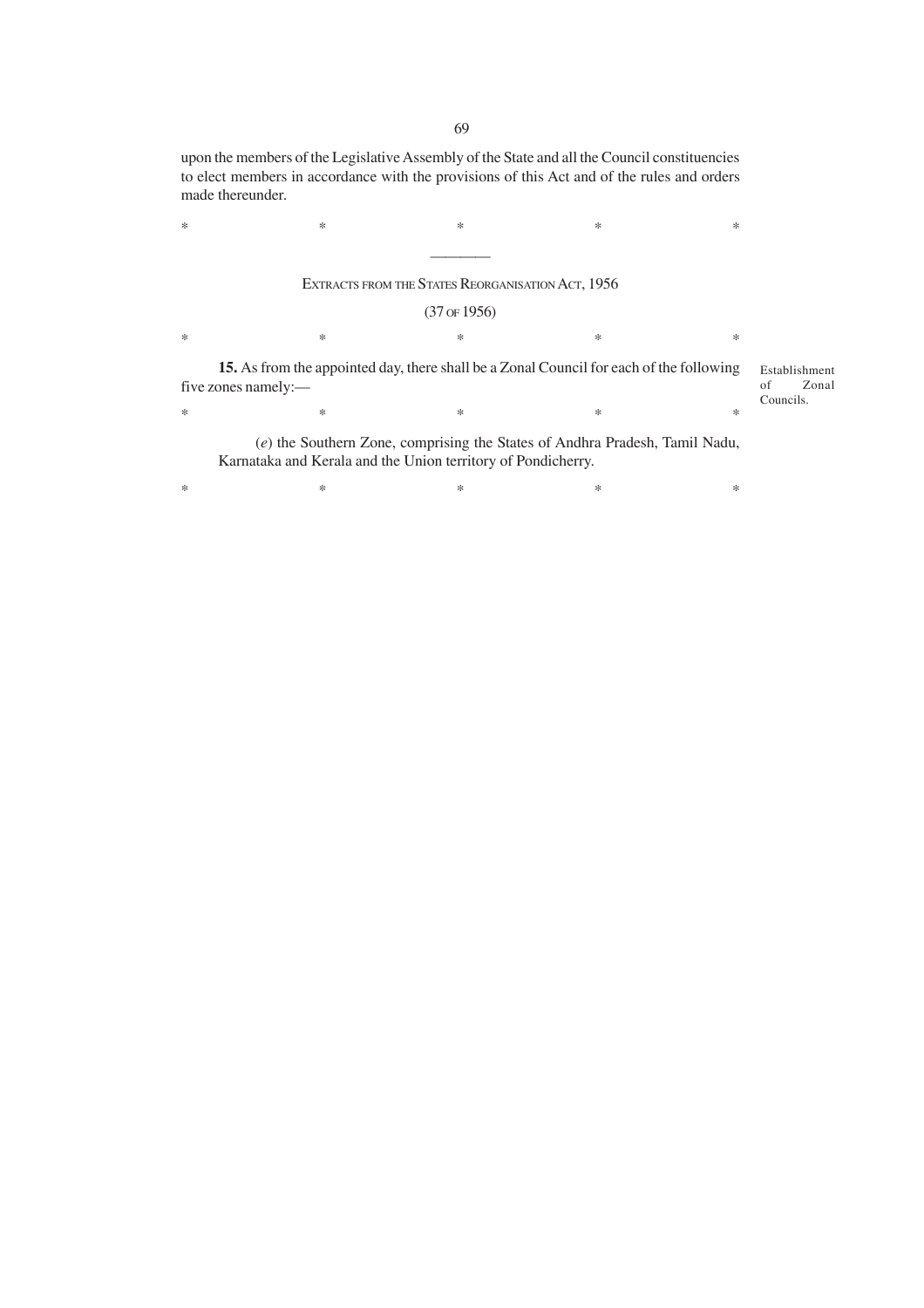upon the members of the Legislative Assembly of the State and all the Council constituencies to elect members in accordance with the provisions of this Act and of the rules and orders made thereunder.

| $\ast$              | * | $\ast$                                            | *                                                                                       | * |                                           |
|---------------------|---|---------------------------------------------------|-----------------------------------------------------------------------------------------|---|-------------------------------------------|
|                     |   |                                                   |                                                                                         |   |                                           |
|                     |   | EXTRACTS FROM THE STATES REORGANISATION ACT, 1956 |                                                                                         |   |                                           |
|                     |   | $(37 \text{ of } 1956)$                           |                                                                                         |   |                                           |
| $\ast$              | * | *                                                 | $\ast$                                                                                  | * |                                           |
| five zones namely:- |   |                                                   | 15. As from the appointed day, there shall be a Zonal Council for each of the following |   | Establishment<br>of<br>Zonal<br>Councils. |
| $\ast$              | * | *                                                 | *                                                                                       | * |                                           |

(*e*) the Southern Zone, comprising the States of Andhra Pradesh, Tamil Nadu, Karnataka and Kerala and the Union territory of Pondicherry.

 $*$  \*  $*$  \*  $*$  \*  $*$  \*

69